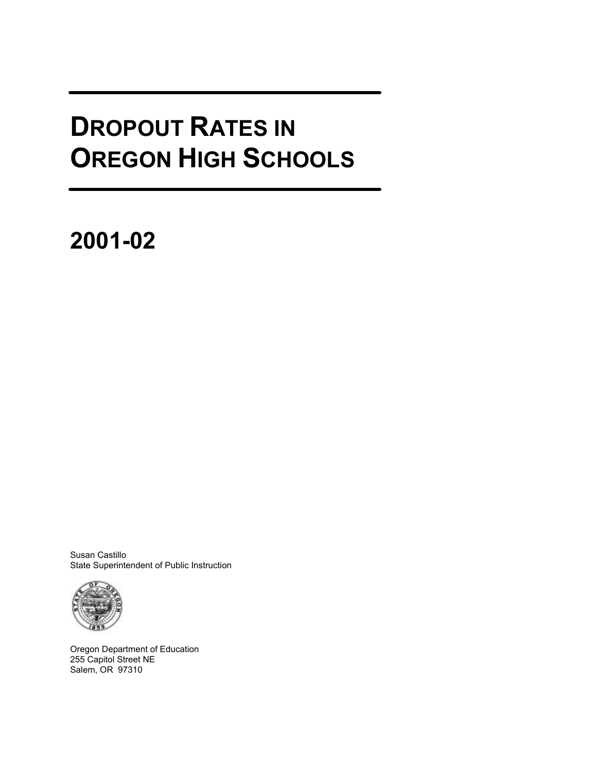# **DROPOUT RATES IN OREGON HIGH SCHOOLS**

**2001-02**

Susan Castillo State Superintendent of Public Instruction



Oregon Department of Education 255 Capitol Street NE Salem, OR 97310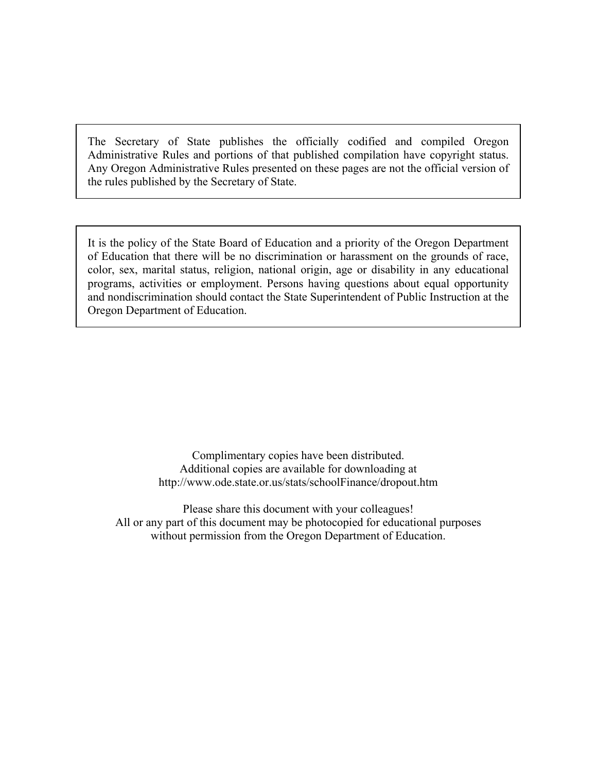The Secretary of State publishes the officially codified and compiled Oregon Administrative Rules and portions of that published compilation have copyright status. Any Oregon Administrative Rules presented on these pages are not the official version of the rules published by the Secretary of State.

It is the policy of the State Board of Education and a priority of the Oregon Department of Education that there will be no discrimination or harassment on the grounds of race, color, sex, marital status, religion, national origin, age or disability in any educational programs, activities or employment. Persons having questions about equal opportunity and nondiscrimination should contact the State Superintendent of Public Instruction at the Oregon Department of Education.

> Complimentary copies have been distributed. Additional copies are available for downloading at <http://www.ode.state.or.us/stats/schoolFinance/dropout.htm>

Please share this document with your colleagues! All or any part of this document may be photocopied for educational purposes without permission from the Oregon Department of Education.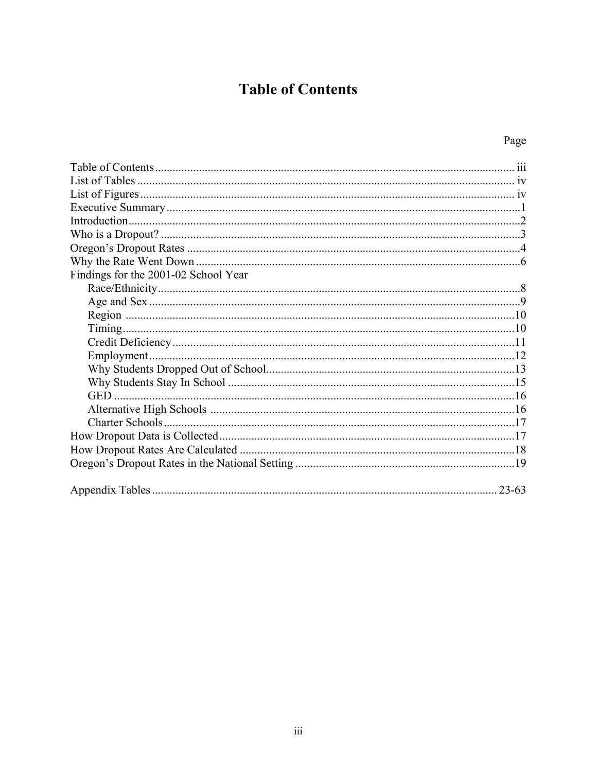# **Table of Contents**

# Page

| Findings for the 2001-02 School Year |  |
|--------------------------------------|--|
|                                      |  |
|                                      |  |
|                                      |  |
|                                      |  |
|                                      |  |
|                                      |  |
|                                      |  |
|                                      |  |
|                                      |  |
|                                      |  |
|                                      |  |
|                                      |  |
|                                      |  |
|                                      |  |
|                                      |  |
| $23 - 63$                            |  |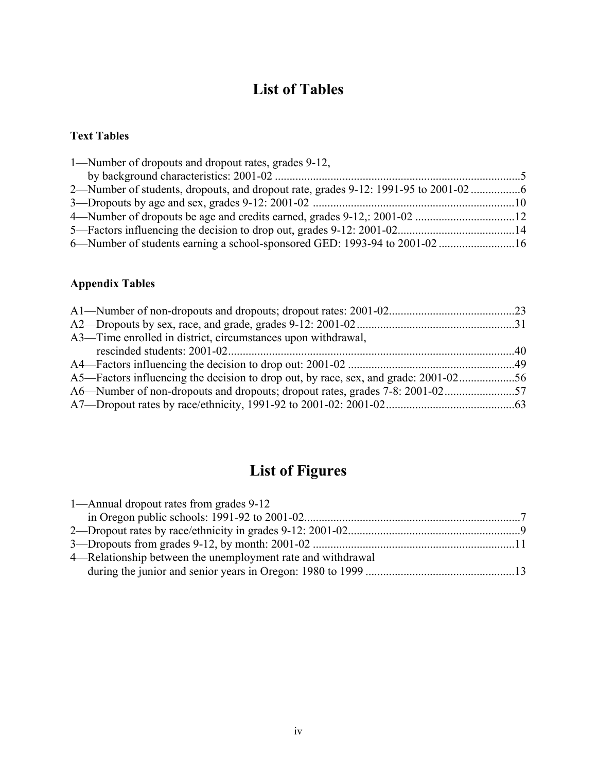# **List of Tables**

### **Text Tables**

| 1—Number of dropouts and dropout rates, grades 9-12,                              |  |
|-----------------------------------------------------------------------------------|--|
|                                                                                   |  |
| 2—Number of students, dropouts, and dropout rate, grades 9-12: 1991-95 to 2001-02 |  |
|                                                                                   |  |
|                                                                                   |  |
|                                                                                   |  |
| 6—Number of students earning a school-sponsored GED: 1993-94 to 2001-02 16        |  |

### **Appendix Tables**

| A3—Time enrolled in district, circumstances upon withdrawal,                      |  |
|-----------------------------------------------------------------------------------|--|
|                                                                                   |  |
|                                                                                   |  |
| A5—Factors influencing the decision to drop out, by race, sex, and grade: 2001-02 |  |
|                                                                                   |  |
|                                                                                   |  |
|                                                                                   |  |

# **List of Figures**

| 1—Annual dropout rates from grades 9-12                     |  |
|-------------------------------------------------------------|--|
|                                                             |  |
|                                                             |  |
|                                                             |  |
| 4—Relationship between the unemployment rate and withdrawal |  |
|                                                             |  |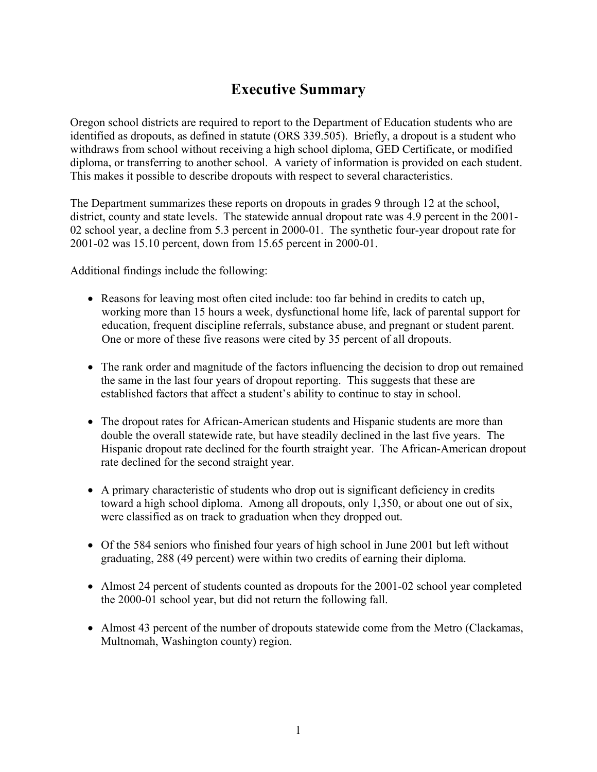# **Executive Summary**

Oregon school districts are required to report to the Department of Education students who are identified as dropouts, as defined in statute (ORS 339.505). Briefly, a dropout is a student who withdraws from school without receiving a high school diploma, GED Certificate, or modified diploma, or transferring to another school. A variety of information is provided on each student. This makes it possible to describe dropouts with respect to several characteristics.

The Department summarizes these reports on dropouts in grades 9 through 12 at the school, district, county and state levels. The statewide annual dropout rate was 4.9 percent in the 2001- 02 school year, a decline from 5.3 percent in 2000-01. The synthetic four-year dropout rate for 2001-02 was 15.10 percent, down from 15.65 percent in 2000-01.

Additional findings include the following:

- Reasons for leaving most often cited include: too far behind in credits to catch up, working more than 15 hours a week, dysfunctional home life, lack of parental support for education, frequent discipline referrals, substance abuse, and pregnant or student parent. One or more of these five reasons were cited by 35 percent of all dropouts.
- The rank order and magnitude of the factors influencing the decision to drop out remained the same in the last four years of dropout reporting. This suggests that these are established factors that affect a student's ability to continue to stay in school.
- The dropout rates for African-American students and Hispanic students are more than double the overall statewide rate, but have steadily declined in the last five years. The Hispanic dropout rate declined for the fourth straight year. The African-American dropout rate declined for the second straight year.
- A primary characteristic of students who drop out is significant deficiency in credits toward a high school diploma. Among all dropouts, only 1,350, or about one out of six, were classified as on track to graduation when they dropped out.
- Of the 584 seniors who finished four years of high school in June 2001 but left without graduating, 288 (49 percent) were within two credits of earning their diploma.
- Almost 24 percent of students counted as dropouts for the 2001-02 school year completed the 2000-01 school year, but did not return the following fall.
- Almost 43 percent of the number of dropouts statewide come from the Metro (Clackamas, Multnomah, Washington county) region.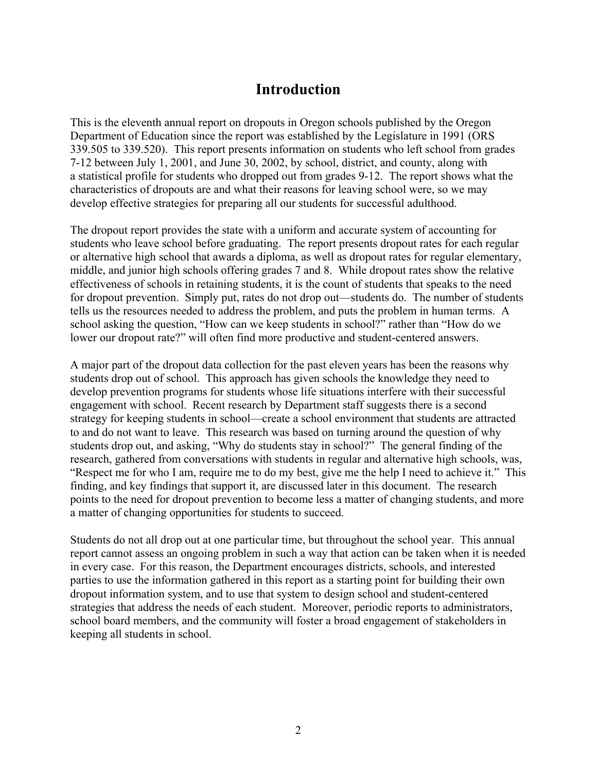### **Introduction**

This is the eleventh annual report on dropouts in Oregon schools published by the Oregon Department of Education since the report was established by the Legislature in 1991 (ORS 339.505 to 339.520). This report presents information on students who left school from grades 7-12 between July 1, 2001, and June 30, 2002, by school, district, and county, along with a statistical profile for students who dropped out from grades 9-12. The report shows what the characteristics of dropouts are and what their reasons for leaving school were, so we may develop effective strategies for preparing all our students for successful adulthood.

The dropout report provides the state with a uniform and accurate system of accounting for students who leave school before graduating. The report presents dropout rates for each regular or alternative high school that awards a diploma, as well as dropout rates for regular elementary, middle, and junior high schools offering grades 7 and 8. While dropout rates show the relative effectiveness of schools in retaining students, it is the count of students that speaks to the need for dropout prevention. Simply put, rates do not drop out—students do. The number of students tells us the resources needed to address the problem, and puts the problem in human terms. A school asking the question, "How can we keep students in school?" rather than "How do we lower our dropout rate?" will often find more productive and student-centered answers.

A major part of the dropout data collection for the past eleven years has been the reasons why students drop out of school. This approach has given schools the knowledge they need to develop prevention programs for students whose life situations interfere with their successful engagement with school. Recent research by Department staff suggests there is a second strategy for keeping students in school—create a school environment that students are attracted to and do not want to leave. This research was based on turning around the question of why students drop out, and asking, "Why do students stay in school?" The general finding of the research, gathered from conversations with students in regular and alternative high schools, was, "Respect me for who I am, require me to do my best, give me the help I need to achieve it." This finding, and key findings that support it, are discussed later in this document. The research points to the need for dropout prevention to become less a matter of changing students, and more a matter of changing opportunities for students to succeed.

Students do not all drop out at one particular time, but throughout the school year. This annual report cannot assess an ongoing problem in such a way that action can be taken when it is needed in every case. For this reason, the Department encourages districts, schools, and interested parties to use the information gathered in this report as a starting point for building their own dropout information system, and to use that system to design school and student-centered strategies that address the needs of each student. Moreover, periodic reports to administrators, school board members, and the community will foster a broad engagement of stakeholders in keeping all students in school.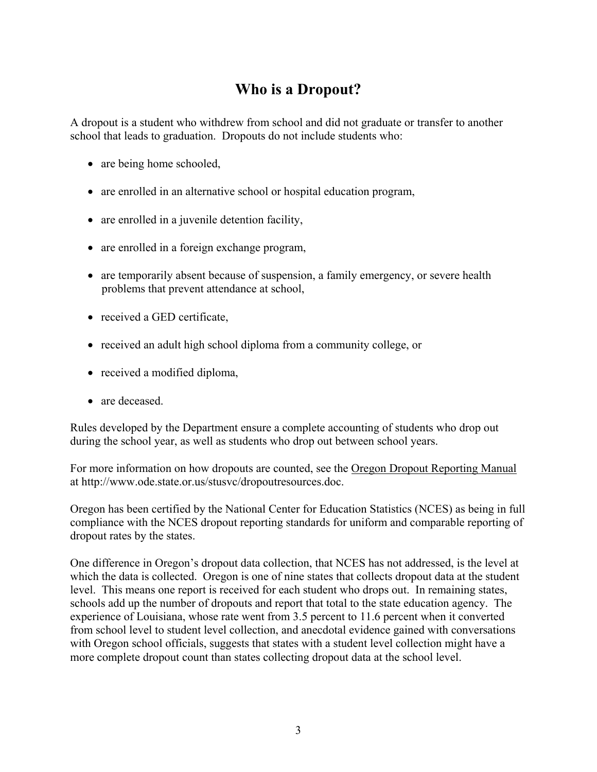# **Who is a Dropout?**

A dropout is a student who withdrew from school and did not graduate or transfer to another school that leads to graduation. Dropouts do not include students who:

- are being home schooled,
- are enrolled in an alternative school or hospital education program,
- are enrolled in a juvenile detention facility,
- are enrolled in a foreign exchange program,
- are temporarily absent because of suspension, a family emergency, or severe health problems that prevent attendance at school,
- received a GED certificate,
- received an adult high school diploma from a community college, or
- received a modified diploma,
- are deceased

Rules developed by the Department ensure a complete accounting of students who drop out during the school year, as well as students who drop out between school years.

For more information on how dropouts are counted, see the Oregon Dropout Reporting Manual at [http://www.ode.state.or.us/stusvc/dropoutresources.doc.](http://www.ode.state.or.us/stusvc/dropoutresources.doc)

Oregon has been certified by the National Center for Education Statistics (NCES) as being in full compliance with the NCES dropout reporting standards for uniform and comparable reporting of dropout rates by the states.

One difference in Oregon's dropout data collection, that NCES has not addressed, is the level at which the data is collected. Oregon is one of nine states that collects dropout data at the student level. This means one report is received for each student who drops out. In remaining states, schools add up the number of dropouts and report that total to the state education agency. The experience of Louisiana, whose rate went from 3.5 percent to 11.6 percent when it converted from school level to student level collection, and anecdotal evidence gained with conversations with Oregon school officials, suggests that states with a student level collection might have a more complete dropout count than states collecting dropout data at the school level.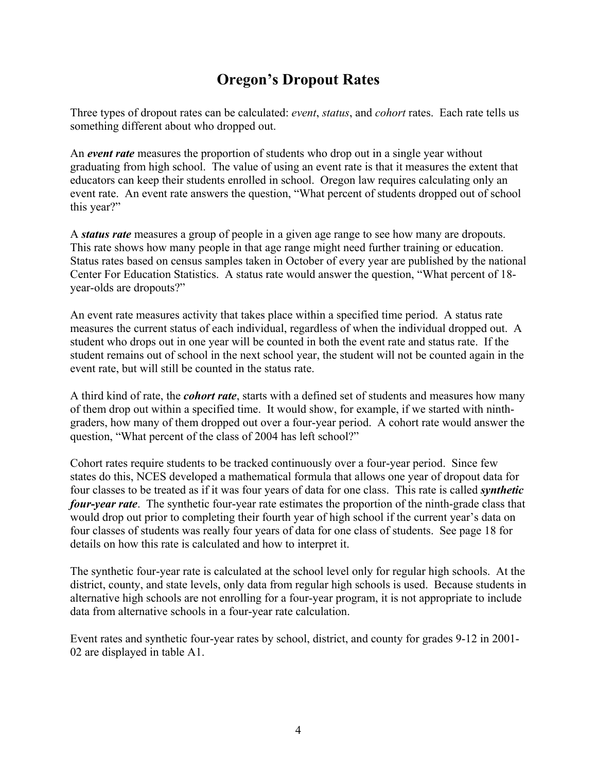# **Oregon's Dropout Rates**

Three types of dropout rates can be calculated: *event*, *status*, and *cohort* rates. Each rate tells us something different about who dropped out.

An *event rate* measures the proportion of students who drop out in a single year without graduating from high school. The value of using an event rate is that it measures the extent that educators can keep their students enrolled in school. Oregon law requires calculating only an event rate. An event rate answers the question, "What percent of students dropped out of school this year?"

A *status rate* measures a group of people in a given age range to see how many are dropouts. This rate shows how many people in that age range might need further training or education. Status rates based on census samples taken in October of every year are published by the national Center For Education Statistics. A status rate would answer the question, "What percent of 18 year-olds are dropouts?"

An event rate measures activity that takes place within a specified time period. A status rate measures the current status of each individual, regardless of when the individual dropped out. A student who drops out in one year will be counted in both the event rate and status rate. If the student remains out of school in the next school year, the student will not be counted again in the event rate, but will still be counted in the status rate.

A third kind of rate, the *cohort rate*, starts with a defined set of students and measures how many of them drop out within a specified time. It would show, for example, if we started with ninthgraders, how many of them dropped out over a four-year period. A cohort rate would answer the question, "What percent of the class of 2004 has left school?"

Cohort rates require students to be tracked continuously over a four-year period. Since few states do this, NCES developed a mathematical formula that allows one year of dropout data for four classes to be treated as if it was four years of data for one class. This rate is called *synthetic four-year rate*. The synthetic four-year rate estimates the proportion of the ninth-grade class that would drop out prior to completing their fourth year of high school if the current year's data on four classes of students was really four years of data for one class of students. See page 18 for details on how this rate is calculated and how to interpret it.

The synthetic four-year rate is calculated at the school level only for regular high schools. At the district, county, and state levels, only data from regular high schools is used. Because students in alternative high schools are not enrolling for a four-year program, it is not appropriate to include data from alternative schools in a four-year rate calculation.

Event rates and synthetic four-year rates by school, district, and county for grades 9-12 in 2001- 02 are displayed in table A1.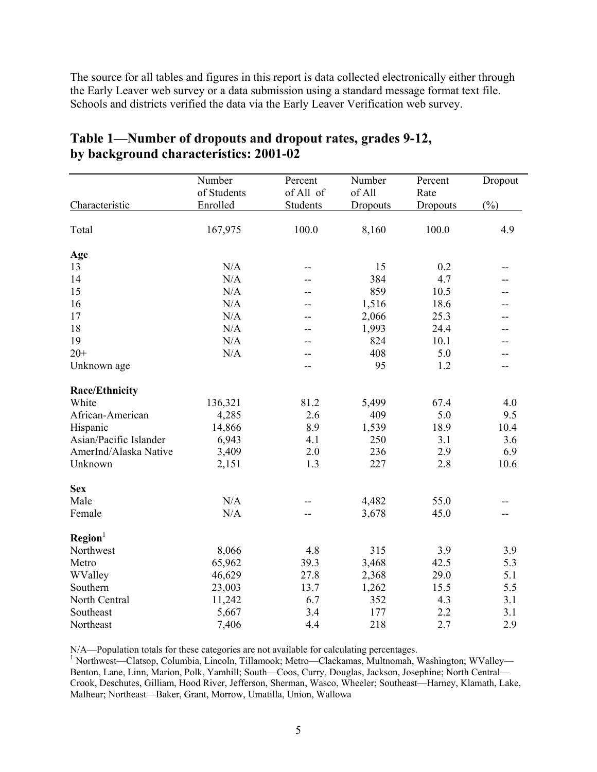The source for all tables and figures in this report is data collected electronically either through the Early Leaver web survey or a data submission using a standard message format text file. Schools and districts verified the data via the Early Leaver Verification web survey.

|                        | Number      | Percent   | Number   | Percent  | Dropout         |
|------------------------|-------------|-----------|----------|----------|-----------------|
|                        | of Students | of All of | of All   | Rate     |                 |
| Characteristic         | Enrolled    | Students  | Dropouts | Dropouts | $(\frac{0}{0})$ |
| Total                  | 167,975     | 100.0     | 8,160    | 100.0    | 4.9             |
| Age                    |             |           |          |          |                 |
| 13                     | N/A         | --        | 15       | 0.2      | --              |
| 14                     | N/A         | --        | 384      | 4.7      |                 |
| 15                     | N/A         | --        | 859      | 10.5     |                 |
| 16                     | N/A         | --        | 1,516    | 18.6     | --              |
| 17                     | N/A         |           | 2,066    | 25.3     | --              |
| 18                     | N/A         |           | 1,993    | 24.4     |                 |
| 19                     | N/A         |           | 824      | 10.1     |                 |
| $20+$                  | N/A         |           | 408      | 5.0      | --              |
| Unknown age            |             |           | 95       | 1.2      | --              |
| <b>Race/Ethnicity</b>  |             |           |          |          |                 |
| White                  | 136,321     | 81.2      | 5,499    | 67.4     | 4.0             |
| African-American       | 4,285       | 2.6       | 409      | 5.0      | 9.5             |
| Hispanic               | 14,866      | 8.9       | 1,539    | 18.9     | 10.4            |
| Asian/Pacific Islander | 6,943       | 4.1       | 250      | 3.1      | 3.6             |
| AmerInd/Alaska Native  | 3,409       | 2.0       | 236      | 2.9      | 6.9             |
| Unknown                | 2,151       | 1.3       | 227      | 2.8      | 10.6            |
| <b>Sex</b>             |             |           |          |          |                 |
| Male                   | N/A         |           | 4,482    | 55.0     |                 |
| Female                 | N/A         |           | 3,678    | 45.0     |                 |
| Region <sup>1</sup>    |             |           |          |          |                 |
| Northwest              | 8,066       | 4.8       | 315      | 3.9      | 3.9             |
| Metro                  | 65,962      | 39.3      | 3,468    | 42.5     | 5.3             |
| WValley                | 46,629      | 27.8      | 2,368    | 29.0     | 5.1             |
| Southern               | 23,003      | 13.7      | 1,262    | 15.5     | 5.5             |
| North Central          | 11,242      | 6.7       | 352      | 4.3      | 3.1             |
| Southeast              | 5,667       | 3.4       | 177      | 2.2      | 3.1             |
| Northeast              | 7,406       | 4.4       | 218      | 2.7      | 2.9             |

### **Table 1—Number of dropouts and dropout rates, grades 9-12, by background characteristics: 2001-02**

N/A—Population totals for these categories are not available for calculating percentages.

<sup>1</sup> Northwest—Clatsop, Columbia, Lincoln, Tillamook; Metro—Clackamas, Multnomah, Washington; WValley— Benton, Lane, Linn, Marion, Polk, Yamhill; South—Coos, Curry, Douglas, Jackson, Josephine; North Central— Crook, Deschutes, Gilliam, Hood River, Jefferson, Sherman, Wasco, Wheeler; Southeast—Harney, Klamath, Lake, Malheur; Northeast—Baker, Grant, Morrow, Umatilla, Union, Wallowa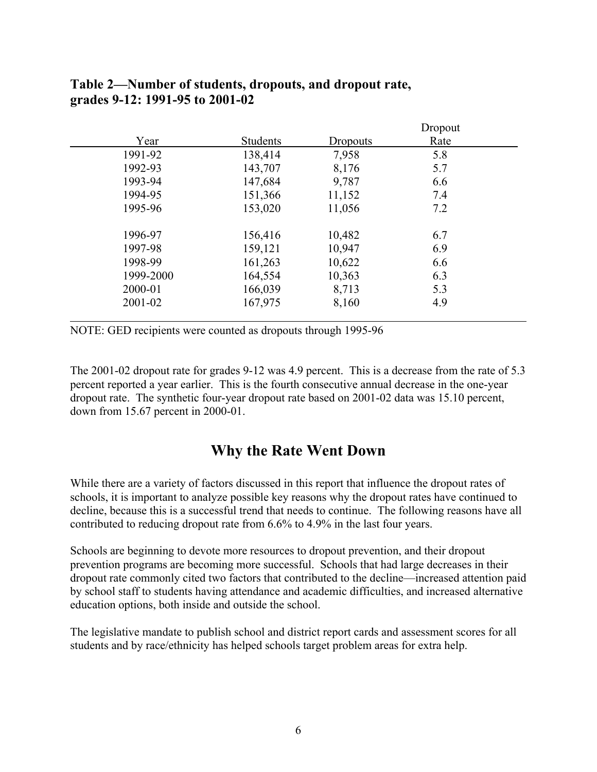|           |          |                 | Dropout |  |
|-----------|----------|-----------------|---------|--|
| Year      | Students | <b>Dropouts</b> | Rate    |  |
| 1991-92   | 138,414  | 7,958           | 5.8     |  |
| 1992-93   | 143,707  | 8,176           | 5.7     |  |
| 1993-94   | 147,684  | 9,787           | 6.6     |  |
| 1994-95   | 151,366  | 11,152          | 7.4     |  |
| 1995-96   | 153,020  | 11,056          | 7.2     |  |
|           |          |                 |         |  |
| 1996-97   | 156,416  | 10,482          | 6.7     |  |
| 1997-98   | 159,121  | 10,947          | 6.9     |  |
| 1998-99   | 161,263  | 10,622          | 6.6     |  |
| 1999-2000 | 164,554  | 10,363          | 6.3     |  |
| 2000-01   | 166,039  | 8,713           | 5.3     |  |
| 2001-02   | 167,975  | 8,160           | 4.9     |  |
|           |          |                 |         |  |

### **Table 2—Number of students, dropouts, and dropout rate, grades 9-12: 1991-95 to 2001-02**

NOTE: GED recipients were counted as dropouts through 1995-96

The 2001-02 dropout rate for grades 9-12 was 4.9 percent. This is a decrease from the rate of 5.3 percent reported a year earlier. This is the fourth consecutive annual decrease in the one-year dropout rate. The synthetic four-year dropout rate based on 2001-02 data was 15.10 percent, down from 15.67 percent in 2000-01.

### **Why the Rate Went Down**

While there are a variety of factors discussed in this report that influence the dropout rates of schools, it is important to analyze possible key reasons why the dropout rates have continued to decline, because this is a successful trend that needs to continue. The following reasons have all contributed to reducing dropout rate from 6.6% to 4.9% in the last four years.

Schools are beginning to devote more resources to dropout prevention, and their dropout prevention programs are becoming more successful. Schools that had large decreases in their dropout rate commonly cited two factors that contributed to the decline—increased attention paid by school staff to students having attendance and academic difficulties, and increased alternative education options, both inside and outside the school.

The legislative mandate to publish school and district report cards and assessment scores for all students and by race/ethnicity has helped schools target problem areas for extra help.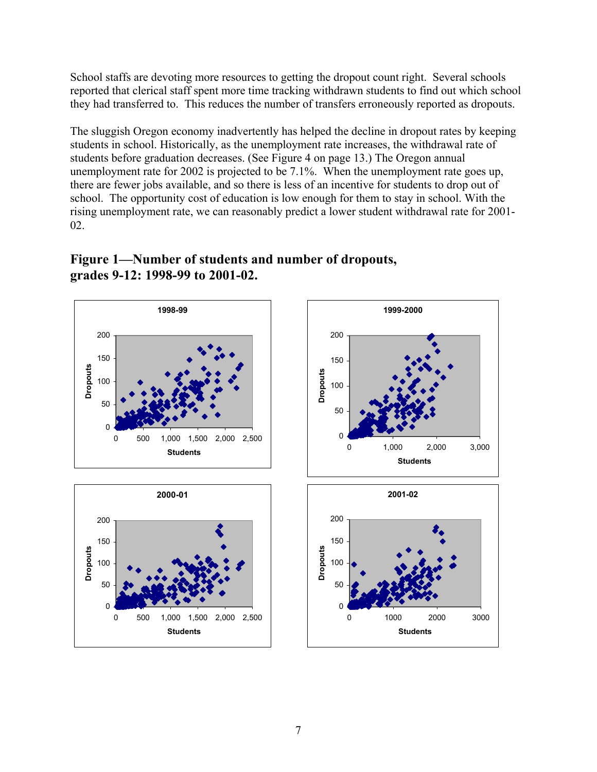School staffs are devoting more resources to getting the dropout count right. Several schools reported that clerical staff spent more time tracking withdrawn students to find out which school they had transferred to. This reduces the number of transfers erroneously reported as dropouts.

The sluggish Oregon economy inadvertently has helped the decline in dropout rates by keeping students in school. Historically, as the unemployment rate increases, the withdrawal rate of students before graduation decreases. (See Figure 4 on page 13.) The Oregon annual unemployment rate for 2002 is projected to be 7.1%. When the unemployment rate goes up, there are fewer jobs available, and so there is less of an incentive for students to drop out of school. The opportunity cost of education is low enough for them to stay in school. With the rising unemployment rate, we can reasonably predict a lower student withdrawal rate for 2001- 02.



### **Figure 1—Number of students and number of dropouts, grades 9-12: 1998-99 to 2001-02.**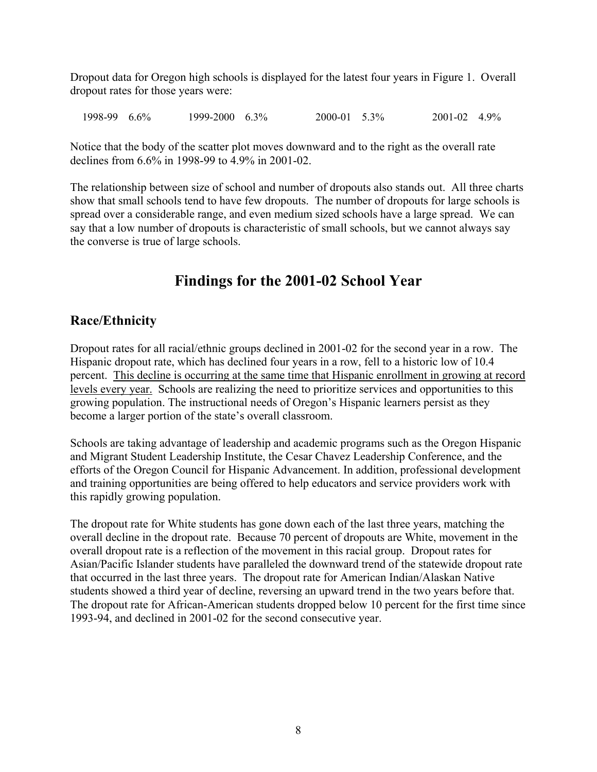Dropout data for Oregon high schools is displayed for the latest four years in Figure 1. Overall dropout rates for those years were:

1998-99 6.6% 1999-2000 6.3% 2000-01 5.3% 2001-02 4.9%

Notice that the body of the scatter plot moves downward and to the right as the overall rate declines from 6.6% in 1998-99 to 4.9% in 2001-02.

The relationship between size of school and number of dropouts also stands out. All three charts show that small schools tend to have few dropouts. The number of dropouts for large schools is spread over a considerable range, and even medium sized schools have a large spread. We can say that a low number of dropouts is characteristic of small schools, but we cannot always say the converse is true of large schools.

# **Findings for the 2001-02 School Year**

### **Race/Ethnicity**

Dropout rates for all racial/ethnic groups declined in 2001-02 for the second year in a row. The Hispanic dropout rate, which has declined four years in a row, fell to a historic low of 10.4 percent. This decline is occurring at the same time that Hispanic enrollment in growing at record levels every year. Schools are realizing the need to prioritize services and opportunities to this growing population. The instructional needs of Oregon's Hispanic learners persist as they become a larger portion of the state's overall classroom.

Schools are taking advantage of leadership and academic programs such as the Oregon Hispanic and Migrant Student Leadership Institute, the Cesar Chavez Leadership Conference, and the efforts of the Oregon Council for Hispanic Advancement. In addition, professional development and training opportunities are being offered to help educators and service providers work with this rapidly growing population.

The dropout rate for White students has gone down each of the last three years, matching the overall decline in the dropout rate. Because 70 percent of dropouts are White, movement in the overall dropout rate is a reflection of the movement in this racial group. Dropout rates for Asian/Pacific Islander students have paralleled the downward trend of the statewide dropout rate that occurred in the last three years. The dropout rate for American Indian/Alaskan Native students showed a third year of decline, reversing an upward trend in the two years before that. The dropout rate for African-American students dropped below 10 percent for the first time since 1993-94, and declined in 2001-02 for the second consecutive year.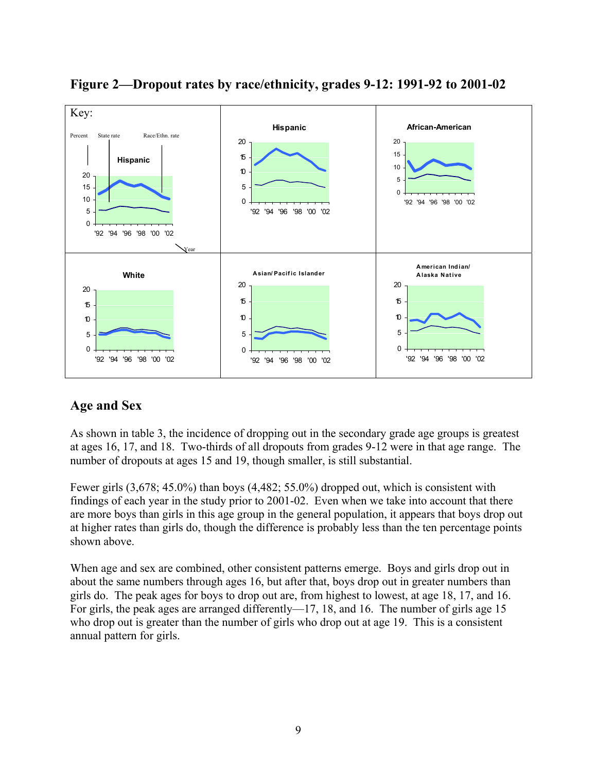

**Figure 2—Dropout rates by race/ethnicity, grades 9-12: 1991-92 to 2001-02** 

### **Age and Sex**

As shown in table 3, the incidence of dropping out in the secondary grade age groups is greatest at ages 16, 17, and 18. Two-thirds of all dropouts from grades 9-12 were in that age range. The number of dropouts at ages 15 and 19, though smaller, is still substantial.

Fewer girls (3,678; 45.0%) than boys (4,482; 55.0%) dropped out, which is consistent with findings of each year in the study prior to 2001-02. Even when we take into account that there are more boys than girls in this age group in the general population, it appears that boys drop out at higher rates than girls do, though the difference is probably less than the ten percentage points shown above.

When age and sex are combined, other consistent patterns emerge. Boys and girls drop out in about the same numbers through ages 16, but after that, boys drop out in greater numbers than girls do. The peak ages for boys to drop out are, from highest to lowest, at age 18, 17, and 16. For girls, the peak ages are arranged differently—17, 18, and 16. The number of girls age 15 who drop out is greater than the number of girls who drop out at age 19. This is a consistent annual pattern for girls.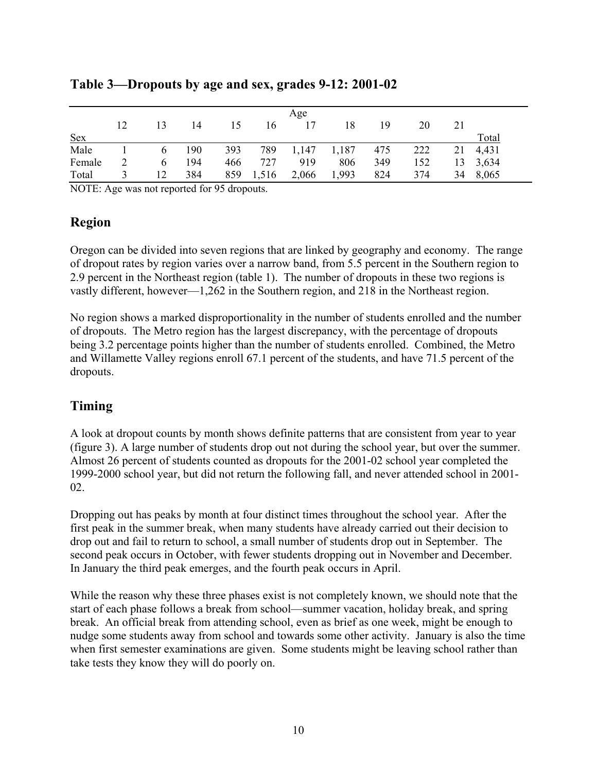|            | Age |          |     |     |       |       |       |     |     |    |          |  |
|------------|-----|----------|-----|-----|-------|-------|-------|-----|-----|----|----------|--|
|            | 12  | 13       | 14  | 15  | 16    | 17    | 18    | 19  | 20  | 21 |          |  |
| <b>Sex</b> |     |          |     |     |       |       |       |     |     |    | Total    |  |
| Male       |     | $\sigma$ | 190 | 393 | 789   | 1,147 | 1,187 | 475 | 222 | 21 | 4,431    |  |
| Female     |     | 6        | 194 | 466 | 727   | 919   | 806   | 349 | 152 |    | 13 3,634 |  |
| Total      |     | 12       | 384 | 859 | 1,516 | 2,066 | 1,993 | 824 | 374 | 34 | 8,065    |  |

### **Table 3—Dropouts by age and sex, grades 9-12: 2001-02**

NOTE: Age was not reported for 95 dropouts.

### **Region**

Oregon can be divided into seven regions that are linked by geography and economy. The range of dropout rates by region varies over a narrow band, from 5.5 percent in the Southern region to 2.9 percent in the Northeast region (table 1). The number of dropouts in these two regions is vastly different, however—1,262 in the Southern region, and 218 in the Northeast region.

No region shows a marked disproportionality in the number of students enrolled and the number of dropouts. The Metro region has the largest discrepancy, with the percentage of dropouts being 3.2 percentage points higher than the number of students enrolled. Combined, the Metro and Willamette Valley regions enroll 67.1 percent of the students, and have 71.5 percent of the dropouts.

### **Timing**

A look at dropout counts by month shows definite patterns that are consistent from year to year (figure 3). A large number of students drop out not during the school year, but over the summer. Almost 26 percent of students counted as dropouts for the 2001-02 school year completed the 1999-2000 school year, but did not return the following fall, and never attended school in 2001- 02.

Dropping out has peaks by month at four distinct times throughout the school year. After the first peak in the summer break, when many students have already carried out their decision to drop out and fail to return to school, a small number of students drop out in September. The second peak occurs in October, with fewer students dropping out in November and December. In January the third peak emerges, and the fourth peak occurs in April.

While the reason why these three phases exist is not completely known, we should note that the start of each phase follows a break from school—summer vacation, holiday break, and spring break. An official break from attending school, even as brief as one week, might be enough to nudge some students away from school and towards some other activity. January is also the time when first semester examinations are given. Some students might be leaving school rather than take tests they know they will do poorly on.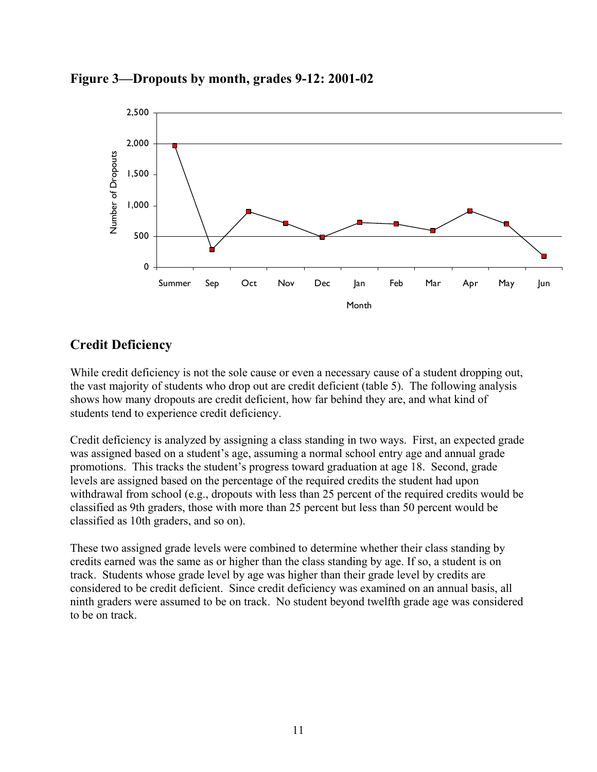



### **Credit Deficiency**

While credit deficiency is not the sole cause or even a necessary cause of a student dropping out, the vast majority of students who drop out are credit deficient (table 5). The following analysis shows how many dropouts are credit deficient, how far behind they are, and what kind of students tend to experience credit deficiency.

Credit deficiency is analyzed by assigning a class standing in two ways. First, an expected grade was assigned based on a student's age, assuming a normal school entry age and annual grade promotions. This tracks the student's progress toward graduation at age 18. Second, grade levels are assigned based on the percentage of the required credits the student had upon withdrawal from school (e.g., dropouts with less than 25 percent of the required credits would be classified as 9th graders, those with more than 25 percent but less than 50 percent would be classified as 10th graders, and so on).

These two assigned grade levels were combined to determine whether their class standing by credits earned was the same as or higher than the class standing by age. If so, a student is on track. Students whose grade level by age was higher than their grade level by credits are considered to be credit deficient. Since credit deficiency was examined on an annual basis, all ninth graders were assumed to be on track. No student beyond twelfth grade age was considered to be on track.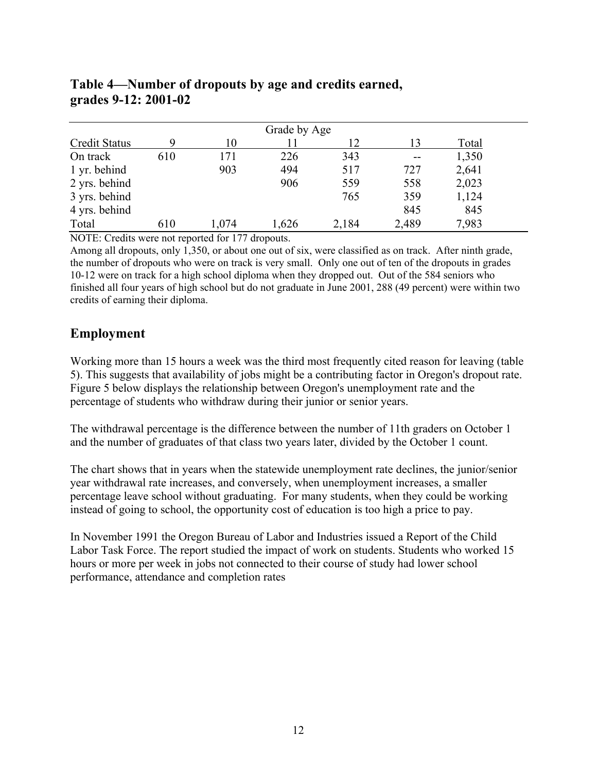| Grade by Age  |     |       |       |       |       |       |  |  |  |  |
|---------------|-----|-------|-------|-------|-------|-------|--|--|--|--|
| Credit Status |     | 10    | 11    | 12    | 13    | Total |  |  |  |  |
| On track      | 610 | 171   | 226   | 343   | $-$   | 1,350 |  |  |  |  |
| 1 yr. behind  |     | 903   | 494   | 517   | 727   | 2,641 |  |  |  |  |
| 2 yrs. behind |     |       | 906   | 559   | 558   | 2,023 |  |  |  |  |
| 3 yrs. behind |     |       |       | 765   | 359   | 1,124 |  |  |  |  |
| 4 yrs. behind |     |       |       |       | 845   | 845   |  |  |  |  |
| Total         | 610 | 1,074 | 1,626 | 2,184 | 2,489 | 7,983 |  |  |  |  |

### **Table 4—Number of dropouts by age and credits earned, grades 9-12: 2001-02**

NOTE: Credits were not reported for 177 dropouts.

Among all dropouts, only 1,350, or about one out of six, were classified as on track. After ninth grade, the number of dropouts who were on track is very small. Only one out of ten of the dropouts in grades 10-12 were on track for a high school diploma when they dropped out. Out of the 584 seniors who finished all four years of high school but do not graduate in June 2001, 288 (49 percent) were within two credits of earning their diploma.

### **Employment**

Working more than 15 hours a week was the third most frequently cited reason for leaving (table 5). This suggests that availability of jobs might be a contributing factor in Oregon's dropout rate. Figure 5 below displays the relationship between Oregon's unemployment rate and the percentage of students who withdraw during their junior or senior years.

The withdrawal percentage is the difference between the number of 11th graders on October 1 and the number of graduates of that class two years later, divided by the October 1 count.

The chart shows that in years when the statewide unemployment rate declines, the junior/senior year withdrawal rate increases, and conversely, when unemployment increases, a smaller percentage leave school without graduating. For many students, when they could be working instead of going to school, the opportunity cost of education is too high a price to pay.

In November 1991 the Oregon Bureau of Labor and Industries issued a Report of the Child Labor Task Force. The report studied the impact of work on students. Students who worked 15 hours or more per week in jobs not connected to their course of study had lower school performance, attendance and completion rates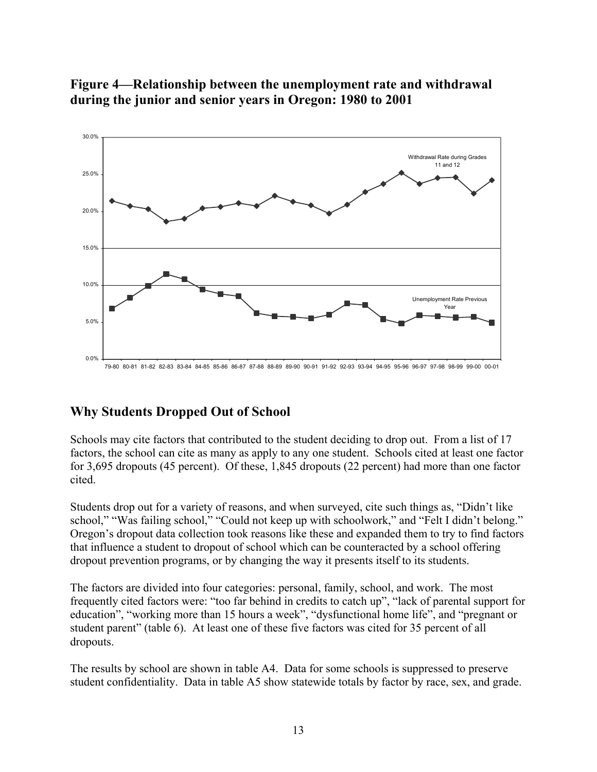

### **Figure 4—Relationship between the unemployment rate and withdrawal during the junior and senior years in Oregon: 1980 to 2001**

### **Why Students Dropped Out of School**

Schools may cite factors that contributed to the student deciding to drop out. From a list of 17 factors, the school can cite as many as apply to any one student. Schools cited at least one factor for 3,695 dropouts (45 percent). Of these, 1,845 dropouts (22 percent) had more than one factor cited.

Students drop out for a variety of reasons, and when surveyed, cite such things as, "Didn't like school," "Was failing school," "Could not keep up with schoolwork," and "Felt I didn't belong." Oregon's dropout data collection took reasons like these and expanded them to try to find factors that influence a student to dropout of school which can be counteracted by a school offering dropout prevention programs, or by changing the way it presents itself to its students.

The factors are divided into four categories: personal, family, school, and work. The most frequently cited factors were: "too far behind in credits to catch up", "lack of parental support for education", "working more than 15 hours a week", "dysfunctional home life", and "pregnant or student parent" (table 6). At least one of these five factors was cited for 35 percent of all dropouts.

The results by school are shown in table A4. Data for some schools is suppressed to preserve student confidentiality. Data in table A5 show statewide totals by factor by race, sex, and grade.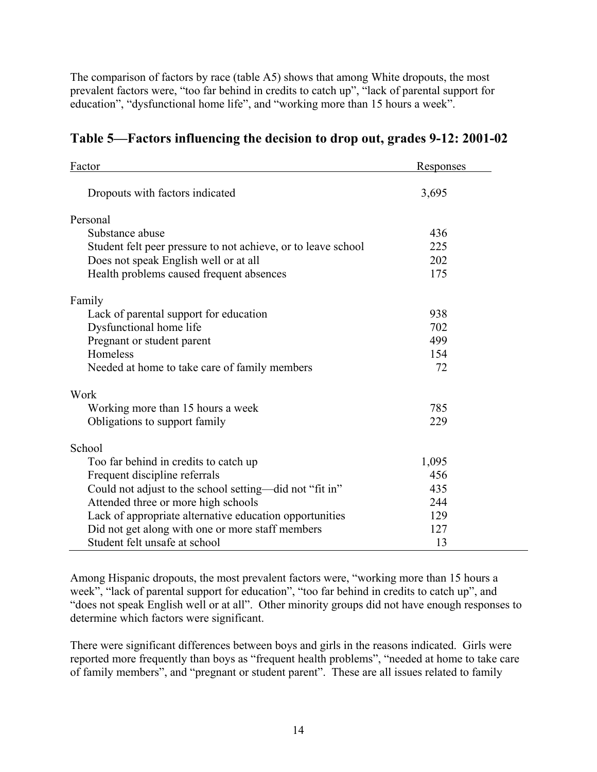The comparison of factors by race (table A5) shows that among White dropouts, the most prevalent factors were, "too far behind in credits to catch up", "lack of parental support for education", "dysfunctional home life", and "working more than 15 hours a week".

| Factor                                                        | <b>Responses</b> |
|---------------------------------------------------------------|------------------|
| Dropouts with factors indicated                               | 3,695            |
| Personal                                                      |                  |
| Substance abuse                                               | 436              |
| Student felt peer pressure to not achieve, or to leave school | 225              |
| Does not speak English well or at all                         | 202              |
| Health problems caused frequent absences                      | 175              |
| Family                                                        |                  |
| Lack of parental support for education                        | 938              |
| Dysfunctional home life                                       | 702              |
| Pregnant or student parent                                    | 499              |
| Homeless                                                      | 154              |
| Needed at home to take care of family members                 | 72               |
| Work                                                          |                  |
| Working more than 15 hours a week                             | 785              |
| Obligations to support family                                 | 229              |
| School                                                        |                  |
| Too far behind in credits to catch up                         | 1,095            |
| Frequent discipline referrals                                 | 456              |
| Could not adjust to the school setting—did not "fit in"       | 435              |
| Attended three or more high schools                           | 244              |
| Lack of appropriate alternative education opportunities       | 129              |
| Did not get along with one or more staff members              | 127              |
| Student felt unsafe at school                                 | 13               |

### **Table 5—Factors influencing the decision to drop out, grades 9-12: 2001-02**

Among Hispanic dropouts, the most prevalent factors were, "working more than 15 hours a week", "lack of parental support for education", "too far behind in credits to catch up", and "does not speak English well or at all". Other minority groups did not have enough responses to determine which factors were significant.

There were significant differences between boys and girls in the reasons indicated. Girls were reported more frequently than boys as "frequent health problems", "needed at home to take care of family members", and "pregnant or student parent". These are all issues related to family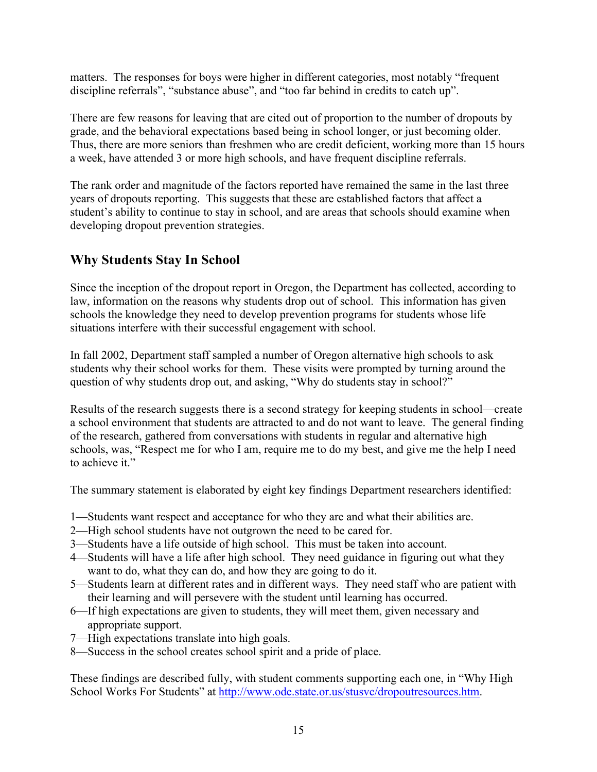matters. The responses for boys were higher in different categories, most notably "frequent discipline referrals", "substance abuse", and "too far behind in credits to catch up".

There are few reasons for leaving that are cited out of proportion to the number of dropouts by grade, and the behavioral expectations based being in school longer, or just becoming older. Thus, there are more seniors than freshmen who are credit deficient, working more than 15 hours a week, have attended 3 or more high schools, and have frequent discipline referrals.

The rank order and magnitude of the factors reported have remained the same in the last three years of dropouts reporting. This suggests that these are established factors that affect a student's ability to continue to stay in school, and are areas that schools should examine when developing dropout prevention strategies.

### **Why Students Stay In School**

Since the inception of the dropout report in Oregon, the Department has collected, according to law, information on the reasons why students drop out of school. This information has given schools the knowledge they need to develop prevention programs for students whose life situations interfere with their successful engagement with school.

In fall 2002, Department staff sampled a number of Oregon alternative high schools to ask students why their school works for them. These visits were prompted by turning around the question of why students drop out, and asking, "Why do students stay in school?"

Results of the research suggests there is a second strategy for keeping students in school—create a school environment that students are attracted to and do not want to leave. The general finding of the research, gathered from conversations with students in regular and alternative high schools, was, "Respect me for who I am, require me to do my best, and give me the help I need to achieve it."

The summary statement is elaborated by eight key findings Department researchers identified:

- 1—Students want respect and acceptance for who they are and what their abilities are.
- 2—High school students have not outgrown the need to be cared for.
- 3—Students have a life outside of high school. This must be taken into account.
- 4—Students will have a life after high school. They need guidance in figuring out what they want to do, what they can do, and how they are going to do it.
- 5—Students learn at different rates and in different ways. They need staff who are patient with their learning and will persevere with the student until learning has occurred.
- 6—If high expectations are given to students, they will meet them, given necessary and appropriate support.
- 7—High expectations translate into high goals.
- 8—Success in the school creates school spirit and a pride of place.

These findings are described fully, with student comments supporting each one, in "Why High School Works For Students" at [http://www.ode.state.or.us/stusvc/dropoutresources.htm.](http://www.ode.state.or.us/stusvc/dropoutresources.htm)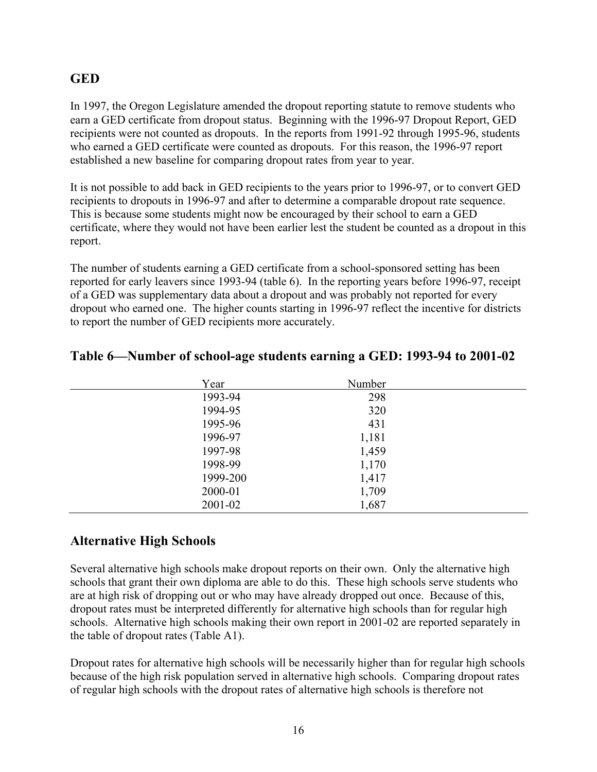### **GED**

In 1997, the Oregon Legislature amended the dropout reporting statute to remove students who earn a GED certificate from dropout status. Beginning with the 1996-97 Dropout Report, GED recipients were not counted as dropouts. In the reports from 1991-92 through 1995-96, students who earned a GED certificate were counted as dropouts. For this reason, the 1996-97 report established a new baseline for comparing dropout rates from year to year.

It is not possible to add back in GED recipients to the years prior to 1996-97, or to convert GED recipients to dropouts in 1996-97 and after to determine a comparable dropout rate sequence. This is because some students might now be encouraged by their school to earn a GED certificate, where they would not have been earlier lest the student be counted as a dropout in this report.

The number of students earning a GED certificate from a school-sponsored setting has been reported for early leavers since 1993-94 (table 6). In the reporting years before 1996-97, receipt of a GED was supplementary data about a dropout and was probably not reported for every dropout who earned one. The higher counts starting in 1996-97 reflect the incentive for districts to report the number of GED recipients more accurately.

| Year     | Number |  |
|----------|--------|--|
| 1993-94  | 298    |  |
| 1994-95  | 320    |  |
| 1995-96  | 431    |  |
| 1996-97  | 1,181  |  |
| 1997-98  | 1,459  |  |
| 1998-99  | 1,170  |  |
| 1999-200 | 1,417  |  |
| 2000-01  | 1,709  |  |
| 2001-02  | 1,687  |  |

### **Table 6—Number of school-age students earning a GED: 1993-94 to 2001-02**

### **Alternative High Schools**

Several alternative high schools make dropout reports on their own. Only the alternative high schools that grant their own diploma are able to do this. These high schools serve students who are at high risk of dropping out or who may have already dropped out once. Because of this, dropout rates must be interpreted differently for alternative high schools than for regular high schools. Alternative high schools making their own report in 2001-02 are reported separately in the table of dropout rates (Table A1).

Dropout rates for alternative high schools will be necessarily higher than for regular high schools because of the high risk population served in alternative high schools. Comparing dropout rates of regular high schools with the dropout rates of alternative high schools is therefore not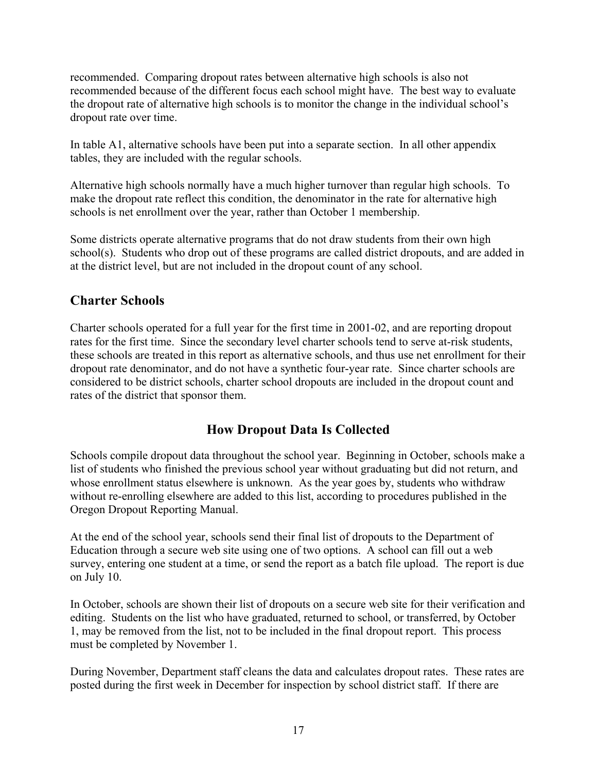recommended. Comparing dropout rates between alternative high schools is also not recommended because of the different focus each school might have. The best way to evaluate the dropout rate of alternative high schools is to monitor the change in the individual school's dropout rate over time.

In table A1, alternative schools have been put into a separate section. In all other appendix tables, they are included with the regular schools.

Alternative high schools normally have a much higher turnover than regular high schools. To make the dropout rate reflect this condition, the denominator in the rate for alternative high schools is net enrollment over the year, rather than October 1 membership.

Some districts operate alternative programs that do not draw students from their own high school(s). Students who drop out of these programs are called district dropouts, and are added in at the district level, but are not included in the dropout count of any school.

### **Charter Schools**

Charter schools operated for a full year for the first time in 2001-02, and are reporting dropout rates for the first time. Since the secondary level charter schools tend to serve at-risk students, these schools are treated in this report as alternative schools, and thus use net enrollment for their dropout rate denominator, and do not have a synthetic four-year rate. Since charter schools are considered to be district schools, charter school dropouts are included in the dropout count and rates of the district that sponsor them.

### **How Dropout Data Is Collected**

Schools compile dropout data throughout the school year. Beginning in October, schools make a list of students who finished the previous school year without graduating but did not return, and whose enrollment status elsewhere is unknown. As the year goes by, students who withdraw without re-enrolling elsewhere are added to this list, according to procedures published in the Oregon Dropout Reporting Manual.

At the end of the school year, schools send their final list of dropouts to the Department of Education through a secure web site using one of two options. A school can fill out a web survey, entering one student at a time, or send the report as a batch file upload. The report is due on July 10.

In October, schools are shown their list of dropouts on a secure web site for their verification and editing. Students on the list who have graduated, returned to school, or transferred, by October 1, may be removed from the list, not to be included in the final dropout report. This process must be completed by November 1.

During November, Department staff cleans the data and calculates dropout rates. These rates are posted during the first week in December for inspection by school district staff. If there are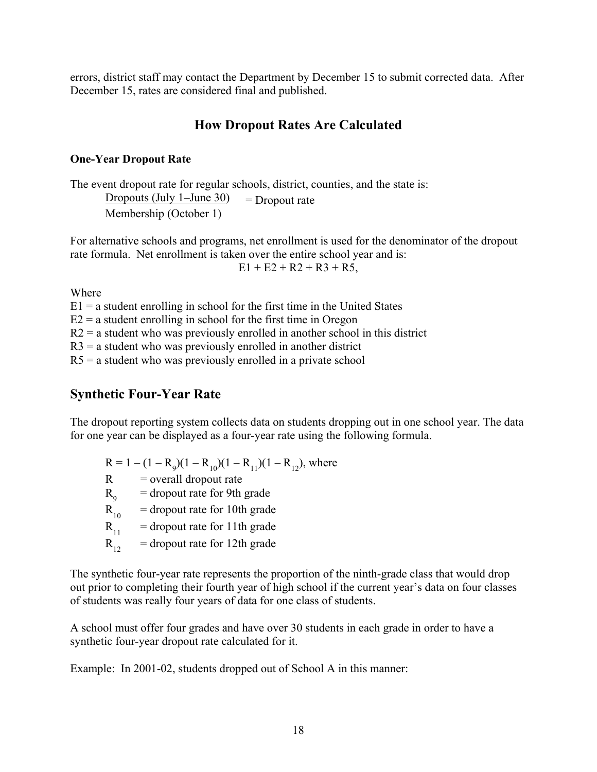errors, district staff may contact the Department by December 15 to submit corrected data. After December 15, rates are considered final and published.

### **How Dropout Rates Are Calculated**

### **One-Year Dropout Rate**

The event dropout rate for regular schools, district, counties, and the state is: Dropouts (July 1–June 30) = Dropout rate Membership (October 1)

For alternative schools and programs, net enrollment is used for the denominator of the dropout rate formula. Net enrollment is taken over the entire school year and is:

 $E1 + E2 + R2 + R3 + R5$ ,

Where

 $E1$  = a student enrolling in school for the first time in the United States

 $E2$  = a student enrolling in school for the first time in Oregon

 $R2$  = a student who was previously enrolled in another school in this district

 $R3$  = a student who was previously enrolled in another district

 $R5$  = a student who was previously enrolled in a private school

### **Synthetic Four-Year Rate**

The dropout reporting system collects data on students dropping out in one school year. The data for one year can be displayed as a four-year rate using the following formula.

 $R = 1 - (1 - R_9)(1 - R_{10})(1 - R_{11})(1 - R_{12})$ , where  $R =$  overall dropout rate

= dropout rate for 9th grade

 $R_{9}$ <br> $R_{10}$  $=$  dropout rate for 10th grade

 $R_{11}$  = dropout rate for 11th grade

 $R_{12}$  = dropout rate for 12th grade

The synthetic four-year rate represents the proportion of the ninth-grade class that would drop out prior to completing their fourth year of high school if the current year's data on four classes of students was really four years of data for one class of students.

A school must offer four grades and have over 30 students in each grade in order to have a synthetic four-year dropout rate calculated for it.

Example: In 2001-02, students dropped out of School A in this manner: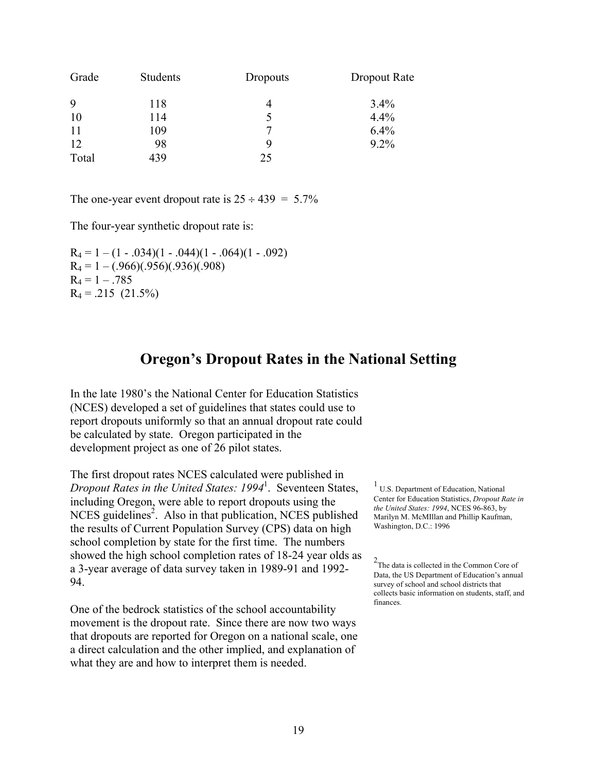| Grade | Students | Dropouts      | Dropout Rate |
|-------|----------|---------------|--------------|
| 9     | 118      | 4             | $3.4\%$      |
| 10    | 114      | $\mathcal{L}$ | 4.4%         |
| 11    | 109      |               | $6.4\%$      |
| 12    | 98       |               | $9.2\%$      |
| Total | 439      | 25            |              |

The one-year event dropout rate is  $25 \div 439 = 5.7\%$ 

The four-year synthetic dropout rate is:

 $R_4 = 1 - (1 - .034)(1 - .044)(1 - .064)(1 - .092)$  $R_4 = 1 - (.966)(.956)(.936)(.908)$  $R_4 = 1 - .785$  $R_4 = .215$  (21.5%)

### **Oregon's Dropout Rates in the National Setting**

In the late 1980's the National Center for Education Statistics (NCES) developed a set of guidelines that states could use to report dropouts uniformly so that an annual dropout rate could be calculated by state. Oregon participated in the development project as one of 26 pilot states.

The first dropout rates NCES calculated were published in *Dropout Rates in the United States: 1994*<sup>1</sup> . Seventeen States, including Oregon, were able to report dropouts using the  $NCES$  guidelines<sup>2</sup>. Also in that publication, NCES published the results of Current Population Survey (CPS) data on high school completion by state for the first time. The numbers showed the high school completion rates of 18-24 year olds as a 3-year average of data survey taken in 1989-91 and 1992- 94.

One of the bedrock statistics of the school accountability movement is the dropout rate. Since there are now two ways that dropouts are reported for Oregon on a national scale, one a direct calculation and the other implied, and explanation of what they are and how to interpret them is needed.

 $<sup>1</sup>$  U.S. Department of Education, National</sup> Center for Education Statistics, *Dropout Rate in the United States: 1994*, NCES 96-863, by Marilyn M. McMIllan and Phillip Kaufman, Washington, D.C.: 1996

2 The data is collected in the Common Core of Data, the US Department of Education's annual survey of school and school districts that collects basic information on students, staff, and finances.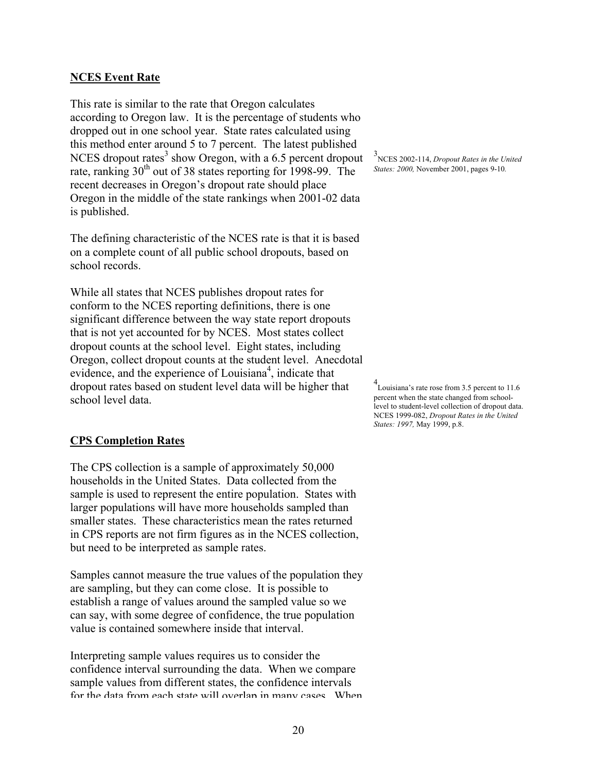#### **NCES Event Rate**

This rate is similar to the rate that Oregon calculates according to Oregon law. It is the percentage of students who dropped out in one school year. State rates calculated using this method enter around 5 to 7 percent. The latest published NCES dropout rates<sup>3</sup> show Oregon, with a  $6.5$  percent dropout rate, ranking 30<sup>th</sup> out of 38 states reporting for 1998-99. The recent decreases in Oregon's dropout rate should place Oregon in the middle of the state rankings when 2001-02 data is published.

The defining characteristic of the NCES rate is that it is based on a complete count of all public school dropouts, based on school records.

While all states that NCES publishes dropout rates for conform to the NCES reporting definitions, there is one significant difference between the way state report dropouts that is not yet accounted for by NCES. Most states collect dropout counts at the school level. Eight states, including Oregon, collect dropout counts at the student level. Anecdotal evidence, and the experience of Louisiana<sup>4</sup>, indicate that dropout rates based on student level data will be higher that school level data.

3 NCES 2002-114, *Dropout Rates in the United States: 2000,* November 2001, pages 9-10*.* 

4 Louisiana's rate rose from 3.5 percent to 11.6 percent when the state changed from schoollevel to student-level collection of dropout data. NCES 1999-082, *Dropout Rates in the United States: 1997,* May 1999, p.8.

#### **CPS Completion Rates**

The CPS collection is a sample of approximately 50,000 households in the United States. Data collected from the sample is used to represent the entire population. States with larger populations will have more households sampled than smaller states. These characteristics mean the rates returned in CPS reports are not firm figures as in the NCES collection, but need to be interpreted as sample rates.

Samples cannot measure the true values of the population they are sampling, but they can come close. It is possible to establish a range of values around the sampled value so we can say, with some degree of confidence, the true population value is contained somewhere inside that interval.

Interpreting sample values requires us to consider the confidence interval surrounding the data. When we compare sample values from different states, the confidence intervals for the data from each state will overlap in many cases When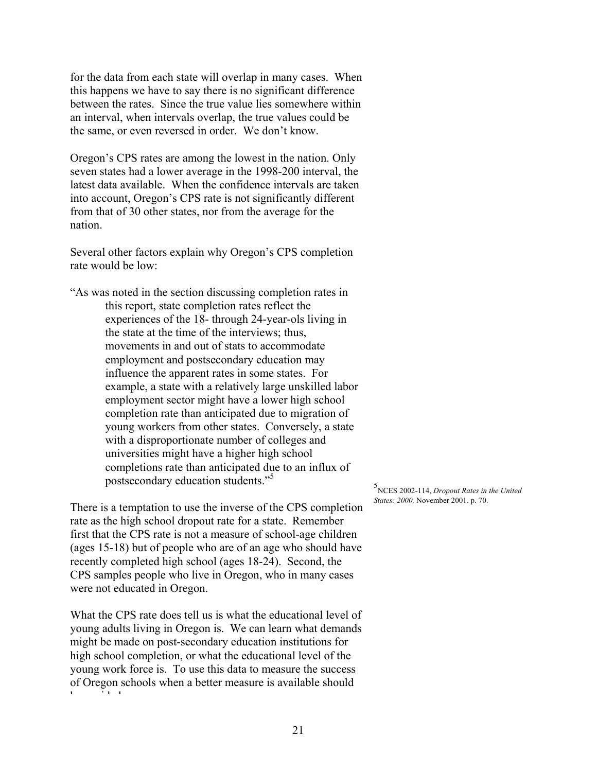for the data from each state will overlap in many cases. When this happens we have to say there is no significant difference between the rates. Since the true value lies somewhere within an interval, when intervals overlap, the true values could be the same, or even reversed in order. We don't know.

Oregon's CPS rates are among the lowest in the nation. Only seven states had a lower average in the 1998-200 interval, the latest data available. When the confidence intervals are taken into account, Oregon's CPS rate is not significantly different from that of 30 other states, nor from the average for the nation.

Several other factors explain why Oregon's CPS completion rate would be low:

"As was noted in the section discussing completion rates in this report, state completion rates reflect the experiences of the 18- through 24-year-ols living in the state at the time of the interviews; thus, movements in and out of stats to accommodate employment and postsecondary education may influence the apparent rates in some states. For example, a state with a relatively large unskilled labor employment sector might have a lower high school completion rate than anticipated due to migration of young workers from other states. Conversely, a state with a disproportionate number of colleges and universities might have a higher high school completions rate than anticipated due to an influx of postsecondary education students."<sup>5</sup>

There is a temptation to use the inverse of the CPS completion rate as the high school dropout rate for a state. Remember first that the CPS rate is not a measure of school-age children (ages 15-18) but of people who are of an age who should have recently completed high school (ages 18-24). Second, the CPS samples people who live in Oregon, who in many cases were not educated in Oregon.

What the CPS rate does tell us is what the educational level of young adults living in Oregon is. We can learn what demands might be made on post-secondary education institutions for high school completion, or what the educational level of the young work force is. To use this data to measure the success of Oregon schools when a better measure is available should b id d

5 NCES 2002-114, *Dropout Rates in the United States: 2000,* November 2001. p. 70.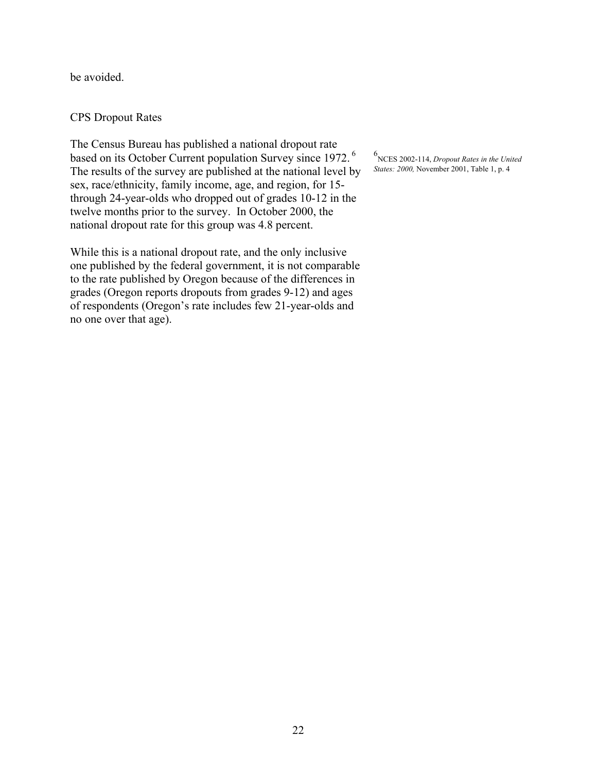be avoided.

### CPS Dropout Rates

The Census Bureau has published a national dropout rate based on its October Current population Survey since 1972. 6 The results of the survey are published at the national level by sex, race/ethnicity, family income, age, and region, for 15 through 24-year-olds who dropped out of grades 10-12 in the twelve months prior to the survey. In October 2000, the national dropout rate for this group was 4.8 percent.

While this is a national dropout rate, and the only inclusive one published by the federal government, it is not comparable to the rate published by Oregon because of the differences in grades (Oregon reports dropouts from grades 9-12) and ages of respondents (Oregon's rate includes few 21-year-olds and no one over that age).

6 NCES 2002-114, *Dropout Rates in the United States: 2000,* November 2001, Table 1, p. 4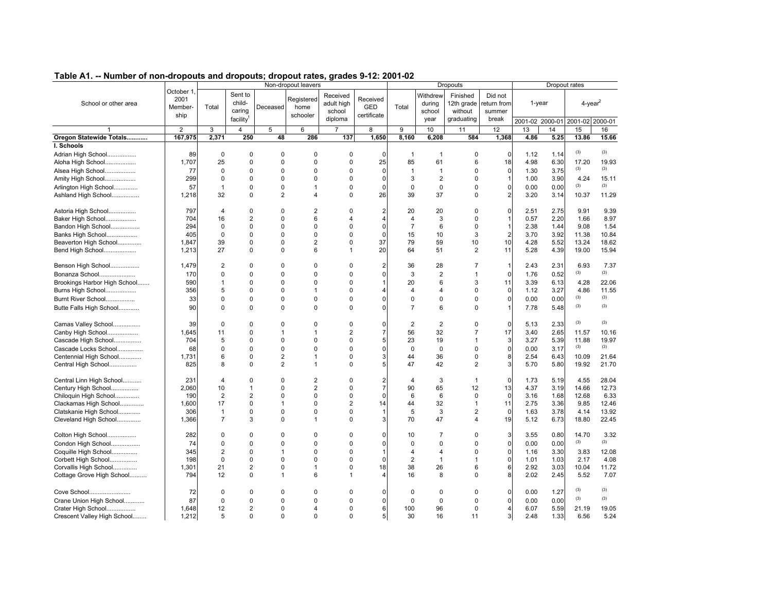|                                                 |                                      |                      | Non-dropout leavers                                  |                |                                | <b>Dropouts</b>                             |                                       |                |                                      | Dropout rates                                   |                                           |              |              |                                                   |               |
|-------------------------------------------------|--------------------------------------|----------------------|------------------------------------------------------|----------------|--------------------------------|---------------------------------------------|---------------------------------------|----------------|--------------------------------------|-------------------------------------------------|-------------------------------------------|--------------|--------------|---------------------------------------------------|---------------|
| School or other area                            | October 1<br>2001<br>Member-<br>ship | Total                | Sent to<br>child-<br>caring<br>facility <sup>1</sup> | Deceased       | Registered<br>home<br>schooler | Received<br>adult high<br>school<br>diploma | Received<br><b>GED</b><br>certificate | Total          | Withdrew<br>during<br>school<br>year | Finished<br>12th grade<br>without<br>graduating | Did not<br>return from<br>summer<br>break |              | 1-year       | $4$ -year $^2$<br>2001-02 2000-01 2001-02 2000-01 |               |
|                                                 | $\overline{2}$                       | 3                    | $\overline{4}$                                       | 5              | 6                              | $\overline{7}$                              | 8                                     | 9              | 10                                   | 11                                              | 12                                        | 13           | 14           | 15                                                | 16            |
| Oregon Statewide Totals                         | 167,975                              | 2,371                | 250                                                  | 48             | 286                            | 137                                         | 1,650                                 | 8,160          | 6,208                                | 584                                             | 1,368                                     | 4.86         | 5.25         | 13.86                                             | 15.66         |
| I. Schools                                      |                                      |                      |                                                      |                |                                |                                             |                                       |                |                                      |                                                 |                                           |              |              |                                                   |               |
|                                                 | 89                                   | $\mathbf 0$          | $\Omega$                                             | 0              | $\Omega$                       | 0                                           | $\Omega$                              | $\overline{1}$ | $\overline{1}$                       | $\mathbf 0$                                     | $\Omega$                                  | 1.12         | 1.14         | (3)                                               | (3)           |
| Adrian High School                              | 1.707                                |                      | $\Omega$                                             | 0              | $\Omega$                       | $\Omega$                                    |                                       |                | 61                                   | 6                                               |                                           | 4.98         |              |                                                   |               |
| Aloha High School                               |                                      | 25                   |                                                      |                |                                |                                             | 25                                    | 85             |                                      |                                                 | 18                                        |              | 6.30         | 17.20<br>(3)                                      | 19.93<br>(3)  |
| Alsea High School                               | 77                                   | 0                    | $\Omega$                                             | 0              | $\Omega$                       | $\Omega$                                    | $\Omega$                              | $\overline{1}$ | $\overline{1}$                       | $\mathbf 0$                                     | $\mathbf 0$                               | 1.30         | 3.75         |                                                   |               |
| Amity High School                               | 299                                  | 0                    | 0                                                    | 0              | 0                              | 0                                           | $\mathbf 0$                           | 3              | 2                                    | $\mathbf 0$                                     | 1                                         | 1.00         | 3.90         | 4.24                                              | 15.11<br>(3)  |
| Arlington High School                           | 57                                   | $\mathbf{1}$         | 0                                                    | 0              | $\mathbf 1$                    | 0                                           | $\Omega$                              | 0              | 0                                    | $\mathbf 0$                                     | $\pmb{0}$                                 | 0.00         | 0.00         | (3)                                               |               |
| Ashland High School                             | 1,218                                | 32                   | 0                                                    | $\overline{2}$ | $\overline{4}$                 | $\Omega$                                    | 26                                    | 39             | 37                                   | $\mathbf 0$                                     | $\overline{\mathbf{c}}$                   | 3.20         | 3.14         | 10.37                                             | 11.29         |
| Astoria High School                             | 797                                  | 4                    | $\Omega$                                             | 0              | $\overline{2}$                 | 0                                           | $\overline{2}$                        | 20             | 20                                   | $\mathbf 0$                                     | $\mathbf 0$                               | 2.51         | 2.75         | 9.91                                              | 9.39          |
| Baker High School                               | 704                                  | 16                   | $\overline{2}$                                       | 0              | 6                              | $\overline{\mathbf{4}}$                     | 4                                     | $\overline{4}$ | 3                                    | $\Omega$                                        | 1                                         | 0.57         | 2.20         | 1.66                                              | 8.97          |
| Bandon High School                              | 294                                  | $\Omega$             | $\Omega$                                             | 0              | $\Omega$                       | $\Omega$                                    | $\Omega$                              | $\overline{7}$ | 6                                    | $\Omega$                                        | $\mathbf{1}$                              | 2.38         | 1.44         | 9.08                                              | 1.54          |
| Banks High School                               | 405                                  | 0                    | $\Omega$                                             | 0              | $\Omega$                       | 0                                           | $\Omega$                              | 15             | 10                                   | 3                                               | $\overline{2}$                            | 3.70         | 3.92         | 11.38                                             | 10.84         |
| Beaverton High School                           | 1.847                                | 39                   | $\Omega$                                             | 0              | $\overline{2}$                 | $\Omega$                                    | 37                                    | 79             | 59                                   | 10                                              | 10                                        | 4.28         | 5.52         | 13.24                                             | 18.62         |
| Bend High School                                | 1,213                                | 27                   | $\Omega$                                             | $\Omega$       | 6                              | 1                                           | 20                                    | 64             | 51                                   | 2                                               | 11                                        | 5.28         | 4.39         | 19.00                                             | 15.94         |
| Benson High School                              | 1,479                                | $\overline{2}$       | 0                                                    | 0              | 0                              | 0                                           | $\overline{2}$                        | 36             | 28                                   | 7                                               | $\mathbf{1}$                              | 2.43         | 2.31         | 6.93                                              | 7.37          |
| Bonanza School                                  | 170                                  | $\Omega$             | 0                                                    | 0              | $\mathbf 0$                    | $\Omega$                                    | 0                                     | 3              | $\overline{2}$                       | $\mathbf{1}$                                    | $\pmb{0}$                                 | 1.76         | 0.52         | (3)                                               | (3)           |
| Brookings Harbor High School                    | 590                                  | 1                    | $\Omega$                                             | 0              | $\Omega$                       | $\Omega$                                    |                                       | 20             | 6                                    | 3                                               | 11                                        | 3.39         | 6.13         | 4.28                                              | 22.06         |
| Burns High School                               | 356                                  | 5                    | 0                                                    | 0              | $\overline{1}$                 | $\Omega$                                    | $\overline{4}$                        | 4              | 4                                    | $\mathbf 0$                                     | $\mathbf 0$                               | 1.12         | 3.27         | 4.86                                              | 11.55         |
| Burnt River School                              | 33                                   | $\Omega$             | 0                                                    | 0              | $\Omega$                       | $\Omega$                                    | $\Omega$                              | 0              | 0                                    | $\mathbf 0$                                     | $\pmb{0}$                                 | 0.00         | 0.00         | (3)                                               | (3)           |
| Butte Falls High School                         | 90                                   | $\Omega$             | $\Omega$                                             | 0              | $\Omega$                       | $\Omega$                                    | $\Omega$                              | $\overline{7}$ | 6                                    | $\Omega$                                        | 1                                         | 7.78         | 5.48         | (3)                                               | (3)           |
| Camas Valley School                             | 39                                   | $\Omega$             | $\Omega$                                             | 0              | $\Omega$                       | $\Omega$                                    | $\Omega$                              | $\overline{2}$ | 2                                    | $\mathbf 0$                                     | $\mathbf 0$                               | 5.13         | 2.33         | (3)                                               | (3)           |
| Canby High School                               | 1.645                                | 11                   | $\Omega$                                             | 1              | $\mathbf{1}$                   | $\overline{2}$                              | $\overline{7}$                        | 56             | 32                                   | $\overline{7}$                                  | 17                                        | 3.40         | 2.65         | 11.57                                             | 10.16         |
| Cascade High School                             | 704                                  | 5                    | $\Omega$                                             | 0              | $\Omega$                       | 0                                           | 5                                     | 23             | 19                                   | $\mathbf{1}$                                    | $\mathbf{3}$                              | 3.27         | 5.39         | 11.88                                             | 19.97         |
| Cascade Locks School                            | 68                                   | 0                    | 0                                                    | 0              | 0                              | $\Omega$                                    | $\mathbf 0$                           | $\mathbf 0$    | $\mathbf 0$                          | $\mathbf 0$                                     | $\pmb{0}$                                 | 0.00         | 3.17         | (3)                                               | (3)           |
| Centennial High School                          | 1,731                                | 6                    | 0                                                    | 2              | $\mathbf{1}$                   | 0                                           | 3                                     | 44             | 36                                   | $\mathbf 0$                                     | 8                                         | 2.54         | 6.43         | 10.09                                             | 21.64         |
| Central High School                             | 825                                  | 8                    | $\Omega$                                             | $\overline{2}$ | $\mathbf{1}$                   | $\Omega$                                    | 5                                     | 47             | 42                                   | 2                                               | 3                                         | 5.70         | 5.80         | 19.92                                             | 21.70         |
|                                                 |                                      |                      |                                                      |                |                                |                                             |                                       |                |                                      |                                                 |                                           |              |              |                                                   |               |
| Central Linn High School                        | 231                                  | 4                    | $\Omega$                                             | 0              | $\overline{2}$                 | $\Omega$<br>$\Omega$                        | 2 <sub>l</sub><br>$\overline{7}$      | $\overline{4}$ | 3                                    | $\mathbf{1}$                                    | $\mathbf 0$                               | 1.73         | 5.19         | 4.55                                              | 28.04         |
| Century High School                             | 2.060                                | 10                   | 1                                                    | 0<br>0         | $\overline{2}$<br>$\Omega$     | $\Omega$                                    |                                       | 90             | 65                                   | 12                                              | 13                                        | 4.37         | 3.19         | 14.66                                             | 12.73         |
| Chiloquin High School                           | 190<br>1.600                         | $\overline{2}$<br>17 | $\overline{2}$<br>$\Omega$                           | 1              | $\Omega$                       | $\overline{2}$                              | $\Omega$                              | 6<br>44        | 6<br>32                              | $\mathbf 0$<br>$\mathbf{1}$                     | $\mathbf 0$<br>11                         | 3.16<br>2.75 | 1.68<br>3.36 | 12.68<br>9.85                                     | 6.33<br>12.46 |
| Clackamas High School<br>Clatskanie High School | 306                                  | 1                    | $\Omega$                                             | 0              | $\Omega$                       | $\Omega$                                    | 14                                    | 5              | 3                                    | $\overline{2}$                                  | $\mathbf 0$                               | 1.63         | 3.78         | 4.14                                              | 13.92         |
| Cleveland High School                           | 1,366                                | $\overline{7}$       | 3                                                    | 0              | $\overline{1}$                 | $\Omega$                                    | 3                                     | 70             | 47                                   | $\overline{4}$                                  | 19                                        | 5.12         | 6.73         | 18.80                                             | 22.45         |
|                                                 |                                      |                      |                                                      |                |                                |                                             |                                       |                |                                      |                                                 |                                           |              |              |                                                   |               |
| Colton High School                              | 282                                  | 0                    | $\Omega$                                             | 0              | 0                              | $\Omega$                                    | $\mathbf 0$                           | 10             | $\overline{7}$                       | $\mathbf 0$                                     | 3                                         | 3.55         | 0.80         | 14.70                                             | 3.32          |
| Condon High School                              | 74                                   | $\Omega$             | $\Omega$                                             | 0              | $\Omega$                       | $\Omega$                                    | $\mathbf 0$                           | $\mathbf 0$    | 0                                    | $\mathbf 0$                                     | $\pmb{0}$                                 | 0.00         | 0.00         | (3)                                               | (3)           |
| Coquille High School                            | 345                                  | 2                    | 0                                                    | 1              | 0                              | 0                                           | 1                                     | 4              | 4                                    | $\mathbf 0$                                     | $\mathbf 0$                               | 1.16         | 3.30         | 3.83                                              | 12.08         |
| Corbett High School                             | 198                                  | 0                    | 0                                                    | 0              | $\Omega$                       | $\Omega$                                    | $\Omega$                              | $\overline{2}$ | $\mathbf{1}$                         | $\mathbf{1}$                                    | $\pmb{0}$                                 | 1.01         | 1.03         | 2.17                                              | 4.08          |
| Corvallis High School                           | 1,301                                | 21                   | $\overline{2}$                                       | 0              | $\mathbf 1$                    | $\Omega$                                    | 18                                    | 38             | 26                                   | 6                                               | $6\phantom{a}$                            | 2.92         | 3.03         | 10.04                                             | 11.72         |
| Cottage Grove High School                       | 794                                  | 12                   | 0                                                    | 1              | 6                              | 1                                           | 4                                     | 16             | 8                                    | $\Omega$                                        | 8                                         | 2.02         | 2.45         | 5.52                                              | 7.07          |
| Cove School                                     | 72                                   | $\Omega$             | $\Omega$                                             | 0              | $\Omega$                       | $\Omega$                                    | $\Omega$                              | $\Omega$       | $\mathbf 0$                          | $\Omega$                                        | $\mathbf 0$                               | 0.00         | 1.27         | (3)                                               | (3)           |
| Crane Union High School                         | 87                                   | $\Omega$             | $\Omega$                                             | 0              | $\Omega$                       | $\Omega$                                    | $\Omega$                              | $\Omega$       | $\Omega$                             | $\Omega$                                        | $\mathbf 0$                               | 0.00         | 0.00         | (3)                                               | (3)           |
| Crater High School                              | 1.648                                | 12                   | $\overline{2}$                                       | 0              | $\overline{\mathbf{A}}$        | $\Omega$                                    | 6                                     | 100            | 96                                   | $\Omega$                                        | $\overline{4}$                            | 6.07         | 5.59         | 21.19                                             | 19.05         |
| Crescent Valley High School                     | 1.212                                | 5                    | $\Omega$                                             | $\Omega$       | $\Omega$                       | $\Omega$                                    | 5 <sub>l</sub>                        | 30             | 16                                   | 11                                              | $\overline{3}$                            | 2.48         | 1.33         | 6.56                                              | 5.24          |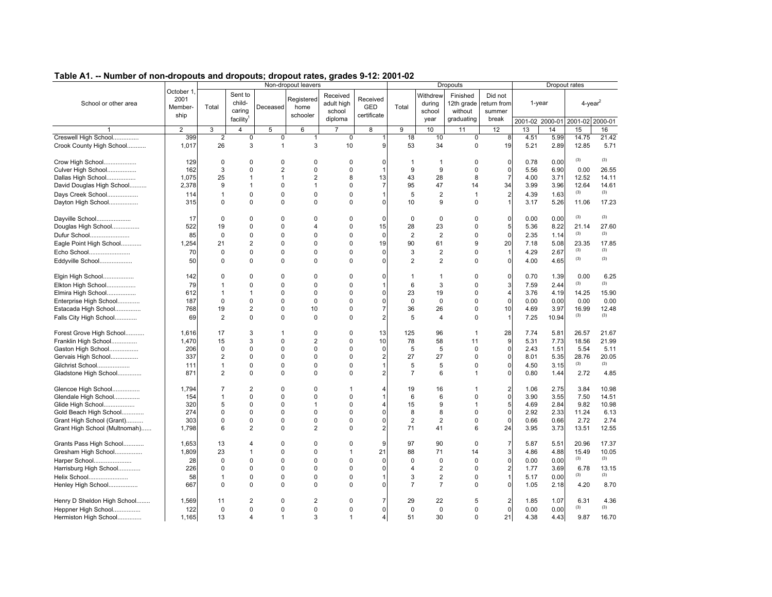| rable AT. -- Number of non-dropouts and dropouts, dropout rates, grades 5-12. 2001-02 |                                      |                      |                                                      |                             | Non-dropout leavers            |                                             |                                       |                |                                      | <b>Dropouts</b>                                 |                                           |              |                 | Dropout rates          |               |
|---------------------------------------------------------------------------------------|--------------------------------------|----------------------|------------------------------------------------------|-----------------------------|--------------------------------|---------------------------------------------|---------------------------------------|----------------|--------------------------------------|-------------------------------------------------|-------------------------------------------|--------------|-----------------|------------------------|---------------|
| School or other area                                                                  | October 1<br>2001<br>Member-<br>ship | Total                | Sent to<br>child-<br>caring<br>facility <sup>1</sup> | Deceased                    | Registered<br>home<br>schooler | Received<br>adult high<br>school<br>diploma | Received<br><b>GED</b><br>certificate | Total          | Withdrew<br>during<br>school<br>year | Finished<br>12th grade<br>without<br>graduating | Did not<br>return from<br>summer<br>break |              | 1-year          | $4$ -year <sup>2</sup> |               |
|                                                                                       |                                      |                      |                                                      |                             |                                |                                             |                                       |                |                                      |                                                 |                                           |              | 2001-02 2000-01 | 2001-02 2000-01        |               |
|                                                                                       | $\overline{2}$                       | 3                    | 4                                                    | 5                           | 6                              | $\overline{7}$                              | 8                                     | 9              | 10                                   | 11                                              | 12                                        | 13           | 14              | 15                     | 16            |
| Creswell High School<br>Crook County High School                                      | 399<br>1,017                         | $\overline{2}$<br>26 | $\pmb{0}$<br>3                                       | $\mathsf 0$<br>$\mathbf{1}$ | $\mathbf{1}$<br>3              | $\pmb{0}$<br>10                             | 9                                     | 18<br>53       | 10<br>34                             | $\pmb{0}$<br>$\Omega$                           | 8<br>19                                   | 4.51<br>5.21 | 5.99<br>2.89    | 14.75<br>12.85         | 21.42<br>5.71 |
| Crow High School                                                                      | 129                                  | $\Omega$             | $\Omega$<br>$\Omega$                                 | 0                           | 0                              | $\Omega$                                    | 0                                     | $\mathbf 1$    | $\mathbf{1}$                         | 0                                               | 0                                         | 0.78         | 0.00            | (3)                    | (3)           |
| Culver High School                                                                    | 162                                  | 3                    |                                                      | $\overline{2}$              | $\mathbf 0$                    | $\mathbf 0$                                 |                                       | 9              | 9                                    | 0                                               | 0                                         | 5.56         | 6.90            | 0.00                   | 26.55         |
| Dallas High School                                                                    | 1,075                                | 25                   | $\mathbf{1}$                                         | $\mathbf{1}$                | $\overline{\mathbf{c}}$        | 8                                           | 13                                    | 43             | 28                                   | 8                                               | $\overline{7}$                            | 4.00         | 3.71            | 12.52                  | 14.11         |
| David Douglas High School                                                             | 2,378                                | 9                    | $\mathbf{1}$                                         | $\mathbf 0$                 | $\mathbf{1}$                   | 0                                           | $\overline{7}$                        | 95             | 47                                   | 14                                              | 34                                        | 3.99         | 3.96            | 12.64                  | 14.61         |
| Days Creek School                                                                     | 114                                  | $\mathbf{1}$         | $\Omega$                                             | $\Omega$                    | 0                              | $\Omega$                                    |                                       | 5              | $\overline{2}$                       | $\mathbf{1}$                                    |                                           | 4.39         | 1.63            | (3)                    | (3)           |
| Dayton High School                                                                    | 315                                  | 0                    | 0                                                    | $\mathbf 0$                 | 0                              | 0                                           | 0                                     | 10             | 9                                    | 0                                               |                                           | 3.17         | 5.26            | 11.06                  | 17.23         |
| Dayville School                                                                       | 17                                   | $\Omega$             | $\Omega$                                             | 0                           | 0                              | $\Omega$                                    | $\mathbf 0$                           | $\mathbf 0$    | $\mathbf 0$                          | 0                                               | 0                                         | 0.00         | 0.00            | (3)                    | (3)           |
| Douglas High School                                                                   | 522                                  | 19                   | $\Omega$                                             | $\Omega$                    | 4                              | 0                                           | 15                                    | 28             | 23                                   | 0                                               | 5                                         | 5.36         | 8.22            | 21.14                  | 27.60         |
| Dufur School                                                                          | 85                                   | $\Omega$             | $\Omega$                                             | $\Omega$                    | $\Omega$                       | $\Omega$                                    | $\Omega$                              | $\overline{2}$ | $\overline{2}$                       | 0                                               | $\Omega$                                  | 2.35         | 1.14            | (3)                    | (3)           |
| Eagle Point High School                                                               | 1,254                                | 21                   | $\overline{2}$                                       | $\Omega$                    | 0                              | 0                                           | 19                                    | 90             | 61                                   | 9                                               | 20                                        | 7.18         | 5.08            | 23.35                  | 17.85         |
| Echo School                                                                           | 70                                   | $\Omega$             | $\Omega$                                             | $\Omega$                    | $\Omega$                       | $\Omega$                                    | $\Omega$                              | 3              | $\overline{2}$                       | 0                                               |                                           | 4.29         | 2.67            | (3)                    | (3)           |
| Eddyville School                                                                      | 50                                   | $\Omega$             | $\Omega$                                             | $\Omega$                    | 0                              | $\Omega$                                    | $\Omega$                              | $\overline{2}$ | $\overline{2}$                       | 0                                               |                                           | 4.00         | 4.65            | (3)                    | (3)           |
| Elgin High School                                                                     | 142                                  | $\Omega$             | $\Omega$                                             | $\Omega$                    | $\Omega$                       | $\Omega$                                    | 0                                     | $\overline{1}$ | $\mathbf{1}$                         | 0                                               | 0                                         | 0.70         | 1.39            | 0.00                   | 6.25          |
| Elkton High School                                                                    | 79                                   | $\mathbf 1$          | 0                                                    | $\Omega$                    | 0                              | 0                                           |                                       | 6              | 3                                    | 0                                               | 3                                         | 7.59         | 2.44            | (3)                    | (3)           |
| Elmira High School                                                                    | 612                                  | $\mathbf{1}$         | $\mathbf{1}$                                         | $\Omega$                    | $\mathbf 0$                    | $\Omega$                                    | 0                                     | 23             | 19                                   | 0                                               | $\overline{4}$                            | 3.76         | 4.19            | 14.25                  | 15.90         |
| Enterprise High School                                                                | 187                                  | $\Omega$             | $\Omega$                                             | $\mathbf 0$                 | $\mathbf 0$                    | $\Omega$                                    | 0                                     | $\mathbf 0$    | $\mathbf 0$                          | 0                                               | $\Omega$                                  | 0.00         | 0.00            | 0.00                   | 0.00          |
| Estacada High School                                                                  | 768                                  | 19                   | $\overline{2}$                                       | $\Omega$                    | 10                             | $\Omega$                                    | 7                                     | 36             | 26                                   | 0                                               | 10                                        | 4.69         | 3.97            | 16.99                  | 12.48         |
| Falls City High School                                                                | 69                                   | $\overline{2}$       | $\mathbf 0$                                          | $\Omega$                    | $\mathbf 0$                    | $\Omega$                                    | $\overline{2}$                        | 5              | $\Delta$                             | $\Omega$                                        |                                           | 7.25         | 10.94           | (3)                    | (3)           |
| Forest Grove High School                                                              | 1.616                                | 17                   | 3                                                    | $\mathbf{1}$                | $\Omega$                       | $\Omega$                                    | 13                                    | 125            | 96                                   | $\mathbf{1}$                                    | 28                                        | 7.74         | 5.81            | 26.57                  | 21.67         |
| Franklin High School                                                                  | 1,470                                | 15                   | 3                                                    | $\mathbf 0$                 | $\overline{c}$                 | $\Omega$                                    | 10                                    | 78             | 58                                   | 11                                              | 9                                         | 5.31         | 7.73            | 18.56                  | 21.99         |
| Gaston High School                                                                    | 206                                  | 0                    | $\Omega$                                             | $\Omega$                    | 0                              | $\Omega$                                    | $\mathbf 0$                           | 5              | 5                                    | $\mathbf 0$                                     | $\Omega$                                  | 2.43         | 1.51            | 5.54                   | 5.11          |
| Gervais High School                                                                   | 337                                  | 2                    | $\Omega$                                             | $\Omega$                    | 0                              | $\Omega$                                    | $\overline{2}$                        | 27             | 27                                   | 0                                               | $\Omega$                                  | 8.01         | 5.35            | 28.76                  | 20.05         |
| Gilchrist School                                                                      | 111                                  | $\mathbf{1}$         | 0                                                    | $\Omega$                    | 0                              | 0                                           |                                       | 5              | 5                                    | 0                                               | $\Omega$                                  | 4.50         | 3.15            | (3)                    | (3)           |
| Gladstone High School                                                                 | 871                                  | 2                    | $\Omega$                                             | $\Omega$                    | $\Omega$                       | $\Omega$                                    |                                       | $\overline{7}$ | 6                                    | 1                                               | 0                                         | 0.80         | 1.44            | 2.72                   | 4.85          |
| Glencoe High School                                                                   | 1,794                                | 7                    | $\overline{2}$                                       | $\Omega$                    | 0                              | 1                                           | 4                                     | 19             | 16                                   | 1                                               |                                           | 1.06         | 2.75            | 3.84                   | 10.98         |
| Glendale High School                                                                  | 154                                  | $\mathbf{1}$         | $\Omega$                                             | $\Omega$                    | 0                              | $\Omega$                                    |                                       | 6              | 6                                    | 0                                               | $\Omega$                                  | 3.90         | 3.55            | 7.50                   | 14.51         |
| Glide High School                                                                     | 320                                  | 5                    | 0                                                    | 0                           | $\mathbf{1}$                   | 0                                           |                                       | 15             | 9                                    | 1                                               | 5                                         | 4.69         | 2.84            | 9.82                   | 10.98         |
| Gold Beach High School                                                                | 274                                  | $\Omega$             | $\Omega$                                             | $\Omega$                    | $\Omega$                       | $\Omega$                                    | 0                                     | 8              | 8                                    | 0                                               | $\Omega$                                  | 2.92         | 2.33            | 11.24                  | 6.13          |
| Grant High School (Grant)                                                             | 303                                  | 0                    | $\mathbf 0$                                          | 0                           | 0                              | 0                                           | 0                                     | $\overline{2}$ | $\overline{2}$                       | 0                                               | $\Omega$                                  | 0.66         | 0.66            | 2.72                   | 2.74          |
| Grant High School (Multnomah)                                                         | 1,798                                | 6                    | $\overline{2}$                                       | $\Omega$                    | $\overline{2}$                 | $\Omega$                                    | $\overline{2}$                        | 71             | 41                                   | 6                                               | 24                                        | 3.95         | 3.73            | 13.51                  | 12.55         |
| Grants Pass High School                                                               | 1,653                                | 13                   | $\overline{4}$                                       | $\mathbf 0$                 | 0                              | $\Omega$                                    | 9                                     | 97             | 90                                   | $\mathbf 0$                                     |                                           | 5.87         | 5.51            | 20.96                  | 17.37         |
| Gresham High School                                                                   | 1,809                                | 23                   | $\mathbf{1}$                                         | $\Omega$                    | $\Omega$                       | $\mathbf{1}$                                | 21                                    | 88             | 71                                   | 14                                              | 3                                         | 4.86         | 4.88            | 15.49                  | 10.05         |
| Harper School                                                                         | 28                                   | $\Omega$             | $\Omega$                                             | $\Omega$                    | $\mathbf 0$                    | $\mathbf 0$                                 | $\Omega$                              | $\mathbf 0$    | $\Omega$                             | 0                                               | $\Omega$                                  | 0.00         | 0.00            | (3)                    | (3)           |
| Harrisburg High School                                                                | 226                                  | 0                    | $\Omega$                                             | $\Omega$                    | 0                              | 0                                           | $\Omega$                              | $\overline{4}$ | 2                                    | 0                                               |                                           | 1.77         | 3.69            | 6.78                   | 13.15         |
| Helix School                                                                          | 58                                   | $\mathbf{1}$         | 0                                                    | 0                           | 0                              | 0                                           |                                       | 3              | $\overline{2}$                       | 0                                               |                                           | 5.17         | 0.00            | (3)                    | (3)           |
| Henley High School                                                                    | 667                                  | 0                    | 0                                                    | $\Omega$                    | 0                              | 0                                           | U                                     | $\overline{7}$ | $\overline{7}$                       | 0                                               | O                                         | 1.05         | 2.18            | 4.20                   | 8.70          |
| Henry D Sheldon High School                                                           | 1,569                                | 11                   | $\overline{2}$                                       | $\Omega$                    | 2                              | 0                                           | $\overline{7}$                        | 29             | 22                                   | 5                                               | 2                                         | 1.85         | 1.07            | 6.31                   | 4.36          |
| Heppner High School                                                                   | 122                                  | $\mathbf 0$          | $\Omega$                                             | $\Omega$                    | $\mathbf 0$                    | $\mathbf 0$                                 | 0                                     | $\mathbf 0$    | $\mathbf 0$                          | 0                                               | 0                                         | 0.00         | 0.00            | (3)                    | (3)           |
| Hermiston High School                                                                 | 1,165                                | 13                   | $\overline{4}$                                       | $\mathbf{1}$                | 3                              | $\mathbf{1}$                                | $\overline{4}$                        | 51             | 30                                   | 0                                               | 21                                        | 4.38         | 4.43            | 9.87                   | 16.70         |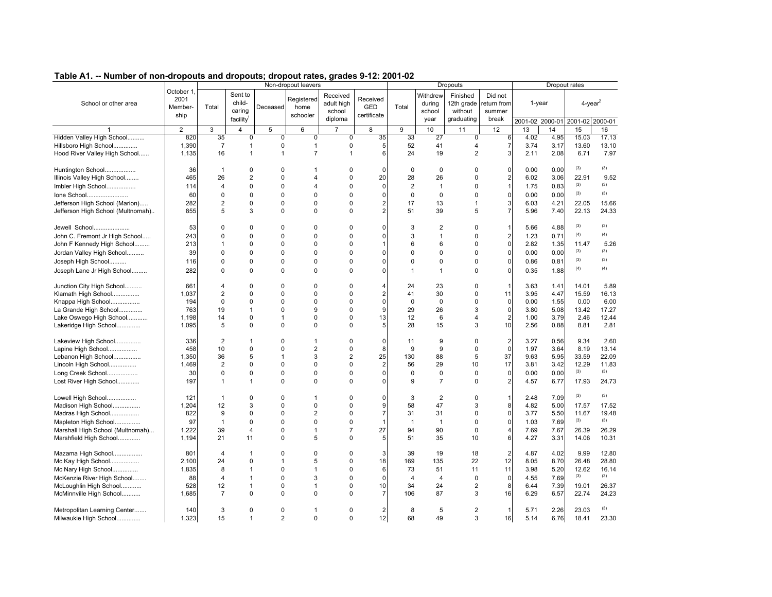| Table AT. -- Number of non-dropouts and dropouts, dropout rates, grades 5-12. 2001-02 |                |                |                       |                | Non-dropout leavers |                        |                |                         |                    | <b>Dropouts</b>        |                       |                 |        | Dropout rates          |              |
|---------------------------------------------------------------------------------------|----------------|----------------|-----------------------|----------------|---------------------|------------------------|----------------|-------------------------|--------------------|------------------------|-----------------------|-----------------|--------|------------------------|--------------|
|                                                                                       | October 1      |                | Sent to               |                |                     |                        |                |                         |                    |                        |                       |                 |        |                        |              |
| School or other area                                                                  | 2001           |                | child-                |                | Registered          | Received<br>adult high | Received       |                         | Withdrew<br>during | Finished<br>12th grade | Did not<br>eturn from |                 | 1-year | $4$ -year <sup>2</sup> |              |
|                                                                                       | Member-        | Total          | caring                | Deceased       | home                | school                 | <b>GED</b>     | Total                   | school             | without                | summer                |                 |        |                        |              |
|                                                                                       | ship           |                | facility <sup>1</sup> |                | schooler            | diploma                | certificate    |                         | year               | graduating             | break                 | 2001-02 2000-01 |        | 2001-02 2000-01        |              |
|                                                                                       | $\overline{2}$ | 3              | 4                     | 5              | 6                   | $\overline{7}$         | 8              | 9                       | 10                 | 11                     | 12                    | 13              | 14     | 15                     | 16           |
| Hidden Valley High School                                                             | 820            | 35             | 0                     | $\mathbf 0$    | $\mathbf 0$         | $\mathbf 0$            | 35             | 33                      | 27                 | 0                      | 6                     | 4.02            | 4.95   | 15.03                  | 17.13        |
| Hillsboro High School                                                                 | 1,390          | $\overline{7}$ | $\mathbf{1}$          | 0              | $\mathbf{1}$        | $\mathbf 0$            | 5              | 52                      | 41                 | $\overline{4}$         | 7                     | 3.74            | 3.17   | 13.60                  | 13.10        |
| Hood River Valley High School                                                         | 1,135          | 16             | $\mathbf{1}$          | 1              | $\overline{7}$      | $\mathbf{1}$           | 6              | 24                      | 19                 | $\overline{2}$         | 3                     | 2.11            | 2.08   | 6.71                   | 7.97         |
| Huntington School                                                                     | 36             | $\mathbf{1}$   | $\Omega$              | 0              | 1                   | $\mathbf 0$            |                | $\mathbf 0$             | 0                  | $\Omega$               | 0                     | 0.00            | 0.00   | (3)                    | (3)          |
| Illinois Valley High School                                                           | 465            | 26             | $\overline{2}$        | $\Omega$       | $\overline{4}$      | $\Omega$               | 20             | 28                      | 26                 | 0                      | $\overline{a}$        | 6.02            | 3.06   | 22.91                  | 9.52         |
| Imbler High School                                                                    | 114            | $\overline{4}$ | $\mathbf 0$           | 0              | $\overline{4}$      | $\mathbf 0$            | 0              | $\overline{\mathbf{c}}$ | $\overline{1}$     | $\Omega$               | $\mathbf{1}$          | 1.75            | 0.83   | (3)                    | (3)          |
| Ione School                                                                           | 60             | $\mathbf 0$    | $\Omega$              | $\Omega$       | $\Omega$            | $\mathbf 0$            | 0              | $\mathbf 0$             | 0                  | $\mathbf 0$            | $\mathbf{0}$          | 0.00            | 0.00   | (3)                    | (3)          |
| Jefferson High School (Marion)                                                        | 282            | $\overline{2}$ | $\mathbf 0$           | $\Omega$       | $\Omega$            | $\Omega$               | $\overline{2}$ | 17                      | 13                 | $\mathbf{1}$           | 3                     | 6.03            | 4.21   | 22.05                  | 15.66        |
| Jefferson High School (Multnomah)                                                     | 855            | 5              | 3                     | 0              | $\mathbf 0$         | $\Omega$               | $\overline{2}$ | 51                      | 39                 | 5                      | 7                     | 5.96            | 7.40   | 22.13                  | 24.33        |
| Jewell School                                                                         | 53             | 0              | $\Omega$              | 0              | $\Omega$            | $\mathbf 0$            | 0              | 3                       | 2                  | $\Omega$               | 1                     | 5.66            | 4.88   | (3)                    | (3)          |
| John C. Fremont Jr High School                                                        | 243            | $\Omega$       | $\Omega$              | $\Omega$       | $\Omega$            | $\mathbf 0$            | 0              | 3                       | $\mathbf{1}$       | $\mathbf 0$            | $\overline{2}$        | 1.23            | 0.71   | (4)                    | (4)          |
| John F Kennedy High School                                                            | 213            | $\mathbf{1}$   | $\mathbf 0$           | 0              | $\Omega$            | $\mathbf 0$            | 1              | 6                       | 6                  | $\mathbf 0$            | $\mathbf 0$           | 2.82            | 1.35   | 11.47                  | 5.26         |
| Jordan Valley High School                                                             | 39             | $\Omega$       | $\Omega$              | 0              | $\Omega$            | $\Omega$               | 0              | 0                       | 0                  | $\mathbf 0$            | $\mathbf{0}$          | 0.00            | 0.00   | (3)                    | (3)          |
| Joseph High School                                                                    | 116            | $\mathbf 0$    | $\mathbf 0$           | 0              | $\mathbf 0$         | $\mathbf 0$            | 0              | 0                       | 0                  | $\mathbf 0$            | $\mathbf 0$           | 0.86            | 0.81   | (3)                    | (3)          |
| Joseph Lane Jr High School                                                            | 282            | $\Omega$       | $\Omega$              | $\Omega$       | $\Omega$            | $\Omega$               | 0              | $\mathbf{1}$            | $\mathbf{1}$       | $\Omega$               | 0                     | 0.35            | 1.88   | (4)                    | (4)          |
| Junction City High School                                                             | 661            | 4              | $\Omega$              | $\Omega$       | $\Omega$            | $\mathbf 0$            |                | 24                      | 23                 | 0                      | 1                     | 3.63            | 1.41   | 14.01                  | 5.89         |
| Klamath High School                                                                   | 1.037          | $\overline{2}$ | $\Omega$              | 0              | $\Omega$            | $\Omega$               | $\overline{2}$ | 41                      | 30                 | $\mathbf 0$            | 11                    | 3.95            | 4.47   | 15.59                  | 16.13        |
| Knappa High School                                                                    | 194            | $\mathbf 0$    | 0                     | $\Omega$       | $\Omega$            | $\mathbf 0$            | 0              | $\mathbf 0$             | 0                  | $\mathbf 0$            | $\mathbf 0$           | 0.00            | 1.55   | 0.00                   | 6.00         |
| La Grande High School                                                                 | 763            | 19             | $\mathbf{1}$          | $\Omega$       | 9                   | $\mathbf 0$            | 9              | 29                      | 26                 | 3                      | $\mathbf 0$           | 3.80            | 5.08   | 13.42                  | 17.27        |
| Lake Oswego High School                                                               | 1,198          | 14             | $\mathbf 0$           | $\mathbf{1}$   | $\Omega$            | $\mathbf 0$            | 13             | 12                      | 6                  | $\overline{4}$         | $\overline{a}$        | 1.00            | 3.79   | 2.46                   | 12.44        |
| Lakeridge High School                                                                 | 1,095          | 5              | 0                     | $\Omega$       | $\Omega$            | $\Omega$               | 5              | 28                      | 15                 | 3                      | 10                    | 2.56            | 0.88   | 8.81                   | 2.81         |
| Lakeview High School                                                                  | 336            | $\overline{2}$ | $\mathbf{1}$          | 0              | 1                   | $\mathbf 0$            | 0              | 11                      | 9                  | 0                      | $\overline{2}$        | 3.27            | 0.56   | 9.34                   | 2.60         |
| Lapine High School                                                                    | 458            | 10             | $\Omega$              | $\Omega$       | $\overline{2}$      | $\mathbf 0$            | 8              | 9                       | 9                  | $\mathbf 0$            | $\Omega$              | 1.97            | 3.64   | 8.19                   | 13.14        |
| Lebanon High School                                                                   | 1,350          | 36             | 5                     | $\overline{1}$ | 3                   | $\sqrt{2}$             | 25             | 130                     | 88                 | 5                      | 37                    | 9.63            | 5.95   | 33.59                  | 22.09        |
| Lincoln High School                                                                   | 1,469          | $\overline{2}$ | 0                     | 0              | $\mathbf 0$         | $\mathbf 0$            | 2              | 56                      | 29                 | 10                     | 17                    | 3.81            | 3.42   | 12.29                  | 11.83        |
| Long Creek School                                                                     | 30             | $\pmb{0}$      | $\mathbf 0$           | 0              | $\mathbf 0$         | $\mathbf 0$            | 0              | 0                       | 0                  | $\mathbf 0$            | $\mathbf 0$           | 0.00            | 0.00   | (3)                    | (3)          |
| Lost River High School                                                                | 197            | $\mathbf{1}$   | $\mathbf{1}$          | $\Omega$       | 0                   | $\Omega$               | 0              | 9                       | $\overline{7}$     | $\Omega$               | $\overline{2}$        | 4.57            | 6.77   | 17.93                  | 24.73        |
| Lowell High School                                                                    | 121            | -1             | $\Omega$              | 0              | 1                   | $\mathbf 0$            | 0              | 3                       | 2                  | $\Omega$               |                       | 2.48            | 7.09   | (3)                    | (3)          |
| Madison High School                                                                   | 1.204          | 12             | 3                     | $\Omega$       | $\Omega$            | $\Omega$               | 9              | 58                      | 47                 | 3                      | 8                     | 4.82            | 5.00   | 17.57                  | 17.52        |
| Madras High School                                                                    | 822            | 9              | 0                     | $\Omega$       | $\overline{2}$      | $\mathbf 0$            | $\overline{7}$ | 31                      | 31                 | $\mathbf 0$            | $\mathbf{0}$          | 3.77            | 5.50   | 11.67                  | 19.48        |
| Mapleton High School                                                                  | 97             | $\mathbf{1}$   | $\Omega$              | $\Omega$       | $\Omega$            | $\mathbf 0$            | 1              | $\mathbf{1}$            | $\overline{1}$     | $\Omega$               | $\mathbf{0}$          | 1.03            | 7.69   | (3)                    | (3)          |
| Marshall High School (Multnomah)                                                      | 1,222          | 39             | 4                     | 0              | $\mathbf{1}$        | $\overline{7}$         | 27             | 94                      | 90                 | $\mathbf 0$            | 4                     | 7.69            | 7.67   | 26.39                  | 26.29        |
| Marshfield High School                                                                | 1,194          | 21             | 11                    | $\Omega$       | 5                   | $\Omega$               | 5              | 51                      | 35                 | 10                     | 6                     | 4.27            | 3.31   | 14.06                  | 10.31        |
| Mazama High School                                                                    | 801            | 4              | 1                     | 0              | 0                   | $\Omega$               | 3              | 39                      | 19                 | 18                     | $\overline{2}$        | 4.87            | 4.02   | 9.99                   | 12.80        |
| Mc Kay High School                                                                    | 2.100          | 24             | $\Omega$              | $\mathbf{1}$   | 5                   | $\Omega$               | 18             | 169                     | 135                | 22                     | 12                    | 8.05            | 8.70   | 26.48                  | 28.80        |
| Mc Nary High School                                                                   | 1,835          | 8              | $\mathbf{1}$          | 0              | $\mathbf{1}$        | $\mathbf 0$            | 6              | 73                      | 51                 | 11                     | 11                    | 3.98            | 5.20   | 12.62<br>(3)           | 16.14<br>(3) |
| McKenzie River High School                                                            | 88             | 4              | $\mathbf{1}$          | 0              | 3                   | $\mathbf 0$            | 0              | $\overline{4}$          | $\overline{4}$     | $\mathbf 0$            | 0                     | 4.55            | 7.69   |                        |              |
| McLoughlin High School                                                                | 528            | 12             | $\mathbf{1}$          | 0              | $\mathbf{1}$        | $\mathbf 0$            | 10             | 34                      | 24                 | $\sqrt{2}$             | 8                     | 6.44            | 7.39   | 19.01                  | 26.37        |
| McMinnville High School                                                               | 1,685          | 7              | $\Omega$              | $\Omega$       | $\Omega$            | $\Omega$               | 7              | 106                     | 87                 | 3                      | 16                    | 6.29            | 6.57   | 22.74                  | 24.23        |
| Metropolitan Learning Center                                                          | 140            | 3              | $\Omega$              | 0              | $\mathbf 1$         | $\Omega$               | 2              | 8                       | 5                  | $\overline{2}$         | 1                     | 5.71            | 2.26   | 23.03                  | (3)          |
| Milwaukie High School                                                                 | 1.323          | 15             | $\mathbf{1}$          | $\overline{2}$ | $\mathbf 0$         | $\Omega$               | 12             | 68                      | 49                 | 3                      | 16                    | 5.14            | 6.76   | 18.41                  | 23.30        |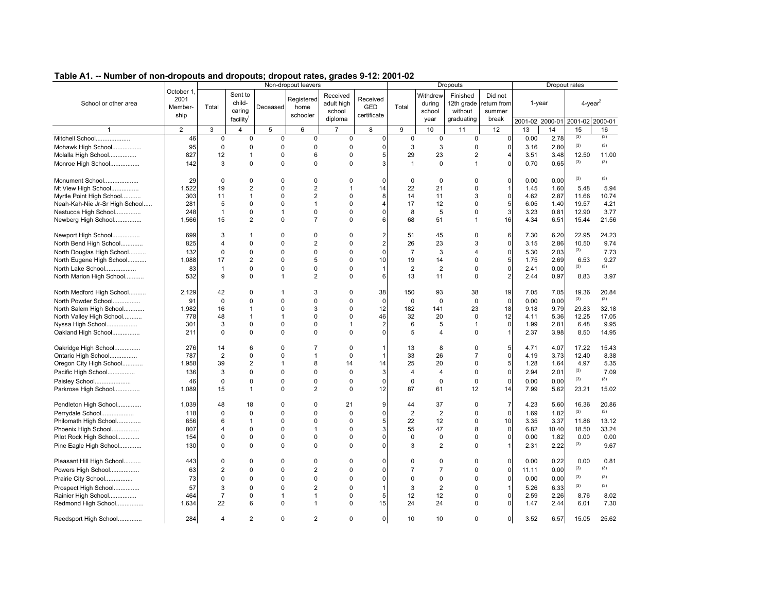| rable AT. -- Number of non-dropouts and dropouts, dropout rates, grades 5-12. 2001-02 |                              |                |                             |                | Non-dropout leavers |                                  |                 |                |                              | <b>Dropouts</b>                   |                                 |       |                 | Dropout rates  |         |
|---------------------------------------------------------------------------------------|------------------------------|----------------|-----------------------------|----------------|---------------------|----------------------------------|-----------------|----------------|------------------------------|-----------------------------------|---------------------------------|-------|-----------------|----------------|---------|
| School or other area                                                                  | October 1<br>2001<br>Member- | Total          | Sent to<br>child-<br>caring | Deceased       | Registered<br>home  | Received<br>adult high<br>school | Received<br>GED | Total          | Withdrew<br>during<br>school | Finished<br>12th grade<br>without | Did not<br>eturn from<br>summer |       | 1-year          | $4$ -year $^2$ |         |
|                                                                                       | ship                         |                | facility <sup>1</sup>       |                | schooler            | diploma                          | certificate     |                | year                         | graduating                        | break                           |       | 2001-02 2000-01 | 2001-02        | 2000-01 |
|                                                                                       | $\overline{2}$               | 3              | 4                           | 5              | 6                   | $\overline{7}$                   | 8               | 9              | 10                           | 11                                | 12                              | 13    | 14              | 15             | 16      |
| Mitchell School                                                                       | 46                           | $\pmb{0}$      | $\pmb{0}$                   | $\mathsf 0$    | $\pmb{0}$           | $\mathbf 0$                      | $\pmb{0}$       | $\pmb{0}$      | $\pmb{0}$                    | $\pmb{0}$                         | $\mathbf 0$                     | 0.00  | 2.78            | (3)            | (3)     |
| Mohawk High School                                                                    | 95                           | $\mathbf 0$    | 0                           | $\mathbf 0$    | $\mathbf 0$         | 0                                | $\mathbf 0$     | 3              | 3                            | 0                                 | $\Omega$                        | 3.16  | 2.80            | (3)            | (3)     |
| Molalla High School                                                                   | 827                          | 12             | 1                           | $\mathbf 0$    | 6                   | $\mathbf 0$                      | 5               | 29             | 23                           | $\overline{\mathbf{c}}$           |                                 | 3.51  | 3.48            | 12.50          | 11.00   |
| Monroe High School                                                                    | 142                          | 3              | $\mathbf 0$                 | $\mathbf 0$    | $\mathbf 0$         | 0                                | 3               | $\mathbf{1}$   | $\mathbf 0$                  | $\mathbf{1}$                      |                                 | 0.70  | 0.65            | (3)            | (3)     |
| Monument School                                                                       | 29                           | 0              | $\Omega$                    | $\mathbf 0$    | $\mathbf 0$         | $\Omega$                         | $\Omega$        | $\mathbf 0$    | $\Omega$                     | 0                                 | $\mathbf 0$                     | 0.00  | 0.00            | (3)            | (3)     |
| Mt View High School                                                                   | 1,522                        | 19             | $\overline{2}$              | $\mathbf 0$    | 2                   | $\mathbf{1}$                     | 14              | 22             | 21                           | 0                                 |                                 | 1.45  | 1.60            | 5.48           | 5.94    |
| Myrtle Point High School                                                              | 303                          | 11             | 1                           | $\Omega$       | $\overline{2}$      | $\Omega$                         | 8               | 14             | 11                           | 3                                 | $\Omega$                        | 4.62  | 2.87            | 11.66          | 10.74   |
| Neah-Kah-Nie Jr-Sr High School                                                        | 281                          | 5              | 0                           | $\mathbf 0$    | 1                   | $\Omega$                         |                 | 17             | 12                           | 0                                 | 5                               | 6.05  | 1.40            | 19.57          | 4.21    |
| Nestucca High School                                                                  | 248                          | $\mathbf{1}$   | 0                           | $\mathbf{1}$   | $\mathbf 0$         | $\Omega$                         |                 | 8              | 5                            | 0                                 | 3                               | 3.23  | 0.81            | 12.90          | 3.77    |
| Newberg High School                                                                   | 1,566                        | 15             | $\overline{2}$              | $\mathbf 0$    | $\overline{7}$      | $\Omega$                         | 6               | 68             | 51                           | 1                                 | 16                              | 4.34  | 6.51            | 15.44          | 21.56   |
| Newport High School                                                                   | 699                          | 3              | 1                           | $\mathbf 0$    | 0                   | 0                                | 2               | 51             | 45                           | 0                                 | 6                               | 7.30  | 6.20            | 22.95          | 24.23   |
| North Bend High School                                                                | 825                          | 4              | 0                           | $\mathbf 0$    | $\overline{2}$      | $\Omega$                         | $\overline{2}$  | 26             | 23                           | 3                                 | $\Omega$                        | 3.15  | 2.86            | 10.50          | 9.74    |
| North Douglas High School                                                             | 132                          | $\mathbf 0$    | $\mathbf 0$                 | $\mathbf 0$    | $\mathbf 0$         | $\Omega$                         | $\mathbf 0$     | $\overline{7}$ | 3                            | 4                                 | $\mathbf 0$                     | 5.30  | 2.03            | (3)            | 7.73    |
| North Eugene High School                                                              | 1.088                        | 17             | $\overline{2}$              | $\Omega$       | 5                   | $\mathbf 0$                      | 10              | 19             | 14                           | 0                                 | 5                               | 1.75  | 2.69            | 6.53           | 9.27    |
| North Lake School                                                                     | 83                           | $\mathbf{1}$   | $\mathbf 0$                 | $\mathbf 0$    | $\pmb{0}$           | $\mathbf 0$                      |                 | $\overline{2}$ | $\overline{2}$               | 0                                 | $\mathbf 0$                     | 2.41  | 0.00            | (3)            | (3)     |
| North Marion High School                                                              | 532                          | 9              | $\Omega$                    | $\mathbf{1}$   | 2                   | $\Omega$                         | 6               | 13             | 11                           | 0                                 |                                 | 2.44  | 0.97            | 8.83           | 3.97    |
| North Medford High School                                                             | 2,129                        | 42             | $\Omega$                    | -1             | 3                   | $\Omega$                         | 38              | 150            | 93                           | 38                                | 19                              | 7.05  | 7.05            | 19.36          | 20.84   |
| North Powder School                                                                   | 91                           | $\mathbf 0$    | $\Omega$                    | $\Omega$       | 0                   | $\Omega$                         | $\Omega$        | $\mathbf 0$    | $\Omega$                     | $\mathbf 0$                       | $\Omega$                        | 0.00  | 0.00            | (3)            | (3)     |
| North Salem High School                                                               | 1,982                        | 16             | 1                           | $\mathbf 0$    | 3                   | $\Omega$                         | 12              | 182            | 141                          | 23                                | 18                              | 9.18  | 9.79            | 29.83          | 32.18   |
| North Valley High School                                                              | 778                          | 48             | 1                           | $\overline{1}$ | $\mathbf 0$         | $\mathbf 0$                      | 46              | 32             | 20                           | 0                                 | 12                              | 4.11  | 5.36            | 12.25          | 17.05   |
| Nyssa High School                                                                     | 301                          | 3              | $\Omega$                    | $\Omega$       | $\Omega$            | $\mathbf{1}$                     | 2               | 6              | 5                            | $\mathbf{1}$                      | $\Omega$                        | 1.99  | 2.81            | 6.48           | 9.95    |
| Oakland High School                                                                   | 211                          | $\Omega$       | $\Omega$                    | $\mathbf 0$    | $\mathbf 0$         | $\Omega$                         | $\Omega$        | 5              | 4                            | 0                                 |                                 | 2.37  | 3.98            | 8.50           | 14.95   |
| Oakridge High School                                                                  | 276                          | 14             | 6                           | $\mathbf 0$    | 7                   | $\Omega$                         |                 | 13             | 8                            | 0                                 | 5                               | 4.71  | 4.07            | 17.22          | 15.43   |
| Ontario High School                                                                   | 787                          | $\overline{2}$ | 0                           | $\Omega$       | 1                   | $\Omega$                         |                 | 33             | 26                           | $\overline{7}$                    | $\Omega$                        | 4.19  | 3.73            | 12.40          | 8.38    |
| Oregon City High School                                                               | 1,958                        | 39             | $\overline{2}$              | $\mathbf{1}$   | 8                   | 14                               | 14              | 25             | 20                           | 0                                 | 5                               | 1.28  | 1.64            | 4.97           | 5.35    |
| Pacific High School                                                                   | 136                          | 3              | $\Omega$                    | $\Omega$       | $\Omega$            | $\Omega$                         | 3               | $\overline{4}$ | $\overline{4}$               | 0                                 | $\Omega$                        | 2.94  | 2.01            | (3)            | 7.09    |
| Paisley School                                                                        | 46                           | $\mathbf 0$    | $\mathbf 0$                 | $\mathbf 0$    | $\mathbf 0$         | $\Omega$                         | $\mathbf 0$     | $\mathbf 0$    | $\mathbf 0$                  | $\mathbf 0$                       | $\Omega$                        | 0.00  | 0.00            | (3)            | (3)     |
| Parkrose High School                                                                  | 1,089                        | 15             | 1                           | $\Omega$       | $\overline{2}$      | $\Omega$                         | 12              | 87             | 61                           | 12                                | 14                              | 7.99  | 5.62            | 23.21          | 15.02   |
| Pendleton High School                                                                 | 1,039                        | 48             | 18                          | $\mathbf 0$    | $\mathbf 0$         | 21                               | 9               | 44             | 37                           | 0                                 | $\overline{7}$                  | 4.23  | 5.60            | 16.36          | 20.86   |
| Perrydale School                                                                      | 118                          | $\Omega$       | 0                           | $\mathbf 0$    | 0                   | $\Omega$                         | $\mathbf 0$     | $\overline{2}$ | $\overline{2}$               | 0                                 | $\mathbf 0$                     | 1.69  | 1.82            | (3)            | (3)     |
| Philomath High School                                                                 | 656                          | 6              | 1                           | $\Omega$       | 0                   | $\Omega$                         | 5               | 22             | 12                           | 0                                 | 10                              | 3.35  | 3.37            | 11.86          | 13.12   |
| Phoenix High School                                                                   | 807                          | 4              | 0                           | $\mathbf 0$    | $\mathbf{1}$        | $\Omega$                         | 3               | 55             | 47                           | 8                                 | $\mathbf 0$                     | 6.82  | 10.40           | 18.50          | 33.24   |
| Pilot Rock High School                                                                | 154                          | 0              | 0                           | $\mathbf 0$    | 0                   | 0                                | 0               | $\mathbf 0$    | 0                            | 0                                 | $\Omega$                        | 0.00  | 1.82            | 0.00           | 0.00    |
| Pine Eagle High School                                                                | 130                          | $\Omega$       | $\Omega$                    | $\mathbf 0$    | $\mathbf 0$         | $\Omega$                         | O               | 3              | $\overline{2}$               | 0                                 |                                 | 2.31  | 2.22            | (3)            | 9.67    |
| Pleasant Hill High School                                                             | 443                          | $\Omega$       | 0                           | $\mathbf 0$    | 0                   | 0                                | 0               | $\mathbf 0$    | 0                            | 0                                 | $\mathbf 0$                     | 0.00  | 0.22            | 0.00           | 0.81    |
| Powers High School                                                                    | 63                           | 2              | 0                           | $\Omega$       | $\overline{2}$      | $\Omega$                         | U               | $\overline{7}$ | $\overline{7}$               | 0                                 | $\mathbf 0$                     | 11.11 | 0.00            | (3)            | (3)     |
| Prairie City School                                                                   | 73                           | $\Omega$       | $\Omega$                    | $\mathbf 0$    | $\mathbf 0$         | $\mathbf 0$                      | 0               | $\mathbf 0$    | $\mathbf 0$                  | 0                                 | $\mathbf{0}$                    | 0.00  | 0.00            | (3)            | (3)     |
| Prospect High School                                                                  | 57                           | 3              | $\Omega$                    | $\Omega$       | $\overline{2}$      | $\Omega$                         |                 | 3              | $\overline{2}$               | 0                                 |                                 | 5.26  | 6.33            | (3)            | (3)     |
| Rainier High School                                                                   | 464                          | $\overline{7}$ | $\mathbf 0$                 | $\mathbf{1}$   | 1                   | $\Omega$                         | 5               | 12             | 12                           | 0                                 | 0                               | 2.59  | 2.26            | 8.76           | 8.02    |
| Redmond High School                                                                   | 1.634                        | 22             | 6                           | $\Omega$       | 1                   | $\Omega$                         | 15              | 24             | 24                           | 0                                 | $\Omega$                        | 1.47  | 2.44            | 6.01           | 7.30    |
| Reedsport High School                                                                 | 284                          | 4              | $\mathfrak{p}$              | $\Omega$       | $\overline{2}$      | $\Omega$                         | $\mathbf{0}$    | 10             | 10                           | 0                                 | $\overline{0}$                  | 3.52  | 6.57            | 15.05          | 25.62   |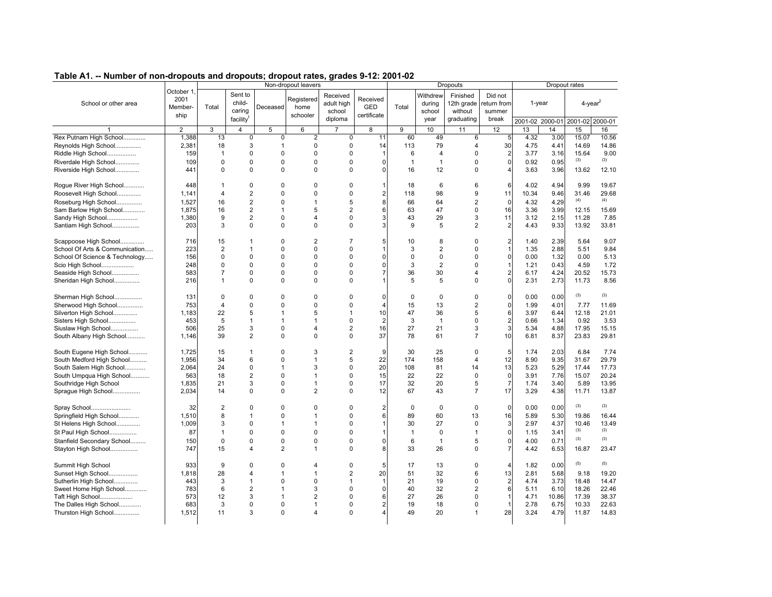| Table A1. -- Number of non-dropouts and dropouts; dropout rates, grades 9-12: 2001-02 |                |                |                       |                | Non-dropout leavers |                |                |                |                | Dropouts       |                         |           |       | Dropout rates           |         |
|---------------------------------------------------------------------------------------|----------------|----------------|-----------------------|----------------|---------------------|----------------|----------------|----------------|----------------|----------------|-------------------------|-----------|-------|-------------------------|---------|
|                                                                                       | October 1      |                |                       |                |                     |                |                |                |                |                |                         |           |       |                         |         |
|                                                                                       | 2001           |                | Sent to<br>child-     |                | Registered          | Received       | Received       |                | Withdrew       | Finished       | Did not                 |           |       |                         |         |
| School or other area                                                                  | Member-        | Total          |                       | Deceased       | home                | adult high     | GED            | Total          | during         | 12th grade     | return from             | $1$ -year |       | $4$ -year <sup>2</sup>  |         |
|                                                                                       | ship           |                | caring                |                | schooler            | school         | certificate    |                | school         | without        | summer                  |           |       |                         |         |
|                                                                                       |                |                | facility <sup>1</sup> |                |                     | diploma        |                |                | year           | graduating     | break                   |           |       | 2001-02 2000-01 2001-02 | 2000-01 |
|                                                                                       | $\overline{2}$ | 3              | 4                     | 5              | 6                   |                | 8              | 9              | 10             | 11             | 12                      | 13        | 14    | 15                      | 16      |
| Rex Putnam High School                                                                | 1,388          | 13             | $\mathbf 0$           | 0              | $\overline{2}$      | $\mathbf 0$    | 11             | 60             | 49             | 6              | 5                       | 4.32      | 3.00  | 15.07                   | 10.56   |
| Reynolds High School                                                                  | 2,381          | 18             | 3                     | 1              | 0                   | $\mathbf 0$    | 14             | 113            | 79             | $\overline{4}$ | 30                      | 4.75      | 4.41  | 14.69                   | 14.86   |
| Riddle High School                                                                    | 159            | $\mathbf{1}$   | 0                     | 0              | $\Omega$            | $\mathbf 0$    | $\overline{1}$ | 6              | $\overline{4}$ | $\mathbf 0$    | 2                       | 3.77      | 3.16  | 15.64                   | 9.00    |
| Riverdale High School                                                                 | 109            | $\Omega$       | $\Omega$              | 0              | $\Omega$            | $\Omega$       | $\Omega$       | $\overline{1}$ | $\mathbf{1}$   | $\Omega$       | $\mathbf 0$             | 0.92      | 0.95  | (3)                     | (3)     |
| Riverside High School                                                                 | 441            | $\Omega$       | $\Omega$              | 0              | $\Omega$            | $\Omega$       | $\Omega$       | 16             | 12             | $\Omega$       | 4                       | 3.63      | 3.96  | 13.62                   | 12.10   |
|                                                                                       | 448            | $\mathbf{1}$   | 0                     | 0              | $\mathbf 0$         | $\mathbf 0$    | 1              | 18             | 6              | 6              |                         | 4.02      | 4.94  | 9.99                    | 19.67   |
| Rogue River High School<br>Roosevelt High School                                      | 1,141          | $\overline{4}$ | $\overline{2}$        | 0              | $\Omega$            | $\mathbf 0$    | 2              | 118            | 98             | 9              | 6<br>11                 | 10.34     | 9.46  | 31.46                   | 29.68   |
|                                                                                       |                |                |                       |                |                     |                |                |                |                |                |                         |           |       | (4)                     | (4)     |
| Roseburg High School                                                                  | 1,527          | 16             | $\overline{2}$        | 0              | $\mathbf{1}$        | 5              | 8              | 66             | 64             | $\overline{2}$ | $\mathbf 0$             | 4.32      | 4.29  |                         |         |
| Sam Barlow High School                                                                | 1,875          | 16             | $\overline{2}$        | $\mathbf{1}$   | 5                   | $\overline{2}$ | 6              | 63             | 47             | $\mathbf 0$    | 16                      | 3.36      | 3.99  | 12.15                   | 15.69   |
| Sandy High School                                                                     | 1,380          | 9              | $\overline{2}$        | 0              | $\overline{4}$      | $\Omega$       | 3              | 43             | 29             | 3              | 11                      | 3.12      | 2.15  | 11.28                   | 7.85    |
| Santiam High School                                                                   | 203            | 3              | $\Omega$              | 0              | $\Omega$            | $\Omega$       | 3              | 9              | 5              | 2              | 2                       | 4.43      | 9.33  | 13.92                   | 33.81   |
| Scappoose High School                                                                 | 716            | 15             | $\mathbf 1$           | 0              | $\overline{2}$      | $\overline{7}$ | 5              | 10             | 8              | $\Omega$       | 2                       | 1.40      | 2.39  | 5.64                    | 9.07    |
| School Of Arts & Communication                                                        | 223            | $\overline{2}$ | $\mathbf{1}$          | 0              | $\mathbf 0$         | $\Omega$       |                | 3              | $\overline{2}$ | 0              | $\mathbf{1}$            | 1.35      | 2.88  | 5.51                    | 9.84    |
| School Of Science & Technology                                                        | 156            | $\mathbf 0$    | $\mathbf 0$           | 0              | $\Omega$            | $\Omega$       | $\Omega$       | $\mathbf{0}$   | $\mathbf 0$    | $\mathbf 0$    | 0                       | 0.00      | 1.32  | 0.00                    | 5.13    |
| Scio High School                                                                      | 248            | $\mathbf 0$    | 0                     | 0              | $\mathbf 0$         | 0              | $\Omega$       | 3              | $\overline{2}$ | $\mathbf 0$    | $\mathbf{1}$            | 1.21      | 0.43  | 4.59                    | 1.72    |
| Seaside High School                                                                   | 583            | $\overline{7}$ | 0                     | 0              | $\Omega$            | $\Omega$       | $\overline{7}$ | 36             | 30             | $\overline{4}$ | 2                       | 6.17      | 4.24  | 20.52                   | 15.73   |
| Sheridan High School                                                                  | 216            | $\mathbf{1}$   | $\Omega$              | 0              | $\mathbf 0$         | $\Omega$       |                | 5              | 5              | $\Omega$       | 0                       | 2.31      | 2.73  | 11.73                   | 8.56    |
|                                                                                       |                |                |                       |                |                     |                |                |                |                |                |                         |           |       |                         |         |
| Sherman High School                                                                   | 131            | $\mathbf 0$    | 0                     | 0              | $\Omega$            | $\mathbf 0$    | $\Omega$       | $\Omega$       | $\mathbf 0$    | $\mathbf 0$    | 0                       | 0.00      | 0.00  | (3)                     | (3)     |
| Sherwood High School                                                                  | 753            | $\overline{4}$ | 0                     | 0              | $\Omega$            | $\mathbf 0$    | $\overline{4}$ | 15             | 13             | $\overline{2}$ | 0                       | 1.99      | 4.01  | 7.77                    | 11.69   |
| Silverton High School                                                                 | 1,183          | 22             | 5                     | $\mathbf{1}$   | 5                   | $\mathbf{1}$   | 10             | 47             | 36             | 5              | 6                       | 3.97      | 6.44  | 12.18                   | 21.01   |
| Sisters High School                                                                   | 453            | 5              | $\mathbf{1}$          | 1              | $\mathbf{1}$        | $\Omega$       | $\overline{c}$ | 3              | $\overline{1}$ | $\mathbf 0$    | $\overline{\mathbf{c}}$ | 0.66      | 1.34  | 0.92                    | 3.53    |
| Siuslaw High School                                                                   | 506            | 25             | 3                     | 0              | 4                   | $\overline{2}$ | 16             | 27             | 21             | 3              | 3                       | 5.34      | 4.88  | 17.95                   | 15.15   |
| South Albany High School                                                              | 1,146          | 39             | $\overline{2}$        | 0              | $\Omega$            | $\Omega$       | 37             | 78             | 61             | $\overline{7}$ | 10                      | 6.81      | 8.37  | 23.83                   | 29.81   |
| South Eugene High School                                                              | 1,725          | 15             | $\mathbf{1}$          | 0              | 3                   | $\overline{2}$ | 9              | 30             | 25             | $\mathbf 0$    | 5                       | 1.74      | 2.03  | 6.84                    | 7.74    |
| South Medford High School                                                             | 1.956          | 34             | 6                     | 0              | 1                   | 5              | 22             | 174            | 158            | $\overline{4}$ | 12                      | 8.90      | 9.35  | 31.67                   | 29.79   |
| South Salem High School                                                               | 2,064          | 24             | 0                     | 1              | 3                   | $\mathbf 0$    | 20             | 108            | 81             | 14             | 13                      | 5.23      | 5.29  | 17.44                   | 17.73   |
| South Umpqua High School                                                              | 563            | 18             | 2                     | 0              | $\mathbf{1}$        | $\Omega$       | 15             | 22             | 22             | $\mathbf 0$    | $\Omega$                | 3.91      | 7.76  | 15.07                   | 20.24   |
| Southridge High School                                                                | 1,835          | 21             | 3                     | 0              | $\mathbf{1}$        | $\mathbf 0$    | 17             | 32             | 20             | 5              | $\overline{7}$          | 1.74      | 3.40  | 5.89                    | 13.95   |
| Sprague High School                                                                   | 2,034          | 14             | 0                     | 0              | 2                   | $\mathbf 0$    | 12             | 67             | 43             | $\overline{7}$ | 17                      | 3.29      | 4.38  | 11.71                   | 13.87   |
|                                                                                       |                |                |                       |                |                     |                |                |                |                |                |                         |           |       |                         |         |
| Spray School                                                                          | 32             | $\overline{2}$ | 0                     | 0              | $\Omega$            | $\mathbf 0$    | $\overline{2}$ | $\mathbf 0$    | $\mathbf 0$    | $\mathbf 0$    | $\mathbf 0$             | 0.00      | 0.00  | (3)                     | (3)     |
| Springfield High School                                                               | 1,510          | 8              | $\mathbf{1}$          | 0              | $\mathbf{1}$        | $\mathbf 0$    | 6              | 89             | 60             | 13             | 16                      | 5.89      | 5.30  | 19.86                   | 16.44   |
| St Helens High School                                                                 | 1,009          | 3              | 0                     | 1              | $\mathbf{1}$        | $\Omega$       |                | 30             | 27             | $\mathbf 0$    | 3                       | 2.97      | 4.37  | 10.46                   | 13.49   |
| St Paul High School                                                                   | 87             | $\mathbf{1}$   | 0                     | 0              | $\Omega$            | $\mathbf 0$    |                | $\mathbf{1}$   | $\mathbf 0$    | $\mathbf{1}$   | 0                       | 1.15      | 3.41  | (3)                     | (3)     |
| Stanfield Secondary School                                                            | 150            | $\mathbf 0$    | 0                     | 0              | $\Omega$            | $\mathbf 0$    | 0              | 6              | $\mathbf{1}$   | 5              | 0                       | 4.00      | 0.71  | (3)                     | (3)     |
| Stayton High School                                                                   | 747            | 15             | $\overline{4}$        | $\overline{2}$ | 1                   | $\mathbf 0$    | 8              | 33             | 26             | $\mathbf 0$    | $\overline{7}$          | 4.42      | 6.53  | 16.87                   | 23.47   |
|                                                                                       |                |                |                       |                |                     |                |                |                |                |                |                         |           |       |                         |         |
| Summit High School                                                                    | 933            | 9              | $\Omega$              | 0              | 4                   | $\mathbf 0$    | 5              | 17             | 13             | $\mathbf 0$    | 4                       | 1.82      | 0.00  | (5)                     | (5)     |
| Sunset High School                                                                    | 1,818          | 28             | $\overline{4}$        | 1              | 1                   | $\overline{2}$ | 20             | 51             | 32             | 6              | 13                      | 2.81      | 5.68  | 9.18                    | 19.20   |
| Sutherlin High School                                                                 | 443            | 3              | $\mathbf{1}$          | 0              | $\Omega$            | $\mathbf{1}$   | $\overline{1}$ | 21             | 19             | $\mathbf 0$    | $\overline{\mathbf{c}}$ | 4.74      | 3.73  | 18.48                   | 14.47   |
| Sweet Home High School                                                                | 783            | 6              | $\overline{2}$        | $\mathbf{1}$   | 3                   | $\Omega$       | $\Omega$       | 40             | 32             | $\overline{2}$ | 6                       | 5.11      | 6.10  | 18.26                   | 22.46   |
| Taft High School                                                                      | 573            | 12             | 3                     | 1              | 2                   | $\mathbf 0$    | 6              | 27             | 26             | 0              | $\mathbf{1}$            | 4.71      | 10.86 | 17.39                   | 38.37   |
| The Dalles High School                                                                | 683            | 3              | 0                     | 0              | $\mathbf{1}$        | 0              | $\overline{a}$ | 19             | 18             | $\Omega$       | $\mathbf{1}$            | 2.78      | 6.75  | 10.33                   | 22.63   |
| Thurston High School                                                                  | 1,512          | 11             | 3                     | 0              | $\overline{4}$      | $\Omega$       |                | 49             | 20             | $\overline{1}$ | 28                      | 3.24      | 4.79  | 11.87                   | 14.83   |
|                                                                                       |                |                |                       |                |                     |                |                |                |                |                |                         |           |       |                         |         |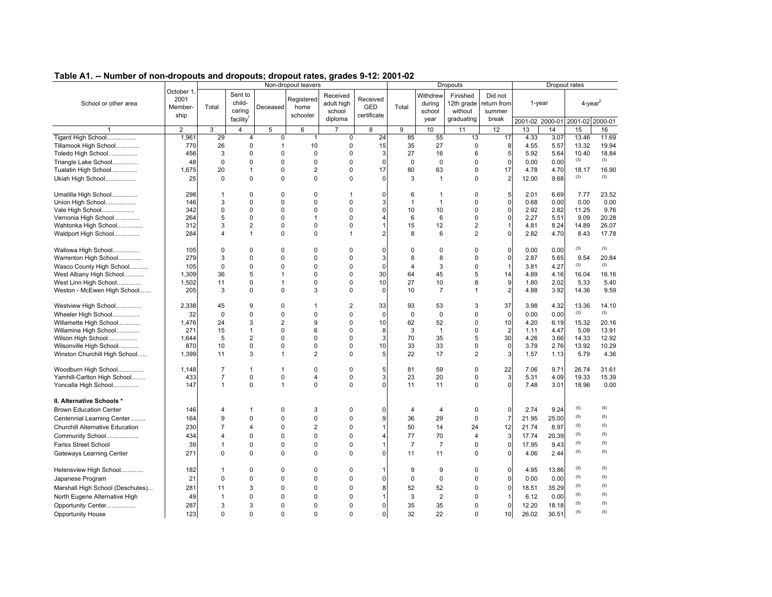| Non-dropout leavers<br><b>Dropouts</b><br>Dropout rates<br>October 1<br>Sent to<br>Withdrew<br>Finished<br>Did not<br>Received<br>2001<br>Registered<br>Received<br>child-<br>1-year<br>$4$ -year $^2$<br>School or other area<br>adult high<br>12th grade<br>during<br>return from<br>Total<br>home<br>GED<br>Total<br>Member-<br>Deceased<br>caring<br>school<br>school<br>without<br>summer<br>certificate<br>ship<br>schooler<br>facility <sup>1</sup><br>diploma<br>year<br>graduating<br>break<br>2001-02 2000-01<br>2001-02 2000-01<br>$\overline{3}$<br>$\overline{7}$<br>12<br>$\overline{2}$<br>5<br>6<br>9<br>10<br>14<br>15<br>16<br>$\mathbf{1}$<br>8<br>11<br>13<br>Tigard High School<br>1.961<br>29<br>$\Omega$<br>$\mathbf 0$<br>24<br>85<br>55<br>4.33<br>3.07<br>13.46<br>11.69<br>13<br>17<br>4<br>$\mathbf{1}$<br>15<br>35<br>27<br>Tillamook High School<br>770<br>26<br>$\Omega$<br>10<br>$\Omega$<br>$\Omega$<br>8<br>4.55<br>5.57<br>13.32<br>19.94<br>1<br>456<br>3<br>$\mathbf 0$<br>$\mathbf 0$<br>3<br>27<br>16<br>5<br>5.92<br>5.64<br>10.40<br>18.84<br>Toledo High School<br>$\Omega$<br>0<br>6<br>(3)<br>(3)<br>$\mathbf 0$<br>$\mathbf 0$<br>$\mathbf 0$<br>$\mathbf 0$<br>0<br>$\Omega$<br>$\mathbf 0$<br>$\mathbf 0$<br>0<br>0.00<br>0.00<br>Triangle Lake School<br>48<br>0<br>$\overline{2}$<br>17<br>1,675<br>20<br>$\overline{1}$<br>$\Omega$<br>0<br>17<br>80<br>63<br>0<br>18.17<br>16.90<br>Tualatin High School<br>4.78<br>4.70<br>(3)<br>(3)<br>$\Omega$<br>$\mathbf{0}$<br>$\overline{2}$<br>Ukiah High School<br>$\mathbf 0$<br>0<br>$\Omega$<br>$\mathbf 0$<br>3<br>$\mathbf{1}$<br>$\Omega$<br>12.00<br>9.68<br>25<br>$\Omega$<br>$\Omega$<br>$\mathbf 0$<br>5<br>2.01<br>6.69<br>23.52<br>Umatilla High School<br>298<br>$\Omega$<br>0<br>7.77<br>6<br>-1<br>1<br>$\mathbf 0$<br>$\Omega$<br>$\mathbf 0$<br>0.68<br>0.00<br>3<br>$\Omega$<br>$\Omega$<br>3<br>$\mathbf{1}$<br>$\Omega$<br>0.00<br>0.00<br>Union High School<br>146<br>$\mathbf{1}$<br>$\Omega$<br>$\Omega$<br>9.76<br>Vale High School<br>342<br>0<br>$\Omega$<br>$\Omega$<br>$\Omega$<br>$\Omega$<br>10<br>10<br>$\Omega$<br>2.92<br>2.82<br>11.25<br>$\mathbf 0$<br>2.27<br>9.09<br>Vernonia High School<br>264<br>5<br>$\mathbf 0$<br>$\Omega$<br>$\overline{1}$<br>$\Omega$<br>6<br>6<br>0<br>5.51<br>20.28<br>$\overline{2}$<br>3<br>$\mathbf 0$<br>12<br>$\mathbf 2$<br>$\mathbf{1}$<br>26.07<br>Wahtonka High School<br>312<br>$\Omega$<br>$\Omega$<br>15<br>4.81<br>8.24<br>14.89<br>$\mathbf 0$<br>$\overline{2}$<br>$\Omega$<br>2.82<br>8.43<br>Waldport High School<br>284<br>4<br>$\mathbf{1}$<br>0<br>2<br>8<br>6<br>4.70<br>17.78<br>1<br>(3)<br>(3)<br>0<br>$\mathbf 0$<br>0<br>0.00<br>0.00<br>Wallowa High School<br>105<br>0<br>0<br>0<br>$\Omega$<br>0<br>0<br>0<br>$\mathbf 0$<br>279<br>3<br>$\mathbf 0$<br>$\mathbf 0$<br>3<br>8<br>0<br>2.87<br>5.65<br>9.54<br>20.84<br>Warrenton High School<br>$\Omega$<br>0<br>8<br>(3)<br>(3)<br>$\Omega$<br>$\Omega$<br>$\Omega$<br>$\mathbf 0$<br>3<br>$\mathbf 0$<br>$\mathbf{1}$<br>4.27<br>Wasco County High School<br>105<br>$\Omega$<br>$\Omega$<br>3.81<br>4<br>5<br>30<br>14<br>1,309<br>36<br>$\Omega$<br>$\Omega$<br>64<br>45<br>5<br>4.89<br>16.04<br>16.16<br>West Albany High School<br>4.16<br>1<br>10<br>27<br>10<br>9<br>West Linn High School<br>1,502<br>11<br>$\mathbf 0$<br>$\mathbf 0$<br>$\Omega$<br>8<br>1.80<br>2.02<br>5.33<br>5.40<br>1<br>$\overline{2}$<br>$\Omega$<br>3<br>3.92<br>9.59<br>Weston - McEwen High School<br>205<br>3<br>0<br>$\Omega$<br>$\Omega$<br>10<br>$\overline{7}$<br>4.88<br>14.36<br>$\mathbf{1}$<br>9<br>2<br>37<br>Westview High School<br>2,338<br>45<br>0<br>33<br>93<br>53<br>3<br>3.98<br>4.32<br>13.36<br>14.10<br>-1<br>(3)<br>(3)<br>$\mathbf 0$<br>$\mathbf 0$<br>$\Omega$<br>$\mathbf 0$<br>$\mathbf 0$<br>$\mathbf 0$<br>0.00<br>0.00<br>Wheeler High School<br>32<br>0<br>0<br>0<br>0<br>9<br>1,476<br>24<br>3<br>$\overline{2}$<br>$\Omega$<br>10<br>62<br>52<br>0<br>10<br>6.19<br>15.32<br>20.16<br>Willamette High School<br>4.20<br>$\overline{2}$<br>6<br>5.09<br>13.91<br>Willamina High School<br>271<br>15<br>$\mathbf{1}$<br>$\Omega$<br>$\Omega$<br>8<br>3<br>$\mathbf{1}$<br>0<br>1.11<br>4.47<br>30<br>Wilson High School<br>5<br>$\overline{2}$<br>$\mathbf 0$<br>3<br>70<br>35<br>4.26<br>3.66<br>14.33<br>12.92<br>1.644<br>$\Omega$<br>0<br>5<br>870<br>$\mathbf 0$<br>$\mathbf 0$<br>$\Omega$<br>10<br>$\Omega$<br>10<br>33<br>33<br>$\Omega$<br>3.79<br>2.76<br>13.92<br>10.29<br>Wilsonville High School<br>$\Omega$<br>3<br>$\overline{2}$<br>$\overline{2}$<br>Winston Churchill High School<br>3<br>5<br>22<br>17<br>1.57<br>5.79<br>4.36<br>1,399<br>11<br>$\Omega$<br>1.13<br>1<br>9.71<br>26.74<br>0<br>5<br>0<br>1 |
|-----------------------------------------------------------------------------------------------------------------------------------------------------------------------------------------------------------------------------------------------------------------------------------------------------------------------------------------------------------------------------------------------------------------------------------------------------------------------------------------------------------------------------------------------------------------------------------------------------------------------------------------------------------------------------------------------------------------------------------------------------------------------------------------------------------------------------------------------------------------------------------------------------------------------------------------------------------------------------------------------------------------------------------------------------------------------------------------------------------------------------------------------------------------------------------------------------------------------------------------------------------------------------------------------------------------------------------------------------------------------------------------------------------------------------------------------------------------------------------------------------------------------------------------------------------------------------------------------------------------------------------------------------------------------------------------------------------------------------------------------------------------------------------------------------------------------------------------------------------------------------------------------------------------------------------------------------------------------------------------------------------------------------------------------------------------------------------------------------------------------------------------------------------------------------------------------------------------------------------------------------------------------------------------------------------------------------------------------------------------------------------------------------------------------------------------------------------------------------------------------------------------------------------------------------------------------------------------------------------------------------------------------------------------------------------------------------------------------------------------------------------------------------------------------------------------------------------------------------------------------------------------------------------------------------------------------------------------------------------------------------------------------------------------------------------------------------------------------------------------------------------------------------------------------------------------------------------------------------------------------------------------------------------------------------------------------------------------------------------------------------------------------------------------------------------------------------------------------------------------------------------------------------------------------------------------------------------------------------------------------------------------------------------------------------------------------------------------------------------------------------------------------------------------------------------------------------------------------------------------------------------------------------------------------------------------------------------------------------------------------------------------------------------------------------------------------------------------------------------------------------------------------------------------------------------------------------------------------------------------------------------------------------------------------------------------------------------------------------------------------------------------------------------------------------------------------------------------------------------------------------------------------------------------------------------------------------------------------------------------------------------------------------------------------------------------------------------------------------------------------------------------------------------------------|
|                                                                                                                                                                                                                                                                                                                                                                                                                                                                                                                                                                                                                                                                                                                                                                                                                                                                                                                                                                                                                                                                                                                                                                                                                                                                                                                                                                                                                                                                                                                                                                                                                                                                                                                                                                                                                                                                                                                                                                                                                                                                                                                                                                                                                                                                                                                                                                                                                                                                                                                                                                                                                                                                                                                                                                                                                                                                                                                                                                                                                                                                                                                                                                                                                                                                                                                                                                                                                                                                                                                                                                                                                                                                                                                                                                                                                                                                                                                                                                                                                                                                                                                                                                                                                                                                                                                                                                                                                                                                                                                                                                                                                                                                                                                                                                                               |
|                                                                                                                                                                                                                                                                                                                                                                                                                                                                                                                                                                                                                                                                                                                                                                                                                                                                                                                                                                                                                                                                                                                                                                                                                                                                                                                                                                                                                                                                                                                                                                                                                                                                                                                                                                                                                                                                                                                                                                                                                                                                                                                                                                                                                                                                                                                                                                                                                                                                                                                                                                                                                                                                                                                                                                                                                                                                                                                                                                                                                                                                                                                                                                                                                                                                                                                                                                                                                                                                                                                                                                                                                                                                                                                                                                                                                                                                                                                                                                                                                                                                                                                                                                                                                                                                                                                                                                                                                                                                                                                                                                                                                                                                                                                                                                                               |
|                                                                                                                                                                                                                                                                                                                                                                                                                                                                                                                                                                                                                                                                                                                                                                                                                                                                                                                                                                                                                                                                                                                                                                                                                                                                                                                                                                                                                                                                                                                                                                                                                                                                                                                                                                                                                                                                                                                                                                                                                                                                                                                                                                                                                                                                                                                                                                                                                                                                                                                                                                                                                                                                                                                                                                                                                                                                                                                                                                                                                                                                                                                                                                                                                                                                                                                                                                                                                                                                                                                                                                                                                                                                                                                                                                                                                                                                                                                                                                                                                                                                                                                                                                                                                                                                                                                                                                                                                                                                                                                                                                                                                                                                                                                                                                                               |
|                                                                                                                                                                                                                                                                                                                                                                                                                                                                                                                                                                                                                                                                                                                                                                                                                                                                                                                                                                                                                                                                                                                                                                                                                                                                                                                                                                                                                                                                                                                                                                                                                                                                                                                                                                                                                                                                                                                                                                                                                                                                                                                                                                                                                                                                                                                                                                                                                                                                                                                                                                                                                                                                                                                                                                                                                                                                                                                                                                                                                                                                                                                                                                                                                                                                                                                                                                                                                                                                                                                                                                                                                                                                                                                                                                                                                                                                                                                                                                                                                                                                                                                                                                                                                                                                                                                                                                                                                                                                                                                                                                                                                                                                                                                                                                                               |
|                                                                                                                                                                                                                                                                                                                                                                                                                                                                                                                                                                                                                                                                                                                                                                                                                                                                                                                                                                                                                                                                                                                                                                                                                                                                                                                                                                                                                                                                                                                                                                                                                                                                                                                                                                                                                                                                                                                                                                                                                                                                                                                                                                                                                                                                                                                                                                                                                                                                                                                                                                                                                                                                                                                                                                                                                                                                                                                                                                                                                                                                                                                                                                                                                                                                                                                                                                                                                                                                                                                                                                                                                                                                                                                                                                                                                                                                                                                                                                                                                                                                                                                                                                                                                                                                                                                                                                                                                                                                                                                                                                                                                                                                                                                                                                                               |
|                                                                                                                                                                                                                                                                                                                                                                                                                                                                                                                                                                                                                                                                                                                                                                                                                                                                                                                                                                                                                                                                                                                                                                                                                                                                                                                                                                                                                                                                                                                                                                                                                                                                                                                                                                                                                                                                                                                                                                                                                                                                                                                                                                                                                                                                                                                                                                                                                                                                                                                                                                                                                                                                                                                                                                                                                                                                                                                                                                                                                                                                                                                                                                                                                                                                                                                                                                                                                                                                                                                                                                                                                                                                                                                                                                                                                                                                                                                                                                                                                                                                                                                                                                                                                                                                                                                                                                                                                                                                                                                                                                                                                                                                                                                                                                                               |
|                                                                                                                                                                                                                                                                                                                                                                                                                                                                                                                                                                                                                                                                                                                                                                                                                                                                                                                                                                                                                                                                                                                                                                                                                                                                                                                                                                                                                                                                                                                                                                                                                                                                                                                                                                                                                                                                                                                                                                                                                                                                                                                                                                                                                                                                                                                                                                                                                                                                                                                                                                                                                                                                                                                                                                                                                                                                                                                                                                                                                                                                                                                                                                                                                                                                                                                                                                                                                                                                                                                                                                                                                                                                                                                                                                                                                                                                                                                                                                                                                                                                                                                                                                                                                                                                                                                                                                                                                                                                                                                                                                                                                                                                                                                                                                                               |
|                                                                                                                                                                                                                                                                                                                                                                                                                                                                                                                                                                                                                                                                                                                                                                                                                                                                                                                                                                                                                                                                                                                                                                                                                                                                                                                                                                                                                                                                                                                                                                                                                                                                                                                                                                                                                                                                                                                                                                                                                                                                                                                                                                                                                                                                                                                                                                                                                                                                                                                                                                                                                                                                                                                                                                                                                                                                                                                                                                                                                                                                                                                                                                                                                                                                                                                                                                                                                                                                                                                                                                                                                                                                                                                                                                                                                                                                                                                                                                                                                                                                                                                                                                                                                                                                                                                                                                                                                                                                                                                                                                                                                                                                                                                                                                                               |
|                                                                                                                                                                                                                                                                                                                                                                                                                                                                                                                                                                                                                                                                                                                                                                                                                                                                                                                                                                                                                                                                                                                                                                                                                                                                                                                                                                                                                                                                                                                                                                                                                                                                                                                                                                                                                                                                                                                                                                                                                                                                                                                                                                                                                                                                                                                                                                                                                                                                                                                                                                                                                                                                                                                                                                                                                                                                                                                                                                                                                                                                                                                                                                                                                                                                                                                                                                                                                                                                                                                                                                                                                                                                                                                                                                                                                                                                                                                                                                                                                                                                                                                                                                                                                                                                                                                                                                                                                                                                                                                                                                                                                                                                                                                                                                                               |
|                                                                                                                                                                                                                                                                                                                                                                                                                                                                                                                                                                                                                                                                                                                                                                                                                                                                                                                                                                                                                                                                                                                                                                                                                                                                                                                                                                                                                                                                                                                                                                                                                                                                                                                                                                                                                                                                                                                                                                                                                                                                                                                                                                                                                                                                                                                                                                                                                                                                                                                                                                                                                                                                                                                                                                                                                                                                                                                                                                                                                                                                                                                                                                                                                                                                                                                                                                                                                                                                                                                                                                                                                                                                                                                                                                                                                                                                                                                                                                                                                                                                                                                                                                                                                                                                                                                                                                                                                                                                                                                                                                                                                                                                                                                                                                                               |
|                                                                                                                                                                                                                                                                                                                                                                                                                                                                                                                                                                                                                                                                                                                                                                                                                                                                                                                                                                                                                                                                                                                                                                                                                                                                                                                                                                                                                                                                                                                                                                                                                                                                                                                                                                                                                                                                                                                                                                                                                                                                                                                                                                                                                                                                                                                                                                                                                                                                                                                                                                                                                                                                                                                                                                                                                                                                                                                                                                                                                                                                                                                                                                                                                                                                                                                                                                                                                                                                                                                                                                                                                                                                                                                                                                                                                                                                                                                                                                                                                                                                                                                                                                                                                                                                                                                                                                                                                                                                                                                                                                                                                                                                                                                                                                                               |
|                                                                                                                                                                                                                                                                                                                                                                                                                                                                                                                                                                                                                                                                                                                                                                                                                                                                                                                                                                                                                                                                                                                                                                                                                                                                                                                                                                                                                                                                                                                                                                                                                                                                                                                                                                                                                                                                                                                                                                                                                                                                                                                                                                                                                                                                                                                                                                                                                                                                                                                                                                                                                                                                                                                                                                                                                                                                                                                                                                                                                                                                                                                                                                                                                                                                                                                                                                                                                                                                                                                                                                                                                                                                                                                                                                                                                                                                                                                                                                                                                                                                                                                                                                                                                                                                                                                                                                                                                                                                                                                                                                                                                                                                                                                                                                                               |
|                                                                                                                                                                                                                                                                                                                                                                                                                                                                                                                                                                                                                                                                                                                                                                                                                                                                                                                                                                                                                                                                                                                                                                                                                                                                                                                                                                                                                                                                                                                                                                                                                                                                                                                                                                                                                                                                                                                                                                                                                                                                                                                                                                                                                                                                                                                                                                                                                                                                                                                                                                                                                                                                                                                                                                                                                                                                                                                                                                                                                                                                                                                                                                                                                                                                                                                                                                                                                                                                                                                                                                                                                                                                                                                                                                                                                                                                                                                                                                                                                                                                                                                                                                                                                                                                                                                                                                                                                                                                                                                                                                                                                                                                                                                                                                                               |
|                                                                                                                                                                                                                                                                                                                                                                                                                                                                                                                                                                                                                                                                                                                                                                                                                                                                                                                                                                                                                                                                                                                                                                                                                                                                                                                                                                                                                                                                                                                                                                                                                                                                                                                                                                                                                                                                                                                                                                                                                                                                                                                                                                                                                                                                                                                                                                                                                                                                                                                                                                                                                                                                                                                                                                                                                                                                                                                                                                                                                                                                                                                                                                                                                                                                                                                                                                                                                                                                                                                                                                                                                                                                                                                                                                                                                                                                                                                                                                                                                                                                                                                                                                                                                                                                                                                                                                                                                                                                                                                                                                                                                                                                                                                                                                                               |
|                                                                                                                                                                                                                                                                                                                                                                                                                                                                                                                                                                                                                                                                                                                                                                                                                                                                                                                                                                                                                                                                                                                                                                                                                                                                                                                                                                                                                                                                                                                                                                                                                                                                                                                                                                                                                                                                                                                                                                                                                                                                                                                                                                                                                                                                                                                                                                                                                                                                                                                                                                                                                                                                                                                                                                                                                                                                                                                                                                                                                                                                                                                                                                                                                                                                                                                                                                                                                                                                                                                                                                                                                                                                                                                                                                                                                                                                                                                                                                                                                                                                                                                                                                                                                                                                                                                                                                                                                                                                                                                                                                                                                                                                                                                                                                                               |
|                                                                                                                                                                                                                                                                                                                                                                                                                                                                                                                                                                                                                                                                                                                                                                                                                                                                                                                                                                                                                                                                                                                                                                                                                                                                                                                                                                                                                                                                                                                                                                                                                                                                                                                                                                                                                                                                                                                                                                                                                                                                                                                                                                                                                                                                                                                                                                                                                                                                                                                                                                                                                                                                                                                                                                                                                                                                                                                                                                                                                                                                                                                                                                                                                                                                                                                                                                                                                                                                                                                                                                                                                                                                                                                                                                                                                                                                                                                                                                                                                                                                                                                                                                                                                                                                                                                                                                                                                                                                                                                                                                                                                                                                                                                                                                                               |
|                                                                                                                                                                                                                                                                                                                                                                                                                                                                                                                                                                                                                                                                                                                                                                                                                                                                                                                                                                                                                                                                                                                                                                                                                                                                                                                                                                                                                                                                                                                                                                                                                                                                                                                                                                                                                                                                                                                                                                                                                                                                                                                                                                                                                                                                                                                                                                                                                                                                                                                                                                                                                                                                                                                                                                                                                                                                                                                                                                                                                                                                                                                                                                                                                                                                                                                                                                                                                                                                                                                                                                                                                                                                                                                                                                                                                                                                                                                                                                                                                                                                                                                                                                                                                                                                                                                                                                                                                                                                                                                                                                                                                                                                                                                                                                                               |
|                                                                                                                                                                                                                                                                                                                                                                                                                                                                                                                                                                                                                                                                                                                                                                                                                                                                                                                                                                                                                                                                                                                                                                                                                                                                                                                                                                                                                                                                                                                                                                                                                                                                                                                                                                                                                                                                                                                                                                                                                                                                                                                                                                                                                                                                                                                                                                                                                                                                                                                                                                                                                                                                                                                                                                                                                                                                                                                                                                                                                                                                                                                                                                                                                                                                                                                                                                                                                                                                                                                                                                                                                                                                                                                                                                                                                                                                                                                                                                                                                                                                                                                                                                                                                                                                                                                                                                                                                                                                                                                                                                                                                                                                                                                                                                                               |
|                                                                                                                                                                                                                                                                                                                                                                                                                                                                                                                                                                                                                                                                                                                                                                                                                                                                                                                                                                                                                                                                                                                                                                                                                                                                                                                                                                                                                                                                                                                                                                                                                                                                                                                                                                                                                                                                                                                                                                                                                                                                                                                                                                                                                                                                                                                                                                                                                                                                                                                                                                                                                                                                                                                                                                                                                                                                                                                                                                                                                                                                                                                                                                                                                                                                                                                                                                                                                                                                                                                                                                                                                                                                                                                                                                                                                                                                                                                                                                                                                                                                                                                                                                                                                                                                                                                                                                                                                                                                                                                                                                                                                                                                                                                                                                                               |
|                                                                                                                                                                                                                                                                                                                                                                                                                                                                                                                                                                                                                                                                                                                                                                                                                                                                                                                                                                                                                                                                                                                                                                                                                                                                                                                                                                                                                                                                                                                                                                                                                                                                                                                                                                                                                                                                                                                                                                                                                                                                                                                                                                                                                                                                                                                                                                                                                                                                                                                                                                                                                                                                                                                                                                                                                                                                                                                                                                                                                                                                                                                                                                                                                                                                                                                                                                                                                                                                                                                                                                                                                                                                                                                                                                                                                                                                                                                                                                                                                                                                                                                                                                                                                                                                                                                                                                                                                                                                                                                                                                                                                                                                                                                                                                                               |
|                                                                                                                                                                                                                                                                                                                                                                                                                                                                                                                                                                                                                                                                                                                                                                                                                                                                                                                                                                                                                                                                                                                                                                                                                                                                                                                                                                                                                                                                                                                                                                                                                                                                                                                                                                                                                                                                                                                                                                                                                                                                                                                                                                                                                                                                                                                                                                                                                                                                                                                                                                                                                                                                                                                                                                                                                                                                                                                                                                                                                                                                                                                                                                                                                                                                                                                                                                                                                                                                                                                                                                                                                                                                                                                                                                                                                                                                                                                                                                                                                                                                                                                                                                                                                                                                                                                                                                                                                                                                                                                                                                                                                                                                                                                                                                                               |
|                                                                                                                                                                                                                                                                                                                                                                                                                                                                                                                                                                                                                                                                                                                                                                                                                                                                                                                                                                                                                                                                                                                                                                                                                                                                                                                                                                                                                                                                                                                                                                                                                                                                                                                                                                                                                                                                                                                                                                                                                                                                                                                                                                                                                                                                                                                                                                                                                                                                                                                                                                                                                                                                                                                                                                                                                                                                                                                                                                                                                                                                                                                                                                                                                                                                                                                                                                                                                                                                                                                                                                                                                                                                                                                                                                                                                                                                                                                                                                                                                                                                                                                                                                                                                                                                                                                                                                                                                                                                                                                                                                                                                                                                                                                                                                                               |
|                                                                                                                                                                                                                                                                                                                                                                                                                                                                                                                                                                                                                                                                                                                                                                                                                                                                                                                                                                                                                                                                                                                                                                                                                                                                                                                                                                                                                                                                                                                                                                                                                                                                                                                                                                                                                                                                                                                                                                                                                                                                                                                                                                                                                                                                                                                                                                                                                                                                                                                                                                                                                                                                                                                                                                                                                                                                                                                                                                                                                                                                                                                                                                                                                                                                                                                                                                                                                                                                                                                                                                                                                                                                                                                                                                                                                                                                                                                                                                                                                                                                                                                                                                                                                                                                                                                                                                                                                                                                                                                                                                                                                                                                                                                                                                                               |
|                                                                                                                                                                                                                                                                                                                                                                                                                                                                                                                                                                                                                                                                                                                                                                                                                                                                                                                                                                                                                                                                                                                                                                                                                                                                                                                                                                                                                                                                                                                                                                                                                                                                                                                                                                                                                                                                                                                                                                                                                                                                                                                                                                                                                                                                                                                                                                                                                                                                                                                                                                                                                                                                                                                                                                                                                                                                                                                                                                                                                                                                                                                                                                                                                                                                                                                                                                                                                                                                                                                                                                                                                                                                                                                                                                                                                                                                                                                                                                                                                                                                                                                                                                                                                                                                                                                                                                                                                                                                                                                                                                                                                                                                                                                                                                                               |
|                                                                                                                                                                                                                                                                                                                                                                                                                                                                                                                                                                                                                                                                                                                                                                                                                                                                                                                                                                                                                                                                                                                                                                                                                                                                                                                                                                                                                                                                                                                                                                                                                                                                                                                                                                                                                                                                                                                                                                                                                                                                                                                                                                                                                                                                                                                                                                                                                                                                                                                                                                                                                                                                                                                                                                                                                                                                                                                                                                                                                                                                                                                                                                                                                                                                                                                                                                                                                                                                                                                                                                                                                                                                                                                                                                                                                                                                                                                                                                                                                                                                                                                                                                                                                                                                                                                                                                                                                                                                                                                                                                                                                                                                                                                                                                                               |
|                                                                                                                                                                                                                                                                                                                                                                                                                                                                                                                                                                                                                                                                                                                                                                                                                                                                                                                                                                                                                                                                                                                                                                                                                                                                                                                                                                                                                                                                                                                                                                                                                                                                                                                                                                                                                                                                                                                                                                                                                                                                                                                                                                                                                                                                                                                                                                                                                                                                                                                                                                                                                                                                                                                                                                                                                                                                                                                                                                                                                                                                                                                                                                                                                                                                                                                                                                                                                                                                                                                                                                                                                                                                                                                                                                                                                                                                                                                                                                                                                                                                                                                                                                                                                                                                                                                                                                                                                                                                                                                                                                                                                                                                                                                                                                                               |
|                                                                                                                                                                                                                                                                                                                                                                                                                                                                                                                                                                                                                                                                                                                                                                                                                                                                                                                                                                                                                                                                                                                                                                                                                                                                                                                                                                                                                                                                                                                                                                                                                                                                                                                                                                                                                                                                                                                                                                                                                                                                                                                                                                                                                                                                                                                                                                                                                                                                                                                                                                                                                                                                                                                                                                                                                                                                                                                                                                                                                                                                                                                                                                                                                                                                                                                                                                                                                                                                                                                                                                                                                                                                                                                                                                                                                                                                                                                                                                                                                                                                                                                                                                                                                                                                                                                                                                                                                                                                                                                                                                                                                                                                                                                                                                                               |
|                                                                                                                                                                                                                                                                                                                                                                                                                                                                                                                                                                                                                                                                                                                                                                                                                                                                                                                                                                                                                                                                                                                                                                                                                                                                                                                                                                                                                                                                                                                                                                                                                                                                                                                                                                                                                                                                                                                                                                                                                                                                                                                                                                                                                                                                                                                                                                                                                                                                                                                                                                                                                                                                                                                                                                                                                                                                                                                                                                                                                                                                                                                                                                                                                                                                                                                                                                                                                                                                                                                                                                                                                                                                                                                                                                                                                                                                                                                                                                                                                                                                                                                                                                                                                                                                                                                                                                                                                                                                                                                                                                                                                                                                                                                                                                                               |
| 22<br>Woodburn High School<br>$\overline{7}$<br>$\mathbf 0$<br>81<br>59<br>7.06<br>31.61<br>1,148<br>1                                                                                                                                                                                                                                                                                                                                                                                                                                                                                                                                                                                                                                                                                                                                                                                                                                                                                                                                                                                                                                                                                                                                                                                                                                                                                                                                                                                                                                                                                                                                                                                                                                                                                                                                                                                                                                                                                                                                                                                                                                                                                                                                                                                                                                                                                                                                                                                                                                                                                                                                                                                                                                                                                                                                                                                                                                                                                                                                                                                                                                                                                                                                                                                                                                                                                                                                                                                                                                                                                                                                                                                                                                                                                                                                                                                                                                                                                                                                                                                                                                                                                                                                                                                                                                                                                                                                                                                                                                                                                                                                                                                                                                                                                        |
| 3<br>15.39<br>7<br>$\mathbf 0$<br>3<br>20<br>19.33<br>Yamhill-Carlton High School<br>433<br>0<br>4<br>0<br>23<br>0<br>5.31<br>4.09                                                                                                                                                                                                                                                                                                                                                                                                                                                                                                                                                                                                                                                                                                                                                                                                                                                                                                                                                                                                                                                                                                                                                                                                                                                                                                                                                                                                                                                                                                                                                                                                                                                                                                                                                                                                                                                                                                                                                                                                                                                                                                                                                                                                                                                                                                                                                                                                                                                                                                                                                                                                                                                                                                                                                                                                                                                                                                                                                                                                                                                                                                                                                                                                                                                                                                                                                                                                                                                                                                                                                                                                                                                                                                                                                                                                                                                                                                                                                                                                                                                                                                                                                                                                                                                                                                                                                                                                                                                                                                                                                                                                                                                            |
| $\mathbf 0$<br>$\mathbf 0$<br>$\Omega$<br>$\Omega$<br>18.96<br>Yoncalla High School<br>147<br>$\mathbf{1}$<br>1<br>$\Omega$<br>11<br>11<br>0<br>7.48<br>3.01<br>0.00                                                                                                                                                                                                                                                                                                                                                                                                                                                                                                                                                                                                                                                                                                                                                                                                                                                                                                                                                                                                                                                                                                                                                                                                                                                                                                                                                                                                                                                                                                                                                                                                                                                                                                                                                                                                                                                                                                                                                                                                                                                                                                                                                                                                                                                                                                                                                                                                                                                                                                                                                                                                                                                                                                                                                                                                                                                                                                                                                                                                                                                                                                                                                                                                                                                                                                                                                                                                                                                                                                                                                                                                                                                                                                                                                                                                                                                                                                                                                                                                                                                                                                                                                                                                                                                                                                                                                                                                                                                                                                                                                                                                                          |
| II. Alternative Schools *                                                                                                                                                                                                                                                                                                                                                                                                                                                                                                                                                                                                                                                                                                                                                                                                                                                                                                                                                                                                                                                                                                                                                                                                                                                                                                                                                                                                                                                                                                                                                                                                                                                                                                                                                                                                                                                                                                                                                                                                                                                                                                                                                                                                                                                                                                                                                                                                                                                                                                                                                                                                                                                                                                                                                                                                                                                                                                                                                                                                                                                                                                                                                                                                                                                                                                                                                                                                                                                                                                                                                                                                                                                                                                                                                                                                                                                                                                                                                                                                                                                                                                                                                                                                                                                                                                                                                                                                                                                                                                                                                                                                                                                                                                                                                                     |
| (5)<br>(5)<br><b>Brown Education Center</b><br>$\mathbf 0$<br>9.24<br>146<br>4<br>0<br>3<br>0<br>$\Omega$<br>4<br>0<br>2.74<br>1<br>4                                                                                                                                                                                                                                                                                                                                                                                                                                                                                                                                                                                                                                                                                                                                                                                                                                                                                                                                                                                                                                                                                                                                                                                                                                                                                                                                                                                                                                                                                                                                                                                                                                                                                                                                                                                                                                                                                                                                                                                                                                                                                                                                                                                                                                                                                                                                                                                                                                                                                                                                                                                                                                                                                                                                                                                                                                                                                                                                                                                                                                                                                                                                                                                                                                                                                                                                                                                                                                                                                                                                                                                                                                                                                                                                                                                                                                                                                                                                                                                                                                                                                                                                                                                                                                                                                                                                                                                                                                                                                                                                                                                                                                                         |
| (5)<br>(5)<br>$\Omega$<br>g<br>$\mathbf 0$<br>$\overline{7}$<br>Centennial Learning Center<br>9<br>$\Omega$<br>$\Omega$<br>$\Omega$<br>36<br>29<br>21.95<br>25.00<br>164                                                                                                                                                                                                                                                                                                                                                                                                                                                                                                                                                                                                                                                                                                                                                                                                                                                                                                                                                                                                                                                                                                                                                                                                                                                                                                                                                                                                                                                                                                                                                                                                                                                                                                                                                                                                                                                                                                                                                                                                                                                                                                                                                                                                                                                                                                                                                                                                                                                                                                                                                                                                                                                                                                                                                                                                                                                                                                                                                                                                                                                                                                                                                                                                                                                                                                                                                                                                                                                                                                                                                                                                                                                                                                                                                                                                                                                                                                                                                                                                                                                                                                                                                                                                                                                                                                                                                                                                                                                                                                                                                                                                                      |
| (5)<br>(5)<br>$\overline{2}$<br>50<br>12<br><b>Churchill Alternative Education</b><br>230<br>$\overline{7}$<br>$\overline{4}$<br>$\Omega$<br>$\Omega$<br>14<br>24<br>21.74<br>8.97                                                                                                                                                                                                                                                                                                                                                                                                                                                                                                                                                                                                                                                                                                                                                                                                                                                                                                                                                                                                                                                                                                                                                                                                                                                                                                                                                                                                                                                                                                                                                                                                                                                                                                                                                                                                                                                                                                                                                                                                                                                                                                                                                                                                                                                                                                                                                                                                                                                                                                                                                                                                                                                                                                                                                                                                                                                                                                                                                                                                                                                                                                                                                                                                                                                                                                                                                                                                                                                                                                                                                                                                                                                                                                                                                                                                                                                                                                                                                                                                                                                                                                                                                                                                                                                                                                                                                                                                                                                                                                                                                                                                            |
| (5)<br>(5)<br>$\Omega$<br>$\Omega$<br>$\Omega$<br>77<br>70<br>3<br>17.74<br>Community School<br>434<br>4<br>$\Omega$<br>$\overline{4}$<br>20.39<br>4                                                                                                                                                                                                                                                                                                                                                                                                                                                                                                                                                                                                                                                                                                                                                                                                                                                                                                                                                                                                                                                                                                                                                                                                                                                                                                                                                                                                                                                                                                                                                                                                                                                                                                                                                                                                                                                                                                                                                                                                                                                                                                                                                                                                                                                                                                                                                                                                                                                                                                                                                                                                                                                                                                                                                                                                                                                                                                                                                                                                                                                                                                                                                                                                                                                                                                                                                                                                                                                                                                                                                                                                                                                                                                                                                                                                                                                                                                                                                                                                                                                                                                                                                                                                                                                                                                                                                                                                                                                                                                                                                                                                                                          |
| (5)<br>(5)<br>$\Omega$<br><b>Fariss Street School</b><br>$\mathbf 0$<br>$\mathbf 0$<br>$\mathbf 0$<br>$\overline{7}$<br>$\overline{7}$<br>$\Omega$<br>0<br>17.95<br>9.43<br>39<br>1                                                                                                                                                                                                                                                                                                                                                                                                                                                                                                                                                                                                                                                                                                                                                                                                                                                                                                                                                                                                                                                                                                                                                                                                                                                                                                                                                                                                                                                                                                                                                                                                                                                                                                                                                                                                                                                                                                                                                                                                                                                                                                                                                                                                                                                                                                                                                                                                                                                                                                                                                                                                                                                                                                                                                                                                                                                                                                                                                                                                                                                                                                                                                                                                                                                                                                                                                                                                                                                                                                                                                                                                                                                                                                                                                                                                                                                                                                                                                                                                                                                                                                                                                                                                                                                                                                                                                                                                                                                                                                                                                                                                           |
| (5)<br>(5)<br>271<br>0<br>$\mathbf 0$<br>$\mathbf 0$<br>$\Omega$<br>$\Omega$<br>0<br>$\Omega$<br>Gateways Learning Center<br>0<br>11<br>11<br>4.06<br>2.44                                                                                                                                                                                                                                                                                                                                                                                                                                                                                                                                                                                                                                                                                                                                                                                                                                                                                                                                                                                                                                                                                                                                                                                                                                                                                                                                                                                                                                                                                                                                                                                                                                                                                                                                                                                                                                                                                                                                                                                                                                                                                                                                                                                                                                                                                                                                                                                                                                                                                                                                                                                                                                                                                                                                                                                                                                                                                                                                                                                                                                                                                                                                                                                                                                                                                                                                                                                                                                                                                                                                                                                                                                                                                                                                                                                                                                                                                                                                                                                                                                                                                                                                                                                                                                                                                                                                                                                                                                                                                                                                                                                                                                    |
| (5)<br>(5)<br>0<br>0<br>Helensview High School<br>182<br>0<br>$\mathbf 0$<br>0<br>9<br>9<br>0<br>4.95<br>13.86<br>1                                                                                                                                                                                                                                                                                                                                                                                                                                                                                                                                                                                                                                                                                                                                                                                                                                                                                                                                                                                                                                                                                                                                                                                                                                                                                                                                                                                                                                                                                                                                                                                                                                                                                                                                                                                                                                                                                                                                                                                                                                                                                                                                                                                                                                                                                                                                                                                                                                                                                                                                                                                                                                                                                                                                                                                                                                                                                                                                                                                                                                                                                                                                                                                                                                                                                                                                                                                                                                                                                                                                                                                                                                                                                                                                                                                                                                                                                                                                                                                                                                                                                                                                                                                                                                                                                                                                                                                                                                                                                                                                                                                                                                                                           |
| (5)<br>(5)<br>$\mathbf 0$<br>$\mathbf 0$<br>$\mathbf 0$<br>0<br>$\Omega$<br>$\mathbf 0$<br>$\Omega$<br>0<br>Japanese Program<br>21<br>0<br>0<br>0.00<br>0.00                                                                                                                                                                                                                                                                                                                                                                                                                                                                                                                                                                                                                                                                                                                                                                                                                                                                                                                                                                                                                                                                                                                                                                                                                                                                                                                                                                                                                                                                                                                                                                                                                                                                                                                                                                                                                                                                                                                                                                                                                                                                                                                                                                                                                                                                                                                                                                                                                                                                                                                                                                                                                                                                                                                                                                                                                                                                                                                                                                                                                                                                                                                                                                                                                                                                                                                                                                                                                                                                                                                                                                                                                                                                                                                                                                                                                                                                                                                                                                                                                                                                                                                                                                                                                                                                                                                                                                                                                                                                                                                                                                                                                                  |
| (5)<br>(5)<br>3<br>281<br>11<br>$\Omega$<br>$\Omega$<br>$\Omega$<br>52<br>52<br>0<br>0<br>35.29<br>Marshall High School (Deschutes)<br>8<br>18.51                                                                                                                                                                                                                                                                                                                                                                                                                                                                                                                                                                                                                                                                                                                                                                                                                                                                                                                                                                                                                                                                                                                                                                                                                                                                                                                                                                                                                                                                                                                                                                                                                                                                                                                                                                                                                                                                                                                                                                                                                                                                                                                                                                                                                                                                                                                                                                                                                                                                                                                                                                                                                                                                                                                                                                                                                                                                                                                                                                                                                                                                                                                                                                                                                                                                                                                                                                                                                                                                                                                                                                                                                                                                                                                                                                                                                                                                                                                                                                                                                                                                                                                                                                                                                                                                                                                                                                                                                                                                                                                                                                                                                                             |
| (5)<br>(5)<br>$\overline{2}$<br>North Eugene Alternative High<br>$\Omega$<br>$\mathbf 0$<br>$\Omega$<br>3<br>0<br>$\mathbf{1}$<br>0.00<br>49<br>$\mathbf{1}$<br>$\Omega$<br>6.12                                                                                                                                                                                                                                                                                                                                                                                                                                                                                                                                                                                                                                                                                                                                                                                                                                                                                                                                                                                                                                                                                                                                                                                                                                                                                                                                                                                                                                                                                                                                                                                                                                                                                                                                                                                                                                                                                                                                                                                                                                                                                                                                                                                                                                                                                                                                                                                                                                                                                                                                                                                                                                                                                                                                                                                                                                                                                                                                                                                                                                                                                                                                                                                                                                                                                                                                                                                                                                                                                                                                                                                                                                                                                                                                                                                                                                                                                                                                                                                                                                                                                                                                                                                                                                                                                                                                                                                                                                                                                                                                                                                                              |
| (5)<br>(5)<br>3<br>$\Omega$<br>287<br>3<br>$\Omega$<br>$\Omega$<br>$\mathbf 0$<br>35<br>35<br>$\Omega$<br>$\Omega$<br>12.20<br>18.18<br>Opportunity Center                                                                                                                                                                                                                                                                                                                                                                                                                                                                                                                                                                                                                                                                                                                                                                                                                                                                                                                                                                                                                                                                                                                                                                                                                                                                                                                                                                                                                                                                                                                                                                                                                                                                                                                                                                                                                                                                                                                                                                                                                                                                                                                                                                                                                                                                                                                                                                                                                                                                                                                                                                                                                                                                                                                                                                                                                                                                                                                                                                                                                                                                                                                                                                                                                                                                                                                                                                                                                                                                                                                                                                                                                                                                                                                                                                                                                                                                                                                                                                                                                                                                                                                                                                                                                                                                                                                                                                                                                                                                                                                                                                                                                                    |
| (5)<br>(5)<br>10<br>123<br>$\Omega$<br>$\Omega$<br>$\Omega$<br>$\Omega$<br>$\Omega$<br>$\Omega$<br>32<br>22<br>$\Omega$<br>26.02<br>30.51<br><b>Opportunity House</b>                                                                                                                                                                                                                                                                                                                                                                                                                                                                                                                                                                                                                                                                                                                                                                                                                                                                                                                                                                                                                                                                                                                                                                                                                                                                                                                                                                                                                                                                                                                                                                                                                                                                                                                                                                                                                                                                                                                                                                                                                                                                                                                                                                                                                                                                                                                                                                                                                                                                                                                                                                                                                                                                                                                                                                                                                                                                                                                                                                                                                                                                                                                                                                                                                                                                                                                                                                                                                                                                                                                                                                                                                                                                                                                                                                                                                                                                                                                                                                                                                                                                                                                                                                                                                                                                                                                                                                                                                                                                                                                                                                                                                         |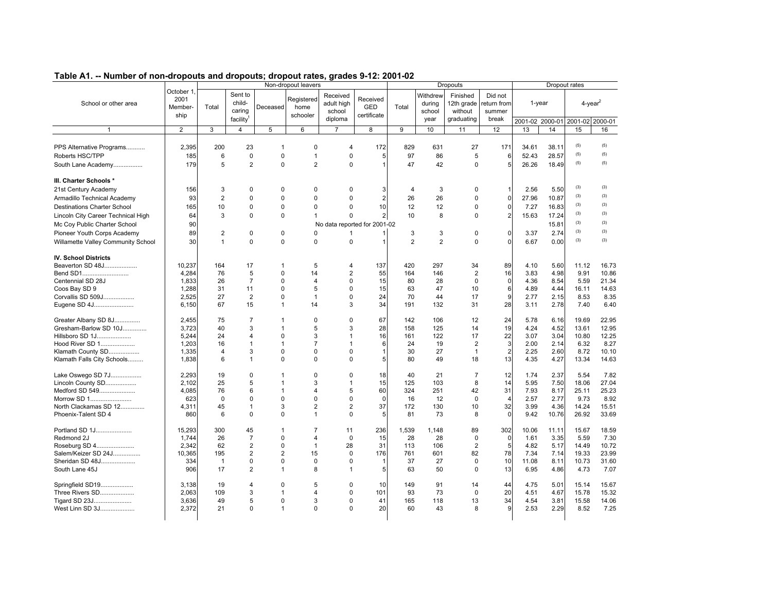|                                    |                                             |                |                                                      |                | Non-dropout leavers            | Table A1. -- Number of non-dropouts and dropouts; dropout rates, grades 9-12: 2001-02 |                                       |                |                                      | <b>Dropouts</b>                                 |                                           |           |       | Dropout rates                                     |         |
|------------------------------------|---------------------------------------------|----------------|------------------------------------------------------|----------------|--------------------------------|---------------------------------------------------------------------------------------|---------------------------------------|----------------|--------------------------------------|-------------------------------------------------|-------------------------------------------|-----------|-------|---------------------------------------------------|---------|
| School or other area               | October 1<br>2001<br><b>Member-</b><br>ship | Total          | Sent to<br>child-<br>caring<br>facility <sup>1</sup> | Deceased       | Registered<br>home<br>schooler | Received<br>adult high<br>school<br>diploma                                           | Received<br><b>GED</b><br>certificate | Total          | Withdrew<br>during<br>school<br>year | Finished<br>12th grade<br>without<br>graduating | Did not<br>return from<br>summer<br>break | $1$ -year |       | $4$ -year <sup>2</sup><br>2001-02 2000-01 2001-02 | 2000-01 |
| 1                                  | $\overline{2}$                              | 3              | $\overline{4}$                                       | 5              | 6                              | $\overline{7}$                                                                        | 8                                     | 9              | 10                                   | 11                                              | 12                                        | 13        | 14    | 15                                                | 16      |
|                                    |                                             |                |                                                      |                |                                |                                                                                       |                                       |                |                                      |                                                 |                                           |           |       |                                                   |         |
| PPS Alternative Programs           | 2,395                                       | 200            | 23                                                   | $\overline{1}$ | $\Omega$                       | 4                                                                                     | 172                                   | 829            | 631                                  | 27                                              | 171                                       | 34.61     | 38.11 | (5)                                               | (5)     |
| Roberts HSC/TPP                    | 185                                         | 6              | $\mathbf 0$                                          | $\mathbf 0$    | $\mathbf{1}$                   | 0                                                                                     | 5                                     | 97             | 86                                   | 5                                               | 6                                         | 52.43     | 28.57 | (5)                                               | (5)     |
| South Lane Academy                 | 179                                         | 5              | $\overline{2}$                                       | $\mathbf 0$    | $\overline{2}$                 | $\Omega$                                                                              | $\mathbf{1}$                          | 47             | 42                                   | 0                                               | 5                                         | 26.26     | 18.49 | (5)                                               | (5)     |
| III. Charter Schools *             |                                             |                |                                                      |                |                                |                                                                                       |                                       |                |                                      |                                                 |                                           |           |       |                                                   |         |
| 21st Century Academy               | 156                                         | 3              | 0                                                    | $\Omega$       | $\mathbf 0$                    | $\Omega$                                                                              | 3                                     | $\overline{4}$ | 3                                    | 0                                               |                                           | 2.56      | 5.50  | (3)                                               | (3)     |
| Armadillo Technical Academy        | 93                                          | $\overline{2}$ | $\mathbf 0$                                          | $\mathbf 0$    | $\mathbf 0$                    | 0                                                                                     | $\overline{a}$                        | 26             | 26                                   | 0                                               | $\Omega$                                  | 27.96     | 10.87 | (3)                                               | (3)     |
| <b>Destinations Charter School</b> | 165                                         | 10             | $\mathbf 0$                                          | $\mathbf 0$    | $\Omega$                       | $\Omega$                                                                              | 10                                    | 12             | 12                                   | 0                                               | $\mathbf 0$                               | 7.27      | 16.83 | (3)                                               | (3)     |
| Lincoln City Career Technical High | 64                                          | 3              | $\mathbf 0$                                          | $\mathbf 0$    | $\mathbf{1}$                   | $\Omega$                                                                              | $\overline{a}$                        | 10             | 8                                    | 0                                               | $\overline{2}$                            | 15.63     | 17.24 | (3)                                               | (3)     |
| Mc Coy Public Charter School       | 90                                          |                |                                                      |                |                                | No data reported for 2001-02                                                          |                                       |                |                                      |                                                 |                                           |           | 15.81 | (3)                                               | (3)     |
| Pioneer Youth Corps Academy        | 89                                          | $\overline{2}$ | 0                                                    | $\mathbf 0$    | $\mathbf 0$                    | -1                                                                                    |                                       | 3              | 3                                    | 0                                               | $\mathbf{0}$                              | 3.37      | 2.74  | (3)                                               | (3)     |
| Willamette Valley Community School | 30                                          | $\mathbf{1}$   | $\mathbf 0$                                          | $\mathbf 0$    | $\mathbf 0$                    | 0                                                                                     | $\mathbf{1}$                          | $\overline{2}$ | $\overline{2}$                       | 0                                               | 0                                         | 6.67      | 0.00  | (3)                                               | (3)     |
| <b>IV. School Districts</b>        |                                             |                |                                                      |                |                                |                                                                                       |                                       |                |                                      |                                                 |                                           |           |       |                                                   |         |
| Beaverton SD 48J                   | 10,237                                      | 164            | 17                                                   | -1             | 5                              | 4                                                                                     | 137                                   | 420            | 297                                  | 34                                              | 89                                        | 4.10      | 5.60  | 11.12                                             | 16.73   |
| Bend SD1                           | 4,284                                       | 76             | 5                                                    | $\mathbf 0$    | 14                             | $\overline{2}$                                                                        | 55                                    | 164            | 146                                  | $\overline{2}$                                  | 16                                        | 3.83      | 4.98  | 9.91                                              | 10.86   |
| Centennial SD 28J                  | 1,833                                       | 26             | $\overline{7}$                                       | $\Omega$       | $\overline{4}$                 | 0                                                                                     | 15                                    | 80             | 28                                   | 0                                               | $\mathbf 0$                               | 4.36      | 8.54  | 5.59                                              | 21.34   |
| Coos Bay SD 9                      | 1,288                                       | 31             | 11                                                   | $\Omega$       | 5                              | 0                                                                                     | 15                                    | 63             | 47                                   | 10                                              | 6                                         | 4.89      | 4.44  | 16.11                                             | 14.63   |
| Corvallis SD 509J                  | 2,525                                       | 27             | 2                                                    | $\mathbf 0$    | $\mathbf{1}$                   | 0                                                                                     | 24                                    | 70             | 44                                   | 17                                              | 9                                         | 2.77      | 2.15  | 8.53                                              | 8.35    |
| Eugene SD 4J                       | 6,150                                       | 67             | 15                                                   | $\overline{1}$ | 14                             | 3                                                                                     | 34                                    | 191            | 132                                  | 31                                              | 28                                        | 3.11      | 2.78  | 7.40                                              | 6.40    |
| Greater Albany SD 8J               | 2,455                                       | 75             | $\overline{7}$                                       | $\mathbf{1}$   | $\Omega$                       | $\Omega$                                                                              | 67                                    | 142            | 106                                  | 12                                              | 24                                        | 5.78      | 6.16  | 19.69                                             | 22.95   |
| Gresham-Barlow SD 10J              | 3,723                                       | 40             | 3                                                    | -1             | 5                              | 3                                                                                     | 28                                    | 158            | 125                                  | 14                                              | 19                                        | 4.24      | 4.52  | 13.61                                             | 12.95   |
| Hillsboro SD 1J                    | 5,244                                       | 24             | $\overline{4}$                                       | $\mathbf 0$    | 3                              | $\mathbf{1}$                                                                          | 16                                    | 161            | 122                                  | 17                                              | 22                                        | 3.07      | 3.04  | 10.80                                             | 12.25   |
| Hood River SD 1                    | 1.203                                       | 16             | $\overline{1}$<br>3                                  | $\overline{1}$ | $\overline{7}$                 | $\mathbf{1}$<br>$\Omega$                                                              | 6                                     | 24             | 19                                   | $\overline{2}$                                  | 3                                         | 2.00      | 2.14  | 6.32                                              | 8.27    |
| Klamath County SD                  | 1,335                                       | $\overline{4}$ | $\overline{1}$                                       | $\mathbf 0$    | $\mathbf 0$                    |                                                                                       | $\mathbf{1}$                          | 30             | 27                                   | $\mathbf{1}$                                    | $\overline{2}$                            | 2.25      | 2.60  | 8.72                                              | 10.10   |
| Klamath Falls City Schools         | 1,838                                       | 6              |                                                      | $\Omega$       | $\Omega$                       | $\Omega$                                                                              | 5                                     | 80             | 49                                   | 18                                              | 13                                        | 4.35      | 4.27  | 13.34                                             | 14.63   |
| Lake Oswego SD 7J                  | 2,293                                       | 19             | $\mathbf 0$                                          | $\mathbf{1}$   | $\mathbf 0$                    | $\Omega$                                                                              | 18                                    | 40             | 21                                   | $\overline{7}$                                  | 12                                        | 1.74      | 2.37  | 5.54                                              | 7.82    |
| Lincoln County SD                  | 2.102                                       | 25             | 5                                                    | $\overline{1}$ | 3                              | $\mathbf 1$                                                                           | 15                                    | 125            | 103                                  | 8                                               | 14                                        | 5.95      | 7.50  | 18.06                                             | 27.04   |
| Medford SD 549                     | 4,085                                       | 76             | 6                                                    | -1             | $\overline{4}$                 | 5                                                                                     | 60                                    | 324            | 251                                  | 42                                              | 31                                        | 7.93      | 8.17  | 25.11                                             | 25.23   |
| Morrow SD 1                        | 623                                         | $\mathbf 0$    | $\mathbf 0$                                          | $\mathbf 0$    | $\mathbf 0$                    | 0                                                                                     | $\mathbf 0$                           | 16             | 12                                   | $\mathbf 0$                                     | $\boldsymbol{\Delta}$                     | 2.57      | 2.77  | 9.73                                              | 8.92    |
| North Clackamas SD 12              | 4,311                                       | 45             | $\mathbf{1}$                                         | 3              | $\overline{2}$                 | $\overline{2}$                                                                        | 37                                    | 172            | 130                                  | 10                                              | 32                                        | 3.99      | 4.36  | 14.24                                             | 15.51   |
| Phoenix-Talent SD 4                | 860                                         | 6              | $\mathbf 0$                                          | $\mathbf 0$    | $\mathbf{1}$                   | $\mathbf 0$                                                                           | 5                                     | 81             | 73                                   | 8                                               | $\Omega$                                  | 9.42      | 10.76 | 26.92                                             | 33.69   |
| Portland SD 1J                     | 15,293                                      | 300            | 45                                                   | -1             | $\overline{7}$                 | 11                                                                                    | 236                                   | 1,539          | 1,148                                | 89                                              | 302                                       | 10.06     | 11.11 | 15.67                                             | 18.59   |
| Redmond 2J                         | 1,744                                       | 26             | $\overline{7}$                                       | $\mathbf 0$    | $\overline{4}$                 | 0                                                                                     | 15                                    | 28             | 28                                   | 0                                               | $\mathbf 0$                               | 1.61      | 3.35  | 5.59                                              | 7.30    |
| Roseburg SD 4                      | 2.342                                       | 62             | 2                                                    | $\Omega$       | $\mathbf{1}$                   | 28                                                                                    | 31                                    | 113            | 106                                  | $\overline{2}$                                  | 5                                         | 4.82      | 5.17  | 14.49                                             | 10.72   |
| Salem/Keizer SD 24J                | 10,365                                      | 195            | $\overline{2}$                                       | $\overline{2}$ | 15                             | $\mathbf 0$                                                                           | 176                                   | 761            | 601                                  | 82                                              | 78                                        | 7.34      | 7.14  | 19.33                                             | 23.99   |
| Sheridan SD 48J                    | 334                                         | $\overline{1}$ | $\pmb{0}$                                            | $\mathbf 0$    | $\mathbf 0$                    | $\Omega$                                                                              | 1                                     | 37             | 27                                   | $\pmb{0}$                                       | 10                                        | 11.08     | 8.11  | 10.73                                             | 31.60   |
| South Lane 45J                     | 906                                         | 17             | $\overline{2}$                                       | $\overline{1}$ | 8                              | $\mathbf 1$                                                                           | 5                                     | 63             | 50                                   | $\Omega$                                        | 13                                        | 6.95      | 4.86  | 4.73                                              | 7.07    |
| Springfield SD19                   | 3,138                                       | 19             | $\overline{4}$                                       | $\Omega$       | 5                              | $\Omega$                                                                              | 10                                    | 149            | 91                                   | 14                                              | 44                                        | 4.75      | 5.01  | 15.14                                             | 15.67   |
| Three Rivers SD                    | 2,063                                       | 109            | 3                                                    | $\mathbf{1}$   | 4                              | 0                                                                                     | 101                                   | 93             | 73                                   | $\mathbf 0$                                     | 20                                        | 4.51      | 4.67  | 15.78                                             | 15.32   |
| Tigard SD 23J                      | 3,636                                       | 49             | 5                                                    | $\Omega$       | 3                              | 0                                                                                     | 41                                    | 165            | 118                                  | 13                                              | 34                                        | 4.54      | 3.81  | 15.58                                             | 14.06   |
| West Linn SD 3J                    | 2,372                                       | 21             | $\Omega$                                             | -1             | $\Omega$                       | $\Omega$                                                                              | 20                                    | 60             | 43                                   | 8                                               | 9                                         | 2.53      | 2.29  | 8.52                                              | 7.25    |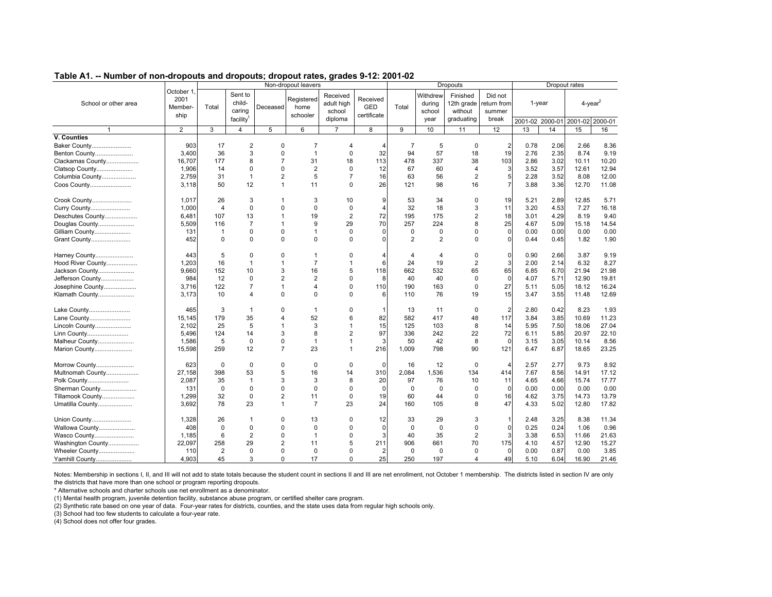|                      |                                      |                |                                                      |                | Non-dropout leavers            |                                             |                                       |                |                                      | Dropouts                                        |                                          |        |      | Dropout rates                   |       |
|----------------------|--------------------------------------|----------------|------------------------------------------------------|----------------|--------------------------------|---------------------------------------------|---------------------------------------|----------------|--------------------------------------|-------------------------------------------------|------------------------------------------|--------|------|---------------------------------|-------|
| School or other area | October 1<br>2001<br>Member-<br>ship | Total          | Sent to<br>child-<br>caring<br>facility <sup>1</sup> | Deceased       | Registered<br>home<br>schooler | Received<br>adult high<br>school<br>diploma | Received<br><b>GED</b><br>certificate | Total          | Withdrew<br>during<br>school<br>year | Finished<br>12th grade<br>without<br>graduating | Did not<br>eturn from<br>summer<br>break | 1-year |      | $4$ -vear <sup>2</sup>          |       |
|                      |                                      |                |                                                      |                |                                |                                             |                                       |                |                                      |                                                 |                                          |        |      | 2001-02 2000-01 2001-02 2000-01 |       |
| $\mathbf{1}$         | $\overline{2}$                       | 3              | $\overline{4}$                                       | 5              | 6                              | $\overline{7}$                              | 8                                     | 9              | 10                                   | 11                                              | 12                                       | 13     | 14   | 15                              | 16    |
| V. Counties          |                                      |                |                                                      |                |                                |                                             |                                       |                |                                      |                                                 |                                          |        |      |                                 |       |
| Baker County         | 903                                  | 17             | $\overline{2}$                                       | $\Omega$       | 7                              | 4                                           | 4                                     | $\overline{7}$ | 5                                    | 0                                               | $\overline{2}$                           | 0.78   | 2.06 | 2.66                            | 8.36  |
| Benton County        | 3,400                                | 36             | 3                                                    | $\Omega$       | $\overline{1}$                 | 0                                           | 32                                    | 94             | 57                                   | 18                                              | 19                                       | 2.76   | 2.35 | 8.74                            | 9.19  |
| Clackamas County     | 16,707                               | 177            | 8                                                    | $\overline{7}$ | 31                             | 18                                          | 113                                   | 478            | 337                                  | 38                                              | 103                                      | 2.86   | 3.02 | 10.11                           | 10.20 |
| Clatsop County       | 1,906                                | 14             | $\mathbf 0$                                          | $\Omega$       | $\overline{2}$                 | 0                                           | 12                                    | 67             | 60                                   | $\overline{4}$                                  | 3                                        | 3.52   | 3.57 | 12.61                           | 12.94 |
| Columbia County      | 2.759                                | 31             | $\mathbf{1}$                                         | $\overline{2}$ | 5                              | $\overline{7}$                              | 16                                    | 63             | 56                                   | $\overline{2}$                                  | 5                                        | 2.28   | 3.52 | 8.08                            | 12.00 |
| Coos County          | 3,118                                | 50             | 12                                                   | 1              | 11                             | $\Omega$                                    | 26                                    | 121            | 98                                   | 16                                              | $\overline{7}$                           | 3.88   | 3.36 | 12.70                           | 11.08 |
| Crook County         | 1.017                                | 26             | 3                                                    |                | 3                              | 10                                          | 9                                     | 53             | 34                                   | O                                               | 19                                       | 5.21   | 2.89 | 12.85                           | 5.71  |
| Curry County         | 1,000                                | $\overline{4}$ | $\Omega$                                             | $\Omega$       | $\Omega$                       | $\Omega$                                    | $\overline{4}$                        | 32             | 18                                   | 3                                               | 11                                       | 3.20   | 4.53 | 7.27                            | 16.18 |
| Deschutes County     | 6.481                                | 107            | 13                                                   | 1              | 19                             | $\overline{2}$                              | 72                                    | 195            | 175                                  | $\overline{2}$                                  | 18                                       | 3.01   | 4.29 | 8.19                            | 9.40  |
| Douglas County       | 5,509                                | 116            | $\overline{7}$                                       | 1              | 9                              | 29                                          | 70                                    | 257            | 224                                  | 8                                               | 25                                       | 4.67   | 5.09 | 15.18                           | 14.54 |
| Gilliam County       | 131                                  | $\mathbf{1}$   | $\mathbf 0$                                          | $\Omega$       | $\overline{1}$                 | $\Omega$                                    | $\Omega$                              | 0              | $\mathbf 0$                          | $\Omega$                                        | $\mathbf 0$                              | 0.00   | 0.00 | 0.00                            | 0.00  |
| Grant County         | 452                                  | 0              | $\Omega$                                             | $\Omega$       | $\mathbf 0$                    | $\Omega$                                    | $\Omega$                              | 2              | 2                                    | $\Omega$                                        | $\mathbf 0$                              | 0.44   | 0.45 | 1.82                            | 1.90  |
| Harney County        | 443                                  | 5              | $\Omega$                                             | $\Omega$       | $\overline{1}$                 | O                                           | 4                                     |                | $\overline{4}$                       | O                                               | $\mathbf 0$                              | 0.90   | 2.66 | 3.87                            | 9.19  |
| Hood River County    | 1.203                                | 16             | $\mathbf{1}$                                         | 1              | $\overline{7}$                 | 1                                           | 6                                     | 24             | 19                                   | $\overline{2}$                                  | 3                                        | 2.00   | 2.14 | 6.32                            | 8.27  |
| Jackson County       | 9,660                                | 152            | 10                                                   | 3              | 16                             | 5                                           | 118                                   | 662            | 532                                  | 65                                              | 65                                       | 6.85   | 6.70 | 21.94                           | 21.98 |
| Jefferson County     | 984                                  | 12             | $\mathbf 0$                                          | $\overline{2}$ | $\overline{2}$                 | $\Omega$                                    | 8                                     | 40             | 40                                   | $\Omega$                                        | $\mathbf 0$                              | 4.07   | 5.71 | 12.90                           | 19.81 |
| Josephine County     | 3,716                                | 122            | $\overline{7}$                                       | 1              | $\overline{4}$                 | $\Omega$                                    | 110                                   | 190            | 163                                  | $\Omega$                                        | 27                                       | 5.11   | 5.05 | 18.12                           | 16.24 |
| Klamath County       | 3,173                                | 10             | $\overline{4}$                                       | $\Omega$       | $\mathbf 0$                    | $\Omega$                                    | 6                                     | 110            | 76                                   | 19                                              | 15                                       | 3.47   | 3.55 | 11.48                           | 12.69 |
| Lake County          | 465                                  | 3              | $\mathbf{1}$                                         | $\Omega$       | $\mathbf{1}$                   | $\Omega$                                    | 1                                     | 13             | 11                                   | 0                                               | $\overline{2}$                           | 2.80   | 0.42 | 8.23                            | 1.93  |
| Lane County          | 15,145                               | 179            | 35                                                   | 4              | 52                             | 6                                           | 82                                    | 582            | 417                                  | 48                                              | 117                                      | 3.84   | 3.85 | 10.69                           | 11.23 |
| Lincoln County       | 2.102                                | 25             | 5                                                    |                | 3                              |                                             | 15                                    | 125            | 103                                  | 8                                               | 14                                       | 5.95   | 7.50 | 18.06                           | 27.04 |
| Linn County          | 5.496                                | 124            | 14                                                   | 3              | 8                              | $\overline{2}$                              | 97                                    | 336            | 242                                  | 22                                              | 72                                       | 6.11   | 5.85 | 20.97                           | 22.10 |
| Malheur County       | 1,586                                | 5              | $\mathbf 0$                                          | 0              | $\mathbf{1}$                   |                                             | 3                                     | 50             | 42                                   | 8                                               | $\mathbf 0$                              | 3.15   | 3.05 | 10.14                           | 8.56  |
| Marion County        | 15,598                               | 259            | 12                                                   | $\overline{7}$ | 23                             | 1                                           | 216                                   | 1,009          | 798                                  | 90                                              | 121                                      | 6.47   | 6.87 | 18.65                           | 23.25 |
| Morrow County        | 623                                  | $\mathbf 0$    | 0                                                    | 0              | $\mathbf 0$                    | 0                                           | $\mathbf 0$                           | 16             | 12                                   | $\Omega$                                        | $\overline{4}$                           | 2.57   | 2.77 | 9.73                            | 8.92  |
| Multnomah County     | 27,158                               | 398            | 53                                                   | 5              | 16                             | 14                                          | 310                                   | 2,084          | 1,536                                | 134                                             | 414                                      | 7.67   | 8.56 | 14.91                           | 17.12 |
| Polk County          | 2,087                                | 35             | $\mathbf{1}$                                         | 3              | 3                              | 8                                           | 20                                    | 97             | 76                                   | 10                                              | 11                                       | 4.65   | 4.66 | 15.74                           | 17.77 |
| Sherman County       | 131                                  | $\mathbf 0$    | $\mathbf 0$                                          | $\Omega$       | $\Omega$                       | $\Omega$                                    | $\mathbf 0$                           | $\mathbf 0$    | $\mathbf 0$                          | $\mathbf 0$                                     | $\mathbf 0$                              | 0.00   | 0.00 | 0.00                            | 0.00  |
| Tillamook County     | 1.299                                | 32             | $\mathbf 0$                                          | $\overline{2}$ | 11                             | $\Omega$                                    | 19                                    | 60             | 44                                   | $\Omega$                                        | 16                                       | 4.62   | 3.75 | 14.73                           | 13.79 |
| Umatilla County      | 3.692                                | 78             | 23                                                   | 1              | $\overline{7}$                 | 23                                          | 24                                    | 160            | 105                                  | 8                                               | 47                                       | 4.33   | 5.02 | 12.80                           | 17.82 |
| Union County         | 1.328                                | 26             | $\mathbf{1}$                                         | $\Omega$       | 13                             | 0                                           | 12                                    | 33             | 29                                   | 3                                               | $\mathbf{1}$                             | 2.48   | 3.25 | 8.38                            | 11.34 |
| Wallowa County       | 408                                  | 0              | $\mathbf 0$                                          | $\Omega$       | $\Omega$                       | O                                           | $\Omega$                              | 0              | 0                                    | $\Omega$                                        | $\mathbf 0$                              | 0.25   | 0.24 | 1.06                            | 0.96  |
| Wasco County         | 1,185                                | 6              | $\overline{2}$                                       | $\Omega$       | $\overline{1}$                 | O                                           | 3                                     | 40             | 35                                   | $\overline{2}$                                  | 3                                        | 3.38   | 6.53 | 11.66                           | 21.63 |
| Washington County    | 22,097                               | 258            | 29                                                   | $\overline{2}$ | 11                             | 5                                           | 211                                   | 906            | 661                                  | 70                                              | 175                                      | 4.10   | 4.57 | 12.90                           | 15.27 |
| Wheeler County       | 110                                  | $\overline{2}$ | $\Omega$                                             | $\Omega$       | $\mathbf 0$                    | $\Omega$                                    | $\overline{2}$                        | 0              | 0                                    | $\Omega$                                        | $\mathbf 0$                              | 0.00   | 0.87 | 0.00                            | 3.85  |
| Yamhill County       | 4.903                                | 45             | 3                                                    | $\Omega$       | 17                             | $\Omega$                                    | 25                                    | 250            | 197                                  | $\overline{4}$                                  | 49                                       | 5.10   | 6.04 | 16.90                           | 21.46 |

Notes: Membership in sections I, II, and III will not add to state totals because the student count in sections II and III are net enrollment, not October 1 membership. The districts listed in section IV are only the districts that have more than one school or program reporting dropouts.

\* Alternative schools and charter schools use net enrollment as a denominator.

(1) Mental health program, juvenile detention facility, substance abuse program, or certified shelter care program.

(2) Synthetic rate based on one year of data. Four-year rates for districts, counties, and the state uses data from regular high schools only.

(3) School had too few students to calculate a four-year rate.

(4) School does not offer four grades.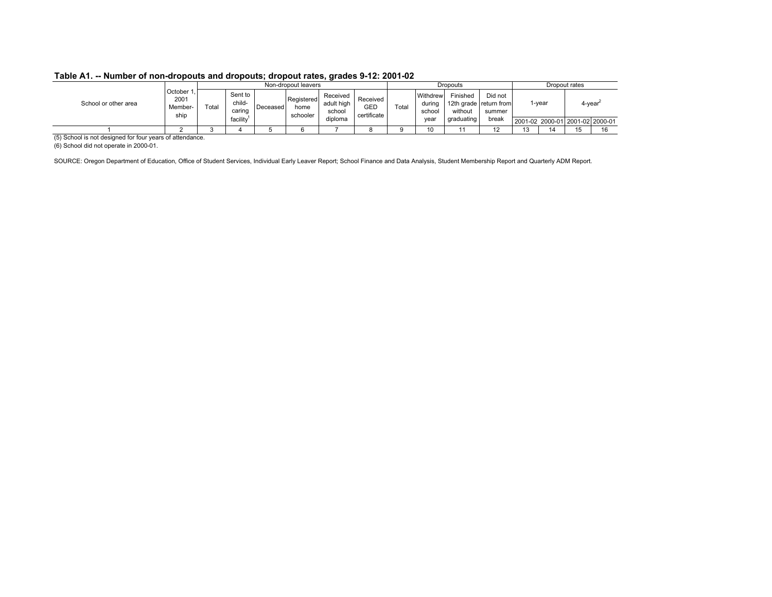|                      |                                   |       |                             |          | Non-dropout leavers            |                                  |                                |       |                              | Dropouts            |                                             |       | Dropout rates |                                 |
|----------------------|-----------------------------------|-------|-----------------------------|----------|--------------------------------|----------------------------------|--------------------------------|-------|------------------------------|---------------------|---------------------------------------------|-------|---------------|---------------------------------|
| School or other area | October<br>2001<br>Member<br>ship | ™otal | Sent to<br>child-<br>caring | Deceased | Registered<br>home<br>schooler | Received<br>adult high<br>school | Received<br>GED<br>certificate | Total | Withdrew<br>during<br>school | Finished<br>without | Did not<br>12th grade return from<br>summer | -year |               | 4-year <sup>-</sup>             |
|                      |                                   |       | facility                    |          |                                | diploma                          |                                |       | year                         | graduating          | break                                       |       |               | 2001-02 2000-01 2001-02 2000-01 |
|                      |                                   |       |                             |          |                                |                                  |                                |       | 10                           |                     | $\overline{a}$                              | 14    | ◡             |                                 |

(5) School is not designed for four years of attendance.

(6) School did not operate in 2000-01.

SOURCE: Oregon Department of Education, Office of Student Services, Individual Early Leaver Report; School Finance and Data Analysis, Student Membership Report and Quarterly ADM Report.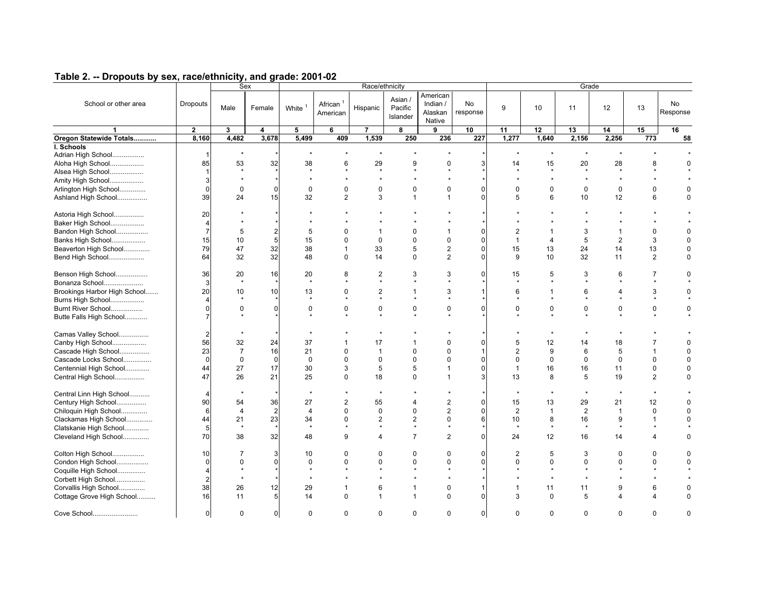| Table 2. -- Dropouts by sex, race/ethnicity, and grade: 2001-02 |
|-----------------------------------------------------------------|
|-----------------------------------------------------------------|

|                                                   |                                  |                          | Sex                 |                        |                                  | Race/ethnicity       |                                |                                           |                         |                            |                 | Grade            |                      |                |                      |
|---------------------------------------------------|----------------------------------|--------------------------|---------------------|------------------------|----------------------------------|----------------------|--------------------------------|-------------------------------------------|-------------------------|----------------------------|-----------------|------------------|----------------------|----------------|----------------------|
| School or other area                              | Dropouts                         | Male                     | Female              | White <sup>1</sup>     | African <sup>1</sup><br>American | Hispanic             | Asian /<br>Pacific<br>Islander | American<br>Indian /<br>Alaskan<br>Native | No<br>response          | 9                          | 10              | 11               | 12                   | 13             | No<br>Response       |
| $\mathbf{1}$                                      | $\mathbf{2}$                     | 3                        | 4                   | 5                      | 6                                | $\overline{7}$       | 8                              | 9                                         | 10                      | 11                         | 12              | 13               | 14                   | 15             | 16                   |
| Oregon Statewide Totals                           | 8,160                            | 4,482                    | 3,678               | 5,499                  | 409                              | 1,539                | 250                            | 236                                       | 227                     | 1,277                      | 1,640           | 2,156            | 2,256                | 773            | 58                   |
| I. Schools<br>Adrian High School                  | $\mathbf{1}$                     | $\star$                  |                     |                        |                                  | $\star$              |                                |                                           |                         | $\star$                    | $\star$         | $\star$          |                      |                |                      |
| Aloha High School<br>Alsea High School            | 85<br>$\mathbf{1}$               | 53<br>$\star$            | 32                  | 38                     | 6                                | 29<br>$\star$        | 9<br>$\bullet$                 | $\mathbf 0$                               | 3                       | 14<br>$\ddot{}$            | 15<br>$\bullet$ | 20<br>$\star$    | 28<br>$\mathbf{r}$   | 8              | 0                    |
| Amity High School<br>Arlington High School        | 3<br>$\mathbf{0}$                | $\mathbf 0$              | $\mathbf 0$         | $\Omega$               | $\Omega$                         | $\mathbf 0$          | $\mathbf 0$                    | $\mathbf 0$                               | $\Omega$                | $\Omega$                   | $\Omega$        | $\mathbf 0$      | $\mathbf 0$          | 0              | 0                    |
| Ashland High School                               | 39                               | 24                       | 15                  | 32                     | $\overline{2}$                   | 3                    | $\mathbf{1}$                   | $\mathbf{1}$                              | $\Omega$                | 5                          | 6               | 10               | 12                   | 6              | $\Omega$             |
| Astoria High School                               | 20<br>$\overline{4}$             |                          |                     |                        |                                  |                      |                                |                                           |                         |                            |                 |                  |                      |                |                      |
| Baker High School                                 |                                  |                          |                     |                        |                                  |                      |                                |                                           |                         |                            |                 |                  |                      |                |                      |
| Bandon High School<br>Banks High School           | $\overline{7}$<br>15             | 5<br>10                  | $\overline{2}$<br>5 | 5<br>15                | 0<br>$\Omega$                    | -1<br>$\mathbf 0$    | $\mathbf 0$<br>0               | $\overline{1}$<br>$\mathbf 0$             | $\Omega$<br>$\mathbf 0$ | $\mathbf{1}$               | 4               | 3<br>5           | 1<br>$\overline{2}$  | 0<br>3         | $\Omega$             |
| Beaverton High School                             | 79                               | 47                       | 32                  | 38                     | $\mathbf{1}$                     | 33                   | 5                              | $\overline{2}$                            | $\Omega$                | 15                         | 13              | 24               | 14                   | 13             | 0                    |
| Bend High School                                  | 64                               | 32                       | 32                  | 48                     | $\mathbf 0$                      | 14                   | $\mathbf 0$                    | 2                                         | $\Omega$                | 9                          | 10              | 32               | 11                   | $\overline{2}$ | $\Omega$             |
| Benson High School                                | 36                               | 20                       | 16                  | 20                     | 8                                | 2<br>$\star$         | 3                              | 3                                         | $\mathbf 0$             | 15                         | 5               | 3                | 6                    | 7              | 0                    |
| Bonanza School                                    | 3<br>20                          | 10                       | 10                  | 13                     | $\Omega$                         | $\overline{2}$       | $\overline{1}$                 | 3                                         | 1                       | 6                          | 1               | 6                | 4                    | 3              | 0                    |
| Brookings Harbor High School<br>Burns High School | 4                                |                          |                     |                        |                                  |                      |                                |                                           |                         |                            |                 |                  |                      |                |                      |
| Burnt River School                                | $\Omega$                         | $\Omega$                 | $\Omega$            | $\Omega$               | $\Omega$                         | $\mathbf 0$          | $\mathbf 0$                    | $\Omega$                                  | $\Omega$                | $\Omega$                   | $\Omega$        | 0                | $\Omega$             | 0              | 0                    |
| Butte Falls High School                           |                                  |                          |                     |                        |                                  | $\bullet$            |                                |                                           |                         |                            | $\bullet$       |                  |                      |                |                      |
| Camas Valley School                               | $\overline{2}$                   |                          |                     |                        |                                  |                      |                                |                                           |                         |                            |                 |                  |                      |                |                      |
| Canby High School                                 | 56                               | 32                       | 24                  | 37                     | 1                                | 17                   | $\mathbf{1}$                   | $\mathbf 0$                               | $\Omega$                | 5                          | 12              | 14               | 18                   | $\overline{7}$ | 0                    |
| Cascade High School                               | 23<br>$\Omega$                   | $\overline{7}$           | 16                  | 21                     | $\Omega$                         | $\overline{1}$       | $\mathbf 0$                    | $\mathbf 0$                               | 1<br>$\Omega$           | $\overline{2}$             | 9               | 6                | 5                    | $\mathbf{1}$   |                      |
| Cascade Locks School                              |                                  | $\Omega$                 | $\Omega$            | $\Omega$               | $\Omega$                         | $\Omega$             | $\Omega$                       | $\Omega$                                  |                         | $\Omega$                   | $\Omega$        | $\Omega$         | $\Omega$             | $\Omega$       | $\Omega$<br>$\Omega$ |
| Centennial High School                            | 44                               | 27                       | 17                  | 30                     | 3                                | 5                    | 5                              | $\mathbf{1}$                              | $\Omega$                | $\mathbf{1}$               | 16              | 16               | 11                   | 0              |                      |
| Central High School                               | 47                               | 26                       | 21                  | 25                     | $\mathbf 0$                      | 18                   | $\mathbf 0$                    | $\mathbf{1}$                              | 3                       | 13                         | 8               | 5                | 19                   | 2              | 0                    |
| Central Linn High School                          | $\overline{4}$                   |                          |                     |                        |                                  |                      |                                |                                           |                         |                            |                 |                  |                      |                |                      |
| Century High School                               | 90                               | 54                       | 36                  | 27                     | $\overline{2}$                   | 55                   | $\overline{4}$                 | $\overline{2}$                            | $\Omega$                | 15                         | 13              | 29               | 21                   | 12             | 0                    |
| Chiloquin High School                             | 6                                | $\overline{4}$           | $\overline{c}$      | $\overline{4}$         | $\mathbf 0$                      | $\mathbf 0$          | $\mathbf 0$                    | $\overline{2}$                            | $\Omega$                | $\overline{2}$             | $\mathbf 1$     | $\overline{2}$   | $\mathbf{1}$         | 0              | $\Omega$             |
| Clackamas High School                             | 44                               | 21                       | 23                  | 34                     | $\Omega$                         | $\overline{2}$       | $\overline{2}$                 | $\mathbf 0$                               | 6                       | 10                         | 8               | 16               | 9                    | $\mathbf{1}$   | $\Omega$             |
| Clatskanie High School                            | 5                                | $\star$                  |                     | $\star$                | ٠                                | $\star$              | $\star$                        | $\star$                                   |                         | $\star$                    | $\star$         | $\star$          | $\star$              |                |                      |
| Cleveland High School                             | 70                               | 38                       | 32                  | 48                     | 9                                | 4                    | $\overline{7}$                 | 2                                         | $\Omega$                | 24                         | 12              | 16               | 14                   | 4              | 0                    |
| Colton High School                                | 10<br>$\Omega$                   | 7                        | 3<br>$\overline{0}$ | 10                     | $\Omega$<br>$\Omega$             | $\Omega$<br>$\Omega$ | $\mathbf 0$                    | $\mathbf 0$<br>$\mathbf 0$                | $\Omega$<br>$\Omega$    | $\overline{2}$<br>$\Omega$ | 5<br>0          | 3<br>$\mathbf 0$ | $\Omega$<br>$\Omega$ | 0<br>$\Omega$  | 0<br>$\Omega$        |
| Condon High School                                |                                  | $\mathbf 0$<br>$\bullet$ |                     | $\mathbf 0$<br>$\star$ |                                  | $\bullet$            | $\mathbf 0$<br>$\bullet$       | $\star$                                   |                         |                            | $\star$         | $\star$          |                      | $\bullet$      |                      |
| Coquille High School                              | $\overline{4}$<br>$\overline{2}$ | $\star$                  |                     |                        |                                  |                      |                                |                                           |                         |                            | $\star$         | $\star$          |                      |                |                      |
| Corbett High School<br>Corvallis High School      | 38                               | 26                       | 12                  | 29                     | $\mathbf{1}$                     | 6                    | $\mathbf{1}$                   | $\mathbf 0$                               | 1                       | $\mathbf{1}$               | 11              | 11               | 9                    | 6              | 0                    |
| Cottage Grove High School                         | 16                               | 11                       | 5 <sup>1</sup>      | 14                     | $\Omega$                         | $\overline{1}$       | $\mathbf{1}$                   | $\mathbf{0}$                              | $\Omega$                | 3                          | $\Omega$        | 5                | 4                    | 4              | $\Omega$             |
|                                                   |                                  |                          |                     |                        |                                  |                      |                                |                                           |                         |                            |                 |                  |                      |                |                      |
| Cove School                                       | $\mathbf{0}$                     | $\Omega$                 | $\overline{0}$      | $\Omega$               | $\Omega$                         | $\Omega$             | $\Omega$                       | $\Omega$                                  | $\mathbf{0}$            | $\Omega$                   | $\Omega$        | $\Omega$         | $\Omega$             | $\Omega$       | $\Omega$             |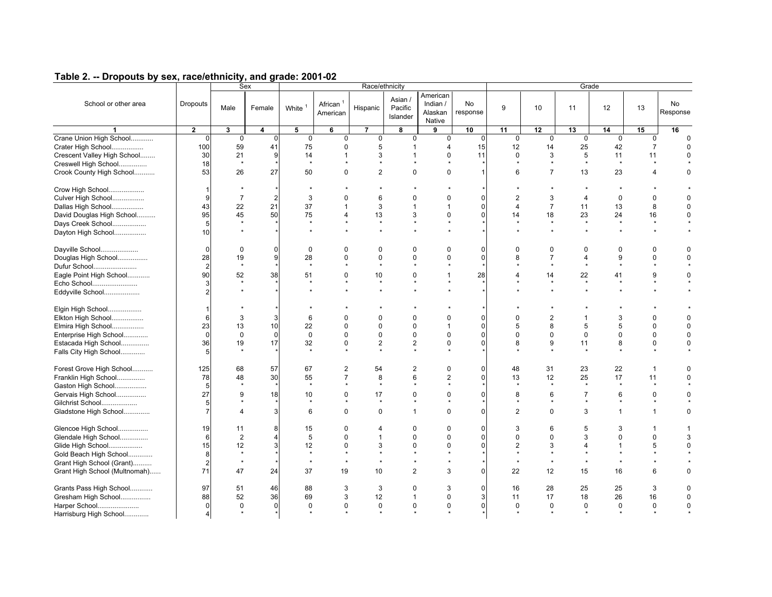|                               |                |                | Sex            |             |                                  | Race/ethnicity |                                |                                           |                |                |                | Grade          |              |                |                       |
|-------------------------------|----------------|----------------|----------------|-------------|----------------------------------|----------------|--------------------------------|-------------------------------------------|----------------|----------------|----------------|----------------|--------------|----------------|-----------------------|
| School or other area          | Dropouts       | Male           | Female         | White $1$   | African <sup>1</sup><br>American | Hispanic       | Asian /<br>Pacific<br>Islander | American<br>Indian /<br>Alaskan<br>Native | No<br>response | 9              | 10             | 11             | 12           | 13             | <b>No</b><br>Response |
|                               | $\overline{2}$ | 3              | 4              | 5           | 6                                | $\overline{7}$ | 8                              | 9                                         | 10             | 11             | 12             | 13             | 14           | 15             | 16                    |
| Crane Union High School       | $\mathbf 0$    | $\mathbf 0$    | $\mathbf 0$    | $\mathbf 0$ | $\mathbf 0$                      | $\mathbf 0$    | $\mathbf 0$                    | $\mathbf 0$                               | $\mathbf 0$    | $\mathbf 0$    | $\mathbf 0$    | $\mathbf 0$    | $\mathbf 0$  | $\mathbf 0$    | $\Omega$              |
| Crater High School            | 100            | 59             | 41             | 75          | $\mathbf 0$                      | 5              | $\mathbf{1}$                   | $\overline{4}$                            | 15             | 12             | 14             | 25             | 42           | $\overline{7}$ |                       |
| Crescent Valley High School   | 30             | 21             | 9              | 14          | $\mathbf{1}$                     | 3              | $\overline{1}$                 | $\Omega$                                  | 11             | $\mathbf 0$    | 3              | 5              | 11           | 11             | $\Omega$              |
| Creswell High School          | 18             | $\star$        |                | $\star$     | $\star$                          | $\star$        |                                | $\star$                                   |                | $\star$        | $\star$        | $\star$        | $\star$      | $\star$        |                       |
| Crook County High School      | 53             | 26             | 27             | 50          | $\Omega$                         | $\overline{2}$ | $\Omega$                       | $\Omega$                                  |                | 6              | $\overline{7}$ | 13             | 23           | $\overline{4}$ | $\Omega$              |
|                               | $\overline{1}$ |                |                |             |                                  |                |                                |                                           |                |                |                |                | $\star$      |                |                       |
| Crow High School              |                |                |                |             |                                  |                |                                |                                           |                |                |                |                |              |                |                       |
| Culver High School            | 9              | $\overline{7}$ | $\overline{c}$ | 3           | $\Omega$                         | 6              | $\Omega$                       | $\Omega$                                  | $\Omega$       | $\overline{2}$ | 3              | $\overline{4}$ | $\mathbf 0$  | $\mathbf 0$    | $\Omega$              |
| Dallas High School            | 43             | 22             | 21             | 37          | $\mathbf{1}$                     | 3              | $\overline{1}$                 | $\overline{1}$                            | $\Omega$       | $\Delta$       | $\overline{7}$ | 11             | 13           | 8              | $\Omega$              |
| David Douglas High School     | 95             | 45             | 50             | 75          | 4                                | 13             | 3                              | $\Omega$                                  | $\Omega$       | 14             | 18             | 23             | 24           | 16             | $\Omega$              |
| Days Creek School             | 5              | $\star$        |                | $\star$     |                                  |                |                                |                                           |                | $\star$        | $\star$        | $\star$        | $\star$      | $\star$        |                       |
| Dayton High School            | 10             | $\star$        |                | $\star$     |                                  | $\star$        |                                | $\star$                                   |                |                | $\star$        | $\star$        | $\star$      | $\star$        |                       |
| Dayville School               | $\mathbf 0$    | $\mathbf 0$    | 0              | $\mathbf 0$ | $\mathbf 0$                      | 0              | 0                              | 0                                         | $\Omega$       | $\Omega$       | 0              | 0              | $\mathbf 0$  | $\mathbf 0$    | $\Omega$              |
| Douglas High School           | 28             | 19             | 9              | 28          | $\Omega$                         | 0              | $\Omega$                       | 0                                         | $\mathbf 0$    | 8              | $\overline{7}$ | $\overline{4}$ | 9            | $\pmb{0}$      | $\Omega$              |
| Dufur School                  | $\overline{2}$ | $\star$        |                | $\star$     | $\star$                          | $\star$        |                                | $\star$                                   |                |                | $\star$        | $\star$        | $\star$      | $\star$        |                       |
| Eagle Point High School       | 90             | 52             | 38             | 51          | $\Omega$                         | 10             | 0                              | $\mathbf{1}$                              | 28             | $\overline{4}$ | 14             | 22             | 41           | 9              | $\Omega$              |
| Echo School                   | З              | $\star$        |                | $\star$     | $\star$                          | $\star$        | $\star$                        | $\star$                                   |                |                | $\star$        | $\star$        | $\star$      | $\star$        |                       |
| Eddyville School              | 2              | $\star$        |                |             |                                  |                |                                |                                           |                |                |                | $\star$        |              |                |                       |
|                               |                |                |                |             |                                  |                |                                |                                           |                |                |                |                |              |                |                       |
| Elgin High School             |                |                |                |             |                                  |                |                                |                                           |                |                |                |                |              |                |                       |
| Elkton High School            | 6              | 3              | 3              | 6           | $\Omega$                         | $\Omega$       | $\Omega$                       | $\Omega$                                  | $\Omega$       | $\Omega$       | $\overline{2}$ | $\mathbf{1}$   | 3            | $\Omega$       |                       |
| Elmira High School            | 23             | 13             | 10             | 22          | $\Omega$                         | $\Omega$       | $\Omega$                       | $\overline{1}$                            | $\Omega$       | 5              | 8              | 5              | 5            | $\Omega$       | $\Omega$              |
| Enterprise High School        | $\Omega$       | $\mathbf 0$    | $\Omega$       | $\mathbf 0$ | $\Omega$                         | $\Omega$       | $\Omega$                       | $\Omega$                                  | $\Omega$       | $\Omega$       | $\mathbf 0$    | $\Omega$       | $\Omega$     | $\mathbf{0}$   |                       |
| Estacada High School          | 36             | 19             | 17             | 32          | $\mathbf 0$                      | $\overline{2}$ | $\overline{2}$                 | 0                                         | $\Omega$       | 8              | 9              | 11             | 8            | $\mathbf 0$    | $\Omega$              |
| Falls City High School        | Ā              |                |                |             | $\star$                          |                |                                | $\star$                                   |                |                |                |                |              | $\star$        |                       |
|                               |                |                |                |             |                                  |                |                                |                                           |                |                |                |                |              |                |                       |
| Forest Grove High School      | 125            | 68             | 57             | 67          | 2                                | 54             | $\overline{2}$                 | $\Omega$                                  | $\Omega$       | 48             | 31             | 23             | 22           | $\mathbf{1}$   |                       |
| Franklin High School          | 78             | 48             | 30             | 55          | $\overline{7}$                   | 8              | 6                              | $\overline{c}$                            | $\Omega$       | 13             | 12             | 25             | 17           | 11             | $\Omega$              |
| Gaston High School            | 5              | $\star$        |                | $\star$     | $\star$                          | $\star$        | $\star$                        | $\star$                                   |                | $\star$        | $\star$        | $\star$        | $\star$      | $\star$        |                       |
| Gervais High School           | 27             | 9              | 18             | 10          | $\mathbf 0$                      | 17             | 0                              | 0                                         | $\Omega$       | 8              | 6              | $\overline{7}$ | 6            | $\mathbf 0$    | $\Omega$              |
| Gilchrist School              | 5              |                |                |             |                                  | $\star$        |                                | $\star$                                   |                |                |                |                | $\star$      | $\star$        |                       |
| Gladstone High School         | $\overline{7}$ | $\overline{4}$ | 3              | 6           | $\Omega$                         | $\mathbf 0$    | $\mathbf{1}$                   | $\mathbf 0$                               | $\Omega$       | $\overline{2}$ | $\Omega$       | 3              | $\mathbf{1}$ | $\mathbf{1}$   | $\Omega$              |
| Glencoe High School           | 19             | 11             | 8              | 15          | $\mathbf 0$                      | 4              | $\Omega$                       | 0                                         | $\Omega$       | 3              | 6              | 5              | 3            | $\mathbf{1}$   |                       |
| Glendale High School          | 6              | $\overline{2}$ | $\overline{4}$ | 5           | $\mathbf 0$                      | $\mathbf 1$    | $\Omega$                       | 0                                         | $\Omega$       | $\mathbf 0$    | $\mathbf 0$    | 3              | $\mathbf 0$  | $\mathbf 0$    | 3                     |
| Glide High School             | 15             | 12             | 3              | 12          | $\mathbf 0$                      | 3              | $\Omega$                       | 0                                         | $\Omega$       | $\overline{2}$ | 3              | $\overline{4}$ | $\mathbf{1}$ | 5              | $\mathbf 0$           |
| Gold Beach High School        | 8              | $\star$        |                | $\star$     | $\star$                          |                |                                | $\star$                                   |                |                |                | $\star$        | $\star$      | $\star$        |                       |
| Grant High School (Grant)     | $\overline{2}$ | $\star$        |                | $\star$     | $\star$                          |                |                                |                                           |                |                | $\star$        | $\star$        | $\star$      | $\star$        |                       |
|                               | 71             | 47             | 24             | 37          | 19                               | 10             | $\overline{2}$                 | 3                                         | $\Omega$       | 22             | 12             | 15             | 16           | 6              | $\Omega$              |
| Grant High School (Multnomah) |                |                |                |             |                                  |                |                                |                                           |                |                |                |                |              |                |                       |
| Grants Pass High School       | 97             | 51             | 46             | 88          | 3                                | 3              | $\Omega$                       | 3                                         | $\Omega$       | 16             | 28             | 25             | 25           | 3              |                       |
| Gresham High School           | 88             | 52             | 36             | 69          | 3                                | 12             | $\mathbf{1}$                   | $\Omega$                                  | 3              | 11             | 17             | 18             | 26           | 16             | $\Omega$              |
| Harper School                 | $\Omega$       | $\Omega$       | $\mathbf{0}$   | $\Omega$    | $\Omega$                         | $\mathbf 0$    | $\mathbf 0$                    | $\Omega$                                  | $\Omega$       | $\Omega$       | $\mathbf 0$    | $\Omega$       | $\Omega$     | $\mathbf 0$    | $\Omega$              |
| Harrisburg High School        | $\overline{4}$ |                |                |             |                                  |                |                                |                                           |                |                |                |                |              | $\bullet$      |                       |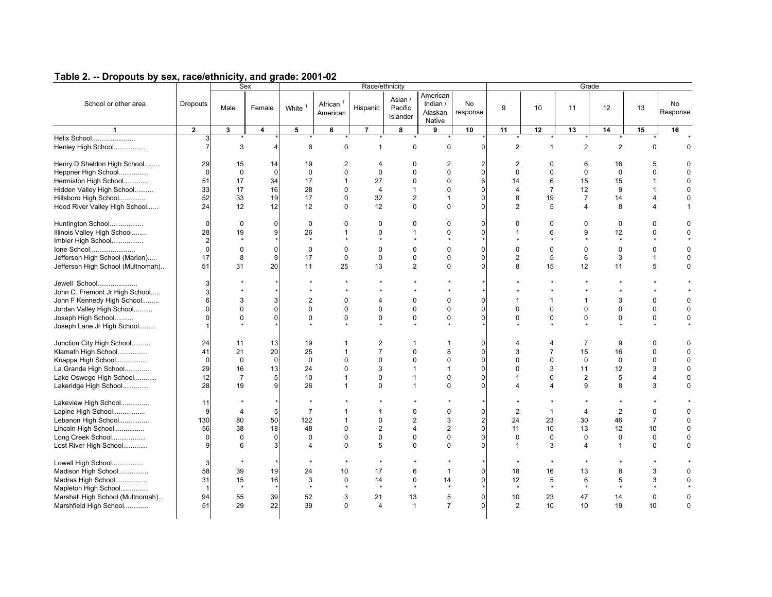|                                   |                 |                | Sex         |                      |                                  | Race/ethnicity |                                |                                           |                       |                       |                             | Grade                       |                |                |                       |
|-----------------------------------|-----------------|----------------|-------------|----------------------|----------------------------------|----------------|--------------------------------|-------------------------------------------|-----------------------|-----------------------|-----------------------------|-----------------------------|----------------|----------------|-----------------------|
| School or other area              | <b>Dropouts</b> | Male           | Female      | White $1$            | African <sup>1</sup><br>American | Hispanic       | Asian /<br>Pacific<br>Islander | American<br>Indian /<br>Alaskan<br>Native | <b>No</b><br>response | 9                     | 10                          | 11                          | 12             | 13             | <b>No</b><br>Response |
| 1                                 | $\mathbf 2$     | 3              | 4           | 5                    | 6                                | $\overline{7}$ | 8                              | 9                                         | 10                    | 11                    | 12                          | 13                          | 14             | 15             | 16                    |
| Helix School                      | 3               |                |             |                      |                                  |                |                                | $\star$                                   |                       |                       |                             |                             |                |                |                       |
| Henley High School                | $\overline{7}$  | 3              | $\Delta$    | 6                    | 0                                | $\mathbf{1}$   | $\mathbf 0$                    | 0                                         | $\mathbf 0$           | $\overline{2}$        | $\mathbf{1}$                | $\overline{2}$              | $\overline{2}$ | 0              | 0                     |
| Henry D Sheldon High School       | 29              | 15             | 14          | 19                   | $\overline{2}$                   | $\overline{4}$ | $\mathbf 0$                    | $\overline{2}$                            | $\overline{2}$        | $\overline{2}$        | $\mathbf 0$                 | 6                           | 16             | 5              | $\Omega$              |
| Heppner High School               | $\Omega$        | $\mathbf 0$    | $\Omega$    | $\mathbf 0$          | $\Omega$                         | $\Omega$       | $\Omega$                       | $\Omega$                                  | $\Omega$              | $\Omega$              | $\mathbf 0$                 | $\mathbf 0$                 | $\Omega$       | $\Omega$       | $\Omega$              |
| Hermiston High School             | 51              | 17             | 34          | 17                   | $\mathbf{1}$                     | 27             | $\mathbf 0$                    | $\mathbf 0$                               | $6\phantom{1}6$       | 14                    | 6                           | 15                          | 15             | $\mathbf{1}$   | $\mathbf 0$           |
| Hidden Valley High School         | 33              | 17             | 16          | 28                   | $\Omega$                         | $\overline{4}$ | $\mathbf{1}$                   | $\Omega$                                  | $\Omega$              | $\overline{4}$        | $\overline{7}$              | 12                          | 9              | $\mathbf 1$    | $\mathbf 0$           |
| Hillsboro High School             | 52              | 33             | 19          | 17                   | $\Omega$                         | 32             | 2                              | $\mathbf{1}$                              | $\mathbf 0$           | 8                     | 19                          | $\overline{7}$              | 14             | $\overline{4}$ | $\mathbf 0$           |
| Hood River Valley High School     | 24              | 12             | 12          | 12                   | $\Omega$                         | 12             | $\Omega$                       | $\Omega$                                  | $\Omega$              | 2                     | 5                           | $\overline{4}$              | 8              | $\overline{4}$ | 1                     |
|                                   |                 |                |             |                      |                                  |                |                                |                                           |                       |                       |                             |                             |                |                |                       |
| Huntington School                 | $\mathbf 0$     | 0              | $\mathbf 0$ | 0                    | 0                                | 0              | 0                              | $\Omega$                                  | $\mathbf 0$           | $\mathbf 0$           | 0                           | 0                           | 0              | $\Omega$       | 0                     |
| Illinois Valley High School       | 28              | 19             | 9           | 26                   | $\mathbf{1}$                     | $\Omega$       | $\mathbf{1}$                   | $\Omega$                                  | $\Omega$              | $\mathbf{1}$          | 6                           | 9                           | 12             | $\mathbf 0$    | $\mathbf 0$           |
| Imbler High School                | $\overline{2}$  | $\star$        |             | $\star$              |                                  | $\star$        | $\star$                        | $\star$                                   |                       |                       | $\star$                     | $\star$                     | $\star$        | $\star$        |                       |
| Ione School                       | $\mathbf 0$     | $\mathbf 0$    | $\mathbf 0$ | $\mathbf 0$          | $\mathbf 0$                      | $\mathbf 0$    | $\mathbf 0$                    | $\mathbf 0$                               | $\mathbf 0$           | $\mathbf 0$           | $\mathbf 0$                 | $\mathbf 0$                 | $\mathbf 0$    | $\mathbf 0$    | $\mathbf 0$           |
| Jefferson High School (Marion)    | 17              | 8              | 9           | 17                   | $\mathbf 0$                      | $\mathbf 0$    | $\mathbf 0$                    | $\pmb{0}$                                 | $\mathbf 0$           | $\overline{2}$        | 5                           | 6                           | 3              | $\mathbf{1}$   | $\mathbf 0$           |
| Jefferson High School (Multnomah) | 51              | 31             | 20          | 11                   | 25                               | 13             | 2                              | $\Omega$                                  | $\Omega$              | 8                     | 15                          | 12                          | 11             | 5              | $\Omega$              |
| Jewell School                     | 3               |                |             |                      |                                  |                |                                |                                           |                       |                       |                             |                             |                |                |                       |
| John C. Fremont Jr High School    | 3               |                |             | $\star$              |                                  |                | $\star$                        | $\star$                                   |                       |                       | $\star$                     | $\star$                     | $\star$        | $\star$        |                       |
|                                   | 6               | 3              | 3           | $\overline{2}$       | $\Omega$                         | 4              |                                | $\Omega$                                  | $\Omega$              | $\mathbf{1}$          |                             |                             |                | $\mathbf 0$    | $\mathbf 0$           |
| John F Kennedy High School        | $\Omega$        | $\Omega$       | $\Omega$    | $\Omega$             | $\Omega$                         | $\Omega$       | 0<br>$\Omega$                  | $\Omega$                                  | $\Omega$              | $\Omega$              | $\mathbf{1}$<br>$\mathbf 0$ | $\mathbf{1}$<br>$\mathbf 0$ | 3<br>$\Omega$  | $\mathbf 0$    | $\mathbf 0$           |
| Jordan Valley High School         |                 |                |             |                      |                                  |                |                                |                                           |                       |                       |                             |                             |                |                |                       |
| Joseph High School                | $\Omega$        | $\mathbf 0$    | $\mathbf 0$ | $\mathbf 0$          | 0                                | $\mathbf 0$    | $\mathbf 0$<br>$\star$         | $\mathbf 0$                               | $\mathbf 0$           | $\mathbf 0$           | $\mathbf 0$                 | $\pmb{0}$                   | $\pmb{0}$      | $\pmb{0}$      | $\pmb{0}$             |
| Joseph Lane Jr High School        |                 |                |             |                      |                                  |                |                                |                                           |                       |                       |                             |                             |                |                |                       |
| Junction City High School         | 24              | 11             | 13          | 19                   | $\mathbf{1}$                     | $\overline{c}$ | $\overline{1}$                 | $\mathbf 1$                               | $\Omega$              | $\boldsymbol{\Delta}$ | $\overline{4}$              | $\overline{7}$              | 9              | $\mathbf 0$    | $\mathbf 0$           |
| Klamath High School               | 41              | 21             | 20          | 25                   | $\mathbf{1}$                     | $\overline{7}$ | $\mathbf 0$                    | 8                                         | $\mathbf 0$           | 3                     | $\overline{7}$              | 15                          | 16             | $\mathbf 0$    | $\mathbf 0$           |
| Knappa High School                | $\mathbf 0$     | $\mathbf 0$    | $\Omega$    | $\mathbf 0$          | $\Omega$                         | $\mathbf 0$    | $\Omega$                       | $\mathbf 0$                               | $\mathbf 0$           | $\Omega$              | $\mathbf 0$                 | $\mathbf 0$                 | $\mathbf 0$    | $\mathbf 0$    | $\mathbf 0$           |
| La Grande High School             | 29              | 16             | 13          | 24                   | $\Omega$                         | 3              | $\overline{1}$                 | $\mathbf{1}$                              | $\mathbf 0$           | $\Omega$              | 3                           | 11                          | 12             | 3              | $\mathbf 0$           |
| Lake Oswego High School           | 12              | $\overline{7}$ | 5           | 10                   | $\mathbf{1}$                     | $\Omega$       | $\mathbf{1}$                   | $\mathbf 0$                               | $\Omega$              | $\mathbf{1}$          | $\Omega$                    | $\overline{2}$              | 5              | 4              | $\mathbf 0$           |
| Lakeridge High School             | 28              | 19             | 9           | 26                   | $\mathbf{1}$                     | $\mathbf 0$    | $\overline{1}$                 | $\mathbf 0$                               | $\mathbf 0$           | $\overline{4}$        | $\overline{4}$              | 9                           | 8              | 3              | $\mathbf 0$           |
| Lakeview High School              | 11              |                |             |                      |                                  |                |                                |                                           |                       |                       |                             |                             |                |                |                       |
| Lapine High School                | 9               | $\overline{4}$ | 5           | $\overline{7}$       | $\mathbf{1}$                     | $\overline{1}$ | $\Omega$                       | $\Omega$                                  | $\mathbf 0$           | $\overline{2}$        | $\mathbf{1}$                | $\overline{4}$              | $\overline{2}$ | $\mathbf 0$    | $\Omega$              |
| Lebanon High School               | 130             | 80             | 50          | 122                  | $\mathbf{1}$                     | $\mathbf 0$    | $\mathbf{2}$                   | 3                                         | $\overline{c}$        | 24                    | 23                          | 30                          | 46             | $\overline{7}$ | $\mathbf 0$           |
| Lincoln High School               | 56              | 38             | 18          | 48                   | $\Omega$                         | $\overline{2}$ | $\overline{4}$                 | $\overline{2}$                            | $\mathbf 0$           | 11                    | 10                          | 13                          | 12             | 10             | $\mathbf 0$           |
| Long Creek School                 | $\Omega$        | $\mathbf 0$    | $\Omega$    | $\Omega$             | $\Omega$                         | $\mathbf 0$    | $\mathbf 0$                    | $\mathbf 0$                               | $\Omega$              | $\mathbf 0$           | $\mathbf 0$                 | $\mathbf 0$                 | $\mathbf 0$    | $\mathbf 0$    | $\mathbf 0$           |
|                                   | 9               |                | 3           | $\overline{4}$       | $\Omega$                         | 5              | $\Omega$                       | $\Omega$                                  | $\Omega$              | $\mathbf{1}$          |                             | $\overline{4}$              | $\mathbf{1}$   | $\mathbf 0$    | $\mathbf 0$           |
| Lost River High School            |                 | 6              |             |                      |                                  |                |                                |                                           |                       |                       | 3                           |                             |                |                |                       |
| Lowell High School                | 3               |                |             |                      |                                  | $\star$        | $\star$                        |                                           |                       | $\star$               | $\star$                     |                             |                |                |                       |
| Madison High School               | 58              | 39             | 19          | 24                   | 10                               | 17             | 6                              | $\mathbf{1}$                              | $\mathbf 0$           | 18                    | 16                          | 13                          | 8              | 3              | $\Omega$              |
| Madras High School                | 31              | 15             | 16          | 3                    | 0                                | 14             | $\mathbf 0$                    | 14                                        | $\Omega$              | 12                    | 5                           | 6                           | 5              | 3              | $\Omega$              |
| Mapleton High School              | $\overline{1}$  | $\star$        |             | $\ddot{\phantom{1}}$ | $\bullet$                        | $\star$        | $\star$                        | $\star$                                   |                       | $\star$               | $\star$                     | $\star$                     | $\star$        | $\star$        |                       |
| Marshall High School (Multnomah)  | 94              | 55             | 39          | 52                   | 3                                | 21             | 13                             | 5                                         | $\mathbf 0$           | 10                    | 23                          | 47                          | 14             | $\mathbf 0$    | $\mathbf 0$           |
| Marshfield High School            | 51              | 29             | 22          | 39                   | 0                                | 4              | $\mathbf{1}$                   | $\overline{7}$                            | $\Omega$              | $\overline{2}$        | 10                          | 10                          | 19             | 10             | $\mathbf 0$           |
|                                   |                 |                |             |                      |                                  |                |                                |                                           |                       |                       |                             |                             |                |                |                       |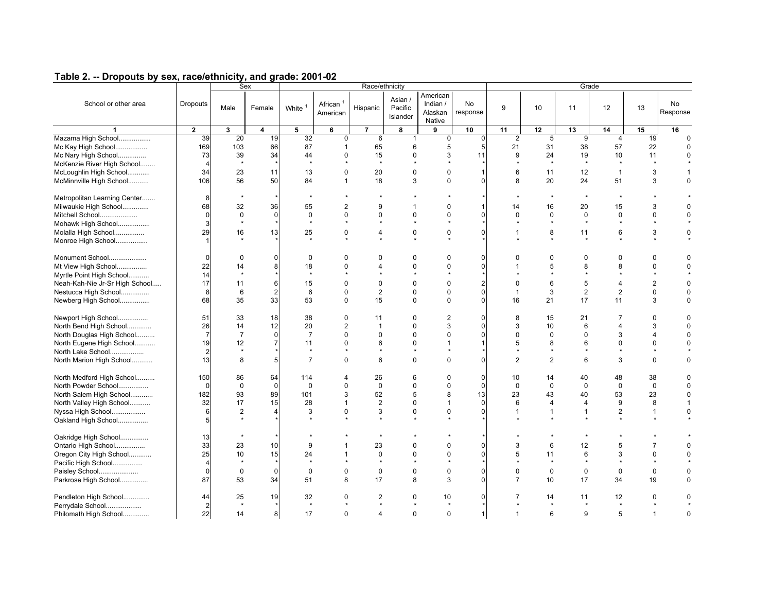| Table 2. -- Dropouts by sex, race/ethnicity, and grade: 2001-02 |
|-----------------------------------------------------------------|
|-----------------------------------------------------------------|

|                                |                |                | Sex            | Race/ethnicity           |                         |                |                                |                                           |                |                |                | Grade                    |                          |                |                |  |  |  |
|--------------------------------|----------------|----------------|----------------|--------------------------|-------------------------|----------------|--------------------------------|-------------------------------------------|----------------|----------------|----------------|--------------------------|--------------------------|----------------|----------------|--|--|--|
| School or other area           | Dropouts       | Male           | Female         | White <sup>1</sup>       | African $1$<br>American | Hispanic       | Asian /<br>Pacific<br>Islander | American<br>Indian /<br>Alaskan<br>Native | No<br>response | 9              | 10             | 11                       | 12                       | 13             | No<br>Response |  |  |  |
| $\blacktriangleleft$           | $\mathbf{2}$   | 3              | 4              | 5                        | 6                       | $\overline{7}$ | 8                              | 9                                         | 10             | 11             | 12             | 13                       | 14                       | 15             | 16             |  |  |  |
| Mazama High School             | 39             | 20             | 19             | 32                       | $\mathbf 0$             | 6              | $\mathbf{1}$                   | $\mathbf 0$                               | $\mathbf 0$    | 2              | 5              | 9                        | $\overline{4}$           | 19             | $\Omega$       |  |  |  |
| Mc Kay High School             | 169            | 103            | 66             | 87                       | $\mathbf{1}$            | 65             | 6                              | 5                                         | 5              | 21             | 31             | 38                       | 57                       | 22             | $\Omega$       |  |  |  |
| Mc Nary High School            | 73             | 39             | 34             | 44                       | 0                       | 15             | $\mathbf 0$                    | 3                                         | 11             | 9              | 24             | 19                       | 10                       | 11             | $\mathbf 0$    |  |  |  |
| McKenzie River High School     | $\overline{4}$ | $\star$        |                | $\star$                  |                         | $\star$        |                                |                                           |                |                | $\star$        | $\star$                  | $\star$                  |                |                |  |  |  |
| McLoughlin High School         | 34             | 23             | 11             | 13                       | 0                       | 20             | $\mathbf 0$                    | $\mathbf 0$                               | $\overline{1}$ | 6              | 11             | 12                       | $\mathbf{1}$             | 3              | 1              |  |  |  |
| McMinnville High School        | 106            | 56             | 50             | 84                       | $\mathbf{1}$            | 18             | 3                              | $\Omega$                                  | $\Omega$       | 8              | 20             | 24                       | 51                       | 3              | $\Omega$       |  |  |  |
| Metropolitan Learning Center   | 8              |                |                |                          |                         |                |                                |                                           |                |                |                | $\overline{\phantom{a}}$ | $\overline{\phantom{a}}$ |                |                |  |  |  |
| Milwaukie High School          | 68             | 32             | 36             | 55                       | $\overline{2}$          | 9              | $\overline{1}$                 | $\Omega$                                  | $\overline{1}$ | 14             | 16             | 20                       | 15                       | 3              | $\Omega$       |  |  |  |
| Mitchell School                | $\Omega$       | $\mathbf 0$    | $\mathbf 0$    | $\mathbf 0$              | $\Omega$                | $\Omega$       | $\Omega$                       | $\Omega$                                  | $\Omega$       | $\Omega$       | $\mathbf 0$    | $\mathbf 0$              | $\mathbf 0$              | $\mathbf 0$    | $\Omega$       |  |  |  |
| Mohawk High School             | 3              |                |                | $\star$                  |                         |                |                                |                                           |                |                | $\star$        | $\star$                  | $\star$                  | $\star$        |                |  |  |  |
| Molalla High School            | 29             | 16             | 13             | 25                       | 0                       | 4              | $\mathbf 0$                    | $\mathbf 0$                               | $\mathbf 0$    | $\mathbf{1}$   | 8              | 11                       | 6                        | 3              | 0              |  |  |  |
| Monroe High School             |                |                |                | $\overline{\phantom{a}}$ |                         |                | $\bullet$                      | $\star$                                   |                |                | ٠              | $\star$                  | $\overline{\phantom{a}}$ | $\bullet$      |                |  |  |  |
| Monument School                | $\mathbf 0$    | 0              | $\mathbf 0$    | 0                        | 0                       | 0              | 0                              | $\Omega$                                  | $\Omega$       | O              | 0              | 0                        | $\Omega$                 | $\Omega$       | 0              |  |  |  |
| Mt View High School            | 22             | 14             | 8              | 18                       | $\Omega$                | $\overline{4}$ | $\mathbf 0$                    | $\Omega$                                  | $\Omega$       | $\overline{1}$ | 5              | 8                        | 8                        | $\mathbf 0$    | $\mathbf 0$    |  |  |  |
| Myrtle Point High School       | 14             | $\star$        |                | $\star$                  |                         |                |                                |                                           |                |                |                | $\star$                  | $\star$                  | $\star$        |                |  |  |  |
| Neah-Kah-Nie Jr-Sr High School | 17             | 11             | 6              | 15                       | $\Omega$                | $\Omega$       | $\Omega$                       | $\Omega$                                  | $\overline{2}$ | $\Omega$       | 6              | 5                        | $\overline{4}$           | $\overline{2}$ | $\Omega$       |  |  |  |
| Nestucca High School           | 8              | 6              | $\overline{2}$ | 6                        | 0                       | $\overline{2}$ | $\mathbf 0$                    | $\mathbf 0$                               | $\mathbf 0$    | $\mathbf{1}$   | 3              | $\overline{2}$           | $\overline{2}$           | $\mathbf 0$    | $\mathbf 0$    |  |  |  |
| Newberg High School            | 68             | 35             | 33             | 53                       | $\Omega$                | 15             | $\Omega$                       | $\Omega$                                  | $\Omega$       | 16             | 21             | 17                       | 11                       | 3              | $\mathbf 0$    |  |  |  |
| Newport High School            | 51             | 33             | 18             | 38                       | 0                       | 11             | $\mathbf 0$                    | $\overline{2}$                            | $\Omega$       | 8              | 15             | 21                       | $\overline{7}$           | $\mathbf 0$    | $\mathbf 0$    |  |  |  |
| North Bend High School         | 26             | 14             | 12             | 20                       | $\overline{2}$          | $\overline{1}$ | $\Omega$                       | 3                                         | $\Omega$       | 3              | 10             | 6                        | $\overline{4}$           | 3              | $\Omega$       |  |  |  |
| North Douglas High School      | $\overline{7}$ | $\overline{7}$ | $\Omega$       | $\overline{7}$           | $\Omega$                | $\Omega$       | $\Omega$                       | $\Omega$                                  | $\Omega$       | $\Omega$       | $\Omega$       | $\Omega$                 | 3                        | $\overline{4}$ | $\Omega$       |  |  |  |
| North Eugene High School       | 19             | 12             |                | 11                       | $\Omega$                | 6              | $\Omega$                       | $\mathbf{1}$                              | $\overline{1}$ | 5              | 8              | 6                        | $\Omega$                 | $\Omega$       | $\Omega$       |  |  |  |
| North Lake School              | $\overline{c}$ | $\star$        |                | $\overline{\phantom{a}}$ |                         | $\Phi$         | $\bullet$                      | $\Phi$                                    |                |                | $\bullet$      | $\ddot{\phantom{1}}$     | $\ddot{\phantom{1}}$     | $\bullet$      |                |  |  |  |
| North Marion High School       | 13             | 8              | 5              | $\overline{7}$           | $\Omega$                | 6              | $\Omega$                       | $\Omega$                                  | $\Omega$       | 2              | $\overline{2}$ | 6                        | 3                        | $\Omega$       | $\Omega$       |  |  |  |
| North Medford High School      | 150            | 86             | 64             | 114                      | 4                       | 26             | 6                              | $\mathbf 0$                               | $\mathbf 0$    | 10             | 14             | 40                       | 48                       | 38             | 0              |  |  |  |
| North Powder School            | $\Omega$       | $\mathbf 0$    | $\mathbf 0$    | $\mathbf 0$              | 0                       | $\mathbf 0$    | $\mathbf 0$                    | $\mathbf 0$                               | $\mathbf 0$    | $\mathbf 0$    | $\mathbf 0$    | $\mathbf 0$              | $\mathbf 0$              | $\mathbf 0$    | $\mathbf 0$    |  |  |  |
| North Salem High School        | 182            | 93             | 89             | 101                      | 3                       | 52             | 5                              | 8                                         | 13             | 23             | 43             | 40                       | 53                       | 23             | $\mathbf 0$    |  |  |  |
| North Valley High School       | 32             | 17             | 15             | 28                       | $\mathbf{1}$            | $\overline{2}$ | $\mathbf 0$                    | $\mathbf 1$                               | $\mathbf 0$    | 6              | $\overline{4}$ | 4                        | 9                        | 8              | 1              |  |  |  |
| Nyssa High School              | 6              | $\overline{2}$ |                | 3                        | 0                       | 3              | $\mathbf 0$                    | $\mathbf 0$                               | $\Omega$       | $\mathbf{1}$   | $\mathbf{1}$   | 1                        | $\overline{2}$           | $\mathbf{1}$   | $\mathbf 0$    |  |  |  |
| Oakland High School            | 5              |                |                |                          |                         |                |                                |                                           |                |                |                |                          |                          |                |                |  |  |  |
| Oakridge High School           | 13             |                |                |                          |                         | $\star$        |                                |                                           |                |                |                | $\star$                  |                          |                |                |  |  |  |
| Ontario High School            | 33             | 23             | 10             | 9                        | 1                       | 23             | 0                              | $\Omega$                                  | $\mathbf 0$    | 3              | 6              | 12                       | 5                        | $\overline{7}$ | $\Omega$       |  |  |  |
| Oregon City High School        | 25             | 10             | 15             | 24                       | 1                       | $\mathbf 0$    | $\Omega$                       | $\Omega$                                  | $\mathbf 0$    | 5              | 11             | 6                        | 3                        | $\mathbf 0$    | $\Omega$       |  |  |  |
| Pacific High School            | 4              | $\star$        |                | $\star$                  |                         | $\star$        |                                |                                           |                |                | $\star$        | $\star$                  | $\star$                  |                |                |  |  |  |
| Paisley School                 | $\Omega$       | $\mathbf 0$    | $\Omega$       | $\Omega$                 | $\Omega$                | $\mathbf 0$    | $\mathbf 0$                    | $\mathbf 0$                               | $\Omega$       | $\Omega$       | $\mathbf 0$    | $\mathbf 0$              | $\mathbf 0$              | $\mathbf 0$    | $\mathbf 0$    |  |  |  |
| Parkrose High School           | 87             | 53             | 34             | 51                       | 8                       | 17             | 8                              | 3                                         | $\Omega$       | $\overline{7}$ | 10             | 17                       | 34                       | 19             | $\Omega$       |  |  |  |
| Pendleton High School          | 44             | 25             | 19             | 32                       | $\Omega$                | $\overline{2}$ | $\Omega$                       | 10                                        | $\Omega$       |                | 14             | 11                       | 12                       | $\Omega$       |                |  |  |  |
| Perrydale School               | $\overline{2}$ |                |                | $\ddot{\phantom{1}}$     |                         | $\bullet$      |                                |                                           |                |                |                |                          | $\star$                  |                |                |  |  |  |
| Philomath High School          | 22             | 14             | 8              | 17                       | $\Omega$                | 4              | $\Omega$                       | $\Omega$                                  | $\overline{1}$ | $\mathbf{1}$   | 6              | 9                        | 5                        | $\mathbf{1}$   | $\Omega$       |  |  |  |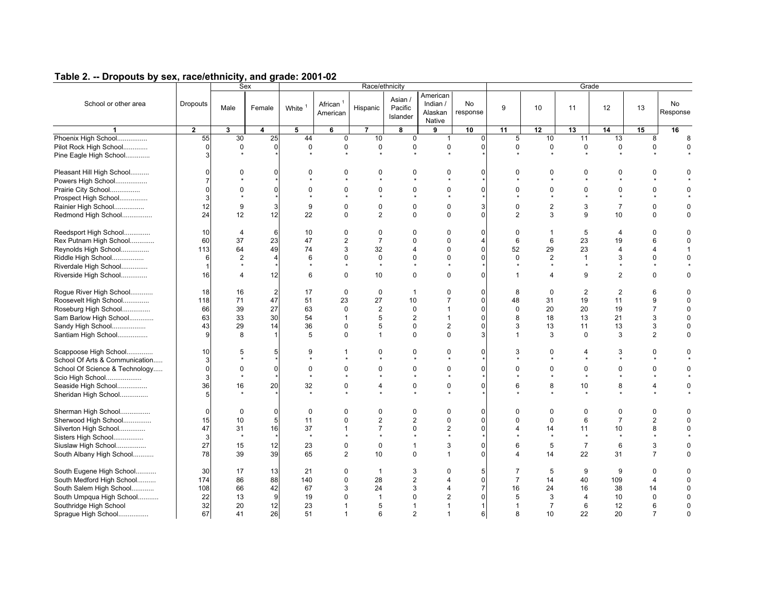|                                |              |                | Race/ethnicity<br>Sex |                    |                         |                |                                |                                           | Grade          |                       |                |                          |                          |                |                |
|--------------------------------|--------------|----------------|-----------------------|--------------------|-------------------------|----------------|--------------------------------|-------------------------------------------|----------------|-----------------------|----------------|--------------------------|--------------------------|----------------|----------------|
| School or other area           | Dropouts     | Male           | Female                | White <sup>1</sup> | African $1$<br>American | Hispanic       | Asian /<br>Pacific<br>Islander | American<br>Indian /<br>Alaskan<br>Native | No<br>response | 9                     | 10             | 11                       | 12                       | 13             | No<br>Response |
| $\blacktriangleleft$           | $\mathbf{2}$ | 3              | 4                     | 5                  | 6                       | $\overline{7}$ | 8                              | 9                                         | 10             | 11                    | 12             | 13                       | 14                       | 15             | 16             |
| Phoenix High School            | 55           | 30             | 25                    | 44                 | $\mathbf 0$             | 10             | $\mathbf 0$                    | $\mathbf{1}$                              | $\mathbf 0$    | 5                     | 10             | 11                       | 13                       | 8              | 8              |
| Pilot Rock High School         | $\mathbf 0$  | $\mathbf 0$    | $\Omega$              | $\Omega$           | 0                       | 0              | 0                              | 0                                         | $\Omega$       | $\mathbf 0$           | 0              | $\mathbf 0$              | $\mathbf 0$              | $\mathbf 0$    | $\mathbf 0$    |
| Pine Eagle High School         | 3            |                |                       |                    |                         | $\star$        |                                | $\star$                                   |                |                       |                |                          |                          |                |                |
|                                |              |                |                       |                    |                         |                |                                |                                           |                |                       |                |                          |                          |                |                |
| Pleasant Hill High School      | $\Omega$     | $\Omega$       | $\Omega$              | $\Omega$           | $\Omega$                | $\Omega$       | $\Omega$                       | $\Omega$                                  | $\Omega$       | $\Omega$              | $\Omega$       | $\Omega$                 | $\Omega$                 | $\Omega$       | $\Omega$       |
| Powers High School             | 7            |                |                       |                    |                         | $\bullet$      | $\bullet$                      | $\star$                                   |                |                       | $\star$        | $\overline{\phantom{a}}$ | $\overline{\phantom{a}}$ |                |                |
| Prairie City School            | $\Omega$     | $\mathbf 0$    | $\Omega$              | $\Omega$           | 0                       | 0              | $\mathbf 0$                    | 0                                         | $\Omega$       | $\mathbf 0$           | $\mathbf 0$    | $\mathbf 0$              | 0                        | $\mathbf 0$    | $\Omega$       |
| Prospect High School           | 3            |                |                       |                    |                         |                |                                | $\star$                                   |                |                       |                | $\overline{\phantom{a}}$ | $\star$                  | $\star$        |                |
| Rainier High School            | 12           | 9              | 3                     | 9                  | $\Omega$                | $\mathbf 0$    | $\mathbf 0$                    | $\mathbf 0$                               | 3              | $\Omega$              | $\overline{2}$ | 3                        | $\overline{7}$           | $\mathbf 0$    | $\mathbf 0$    |
|                                |              | 12             | 12                    | 22                 | $\Omega$                | $\overline{2}$ | $\Omega$                       | $\Omega$                                  | $\Omega$       | $\overline{2}$        | 3              | 9                        | 10                       | $\Omega$       | $\Omega$       |
| Redmond High School            | 24           |                |                       |                    |                         |                |                                |                                           |                |                       |                |                          |                          |                |                |
| Reedsport High School          | 10           | $\overline{4}$ | 6                     | 10                 | $\Omega$                | 0              | $\Omega$                       | $\Omega$                                  | $\Omega$       | $\mathbf 0$           | $\mathbf{1}$   | 5                        | $\overline{4}$           | $\Omega$       | $\Omega$       |
| Rex Putnam High School         | 60           | 37             | 23                    | 47                 | $\overline{2}$          | $\overline{7}$ | $\Omega$                       | $\Omega$                                  | $\overline{4}$ | 6                     | 6              | 23                       | 19                       | 6              | $\Omega$       |
| Reynolds High School           | 113          | 64             | 49                    | 74                 | 3                       | 32             | $\overline{4}$                 | $\Omega$                                  | $\Omega$       | 52                    | 29             | 23                       | $\overline{4}$           | $\overline{4}$ | 1              |
|                                |              | $\overline{2}$ | $\overline{4}$        | 6                  | $\Omega$                | $\mathbf 0$    | $\Omega$                       | $\Omega$                                  | $\Omega$       | $\Omega$              | $\overline{2}$ | $\mathbf{1}$             | 3                        | $\Omega$       | $\Omega$       |
| Riddle High School             | 6            |                |                       |                    |                         | $\star$        | $\star$                        |                                           |                |                       | $\star$        | $\star$                  | $\star$                  | $\star$        |                |
| Riverdale High School          |              |                |                       |                    |                         |                |                                |                                           |                |                       |                |                          |                          |                |                |
| Riverside High School          | 16           | $\overline{4}$ | 12                    | 6                  | $\Omega$                | 10             | $\Omega$                       | $\Omega$                                  | $\Omega$       | $\mathbf{1}$          | $\overline{4}$ | 9                        | $\overline{2}$           | $\Omega$       | $\Omega$       |
| Rogue River High School        | 18           | 16             | $\overline{2}$        | 17                 | $\Omega$                | $\mathbf 0$    | $\overline{1}$                 | $\Omega$                                  | $\mathbf 0$    | 8                     | $\Omega$       | $\overline{2}$           | $\overline{2}$           | 6              | $\Omega$       |
| Roosevelt High School          | 118          | 71             | 47                    | 51                 | 23                      | 27             | 10                             | $\overline{7}$                            | $\mathbf 0$    | 48                    | 31             | 19                       | 11                       | 9              | $\mathbf 0$    |
| Roseburg High School           | 66           | 39             | 27                    | 63                 | $\Omega$                | $\overline{2}$ | $\mathbf 0$                    | $\mathbf{1}$                              | $\mathbf 0$    | $\mathbf 0$           | 20             | 20                       | 19                       | $\overline{7}$ | $\mathbf 0$    |
|                                |              |                |                       |                    |                         |                |                                |                                           |                |                       |                |                          |                          |                |                |
| Sam Barlow High School         | 63           | 33             | 30                    | 54                 | $\mathbf{1}$            | 5              | $\overline{2}$                 | $\mathbf{1}$                              | $\mathbf 0$    | 8                     | 18             | 13                       | 21                       | 3              | $\mathbf 0$    |
| Sandy High School              | 43           | 29             | 14                    | 36                 | 0                       | 5              | $\mathbf 0$                    | $\overline{2}$                            | $\mathbf 0$    | 3                     | 13             | 11                       | 13                       | 3              | 0              |
| Santiam High School            | g            | 8              |                       | 5                  | $\Omega$                | $\mathbf{1}$   | $\mathbf 0$                    | $\mathbf 0$                               | 3              | $\mathbf{1}$          | 3              | $\mathbf 0$              | 3                        | $\overline{2}$ | $\Omega$       |
| Scappoose High School          | 10           | 5              | 5                     | 9                  | 1                       | 0              | 0                              | 0                                         | $\mathbf 0$    | 3                     | 0              | 4                        | 3                        | 0              | 0              |
| School Of Arts & Communication | 3            |                |                       |                    |                         |                |                                |                                           |                |                       |                | $\star$                  | $\star$                  |                |                |
| School Of Science & Technology | $\mathbf 0$  | $\mathbf 0$    | $\mathbf 0$           | $\mathbf 0$        | $\Omega$                | $\Omega$       | $\mathbf 0$                    | 0                                         | $\mathbf 0$    | $\mathbf 0$           | $\mathbf 0$    | $\pmb{0}$                | 0                        | $\mathbf 0$    | $\Omega$       |
| Scio High School               | 3            |                |                       | $\star$            |                         | $\star$        | $\star$                        | $\star$                                   |                |                       | $\star$        | $\star$                  | $\star$                  | $\star$        |                |
| Seaside High School            | 36           | 16             | 20                    | 32                 | 0                       | $\overline{4}$ | 0                              | $\mathbf 0$                               | $\mathbf 0$    | 6                     | 8              | 10                       | 8                        | 4              | 0              |
| Sheridan High School           | 5            |                |                       |                    |                         |                |                                |                                           |                |                       |                |                          |                          |                |                |
|                                |              |                |                       |                    |                         |                |                                |                                           |                |                       |                |                          |                          |                |                |
| Sherman High School            | $\Omega$     | $\mathbf 0$    | $\mathbf 0$           | $\mathbf 0$        | $\Omega$                | 0              | $\mathbf 0$                    | $\mathbf 0$                               | $\Omega$       | $\Omega$              | $\mathbf 0$    | $\mathbf 0$              | 0                        | $\Omega$       | $\mathbf 0$    |
| Sherwood High School           | 15           | 10             | 5                     | 11                 | $\Omega$                | $\overline{2}$ | $\overline{2}$                 | $\mathbf 0$                               | $\Omega$       | $\Omega$              | $\mathbf 0$    | 6                        | $\overline{7}$           | $\overline{2}$ | $\Omega$       |
| Silverton High School          | 47           | 31             | 16                    | 37                 | 1                       | $\overline{7}$ | $\Omega$                       | $\overline{2}$                            | $\Omega$       | $\overline{4}$        | 14             | 11                       | 10                       | 8              | $\Omega$       |
| Sisters High School            | 3            | $\star$        |                       | $\star$            |                         |                | $\bullet$                      | $\Phi$                                    |                |                       | $\star$        | $\star$                  | $\star$                  | $\bullet$      |                |
| Siuslaw High School            | 27           | 15             | 12                    | 23                 | 0                       | $\mathbf 0$    | $\mathbf{1}$                   | 3                                         | $\mathbf 0$    | 6                     | 5              | $\overline{7}$           | 6                        | 3              | $\mathbf 0$    |
|                                |              |                |                       |                    |                         |                |                                |                                           |                | $\boldsymbol{\Delta}$ |                |                          |                          | $\overline{7}$ |                |
| South Albany High School       | 78           | 39             | 39                    | 65                 | $\overline{2}$          | 10             | $\Omega$                       | $\mathbf{1}$                              | $\Omega$       |                       | 14             | 22                       | 31                       |                | $\mathbf 0$    |
| South Eugene High School       | 30           | 17             | 13                    | 21                 | $\Omega$                | $\overline{1}$ | 3                              | $\Omega$                                  | 5              | $\overline{7}$        | 5              | 9                        | 9                        | $\mathbf 0$    | $\Omega$       |
| South Medford High School      | 174          | 86             | 88                    | 140                | $\Omega$                | 28             | $\overline{2}$                 | 4                                         | $\Omega$       | $\overline{7}$        | 14             | 40                       | 109                      | $\overline{4}$ | $\Omega$       |
| South Salem High School        | 108          | 66             | 42                    | 67                 | 3                       | 24             | 3                              | $\Delta$                                  | $\overline{7}$ | 16                    | 24             | 16                       | 38                       | 14             | $\mathbf 0$    |
| South Umpqua High School       | 22           | 13             | 9                     | 19                 | $\Omega$                | $\overline{1}$ | $\Omega$                       | $\overline{2}$                            | $\Omega$       | 5                     | 3              | $\overline{4}$           | 10                       | $\Omega$       | $\Omega$       |
| Southridge High School         | 32           | 20             | 12                    | 23                 | $\mathbf 1$             | 5              | $\mathbf 1$                    |                                           | $\overline{1}$ | $\overline{1}$        | $\overline{7}$ | 6                        | 12                       | 6              | $\mathbf 0$    |
| Sprague High School            | 67           | 41             | 26                    | 51                 | $\mathbf{1}$            | 6              | $\overline{2}$                 | $\overline{1}$                            | 6              | 8                     | 10             | 22                       | 20                       | $\overline{7}$ | $\mathbf{0}$   |
|                                |              |                |                       |                    |                         |                |                                |                                           |                |                       |                |                          |                          |                |                |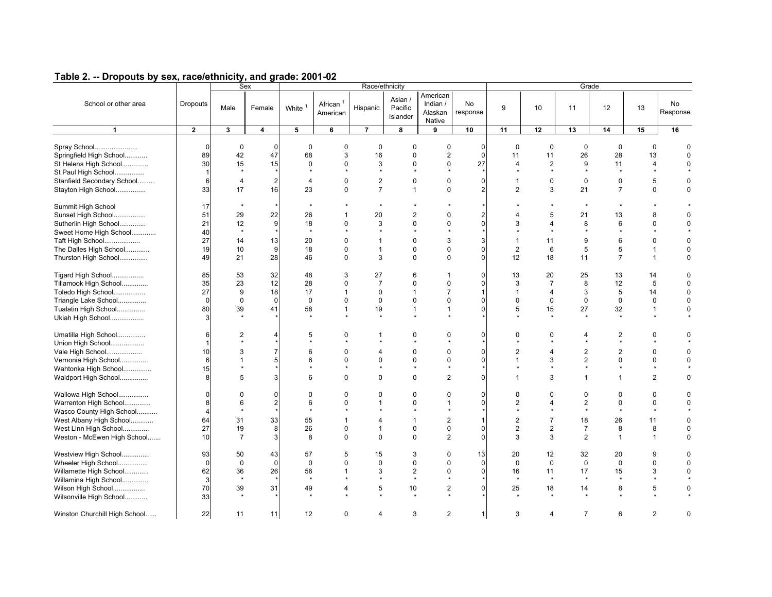|                                                      |                     |                      | Sex                  |                         |                                  | Race/ethnicity                |                                | Grade                                     |                               |                                |                           |                                  |                           |                              |                |
|------------------------------------------------------|---------------------|----------------------|----------------------|-------------------------|----------------------------------|-------------------------------|--------------------------------|-------------------------------------------|-------------------------------|--------------------------------|---------------------------|----------------------------------|---------------------------|------------------------------|----------------|
| School or other area                                 | Dropouts            | Male                 | Female               | White <sup>1</sup>      | African <sup>1</sup><br>American | Hispanic                      | Asian /<br>Pacific<br>Islander | American<br>Indian /<br>Alaskan<br>Native | No<br>response                | 9                              | 10                        | 11                               | 12                        | 13                           | No<br>Response |
| $\overline{1}$                                       | $\overline{2}$      | 3                    | $\overline{4}$       | $\overline{\mathbf{5}}$ | $6\overline{6}$                  | $\overline{7}$                | $\overline{\mathbf{8}}$        | $\overline{9}$                            | 10                            | $\overline{11}$                | 12                        | 13                               | 14                        | 15                           | 16             |
| Spray School<br>Springfield High School              | $\Omega$<br>89      | $\mathbf 0$<br>42    | $\overline{0}$<br>47 | $\mathbf 0$<br>68       | $\mathbf 0$<br>3                 | $\mathbf 0$<br>16             | $\mathbf 0$<br>$\Omega$        | $\mathbf 0$<br>$\overline{2}$             | $\Omega$<br>$\Omega$          | $\mathbf 0$<br>11              | $\Omega$<br>11            | $\mathbf 0$<br>26                | $\mathbf 0$<br>28         | 0<br>13                      | $\Omega$       |
| St Helens High School<br>St Paul High School         | 30<br>$\mathbf{1}$  | 15<br>$\star$        | 15                   | $\mathbf 0$             | $\Omega$                         | 3<br>$\star$                  | $\mathbf 0$                    | $\mathbf 0$                               | 27                            | $\overline{4}$                 | $\overline{2}$<br>$\star$ | 9                                | 11                        | 4<br>$\star$                 | $\Omega$       |
| Stanfield Secondary School<br>Stayton High School    | 6<br>33             | 4<br>17              | $\overline{a}$<br>16 | 4<br>23                 | $\mathbf 0$<br>$\Omega$          | $\sqrt{2}$<br>$\overline{7}$  | $\pmb{0}$<br>$\mathbf{1}$      | $\pmb{0}$<br>$\mathbf 0$                  | $\mathbf 0$<br>$\overline{2}$ | $\mathbf{1}$<br>$\overline{2}$ | 0<br>3                    | $\pmb{0}$<br>21                  | 0<br>$\overline{7}$       | 5<br>0                       | 0              |
| Summit High School<br>Sunset High School             | 17<br>51            | $\star$<br>29        | 22                   | 26                      |                                  | $\star$<br>20                 | $\overline{2}$                 | $\mathbf 0$                               | $\overline{2}$                |                                | 5                         | 21                               | 13                        | 8                            | 0              |
| Sutherlin High School                                | 21<br>40            | 12<br>$\star$        | 9                    | 18                      | $\Omega$                         | 3                             | $\mathbf 0$                    | $\mathbf 0$                               | $\Omega$                      | 3                              | 4                         | 8                                | 6                         | $\Omega$                     | $\Omega$       |
| Sweet Home High School<br>Taft High School           | 27                  | 14                   | 13                   | 20                      | $\Omega$                         | $\mathbf{1}$                  | $\Omega$                       | 3                                         | 3                             | $\mathbf{1}$                   | 11                        | 9                                | 6                         | $\Omega$                     | $\Omega$       |
| The Dalles High School<br>Thurston High School       | 19<br>49            | 10<br>21             | $\overline{9}$<br>28 | 18<br>46                | $\Omega$<br>$\mathbf 0$          | $\overline{1}$<br>3           | $\mathbf 0$<br>$\mathbf 0$     | $\mathbf 0$<br>$\mathbf 0$                | $\Omega$<br>$\mathbf{0}$      | $\overline{2}$<br>12           | 6<br>18                   | 5<br>11                          | 5<br>$\overline{7}$       | $\mathbf{1}$<br>$\mathbf{1}$ | $\Omega$<br>0  |
| Tigard High School<br>Tillamook High School          | 85<br>35            | 53<br>23             | 32<br>12             | 48<br>28                | 3<br>$\mathbf 0$                 | 27<br>$\overline{7}$          | 6<br>$\mathbf 0$               | $\mathbf{1}$<br>$\mathbf 0$               | $\mathbf 0$<br>$\Omega$       | 13<br>3                        | 20<br>$\overline{7}$      | 25<br>8                          | 13<br>12                  | 14<br>5                      | 0<br>0         |
| Toledo High School<br>Triangle Lake School           | 27<br>$\Omega$      | 9<br>$\mathbf 0$     | 18<br>$\mathbf 0$    | 17<br>$\mathbf 0$       | $\mathbf{1}$<br>$\Omega$         | $\mathbf 0$<br>$\mathbf 0$    | $\mathbf{1}$<br>$\mathbf 0$    | $\overline{7}$<br>$\mathbf 0$             | 1<br>$\Omega$                 | $\mathbf{1}$<br>$\mathbf 0$    | 4<br>$\mathbf 0$          | 3<br>$\mathbf 0$                 | 5<br>$\mathbf 0$          | 14<br>0                      | 0<br>0         |
| Tualatin High School<br>Ukiah High School            | 80                  | 39                   | 41                   | 58                      | $\mathbf{1}$                     | 19                            | $\mathbf{1}$                   | $\mathbf{1}$                              | $\Omega$                      | 5                              | 15                        | 27                               | 32                        | $\mathbf{1}$                 | $\Omega$       |
| Umatilla High School<br>Union High School            | 6                   | $\overline{2}$       | 4                    | 5                       | $\Omega$                         | -1                            | $\mathbf 0$                    | $\mathbf 0$<br>$\boldsymbol{\Phi}$        | $\Omega$                      | $\Omega$<br>$\bullet$          | $\Omega$<br>$\bullet$     | 4<br>$\bullet$                   | $\overline{2}$<br>$\star$ | $\Omega$<br>$\bullet$        | U              |
| Vale High School<br>Vernonia High School             | 10<br>6             | 3<br>$\mathbf{1}$    | $\overline{7}$<br>5  | 6<br>6                  | $\Omega$<br>$\Omega$             | $\overline{4}$<br>$\mathbf 0$ | 0<br>$\mathbf 0$               | 0<br>$\mathbf 0$                          | $\mathbf 0$<br>$\Omega$       | $\overline{2}$<br>$\mathbf{1}$ | 4<br>3                    | $\overline{c}$<br>$\overline{c}$ | $\overline{2}$<br>0       | 0<br>0                       | 0<br>$\Omega$  |
| Wahtonka High School<br>Waldport High School         | 15<br>8             | 5                    | 3                    | 6                       | $\Omega$                         | $\mathbf 0$                   | $\mathbf 0$                    | $\star$<br>$\overline{2}$                 | $\Omega$                      | $\mathbf{1}$                   | 3                         | $\mathbf{1}$                     | $\mathbf{1}$              | $\overline{2}$               | 0              |
| Wallowa High School                                  | $\Omega$            | $\Omega$             | $\overline{0}$       | $\mathbf 0$             | 0                                | $\mathbf 0$                   | $\mathbf 0$                    | $\mathbf 0$                               | $\Omega$                      | 0                              | 0                         | 0                                | 0                         | 0                            | 0              |
| Warrenton High School                                | 8<br>$\overline{4}$ | 6<br>$\star$         | $\overline{a}$       | 6                       | $\Omega$                         | $\mathbf 1$                   | $\Omega$                       | $\mathbf{1}$                              | $\Omega$                      | $\overline{2}$                 | $\overline{4}$<br>$\star$ | $\overline{c}$<br>$\star$        | 0<br>$\star$              | $\mathbf 0$<br>$\star$       | $\Omega$       |
| Wasco County High School<br>West Albany High School  | 64                  | 31                   | 33                   | 55                      | $\overline{1}$                   | $\Delta$                      | $\mathbf{1}$                   | $\overline{2}$                            | 1                             | $\overline{2}$                 | $\overline{7}$            | 18                               | 26                        | 11                           | $\Omega$       |
| West Linn High School<br>Weston - McEwen High School | 27<br>10            | 19<br>$\overline{7}$ | 8<br>3               | 26<br>8                 | $\Omega$<br>0                    | $\mathbf{1}$<br>$\mathbf 0$   | $\Omega$<br>$\mathbf 0$        | $\Omega$<br>$\overline{2}$                | $\Omega$<br>$\Omega$          | $\overline{2}$<br>3            | $\overline{2}$<br>3       | $\overline{7}$<br>$\overline{2}$ | 8<br>$\mathbf{1}$         | 8<br>$\mathbf{1}$            | $\Omega$<br>0  |
| Westview High School                                 | 93                  | 50                   | 43                   | 57                      | 5                                | 15                            | 3                              | 0                                         | 13                            | 20                             | 12                        | 32                               | 20                        | 9                            | 0              |
| Wheeler High School<br>Willamette High School        | $\Omega$<br>62      | $\mathbf 0$<br>36    | $\mathbf 0$<br>26    | $\mathbf 0$<br>56       | $\mathbf 0$<br>$\mathbf{1}$      | $\mathbf 0$<br>3              | $\mathbf 0$<br>$\overline{2}$  | $\mathbf 0$<br>$\mathbf 0$                | $\Omega$<br>$\Omega$          | $\mathbf 0$<br>16              | $\mathbf 0$<br>11         | $\pmb{0}$<br>17                  | $\mathbf 0$<br>15         | 0<br>3                       | 0<br>0         |
| Willamina High School<br>Wilson High School          | 3<br>70             | $\star$<br>39        | 31                   | $\star$<br>49           | $\overline{4}$                   | $\star$<br>5                  | $\star$<br>10                  | $\star$<br>$\overline{2}$                 | $\Omega$                      | $\star$<br>25                  | $\star$<br>18             | $\star$<br>14                    | $\star$<br>8              | $\star$<br>5                 | 0              |
| Wilsonville High School                              | 33                  |                      |                      |                         |                                  |                               |                                |                                           |                               |                                |                           |                                  |                           |                              |                |
| Winston Churchill High School                        | 22                  | 11                   | 11                   | 12                      | $\Omega$                         | $\overline{4}$                | 3                              | $\overline{2}$                            | $\mathbf{1}$                  | 3                              | 4                         | $\overline{7}$                   | 6                         | $\overline{2}$               | 0              |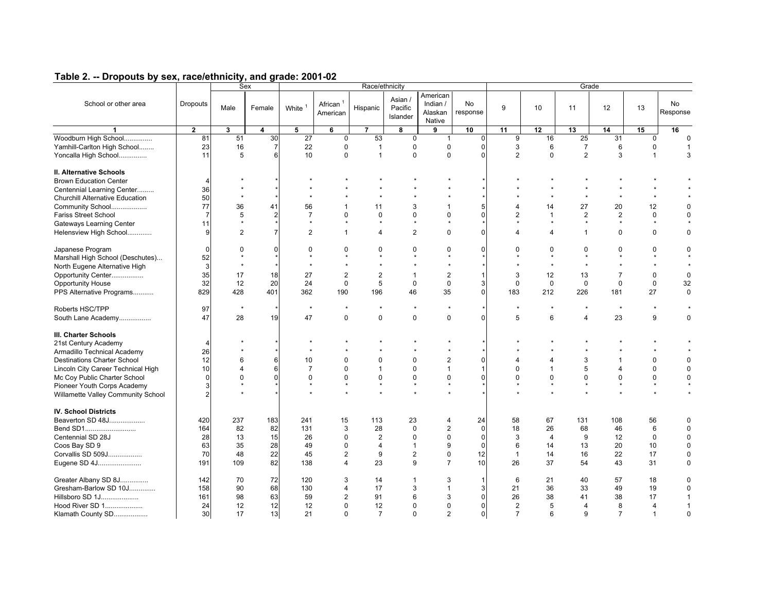|                                                                                        |                |                         | Sex            | Race/ethnicity     |                                  |                |                                |                                           |                |                 |                | Grade          |                 |                |                |  |  |  |
|----------------------------------------------------------------------------------------|----------------|-------------------------|----------------|--------------------|----------------------------------|----------------|--------------------------------|-------------------------------------------|----------------|-----------------|----------------|----------------|-----------------|----------------|----------------|--|--|--|
| School or other area                                                                   | Dropouts       | Male                    | Female         | White <sup>1</sup> | African <sup>1</sup><br>American | Hispanic       | Asian /<br>Pacific<br>Islander | American<br>Indian /<br>Alaskan<br>Native | No<br>response | 9               | 10             | 11             | 12              | 13             | No<br>Response |  |  |  |
| $\blacktriangleleft$                                                                   | $\overline{2}$ | $\overline{\mathbf{3}}$ | 4              | $\overline{5}$     | $6\overline{6}$                  | $\overline{7}$ | 8                              | 9                                         | 10             | $\overline{11}$ | 12             | 13             | 14              | 15             | 16             |  |  |  |
| Woodburn High School                                                                   | 81             | 51                      | 30             | 27                 | $\mathbf{0}$                     | 53             | $\mathbf 0$                    | $\mathbf{1}$                              | $\mathbf 0$    | 9               | 16             | 25             | $\overline{31}$ | $\Omega$       | $\Omega$       |  |  |  |
| Yamhill-Carlton High School                                                            | 23             | 16                      | $\overline{7}$ | 22                 | 0                                | $\overline{1}$ | $\mathbf 0$                    | $\mathbf 0$                               | $\mathbf 0$    | 3               | 6              | $\overline{7}$ | 6               | $\mathbf 0$    | 1              |  |  |  |
| Yoncalla High School                                                                   | 11             | 5                       | 6              | 10                 | $\Omega$                         | $\overline{1}$ | $\Omega$                       | $\Omega$                                  | $\Omega$       | 2               | $\mathbf{0}$   | $\overline{2}$ | 3               | $\mathbf{1}$   | 3              |  |  |  |
| II. Alternative Schools<br><b>Brown Education Center</b><br>Centennial Learning Center | 4<br>36        |                         |                |                    |                                  |                |                                |                                           |                |                 |                |                |                 |                |                |  |  |  |
| <b>Churchill Alternative Education</b>                                                 | 50             |                         |                |                    |                                  |                |                                |                                           |                |                 |                | $\star$        | $\star$         | $\star$        |                |  |  |  |
| Community School                                                                       | 77             | 36                      | 41             | 56                 | $\mathbf{1}$                     | 11             | 3                              | $\overline{1}$                            | 5              | $\overline{4}$  | 14             | 27             | 20              | 12             | $\Omega$       |  |  |  |
| Fariss Street School                                                                   | $\overline{7}$ | 5                       | $\overline{2}$ | $\overline{7}$     | $\Omega$                         | $\Omega$       | $\Omega$                       | $\Omega$                                  | $\Omega$       | $\overline{2}$  | $\mathbf{1}$   | $\overline{2}$ | $\overline{2}$  | $\mathbf 0$    | $\Omega$       |  |  |  |
| <b>Gateways Learning Center</b>                                                        | 11             | $\star$                 |                | $\star$            |                                  | $\star$        | $\star$                        | $\star$                                   |                |                 | $\star$        | $\star$        | $\star$         | $\star$        |                |  |  |  |
| Helensview High School                                                                 | 9              | 2                       | $\overline{7}$ | $\overline{2}$     | $\mathbf{1}$                     | 4              | $\overline{2}$                 | $\Omega$                                  | $\Omega$       | $\overline{4}$  | $\overline{4}$ | $\mathbf{1}$   | $\Omega$        | $\Omega$       | $\Omega$       |  |  |  |
|                                                                                        |                |                         |                |                    |                                  |                |                                |                                           |                |                 |                |                |                 |                |                |  |  |  |
| Japanese Program                                                                       | $\Omega$       | $\Omega$                | $\Omega$       | $\mathbf 0$        | $\Omega$                         | $\Omega$       | $\Omega$                       | 0                                         | $\Omega$       | $\Omega$        | $\mathbf 0$    | $\mathbf 0$    | 0               | $\mathbf 0$    | $\mathbf 0$    |  |  |  |
| Marshall High School (Deschutes)                                                       | 52             |                         |                | $\star$            |                                  |                |                                |                                           |                |                 | $\star$        | $\star$        | $\star$         | $\star$        |                |  |  |  |
| North Eugene Alternative High                                                          | 3              |                         |                | $\star$            |                                  |                |                                |                                           |                |                 |                |                |                 |                |                |  |  |  |
| Opportunity Center                                                                     | 35             | 17                      | 18             | 27                 | 2                                | $\overline{c}$ | $\mathbf{1}$                   | $\overline{2}$                            | $\overline{1}$ | 3               | 12             | 13             | $\overline{7}$  | $\mathbf 0$    | $\mathbf 0$    |  |  |  |
| <b>Opportunity House</b>                                                               | 32             | 12                      | 20             | 24                 | $\mathbf 0$                      | 5              | $\mathbf 0$                    | $\mathbf 0$                               | 3              | $\mathbf 0$     | $\mathbf 0$    | $\mathbf 0$    | $\mathbf 0$     | $\pmb{0}$      | 32             |  |  |  |
| PPS Alternative Programs                                                               | 829            | 428                     | 401            | 362                | 190                              | 196            | 46                             | 35                                        | $\mathbf 0$    | 183             | 212            | 226            | 181             | 27             | $\mathbf 0$    |  |  |  |
|                                                                                        |                |                         |                |                    |                                  |                |                                |                                           |                |                 |                |                |                 |                |                |  |  |  |
| Roberts HSC/TPP                                                                        | 97             | $\star$                 |                | $\star$            |                                  |                | $\star$                        | $\star$                                   |                | $\star$         | $\star$        | $\star$        | $\star$         | $\star$        |                |  |  |  |
| South Lane Academy                                                                     | 47             | 28                      | 19             | 47                 | 0                                | $\mathbf 0$    | $\Omega$                       | $\Omega$                                  | $\Omega$       | 5               | 6              | $\overline{4}$ | 23              | 9              | $\Omega$       |  |  |  |
|                                                                                        |                |                         |                |                    |                                  |                |                                |                                           |                |                 |                |                |                 |                |                |  |  |  |
| III. Charter Schools                                                                   |                |                         |                |                    |                                  |                |                                |                                           |                |                 |                |                |                 |                |                |  |  |  |
| 21st Century Academy                                                                   | $\overline{4}$ |                         |                |                    |                                  |                |                                |                                           |                |                 |                |                |                 |                |                |  |  |  |
| Armadillo Technical Academy                                                            | 26             |                         |                |                    |                                  |                |                                |                                           |                |                 |                |                |                 |                |                |  |  |  |
| <b>Destinations Charter School</b>                                                     | 12             | 6                       | 6              | 10                 | $\Omega$                         | 0              | $\mathbf 0$                    | $\overline{2}$                            | $\Omega$       | 4               | $\overline{4}$ | 3              | $\mathbf{1}$    | $\pmb{0}$      | $\mathbf 0$    |  |  |  |
| Lincoln City Career Technical High                                                     | 10             | $\overline{4}$          | 6              | $\overline{7}$     | $\Omega$                         | $\overline{1}$ | $\mathbf 0$                    | $\mathbf{1}$                              | $\overline{1}$ | $\mathbf 0$     | $\mathbf{1}$   | 5              | $\overline{4}$  | $\mathbf 0$    | $\mathbf 0$    |  |  |  |
| Mc Coy Public Charter School                                                           | $\Omega$       | $\Omega$                | $\Omega$       | $\mathbf 0$        | $\Omega$                         | 0              | $\mathbf 0$                    | $\mathbf 0$                               | $\Omega$       | $\Omega$        | $\mathbf 0$    | $\mathbf 0$    | 0               | $\mathbf 0$    | $\mathbf 0$    |  |  |  |
| Pioneer Youth Corps Academy                                                            | 3              |                         |                |                    |                                  |                | $\star$                        | $\star$                                   |                |                 | $\star$        | $\star$        | $\star$         | $\star$        |                |  |  |  |
| Willamette Valley Community School                                                     | 2              |                         |                |                    |                                  |                |                                |                                           |                |                 |                | $\star$        |                 |                |                |  |  |  |
|                                                                                        |                |                         |                |                    |                                  |                |                                |                                           |                |                 |                |                |                 |                |                |  |  |  |
| <b>IV. School Districts</b>                                                            |                |                         |                |                    |                                  |                |                                |                                           |                |                 |                |                |                 |                |                |  |  |  |
| Beaverton SD 48J                                                                       | 420            | 237                     | 183            | 241                | 15                               | 113            | 23                             | $\overline{4}$                            | 24             | 58              | 67             | 131            | 108             | 56             | $\mathbf 0$    |  |  |  |
|                                                                                        | 164            | 82                      | 82             | 131                | 3                                | 28             | $\Omega$                       | $\overline{2}$                            | $\Omega$       | 18              | 26             | 68             | 46              | 6              | $\mathbf 0$    |  |  |  |
| Centennial SD 28J                                                                      | 28             | 13                      | 15             | 26                 | 0                                | $\overline{2}$ | $\mathbf 0$                    | $\mathbf 0$                               | $\mathbf 0$    | 3               | $\overline{4}$ | 9              | 12              | $\pmb{0}$      | $\pmb{0}$      |  |  |  |
| Coos Bay SD 9                                                                          | 63             | 35                      | 28             | 49                 | 0                                | $\overline{4}$ | $\mathbf{1}$                   | 9                                         | $\mathbf 0$    | 6               | 14             | 13             | 20              | 10             | $\pmb{0}$      |  |  |  |
| Corvallis SD 509J                                                                      | 70             | 48                      | 22             | 45                 | $\overline{2}$                   | 9              | 2                              | $\pmb{0}$                                 | 12             | $\mathbf{1}$    | 14             | 16             | 22              | 17             | $\pmb{0}$      |  |  |  |
| Eugene SD 4J                                                                           | 191            | 109                     | 82             | 138                | $\overline{4}$                   | 23             | 9                              | $\overline{7}$                            | 10             | 26              | 37             | 54             | 43              | 31             | $\mathbf 0$    |  |  |  |
| Greater Albany SD 8J                                                                   | 142            | 70                      | 72             | 120                | 3                                | 14             | $\mathbf{1}$                   | 3                                         | $\overline{1}$ | 6               | 21             | 40             | 57              | 18             | $\mathbf 0$    |  |  |  |
| Gresham-Barlow SD 10J                                                                  | 158            | 90                      | 68             | 130                | 4                                | 17             | 3                              | $\overline{1}$                            | 3              | 21              | 36             | 33             | 49              | 19             | $\mathbf 0$    |  |  |  |
| Hillsboro SD 1J                                                                        | 161            | 98                      | 63             | 59                 | $\overline{2}$                   | 91             | 6                              | 3                                         | $\Omega$       | 26              | 38             | 41             | 38              | 17             | $\mathbf{1}$   |  |  |  |
| Hood River SD 1                                                                        | 24             | 12                      | 12             | 12                 | $\Omega$                         | 12             | $\Omega$                       | $\Omega$                                  | $\Omega$       | $\overline{2}$  | 5              | $\overline{4}$ | 8               | $\overline{4}$ | $\mathbf{1}$   |  |  |  |
| Klamath County SD                                                                      | 30             | 17                      | 13             | 21                 | $\Omega$                         | $\overline{7}$ | $\Omega$                       | 2                                         | $\mathbf{0}$   | $\overline{7}$  | 6              | 9              | $\overline{7}$  | $\mathbf{1}$   | $\mathbf 0$    |  |  |  |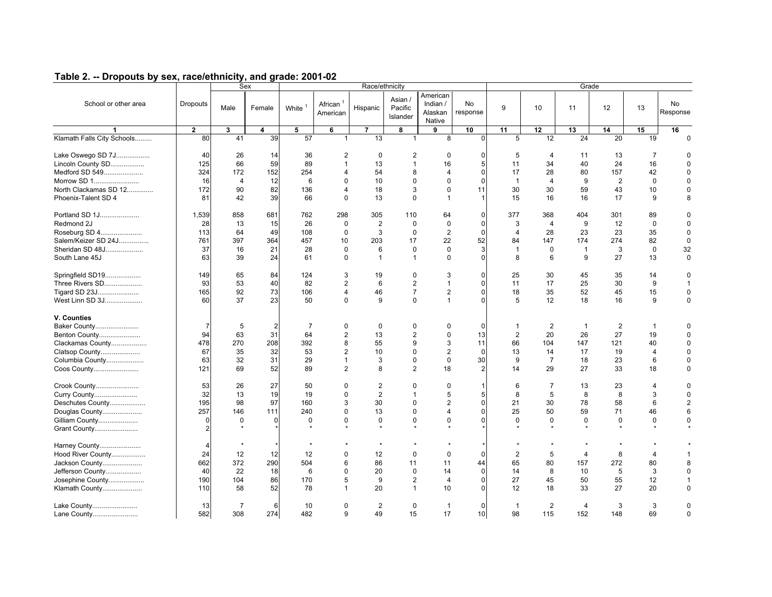|                                                          |                  | <b>Sex</b><br>Race/ethnicity |                 |                    |                                            |                         |                                |                                           |                              |                |                            | Grade           |                 |                            |                           |
|----------------------------------------------------------|------------------|------------------------------|-----------------|--------------------|--------------------------------------------|-------------------------|--------------------------------|-------------------------------------------|------------------------------|----------------|----------------------------|-----------------|-----------------|----------------------------|---------------------------|
| School or other area                                     | <b>Dropouts</b>  | Male                         | Female          | White <sup>1</sup> | African <sup>1</sup><br>American           | Hispanic                | Asian /<br>Pacific<br>Islander | American<br>Indian /<br>Alaskan<br>Native | <b>No</b><br>response        | 9              | 10                         | 11              | 12              | 13                         | <b>No</b><br>Response     |
| 1                                                        | $\overline{2}$   | $\mathbf{3}$                 | 4               | 5                  | 6                                          | 7                       | 8                              | 9                                         | 10                           | 11             | 12                         | 13              | 14              | 15                         | 16                        |
| Klamath Falls City Schools                               | 80               | 41                           | 39              | $\overline{57}$    | $\mathbf{1}$                               | $\overline{13}$         | $\mathbf{1}$                   | 8                                         | $\Omega$                     | 5              | $\overline{12}$            | $\overline{24}$ | $\overline{20}$ | 19                         | $\Omega$                  |
| Lake Oswego SD 7J<br>Lincoln County SD<br>Medford SD 549 | 40<br>125<br>324 | 26<br>66<br>172              | 14<br>59<br>152 | 36<br>89<br>254    | $\overline{2}$<br>$\mathbf{1}$<br>$\Delta$ | $\mathbf 0$<br>13<br>54 | 2<br>$\mathbf{1}$<br>8         | $\mathbf 0$<br>16<br>$\overline{4}$       | $\mathbf 0$<br>5<br>$\Omega$ | 5<br>11<br>17  | $\overline{4}$<br>34<br>28 | 11<br>40<br>80  | 13<br>24<br>157 | $\overline{7}$<br>16<br>42 | 0<br>$\Omega$<br>$\Omega$ |
| Morrow SD 1                                              | 16               | $\overline{4}$               | 12              | 6                  | $\Omega$                                   | 10                      | $\Omega$                       | $\Omega$                                  | $\Omega$                     | $\mathbf{1}$   | $\overline{4}$             | 9               | $\overline{2}$  | $\Omega$                   | $\Omega$                  |
| North Clackamas SD 12                                    | 172              | 90                           | 82              | 136                | $\Delta$                                   | 18                      | 3                              | $\Omega$                                  | 11                           | 30             | 30                         | 59              | 43              | 10                         | $\Omega$                  |
| Phoenix-Talent SD 4                                      | 81               | 42                           | 39              | 66                 | $\Omega$                                   | 13                      | $\Omega$                       | $\mathbf{1}$                              | $\overline{1}$               | 15             | 16                         | 16              | 17              | 9                          | 8                         |
| Portland SD 1J<br>Redmond 2J                             | 1,539<br>28      | 858<br>13                    | 681<br>15       | 762<br>26          | 298<br>$\mathbf 0$                         | 305<br>$\overline{2}$   | 110<br>$\Omega$                | 64<br>$\Omega$                            | $\mathbf{0}$<br>$\mathbf{0}$ | 377<br>3       | 368<br>$\overline{4}$      | 404<br>9        | 301<br>12       | 89<br>$\Omega$             | ŋ<br>$\Omega$             |
| Roseburg SD 4                                            | 113              | 64                           | 49              | 108                | $\mathbf 0$                                | 3                       | $\mathbf 0$                    | $\overline{2}$                            | $\Omega$                     | $\overline{4}$ | 28                         | 23              | 23              | 35                         | $\Omega$                  |
| Salem/Keizer SD 24J                                      | 761              | 397                          | 364             | 457                | 10                                         | 203                     | 17                             | 22                                        | 52                           | 84             | 147                        | 174             | 274             | 82                         | $\Omega$                  |
| Sheridan SD 48J                                          | 37               | 16                           | 21              | 28                 | $\mathbf 0$                                | 6                       | $\mathbf 0$                    | $\mathbf 0$                               | 3                            | $\mathbf{1}$   | $\mathbf 0$                | $\mathbf{1}$    | 3               | $\mathbf 0$                | 32                        |
| South Lane 45J                                           | 63               | 39                           | 24              | 61                 | $\Omega$                                   | $\overline{1}$          | $\mathbf{1}$                   | $\Omega$                                  | $\Omega$                     | 8              | 6                          | 9               | 27              | 13                         | $\mathbf 0$               |
|                                                          |                  |                              |                 |                    |                                            |                         |                                |                                           |                              |                |                            |                 |                 |                            |                           |
| Springfield SD19<br>Three Rivers SD                      | 149<br>93        | 65<br>53                     | 84<br>40        | 124<br>82          | 3<br>2                                     | 19<br>6                 | $\mathbf 0$<br>2               | 3<br>$\mathbf{1}$                         | $\mathbf 0$<br>$\mathbf 0$   | 25<br>11       | 30<br>17                   | 45<br>25        | 35<br>30        | 14<br>9                    | 0<br>$\mathbf 1$          |
| Tigard SD 23J                                            | 165              | 92                           | 73              | 106                | $\overline{4}$                             | 46                      | $\overline{7}$                 | 2                                         | $\mathbf 0$                  | 18             | 35                         | 52              | 45              | 15                         | $\Omega$                  |
| West Linn SD 3J                                          | 60               | 37                           | 23              | 50                 | $\Omega$                                   | 9                       | $\Omega$                       | $\mathbf{1}$                              | $\Omega$                     | 5              | 12                         | 18              | 16              | 9                          | $\Omega$                  |
|                                                          |                  |                              |                 |                    |                                            |                         |                                |                                           |                              |                |                            |                 |                 |                            |                           |
| V. Counties<br>Baker County                              | $\overline{7}$   | 5                            | $\overline{2}$  | $\overline{7}$     | $\mathbf 0$                                | $\mathbf 0$             | $\Omega$                       | $\Omega$                                  | $\Omega$                     | -1             | $\overline{2}$             | $\mathbf{1}$    | $\overline{2}$  | $\mathbf{1}$               |                           |
|                                                          | 94               | 63                           | 31              | 64                 | $\boldsymbol{2}$                           | 13                      | $\overline{2}$                 | $\mathbf 0$                               | 13                           | $\overline{2}$ | 20                         | 26              | 27              | 19                         |                           |
| Benton County                                            | 478              | 270                          | 208             | 392                | 8                                          | 55                      | 9                              | 3                                         | 11                           | 66             | 104                        | 147             | 121             | 40                         | $\Omega$                  |
| Clackamas County                                         | 67               |                              |                 |                    |                                            |                         | $\mathbf 0$                    | $\overline{2}$                            |                              |                |                            |                 |                 |                            |                           |
| Clatsop County                                           |                  | 35                           | 32              | 53                 | $\overline{2}$                             | 10                      |                                |                                           | $\mathbf 0$                  | 13             | 14                         | 17              | 19              | 4                          | 0                         |
| Columbia County                                          | 63               | 32                           | 31              | 29                 | $\mathbf{1}$                               | 3                       | $\mathbf 0$                    | $\mathbf 0$                               | 30                           | 9              | $\overline{7}$             | 18              | 23              | 6                          | 0                         |
| Coos County                                              | 121              | 69                           | 52              | 89                 | 2                                          | 8                       | 2                              | 18                                        | $\overline{2}$               | 14             | 29                         | 27              | 33              | 18                         | $\Omega$                  |
| Crook County                                             | 53               | 26                           | 27              | 50                 | 0                                          | $\overline{2}$          | $\mathbf 0$                    | 0                                         | $\mathbf{1}$                 | 6              | 7                          | 13              | 23              | 4                          | U                         |
| Curry County                                             | 32               | 13                           | 19              | 19                 | $\Omega$                                   | $\overline{2}$          | $\mathbf{1}$                   | 5                                         | 5                            | 8              | 5                          | 8               | 8               | 3                          | 0                         |
| Deschutes County                                         | 195              | 98                           | 97              | 160                | 3                                          | 30                      | $\mathbf 0$                    | $\overline{2}$                            | $\mathbf 0$                  | 21             | 30                         | 78              | 58              | 6                          | $\overline{2}$            |
| Douglas County                                           | 257              | 146                          | 111             | 240                | $\Omega$                                   | 13                      | $\mathbf 0$                    | $\overline{4}$                            | $\Omega$                     | 25             | 50                         | 59              | 71              | 46                         | 6                         |
| Gilliam County                                           | $\mathbf 0$      | 0                            | $\mathbf 0$     | $\mathbf 0$        | $\mathbf 0$                                | $\mathbf 0$             | $\mathbf 0$                    | $\mathbf 0$                               | $\Omega$                     | $\mathbf 0$    | 0                          | $\mathbf 0$     | 0               | 0                          | $\Omega$                  |
| Grant County                                             | $\overline{2}$   |                              |                 |                    |                                            |                         |                                |                                           |                              |                |                            |                 |                 |                            |                           |
| Harney County                                            | $\overline{4}$   |                              |                 |                    |                                            |                         |                                |                                           |                              |                |                            |                 |                 |                            |                           |
| Hood River County                                        | 24               | 12                           | 12              | 12                 | $\mathbf 0$                                | 12                      | $\mathbf 0$                    | $\mathbf 0$                               | $\Omega$                     | $\overline{2}$ | 5                          | $\overline{4}$  | 8               | 4                          |                           |
| Jackson County                                           | 662              | 372                          | 290             | 504                | 6                                          | 86                      | 11                             | 11                                        | 44                           | 65             | 80                         | 157             | 272             | 80                         |                           |
| Jefferson County                                         | 40               | 22                           | 18              | 6                  | 0                                          | 20                      | $\mathbf 0$                    | 14                                        | $\mathbf 0$                  | 14             | 8                          | 10              | 5               | 3                          | 0                         |
| Josephine County                                         | 190              | 104                          | 86              | 170                | 5                                          | 9                       | 2                              | $\overline{4}$                            | $\mathbf 0$                  | 27             | 45                         | 50              | 55              | 12                         |                           |
| Klamath County                                           | 110              | 58                           | 52              | 78                 | $\mathbf{1}$                               | 20                      | $\mathbf{1}$                   | 10                                        | $\Omega$                     | 12             | 18                         | 33              | 27              | 20                         | $\Omega$                  |
|                                                          |                  |                              |                 |                    |                                            |                         |                                |                                           |                              |                |                            |                 |                 |                            |                           |
| Lake County<br>Lane County                               | 13<br>582        | 7<br>308                     | 6<br>274        | 10<br>482          | $\Omega$<br>9                              | $\overline{2}$<br>49    | $\mathbf 0$<br>15              | $\mathbf{1}$<br>17                        | $\Omega$<br>10               | -1<br>98       | $\overline{2}$<br>115      | 4<br>152        | 3<br>148        | 3<br>69                    | 0<br>0                    |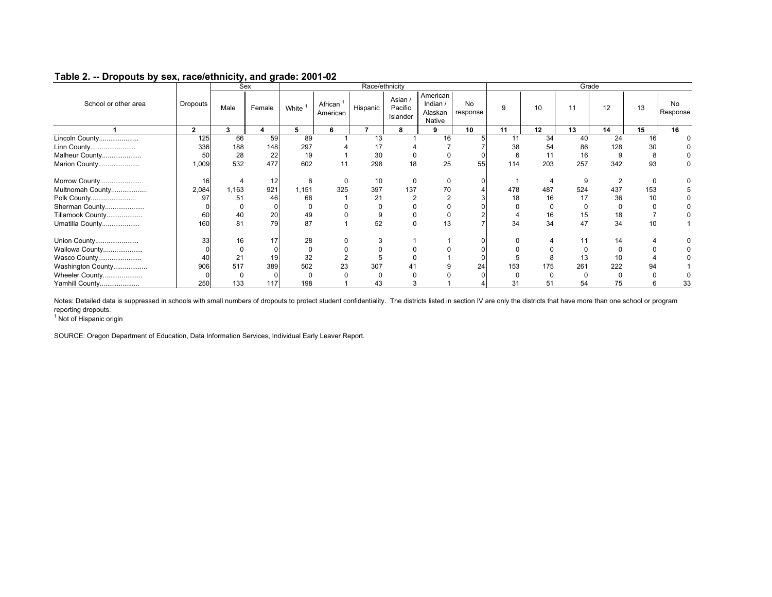|                      |                | <b>Sex</b> |        |              |                     |          | Race/ethnicity                 |                                           |                       |     |     | Grade    |          |     |                 |
|----------------------|----------------|------------|--------|--------------|---------------------|----------|--------------------------------|-------------------------------------------|-----------------------|-----|-----|----------|----------|-----|-----------------|
| School or other area | Dropouts       | Male       | Female | White        | African<br>American | Hispanic | Asian /<br>Pacific<br>Islander | American<br>Indian /<br>Alaskan<br>Native | <b>No</b><br>response | 9   | 10  | 11       | 12       | 13  | No.<br>Response |
|                      | $\overline{2}$ | 3          |        | 5            | 6                   |          | 8                              | 9                                         | 10                    | 11  | 12  | 13       | 14       | 15  | 16              |
| Lincoln County       | 125            | 66         | 59     | 89           |                     | 13       |                                | 16                                        |                       | 11  | 34  | 40       | 24       | 16  |                 |
| Linn County          | 336            | 188        | 148    | 297          |                     | 17       |                                |                                           |                       | 38  | 54  | 86       | 128      | 30  |                 |
| Malheur County       | 50             | 28         | 22     | 19           |                     | 30       |                                |                                           |                       | 6   | 11  | 16       | 9        | 8   |                 |
| Marion County        | 1,009          | 532        | 477    | 602          | 11                  | 298      | 18                             | 25                                        | 55                    | 114 | 203 | 257      | 342      | 93  |                 |
| Morrow County        | 16             |            | 12     | ĥ            |                     | 10       |                                |                                           |                       |     |     |          |          |     |                 |
| Multnomah County     | 2,084          | 1,163      | 921    | 1,151        | 325                 | 397      | 137                            | 70                                        |                       | 478 | 487 | 524      | 437      | 153 |                 |
| Polk County          | 97             | 51         | 46     | 68           |                     | 21       |                                |                                           |                       | 18  | 16  | 17       | 36       | 10  |                 |
| Sherman County       |                | 0          |        | <sup>0</sup> |                     |          |                                |                                           |                       |     | 0   | $\Omega$ | $\Omega$ |     |                 |
| Tillamook County     | 60             | 40         | 20     | 49           |                     |          |                                |                                           |                       |     | 16  | 15       | 18       |     |                 |
| Umatilla County      | 160            | 81         | 79     | 87           |                     | 52       |                                | 13                                        |                       | 34  | 34  | 47       | 34       | 10  |                 |
| Union County         | 33             | 16         | 17     | 28           |                     |          |                                |                                           |                       |     |     |          | 14       |     |                 |
| Wallowa County       |                |            | 0      | 0            |                     |          |                                |                                           |                       |     |     |          |          |     |                 |
| Wasco County         |                |            | 19     | 32           |                     |          |                                |                                           |                       |     | 8   | 13       | 10       |     |                 |
| Washington County    | 906            | 517        | 389    | 502          | 23                  | 307      |                                |                                           | 24                    | 153 | 175 | 261      | 222      | 94  |                 |
| Wheeler County       |                |            |        |              |                     |          |                                |                                           |                       |     |     |          |          |     |                 |
| Yamhill County       | 250            | 133        | 117    | 198          |                     |          |                                |                                           |                       | 31  | 51  | 54       | 75       |     | 33              |

Notes: Detailed data is suppressed in schools with small numbers of dropouts to protect student confidentiality. The districts listed in section IV are only the districts that have more than one school or program reporting dropouts.

<sup>1</sup> Not of Hispanic origin

SOURCE: Oregon Department of Education, Data Information Services, Individual Early Leaver Report.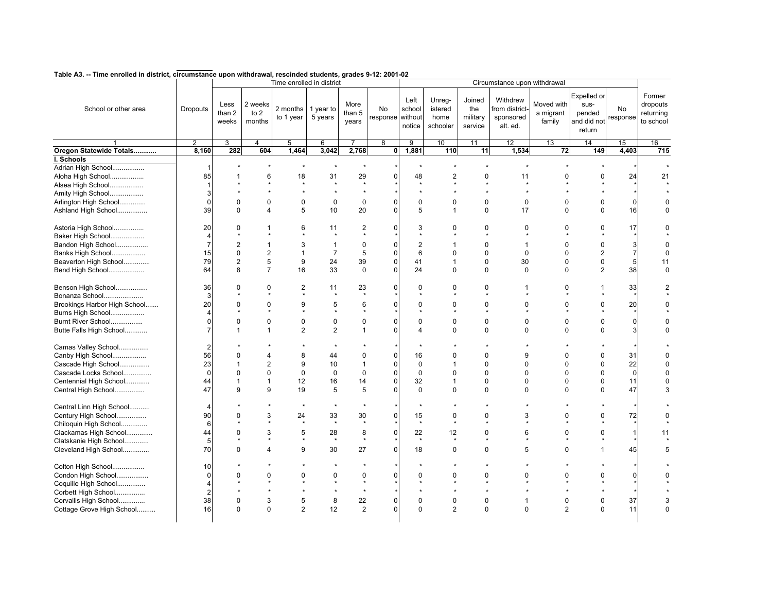|                              |                 |                         |                             | Time enrolled in district |                      |                           |                        | Circumstance upon withdrawal |                                       |                                      |                                                     |                                   |                                                        |                |                                              |
|------------------------------|-----------------|-------------------------|-----------------------------|---------------------------|----------------------|---------------------------|------------------------|------------------------------|---------------------------------------|--------------------------------------|-----------------------------------------------------|-----------------------------------|--------------------------------------------------------|----------------|----------------------------------------------|
| School or other area         | <b>Dropouts</b> | Less<br>than 2<br>weeks | 2 weeks<br>to $2$<br>months | 2 months<br>to 1 year     | 1 year to<br>5 years | More<br>than $5$<br>years | No<br>response without | Left<br>school<br>notice     | Unreq-<br>istered<br>home<br>schooler | Joined<br>the<br>military<br>service | Withdrew<br>from district-<br>sponsored<br>alt. ed. | Moved with<br>a migrant<br>family | Expelled or<br>sus-<br>pended<br>and did not<br>return | No<br>response | Former<br>dropouts<br>returning<br>to school |
|                              | $\overline{2}$  | 3                       | $\overline{4}$              | 5                         | 6                    | 7                         | $\overline{8}$         | 9                            | 10                                    | 11                                   | 12                                                  | 13                                | 14                                                     | 15             | 16                                           |
| Oregon Statewide Totals      | 8,160           | 282                     | 604                         | 1,464                     | 3,042                | 2,768                     | $\mathbf{0}$           | 1,881                        | 110                                   | 11                                   | 1,534                                               | 72                                | 149                                                    | 4,403          | 715                                          |
| I. Schools                   |                 |                         |                             |                           |                      |                           |                        |                              |                                       |                                      |                                                     |                                   |                                                        |                |                                              |
| Adrian High School           | -1              |                         |                             |                           | $\star$              | $\star$                   |                        | $\star$                      |                                       |                                      |                                                     |                                   | $\star$                                                |                |                                              |
| Aloha High School            | 85              |                         | 6                           | 18                        | 31                   | 29                        | $\Omega$               | 48                           | 2                                     | 0                                    | 11                                                  | $\Omega$                          | 0                                                      | 24             | 21                                           |
| Alsea High School            |                 |                         |                             |                           |                      | $\star$                   |                        |                              |                                       |                                      |                                                     |                                   |                                                        |                |                                              |
| Amity High School            | 3               |                         |                             |                           | $\star$              | $\star$                   |                        |                              |                                       |                                      |                                                     |                                   |                                                        |                |                                              |
| Arlington High School        | $\Omega$        | 0                       | $\mathbf 0$                 | 0                         | $\pmb{0}$            | $\pmb{0}$                 | O                      | $\mathbf 0$                  | 0                                     | $\mathbf 0$                          | $\mathbf 0$                                         | $\Omega$                          | 0                                                      |                |                                              |
| Ashland High School          | 39              | $\Omega$                | $\overline{4}$              | 5                         | 10                   | 20                        | $\Omega$               | 5                            | $\mathbf{1}$                          | $\mathbf{0}$                         | 17                                                  | $\Omega$                          | $\mathbf 0$                                            | 16             |                                              |
|                              |                 |                         |                             |                           |                      |                           |                        |                              |                                       |                                      |                                                     |                                   |                                                        |                |                                              |
| Astoria High School          | 20              | 0                       | 1                           | 6                         | 11                   | $\overline{2}$            | O                      | 3                            | $\Omega$                              | 0                                    | $\Omega$                                            | $\Omega$                          | $\Omega$                                               | 17             |                                              |
| Baker High School            | 4               |                         |                             |                           |                      |                           |                        |                              |                                       |                                      |                                                     |                                   |                                                        |                |                                              |
| Bandon High School           | 7               | $\overline{2}$          | $\mathbf{1}$                | 3                         | $\mathbf{1}$         | $\mathbf 0$               | ი                      | 2                            |                                       | 0                                    | 1                                                   | $\Omega$                          | 0                                                      | 3              | $\Omega$                                     |
| Banks High School            | 15              | 0                       | $\overline{2}$              | $\mathbf{1}$              | $\overline{7}$       | 5                         | 0                      | 6                            | $\Omega$                              | 0                                    | $\mathbf 0$                                         | $\mathbf 0$                       | $\overline{\mathbf{c}}$                                |                | $\Omega$                                     |
| Beaverton High School        | 79              | $\overline{2}$          | 5                           | 9                         | 24                   | 39                        | $\Omega$               | 41                           | $\mathbf 1$                           | $\Omega$                             | 30                                                  | $\Omega$                          | 0                                                      | 5              | 11                                           |
| Bend High School             | 64              | 8                       | $\overline{7}$              | 16                        | 33                   | $\mathbf 0$               | $\Omega$               | 24                           | $\mathbf 0$                           | $\mathbf 0$                          | $\mathbf 0$                                         | $\Omega$                          | $\overline{2}$                                         | 38             | $\Omega$                                     |
|                              |                 |                         |                             |                           |                      |                           |                        |                              |                                       |                                      |                                                     |                                   |                                                        |                |                                              |
| Benson High School           | 36              | 0                       | $\Omega$                    | $\overline{2}$            | 11                   | 23                        | O                      | $\Omega$                     | $\Omega$                              | 0                                    | 1                                                   | $\Omega$                          | 1                                                      | 33             |                                              |
| Bonanza School               | 3               | $\boldsymbol{\Phi}$     | $\Phi$                      |                           | $\mathbf{v}$         | $\star$                   |                        |                              |                                       |                                      |                                                     |                                   |                                                        |                |                                              |
| Brookings Harbor High School | 20              | 0                       | $\mathbf 0$                 | 9                         | 5                    | 6                         |                        | $\Omega$                     | $\Omega$                              | 0                                    | $\Omega$                                            | $\Omega$                          | 0                                                      | 20             |                                              |
| Burns High School            |                 | $\star$                 |                             |                           |                      |                           |                        |                              |                                       |                                      |                                                     |                                   | $\star$                                                |                |                                              |
|                              | $\Omega$        | 0                       | $\mathbf 0$                 | 0                         | $\pmb{0}$            | $\pmb{0}$                 | O                      | $\mathbf 0$                  | 0                                     | 0                                    | $\mathbf 0$                                         | $\mathbf 0$                       | 0                                                      | 0              |                                              |
| Burnt River School           |                 |                         |                             |                           |                      |                           | U                      |                              |                                       |                                      |                                                     |                                   |                                                        |                | U                                            |
| Butte Falls High School      | 7               | 1                       | $\mathbf{1}$                | $\overline{2}$            | 2                    | $\mathbf{1}$              |                        | 4                            | 0                                     | $\Omega$                             | $\Omega$                                            | $\Omega$                          | 0                                                      | 3              |                                              |
| Camas Valley School          | $\mathfrak{p}$  |                         |                             |                           | $\star$              |                           |                        | ٠                            |                                       |                                      |                                                     |                                   |                                                        |                |                                              |
| Canby High School            | 56              | 0                       | $\overline{4}$              | 8                         | 44                   | 0                         | 0                      | 16                           | $\Omega$                              | 0                                    | 9                                                   | $\mathbf 0$                       | 0                                                      | 31             |                                              |
| Cascade High School          | 23              | 1                       | $\overline{2}$              | 9                         | 10                   | $\mathbf{1}$              | O                      | $\pmb{0}$                    | 1                                     | $\Omega$                             | $\Omega$                                            | $\Omega$                          | 0                                                      | 22             | $\Omega$                                     |
| Cascade Locks School         | $\Omega$        | $\Omega$                | $\Omega$                    | $\Omega$                  | $\mathbf 0$          | $\Omega$                  | $\Omega$               | $\Omega$                     | $\Omega$                              | $\Omega$                             | $\Omega$                                            | $\Omega$                          | 0                                                      | $\Omega$       |                                              |
| Centennial High School       | 44              | 1                       | $\mathbf{1}$                | 12                        | 16                   | 14                        | 0                      | 32                           | 1                                     | 0                                    | $\Omega$                                            | $\Omega$                          | 0                                                      | 11             | $\Omega$                                     |
| Central High School          | 47              | 9                       | 9                           | 19                        | 5                    | 5                         | 0                      | $\mathbf 0$                  | $\Omega$                              | $\Omega$                             | $\Omega$                                            | $\Omega$                          | 0                                                      | 47             | 3                                            |
|                              |                 |                         |                             |                           |                      |                           |                        |                              |                                       |                                      |                                                     |                                   |                                                        |                |                                              |
| Central Linn High School     | 4               |                         |                             | $\star$                   | $\star$              |                           |                        | $\star$                      |                                       |                                      |                                                     |                                   |                                                        |                |                                              |
| Century High School          | 90              | 0                       | 3                           | 24                        | 33                   | 30                        | $\mathbf{0}$           | 15                           | 0                                     | 0                                    | 3                                                   | $\Omega$                          | 0                                                      | 72             |                                              |
| Chiloquin High School        | 6               |                         |                             |                           | $\star$              | $\star$                   |                        | $\star$                      |                                       |                                      |                                                     |                                   |                                                        |                |                                              |
|                              | 44              | 0                       | 3                           | 5                         | 28                   | 8                         | 0                      | 22                           | 12                                    | 0                                    | 6                                                   | $\mathbf 0$                       | 0                                                      |                | 11                                           |
| Clackamas High School        |                 | $\star$                 |                             | $\star$                   | $\star$              | $\star$                   |                        | $\star$                      |                                       |                                      |                                                     |                                   | $\star$                                                |                |                                              |
| Clatskanie High School       | 5               |                         |                             |                           |                      |                           |                        |                              |                                       |                                      |                                                     |                                   |                                                        |                |                                              |
| Cleveland High School        | 70              | $\Omega$                | $\overline{4}$              | 9                         | 30                   | 27                        | $\Omega$               | 18                           | $\Omega$                              | $\Omega$                             | 5                                                   | $\Omega$                          | 1                                                      | 45             | 5                                            |
| Colton High School           | 10              |                         |                             |                           | $\star$              |                           |                        | $\star$                      |                                       |                                      |                                                     |                                   |                                                        |                |                                              |
| Condon High School           | $\Omega$        | 0                       | $\mathbf 0$                 | $\Omega$                  | $\mathbf 0$          | 0                         | $\Omega$               | $\Omega$                     | $\Omega$                              | 0                                    | $\Omega$                                            | $\Omega$                          | 0                                                      |                |                                              |
| Coquille High School         |                 |                         | $\Phi$                      |                           | $\star$              | $\star$                   |                        |                              |                                       |                                      | $\star$                                             |                                   | $\star$                                                |                |                                              |
|                              | 2               |                         |                             |                           | $\star$              | $\star$                   |                        |                              |                                       | $\star$                              |                                                     |                                   | $\star$                                                |                |                                              |
| Corbett High School          |                 |                         |                             |                           |                      |                           |                        |                              |                                       |                                      |                                                     |                                   |                                                        |                |                                              |
| Corvallis High School        | 38              | 0                       | $\mathbf{3}$                | 5                         | 8                    | 22                        | 0                      | $\mathbf 0$                  | $\mathbf 0$                           | $\mathbf 0$                          | $\mathbf{1}$                                        | $\mathbf 0$                       | 0                                                      | 37             | 3                                            |
| Cottage Grove High School    | 16              | 0                       | $\Omega$                    | $\overline{2}$            | 12                   | $\overline{2}$            | $\Omega$               | $\Omega$                     | $\overline{2}$                        | $\Omega$                             | $\Omega$                                            | $\overline{2}$                    | $\Omega$                                               | 11             | $\Omega$                                     |
|                              |                 |                         |                             |                           |                      |                           |                        |                              |                                       |                                      |                                                     |                                   |                                                        |                |                                              |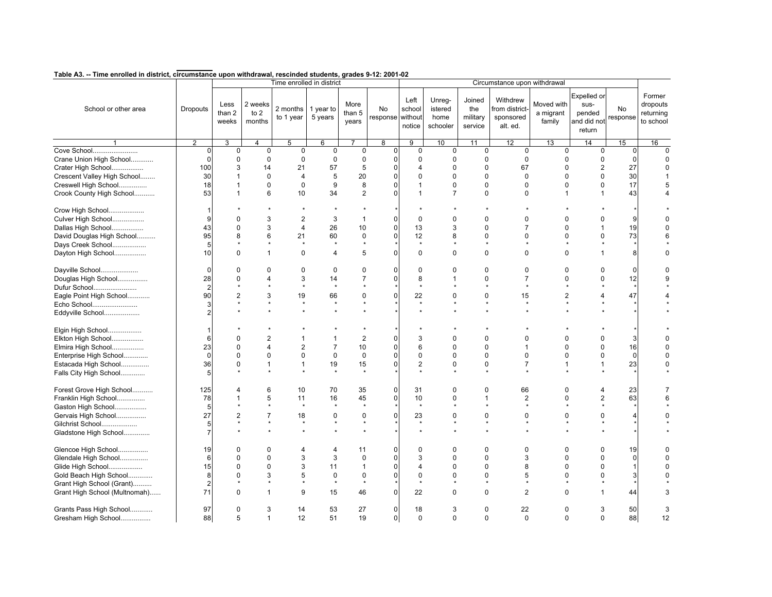|                               |                |                         |                             | Time enrolled in district |                      |                         |                        | Circumstance upon withdrawal |                                       |                                      |                                                    |                                   |                                                        |                |                                              |  |
|-------------------------------|----------------|-------------------------|-----------------------------|---------------------------|----------------------|-------------------------|------------------------|------------------------------|---------------------------------------|--------------------------------------|----------------------------------------------------|-----------------------------------|--------------------------------------------------------|----------------|----------------------------------------------|--|
| School or other area          | Dropouts       | Less<br>than 2<br>weeks | 2 weeks<br>to $2$<br>months | 2 months<br>to 1 year     | 1 year to<br>5 years | More<br>than 5<br>years | No<br>response without | Left<br>school<br>notice     | Unreg-<br>istered<br>home<br>schooler | Joined<br>the<br>military<br>service | Withdrew<br>from district<br>sponsored<br>alt. ed. | Moved with<br>a migrant<br>family | Expelled or<br>sus-<br>pended<br>and did not<br>return | No<br>response | Former<br>dropouts<br>returning<br>to school |  |
|                               | $\overline{2}$ | 3                       | $\overline{4}$              | 5                         | 6                    |                         | $\overline{8}$         | $\overline{9}$               | 10                                    | 11                                   | 12                                                 | 13                                | 14                                                     | 15             | 16                                           |  |
| Cove School                   | $\Omega$       | $\mathbf 0$             | $\mathbf 0$                 | $\mathbf 0$               | $\mathbf 0$          | 0                       | $\mathbf 0$            | $\mathbf 0$                  | $\mathbf 0$                           | $\mathbf 0$                          | $\mathbf 0$                                        | $\mathbf 0$                       | $\mathbf 0$                                            | $\overline{0}$ | $\Omega$                                     |  |
| Crane Union High School       |                | $\pmb{0}$               | $\mathbf 0$                 | 0                         | $\mathbf 0$          | $\mathbf 0$             | 0                      | $\mathbf 0$                  | $\mathbf 0$                           | 0                                    | 0                                                  | $\mathbf 0$                       | $\mathsf 0$                                            | 0              | $\Omega$                                     |  |
| Crater High School            | 100            | 3                       | 14                          | 21                        | 57                   | 5                       | n                      | 4                            | $\mathbf 0$                           | 0                                    | 67                                                 | $\Omega$                          | $\mathbf{2}$                                           | 27             | $\Omega$                                     |  |
| Crescent Valley High School   | 30             |                         | $\Omega$                    | $\overline{4}$            | 5                    | 20                      |                        | $\Omega$                     | $\Omega$                              | $\Omega$                             | $\Omega$                                           | $\Omega$                          | 0                                                      | 30             |                                              |  |
| Creswell High School          | 18             | $\mathbf{1}$            | $\mathbf 0$                 | $\mathbf 0$               | 9                    | 8                       | 0                      | 1                            | $\pmb{0}$                             | $\mathbf 0$                          | 0                                                  | $\mathbf 0$                       | $\mathsf 0$                                            | 17             |                                              |  |
| Crook County High School      | 53             | $\mathbf{1}$            | 6                           | 10                        | 34                   | 2                       |                        | $\mathbf 1$                  | $\overline{7}$                        | $\Omega$                             | $\Omega$                                           | $\mathbf{1}$                      | $\mathbf{1}$                                           | 43             |                                              |  |
| Crow High School              |                |                         |                             |                           |                      |                         |                        |                              |                                       |                                      |                                                    |                                   |                                                        |                |                                              |  |
| Culver High School            | Q              | $\Omega$                | 3                           | $\overline{2}$            | 3                    | $\mathbf{1}$            | $\Omega$               | $\Omega$                     | $\Omega$                              | $\Omega$                             | $\Omega$                                           | $\Omega$                          | 0                                                      | 9              |                                              |  |
| Dallas High School            | 43             | 0                       | 3                           | $\overline{4}$            | 26                   | 10                      | 0                      | 13                           | 3                                     | 0                                    | $\overline{7}$                                     | $\mathbf 0$                       | $\mathbf{1}$                                           | 19             |                                              |  |
| David Douglas High School     | 95             | 8                       | 6                           | 21                        | 60                   | $\mathbf 0$             | n                      | 12                           | 8                                     | $\Omega$                             | $\Omega$                                           | $\Omega$                          | 0                                                      | 73             |                                              |  |
| Days Creek School             | 5              |                         |                             |                           |                      |                         |                        | $\star$                      |                                       |                                      |                                                    |                                   |                                                        |                |                                              |  |
| Dayton High School            | 10             | $\Omega$                | $\mathbf{1}$                | $\Omega$                  | $\overline{4}$       | 5                       | 0                      | $\mathbf 0$                  | $\Omega$                              | $\mathbf{0}$                         | $\Omega$                                           | $\Omega$                          | 1                                                      | 8              | O                                            |  |
| Dayville School               |                | 0                       | $\mathbf 0$                 | 0                         | $\mathbf 0$          | $\mathbf 0$             | 0                      | $\mathbf 0$                  | $\mathbf 0$                           | 0                                    | 0                                                  | $\mathbf 0$                       | 0                                                      | $\Omega$       |                                              |  |
| Douglas High School           | 28             | $\Omega$                | $\overline{4}$              | 3                         | 14                   | $\overline{7}$          | 0                      | 8                            |                                       | $\Omega$                             | $\overline{7}$                                     | $\Omega$                          | 0                                                      | 12             |                                              |  |
| Dufur School                  |                | $\Phi$                  | $\star$                     | $\star$                   | $\star$              |                         |                        | $\star$                      |                                       |                                      |                                                    |                                   | $\bullet$                                              |                |                                              |  |
| Eagle Point High School       | 90             | 2                       | 3                           | 19                        | 66                   | $\mathbf 0$             | n                      | 22                           | $\Omega$                              | 0                                    | 15                                                 | $\overline{2}$                    | 4                                                      | 47             |                                              |  |
| Echo School                   |                |                         | $\star$                     | $\star$                   | $\star$              |                         |                        | $\star$                      |                                       | $\star$                              |                                                    |                                   |                                                        |                |                                              |  |
| Eddyville School              |                |                         |                             |                           | $\star$              |                         |                        |                              |                                       |                                      |                                                    |                                   |                                                        |                |                                              |  |
| Elgin High School             |                |                         |                             |                           |                      |                         |                        |                              |                                       |                                      |                                                    |                                   |                                                        |                |                                              |  |
| Elkton High School            | 6              | $\Omega$                | $\overline{2}$              | $\mathbf 1$               | $\mathbf{1}$         | $\overline{2}$          | U                      | 3                            | $\Omega$                              | $\Omega$                             | $\Omega$                                           | $\Omega$                          | $\Omega$                                               |                |                                              |  |
| Elmira High School            | 23             | $\Omega$                | $\overline{4}$              | $\overline{2}$            | $\overline{7}$       | 10                      | 0                      | 6                            | $\Omega$                              | $\Omega$                             | 1                                                  | $\Omega$                          | 0                                                      | 16             |                                              |  |
| Enterprise High School        | $\Omega$       | 0                       | $\mathbf 0$                 | 0                         | $\mathbf 0$          | $\mathbf 0$             |                        | 0                            | $\mathbf 0$                           | 0                                    | 0                                                  | $\mathbf 0$                       | $\Omega$                                               | $\mathbf 0$    |                                              |  |
| Estacada High School          | 36             | $\mathbf 0$             | $\mathbf{1}$                | $\mathbf{1}$              | 19                   | 15                      | n                      | $\overline{2}$               | $\pmb{0}$                             | $\mathbf 0$                          | 7                                                  | $\mathbf{1}$                      | 1                                                      | 23             |                                              |  |
| Falls City High School        |                |                         |                             |                           | $\star$              |                         |                        |                              |                                       |                                      |                                                    |                                   |                                                        |                |                                              |  |
| Forest Grove High School      | 125            | Δ                       | 6                           | 10                        | 70                   | 35                      | 0                      | 31                           | $\Omega$                              | $\Omega$                             | 66                                                 | $\Omega$                          | 4                                                      | 23             |                                              |  |
| Franklin High School          | 78             |                         | 5                           | 11                        | 16                   | 45                      | $\overline{0}$         | 10                           | $\Omega$                              |                                      | $\overline{2}$                                     | $\Omega$                          | 2                                                      | 63             | ี                                            |  |
| Gaston High School            |                |                         |                             |                           |                      |                         |                        |                              |                                       |                                      |                                                    |                                   |                                                        |                |                                              |  |
| Gervais High School           | 27             | 2                       | $\overline{7}$              | 18                        | $\mathbf 0$          | $\mathbf 0$             | 0                      | 23                           | $\Omega$                              | 0                                    | 0                                                  | $\Omega$                          | 0                                                      |                |                                              |  |
| Gilchrist School              |                |                         | $\star$                     | $\star$                   | $\star$              | $\star$                 |                        | $\star$                      |                                       | $\star$                              |                                                    |                                   |                                                        |                |                                              |  |
| Gladstone High School         |                |                         |                             |                           |                      |                         |                        |                              |                                       |                                      |                                                    |                                   |                                                        |                |                                              |  |
| Glencoe High School           | 19             | $\Omega$                | $\mathbf 0$                 | 4                         | $\overline{4}$       | 11                      | 0                      | $\mathbf 0$                  | $\mathbf 0$                           | $\Omega$                             | $\Omega$                                           | $\Omega$                          | 0                                                      | 19             |                                              |  |
| Glendale High School          | 6              | 0                       | $\mathbf 0$                 | 3                         | 3                    | 0                       | 0                      | 3                            | $\Omega$                              | $\Omega$                             | 3                                                  | $\Omega$                          | 0                                                      | 0              |                                              |  |
| Glide High School             | 15             | $\Omega$                | $\Omega$                    | 3                         | 11                   | $\mathbf{1}$            |                        | $\Delta$                     | $\Omega$                              | $\Omega$                             | 8                                                  | $\Omega$                          | $\Omega$                                               |                |                                              |  |
| Gold Beach High School        |                | $\Omega$                | 3                           | 5                         | $\Omega$             | $\mathbf 0$             | 0                      | $\Omega$                     | $\Omega$                              | $\Omega$                             | 5                                                  | $\Omega$                          | 0                                                      |                |                                              |  |
| Grant High School (Grant)     |                | $\star$                 | $\star$                     |                           | $\star$              | $\star$                 |                        | $\star$                      | $\star$                               | $\star$                              |                                                    |                                   | $\star$                                                |                |                                              |  |
| Grant High School (Multnomah) | 71             | $\Omega$                | $\mathbf{1}$                | 9                         | 15                   | 46                      | $\Omega$               | 22                           | $\Omega$                              | $\Omega$                             | $\overline{2}$                                     | $\Omega$                          | 1                                                      | 44             | 3                                            |  |
| Grants Pass High School       | 97             | $\mathbf 0$             | 3                           | 14                        | 53                   | 27                      | $\overline{0}$         | 18                           | 3                                     | 0                                    | 22                                                 | $\mathbf 0$                       | 3                                                      | 50             | 3                                            |  |
| Gresham High School           | 88             | 5                       | $\mathbf{1}$                | 12                        | 51                   | 19                      | $\mathbf 0$            | $\Omega$                     | $\Omega$                              | $\Omega$                             | $\Omega$                                           | $\Omega$                          | $\Omega$                                               | 88             | 12                                           |  |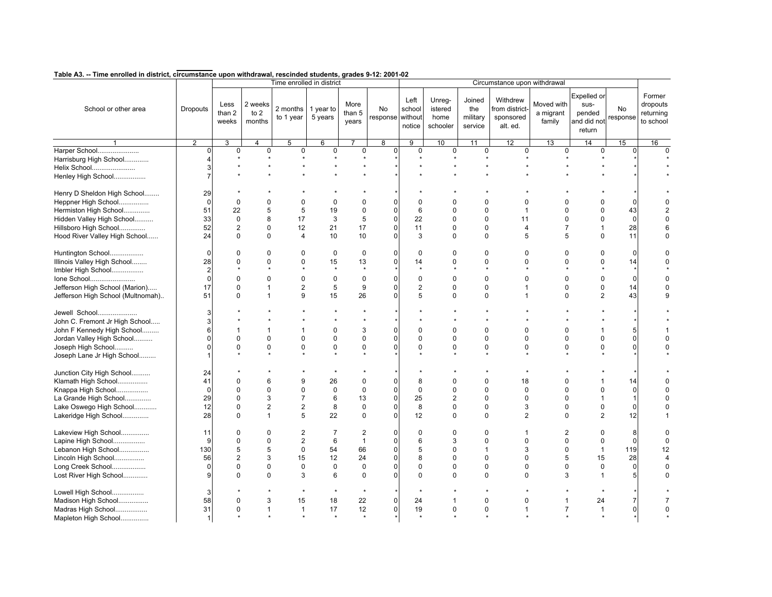|                                   |                 |                         |                             |                       | Time enrolled in district |                         |                        | Circumstance upon withdrawal |                                       |                                      |                                                     |                                   |                                                        |                |                                              |
|-----------------------------------|-----------------|-------------------------|-----------------------------|-----------------------|---------------------------|-------------------------|------------------------|------------------------------|---------------------------------------|--------------------------------------|-----------------------------------------------------|-----------------------------------|--------------------------------------------------------|----------------|----------------------------------------------|
| School or other area              | <b>Dropouts</b> | Less<br>than 2<br>weeks | 2 weeks<br>to $2$<br>months | 2 months<br>to 1 year | 1 year to<br>5 years      | More<br>than 5<br>vears | No<br>response without | Left<br>school<br>notice     | Unreg-<br>istered<br>home<br>schooler | Joined<br>the<br>military<br>service | Withdrew<br>from district-<br>sponsored<br>alt. ed. | Moved with<br>a migrant<br>family | Expelled or<br>sus-<br>pended<br>and did not<br>return | No<br>response | Former<br>dropouts<br>returning<br>to school |
|                                   | $\overline{2}$  | 3                       | 4                           | 5                     | 6                         |                         | 8                      | 9                            | 10                                    | 11                                   | 12                                                  | 13                                | 14                                                     | 15             | 16                                           |
| Harper School                     | $\Omega$        | 0                       | $\mathsf 0$                 | 0                     | $\pmb{0}$                 | $\pmb{0}$               | $\overline{0}$         | $\mathbf 0$                  | $\pmb{0}$                             | 0                                    | 0                                                   | $\mathbf 0$                       | $\mathbf 0$                                            | $\Omega$       | $\Omega$                                     |
| Harrisburg High School            |                 |                         |                             |                       |                           |                         |                        |                              |                                       |                                      |                                                     |                                   |                                                        |                |                                              |
| Helix School                      | 3               |                         |                             |                       |                           |                         |                        |                              |                                       |                                      |                                                     |                                   |                                                        |                |                                              |
| Henley High School                | 7               |                         |                             |                       |                           |                         |                        |                              |                                       |                                      |                                                     |                                   |                                                        |                |                                              |
|                                   |                 |                         |                             |                       |                           |                         |                        |                              |                                       |                                      |                                                     |                                   |                                                        |                |                                              |
| Henry D Sheldon High School       | 29              |                         |                             |                       |                           |                         |                        |                              |                                       |                                      |                                                     |                                   |                                                        |                |                                              |
| Heppner High School               | $\Omega$        | 0                       | $\Omega$                    | 0                     | $\mathbf{0}$              | $\Omega$                |                        | $\Omega$                     | $\Omega$                              | U                                    | $\Omega$                                            |                                   | 0                                                      |                |                                              |
| Hermiston High School             | 51              | 22                      | 5                           | 5                     | 19                        | $\mathbf 0$             | $\Omega$               | 6                            | $\Omega$                              | $\Omega$                             | $\mathbf{1}$                                        | $\Omega$                          | 0                                                      | 43             |                                              |
| Hidden Valley High School         | 33              | $\Omega$                | 8                           | 17                    | 3                         | 5                       | $\Omega$               | 22                           | $\Omega$                              | $\Omega$                             | 11                                                  | $\Omega$                          | $\Omega$                                               | $\Omega$       |                                              |
|                                   |                 |                         |                             |                       |                           |                         |                        |                              |                                       |                                      |                                                     |                                   |                                                        |                |                                              |
| Hillsboro High School             | 52              | 2                       | $\mathbf 0$                 | 12                    | 21                        | 17                      | 0                      | 11                           | 0                                     | $\mathbf 0$                          | $\overline{4}$                                      | $\overline{7}$                    | $\mathbf{1}$                                           | 28             |                                              |
| Hood River Valley High School     | 24              | $\mathbf 0$             | $\Omega$                    | 4                     | 10                        | 10                      | 0                      | 3                            | $\Omega$                              | $\mathbf 0$                          | 5                                                   | 5                                 | 0                                                      | 11             | $\Omega$                                     |
|                                   |                 |                         |                             |                       |                           |                         |                        |                              |                                       |                                      |                                                     |                                   |                                                        |                |                                              |
| Huntington School                 | $\Omega$        | 0                       | $\mathbf 0$                 | 0                     | 0                         | 0                       |                        | 0                            | $\Omega$                              | 0                                    | $\mathbf 0$                                         | $\mathbf 0$                       | 0                                                      | $\Omega$       |                                              |
| Illinois Valley High School       | 28              | 0                       | $\mathbf 0$                 | $\Omega$              | 15                        | 13                      | $\Omega$               | 14                           | 0                                     | $\Omega$                             | $\Omega$                                            | $\Omega$                          | 0                                                      | 14             |                                              |
| Imbler High School                | $\overline{2}$  | $\star$                 |                             |                       | $\star$                   |                         |                        |                              |                                       |                                      |                                                     |                                   |                                                        |                |                                              |
| Ione School                       | $\Omega$        | $\Omega$                | $\Omega$                    | $\Omega$              | $\pmb{0}$                 | $\mathbf 0$             | n                      | $\mathbf 0$                  | $\Omega$                              | $\Omega$                             | $\Omega$                                            | $\Omega$                          | 0                                                      | 0              |                                              |
| Jefferson High School (Marion)    | 17              | $\Omega$                | $\mathbf{1}$                | 2                     | 5                         | 9                       | 0                      | $\overline{2}$               | $\Omega$                              | $\Omega$                             | 1                                                   | $\Omega$                          | 0                                                      | 14             |                                              |
| Jefferson High School (Multnomah) | 51              | $\Omega$                | $\mathbf{1}$                | 9                     | 15                        | 26                      | U                      | 5                            | $\Omega$                              | $\Omega$                             | $\mathbf 1$                                         | $\Omega$                          | $\overline{2}$                                         | 43             |                                              |
|                                   |                 |                         |                             |                       |                           |                         |                        |                              |                                       |                                      |                                                     |                                   |                                                        |                |                                              |
| Jewell School                     | 3               |                         |                             |                       |                           |                         |                        |                              |                                       |                                      |                                                     |                                   |                                                        |                |                                              |
| John C. Fremont Jr High School    | 3               |                         |                             |                       |                           |                         |                        |                              |                                       |                                      |                                                     |                                   |                                                        |                |                                              |
| John F Kennedy High School        | 6               | 1                       | $\mathbf{1}$                | 1                     | $\mathbf 0$               | 3                       | O                      | $\Omega$                     | $\Omega$                              | $\Omega$                             | $\Omega$                                            | $\Omega$                          |                                                        |                |                                              |
| Jordan Valley High School         | $\Omega$        | 0                       | $\Omega$                    | $\Omega$              | $\mathbf 0$               | $\pmb{0}$               | $\Omega$               | $\Omega$                     | $\Omega$                              | $\Omega$                             | $\Omega$                                            | $\Omega$                          | 0                                                      | ŋ              |                                              |
| Joseph High School                | $\Omega$        | 0                       | $\mathbf 0$                 | 0                     | $\mathbf 0$               | $\mathbf 0$             |                        | 0                            | $\Omega$                              | 0                                    | $\mathbf 0$                                         | $\Omega$                          | $\Omega$                                               |                |                                              |
|                                   |                 |                         |                             |                       |                           |                         |                        |                              |                                       |                                      |                                                     |                                   |                                                        |                |                                              |
| Joseph Lane Jr High School        |                 |                         |                             |                       |                           |                         |                        |                              |                                       |                                      |                                                     |                                   |                                                        |                |                                              |
| Junction City High School         | 24              |                         |                             |                       |                           |                         |                        |                              |                                       |                                      |                                                     |                                   |                                                        |                |                                              |
| Klamath High School               | 41              | 0                       | 6                           | 9                     | 26                        | 0                       | O                      | 8                            | $\Omega$                              | 0                                    | 18                                                  | O                                 |                                                        | 14             |                                              |
|                                   | $\Omega$        | $\Omega$                | $\Omega$                    | $\Omega$              | $\mathbf 0$               | $\mathbf 0$             | 0                      | $\Omega$                     | $\Omega$                              | $\Omega$                             | $\Omega$                                            | $\Omega$                          | 0                                                      | $\Omega$       |                                              |
| Knappa High School                |                 |                         |                             |                       |                           |                         |                        |                              |                                       |                                      |                                                     |                                   |                                                        |                |                                              |
| La Grande High School             | 29              | $\mathbf 0$             | 3                           | $\overline{7}$        | 6                         | 13                      | $\overline{0}$         | 25                           | $\overline{2}$                        | $\mathbf 0$                          | 0                                                   | $\mathbf 0$                       | $\mathbf{1}$                                           |                |                                              |
| Lake Oswego High School           | 12              | 0                       | $\overline{2}$              | 2                     | 8                         | 0                       | 0                      | 8                            | 0                                     | 0                                    | 3                                                   | $\mathbf 0$                       | 0                                                      | 0              |                                              |
| Lakeridge High School             | 28              | $\Omega$                | $\mathbf{1}$                | 5                     | 22                        | $\Omega$                | $\Omega$               | 12                           | $\Omega$                              | $\Omega$                             | 2                                                   | $\Omega$                          | $\overline{2}$                                         | 12             |                                              |
|                                   |                 |                         |                             |                       |                           |                         |                        |                              |                                       |                                      |                                                     |                                   |                                                        |                |                                              |
| Lakeview High School              | 11              | 0                       | $\Omega$                    | $\overline{2}$        | 7                         | $\overline{2}$          | O                      | $\mathbf 0$                  | $\Omega$                              | 0                                    | 1                                                   | $\overline{2}$                    | 0                                                      | 8              |                                              |
| Lapine High School                | 9               | 0                       | $\mathbf 0$                 | $\overline{2}$        | 6                         | $\mathbf{1}$            | 0                      | 6                            | 3                                     | $\Omega$                             | $\Omega$                                            | $\Omega$                          | 0                                                      | $\Omega$       |                                              |
| Lebanon High School               | 130             | 5                       | 5                           | 0                     | 54                        | 66                      | 0                      | 5                            | 0                                     | 1                                    | 3                                                   | $\mathbf 0$                       | $\mathbf{1}$                                           | 119            | 12                                           |
| Lincoln High School               | 56              | 2                       | 3                           | 15                    | 12                        | 24                      | 0                      | 8                            | $\mathbf 0$                           | $\Omega$                             | $\Omega$                                            | 5                                 | 15                                                     | 28             |                                              |
| Long Creek School                 | $\Omega$        | 0                       | $\Omega$                    | $\Omega$              | $\mathbf 0$               | $\mathbf 0$             |                        | $\Omega$                     | $\Omega$                              | $\Omega$                             | $\Omega$                                            | $\Omega$                          | $\mathbf 0$                                            | $\Omega$       | $\Omega$                                     |
| Lost River High School            | 9               | 0                       | $\mathbf 0$                 | 3                     | 6                         | 0                       |                        | $\Omega$                     | 0                                     | 0                                    | $\Omega$                                            | 3                                 | $\mathbf{1}$                                           |                |                                              |
|                                   |                 |                         |                             |                       |                           |                         |                        |                              |                                       |                                      |                                                     |                                   |                                                        |                |                                              |
| Lowell High School                | 3               |                         |                             |                       |                           |                         |                        |                              |                                       |                                      |                                                     |                                   |                                                        |                |                                              |
| Madison High School               | 58              | 0                       | 3                           | 15                    | 18                        | 22                      | $\mathbf{0}$           | 24                           | 1                                     | $\mathbf 0$                          | 0                                                   | $\mathbf{1}$                      | 24                                                     |                |                                              |
| Madras High School                | 31              | 0                       | $\mathbf{1}$                | $\mathbf{1}$          | 17                        | 12                      | $\mathbf{0}$           | 19                           | 0                                     | 0                                    | 1                                                   | $\overline{7}$                    | $\mathbf{1}$                                           |                |                                              |
| Mapleton High School              | $\mathbf 1$     |                         |                             |                       | $\boldsymbol{\ast}$       | $\boldsymbol{\ast}$     |                        |                              |                                       |                                      |                                                     |                                   | $\star$                                                |                |                                              |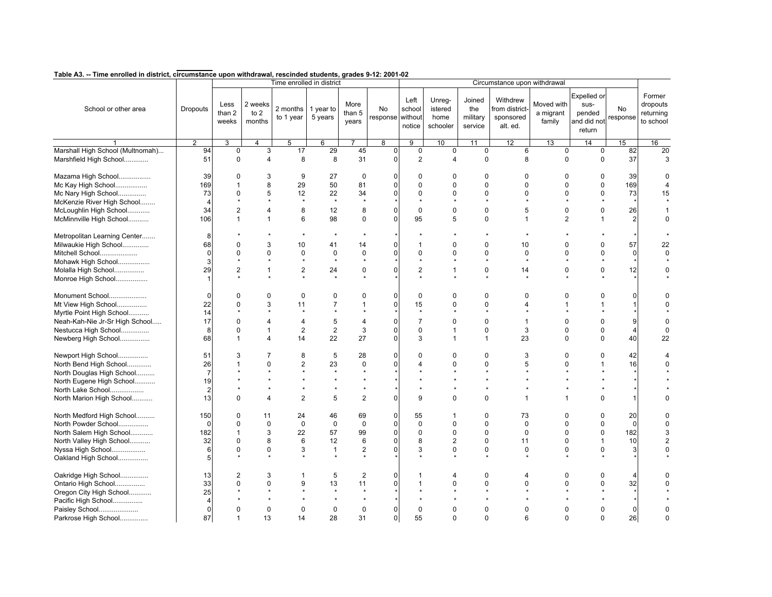|                                  |                 |                         |                             |                       | Time enrolled in district |                         |                        |                          |                                       |                                      | Circumstance upon withdrawal                        |                                   |                                                               |                |                                              |
|----------------------------------|-----------------|-------------------------|-----------------------------|-----------------------|---------------------------|-------------------------|------------------------|--------------------------|---------------------------------------|--------------------------------------|-----------------------------------------------------|-----------------------------------|---------------------------------------------------------------|----------------|----------------------------------------------|
| School or other area             | <b>Dropouts</b> | Less<br>than 2<br>weeks | 2 weeks<br>to $2$<br>months | 2 months<br>to 1 year | 1 year to<br>5 years      | More<br>than 5<br>years | No<br>response without | Left<br>school<br>notice | Unreg-<br>istered<br>home<br>schooler | Joined<br>the<br>military<br>service | Withdrew<br>from district-<br>sponsored<br>alt. ed. | Moved with<br>a migrant<br>family | <b>Expelled or</b><br>sus-<br>pended<br>and did not<br>return | No<br>response | Former<br>dropouts<br>returning<br>to school |
|                                  | $\overline{2}$  | 3                       | $\overline{4}$              | 5                     | 6                         |                         | $\overline{8}$         | $\overline{9}$           | 10                                    | 11                                   | 12                                                  | 13                                | 14                                                            | 15             | 16                                           |
| Marshall High School (Multnomah) | 94              | $\mathbf 0$             | 3                           | 17                    | 29                        | 45                      | $\overline{0}$         | $\mathbf 0$              | 0                                     | $\mathbf 0$                          | 6                                                   | $\mathbf 0$                       | $\mathbf 0$                                                   | 82             | 20                                           |
| Marshfield High School           | 51              | $\mathbf 0$             | $\overline{4}$              | 8                     | 8                         | 31                      | $\Omega$               | $\overline{2}$           | $\overline{4}$                        | $\mathbf 0$                          | 8                                                   | $\Omega$                          | $\mathbf 0$                                                   | 37             | 3                                            |
| Mazama High School               | 39              | $\mathbf 0$             | 3                           | 9                     | 27                        | $\mathbf 0$             | n                      | $\mathbf 0$              | $\mathbf 0$                           | $\mathbf 0$                          | $\mathbf 0$                                         | $\mathbf 0$                       | $\mathbf 0$                                                   | 39             | O                                            |
| Mc Kay High School               | 169             | 1                       | 8                           | 29                    | 50                        | 81                      | 0                      | $\Omega$                 | $\Omega$                              | $\Omega$                             | $\Omega$                                            | $\Omega$                          | 0                                                             | 169            |                                              |
| Mc Nary High School              | 73              | 0                       | 5                           | 12                    | 22                        | 34                      |                        | $\Omega$                 | $\Omega$                              | $\Omega$                             | $\Omega$                                            | $\Omega$                          | 0                                                             | 73             | 15                                           |
| McKenzie River High School       |                 |                         |                             |                       |                           |                         |                        |                          |                                       |                                      |                                                     |                                   |                                                               |                |                                              |
|                                  |                 |                         |                             |                       |                           |                         |                        |                          |                                       |                                      |                                                     |                                   |                                                               |                |                                              |
| McLoughlin High School           | 34              | 2                       | $\overline{4}$              | 8                     | 12                        | 8                       | 0                      | $\mathbf 0$              | $\Omega$                              | 0                                    | 5                                                   | $\mathbf 0$                       | 0                                                             | 26             |                                              |
| McMinnville High School          | 106             | $\mathbf{1}$            | $\mathbf{1}$                | 6                     | 98                        | $\mathbf 0$             | 0                      | 95                       | 5                                     | 0                                    | 1                                                   | $\overline{2}$                    | 1                                                             | 2              | $\Omega$                                     |
| Metropolitan Learning Center     | 8               |                         |                             |                       |                           |                         |                        |                          |                                       |                                      |                                                     |                                   |                                                               |                |                                              |
| Milwaukie High School            | 68              | 0                       | 3                           | 10                    | 41                        | 14                      | $\Omega$               | -1                       | $\Omega$                              | 0                                    | 10                                                  | $\Omega$                          | 0                                                             | 57             | 22                                           |
| Mitchell School                  | $\Omega$        | 0                       | $\mathbf 0$                 | 0                     | $\mathbf 0$               | $\mathbf 0$             | 0                      | $\mathbf 0$              | 0                                     | 0                                    | $\mathbf 0$                                         | $\mathbf 0$                       | 0                                                             | 0              | $\Omega$                                     |
| Mohawk High School               | 3               |                         |                             |                       |                           |                         |                        |                          |                                       |                                      |                                                     |                                   | $\star$                                                       |                |                                              |
|                                  |                 |                         |                             |                       |                           |                         | 0                      |                          | $\mathbf 1$                           |                                      |                                                     | $\mathbf 0$                       |                                                               |                |                                              |
| Molalla High School              | 29              | 2                       | $\mathbf{1}$                | 2                     | 24                        | $\pmb{0}$               |                        | $\sqrt{2}$               |                                       | 0                                    | 14                                                  |                                   | 0                                                             | 12             |                                              |
| Monroe High School               |                 |                         |                             |                       |                           |                         |                        |                          |                                       |                                      |                                                     |                                   |                                                               |                |                                              |
| Monument School                  | $\Omega$        | 0                       | $\Omega$                    | 0                     | $\mathbf 0$               | $\Omega$                | O                      | $\mathbf 0$              | $\Omega$                              | $\Omega$                             | $\Omega$                                            | $\Omega$                          | $\Omega$                                                      |                | U                                            |
| Mt View High School              | 22              | $\Omega$                | 3                           | 11                    | $\overline{7}$            | 1                       | $\Omega$               | 15                       | $\Omega$                              | $\Omega$                             | 4                                                   |                                   | 1                                                             |                |                                              |
| Myrtle Point High School         | 14              |                         |                             |                       |                           |                         |                        | $\star$                  |                                       |                                      |                                                     |                                   |                                                               |                |                                              |
| Neah-Kah-Nie Jr-Sr High School   | 17              | 0                       | $\overline{4}$              | 4                     | 5                         | $\overline{4}$          |                        | $\overline{7}$           | $\Omega$                              | $\Omega$                             | $\overline{1}$                                      | $\Omega$                          | 0                                                             |                |                                              |
|                                  |                 |                         |                             |                       |                           |                         | 0                      | $\mathbf 0$              |                                       |                                      |                                                     | $\Omega$                          |                                                               |                |                                              |
| Nestucca High School             | 8               | 0                       | $\mathbf{1}$                | $\overline{c}$        | $\sqrt{2}$                | 3                       |                        |                          | $\mathbf 1$                           | $\mathbf 0$                          | 3                                                   |                                   | 0                                                             | 4              |                                              |
| Newberg High School              | 68              | $\mathbf{1}$            | $\overline{4}$              | 14                    | 22                        | 27                      | $\Omega$               | 3                        | $\mathbf 1$                           | $\mathbf{1}$                         | 23                                                  | $\Omega$                          | 0                                                             | 40             | 22                                           |
| Newport High School              | 51              | 3                       | 7                           | 8                     | 5                         | 28                      | ი                      | $\Omega$                 | $\Omega$                              | $\Omega$                             | 3                                                   | $\Omega$                          | 0                                                             | 42             |                                              |
| North Bend High School           | 26              |                         | $\Omega$                    | $\overline{2}$        | 23                        | $\mathbf 0$             | U                      |                          | $\Omega$                              | $\Omega$                             | 5                                                   | $\Omega$                          | $\mathbf{1}$                                                  | 16             |                                              |
| North Douglas High School        | 7               |                         |                             |                       | $\star$                   |                         |                        |                          |                                       |                                      |                                                     |                                   |                                                               |                |                                              |
| North Eugene High School         | 19              |                         |                             |                       |                           |                         |                        |                          |                                       |                                      |                                                     |                                   |                                                               |                |                                              |
|                                  | $\overline{2}$  |                         |                             |                       |                           |                         |                        |                          |                                       |                                      |                                                     |                                   |                                                               |                |                                              |
| North Lake School                |                 |                         |                             |                       |                           |                         |                        |                          |                                       |                                      |                                                     |                                   |                                                               |                |                                              |
| North Marion High School         | 13              | $\Omega$                | $\overline{4}$              | $\overline{2}$        | 5                         | $\overline{2}$          | 0                      | 9                        | $\Omega$                              | $\Omega$                             | 1                                                   | 1                                 | 0                                                             |                |                                              |
| North Medford High School        | 150             | 0                       | 11                          | 24                    | 46                        | 69                      | O                      | 55                       | 1                                     | $\Omega$                             | 73                                                  | $\Omega$                          | 0                                                             | 20             |                                              |
| North Powder School              | $\Omega$        | $\Omega$                | 0                           | $\mathbf 0$           | $\pmb{0}$                 | $\mathbf 0$             | $\Omega$               | $\pmb{0}$                | $\Omega$                              | $\Omega$                             | $\Omega$                                            | $\Omega$                          | 0                                                             | $\Omega$       |                                              |
| North Salem High School          | 182             | 1                       | 3                           | 22                    | 57                        | 99                      | 0                      | $\mathbf 0$              | 0                                     | $\Omega$                             | $\Omega$                                            | $\Omega$                          | 0                                                             | 182            |                                              |
| North Valley High School         | 32              | 0                       | 8                           | 6                     | 12                        | 6                       | 0                      | 8                        | $\overline{c}$                        | $\mathbf 0$                          | 11                                                  | $\Omega$                          | $\mathbf{1}$                                                  | 10             |                                              |
|                                  |                 |                         |                             |                       |                           |                         |                        |                          |                                       |                                      |                                                     |                                   |                                                               |                |                                              |
| Nyssa High School                | 6               | 0                       | $\mathbf 0$                 | 3                     | $\mathbf{1}$              | $\overline{2}$          |                        | 3                        | 0                                     | 0                                    | $\mathbf 0$                                         | $\Omega$                          | 0                                                             | 3              |                                              |
| Oakland High School              | 5               |                         |                             |                       |                           |                         |                        |                          |                                       |                                      |                                                     |                                   |                                                               |                |                                              |
| Oakridge High School             | 13              | 2                       | 3                           | 1                     | 5                         | $\overline{2}$          |                        |                          | 4                                     | 0                                    | 4                                                   | $\Omega$                          | 0                                                             |                |                                              |
| Ontario High School              | 33              | 0                       | $\Omega$                    | 9                     | 13                        | 11                      | 0                      |                          | $\Omega$                              | 0                                    | $\Omega$                                            | $\Omega$                          | 0                                                             | 32             |                                              |
| Oregon City High School          | 25              |                         |                             |                       |                           |                         |                        |                          |                                       |                                      |                                                     |                                   |                                                               |                |                                              |
| Pacific High School              |                 |                         |                             |                       |                           |                         |                        |                          |                                       |                                      |                                                     |                                   |                                                               |                |                                              |
|                                  | $\Omega$        | 0                       | $\mathbf 0$                 | $\Omega$              | $\mathbf 0$               | $\mathbf 0$             | 0                      | $\Omega$                 | $\Omega$                              | 0                                    | $\Omega$                                            | O                                 | 0                                                             |                |                                              |
| Paisley School                   |                 |                         |                             |                       |                           |                         |                        |                          |                                       |                                      |                                                     |                                   |                                                               | 0              |                                              |
| Parkrose High School             | 87              | 1                       | 13                          | 14                    | 28                        | 31                      | $\mathbf{0}$           | 55                       | $\Omega$                              | $\Omega$                             | 6                                                   | $\Omega$                          | 0                                                             | 26             | $\Omega$                                     |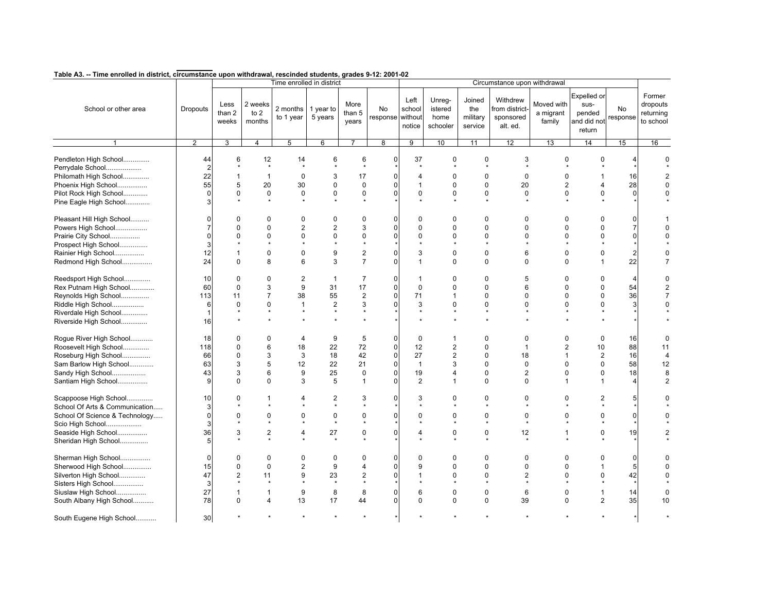|                                                 |                 |                         |                             | Time enrolled in district |                               |                           |                         |                          |                                       |                                      | Circumstance upon withdrawal                        |                                   |                                                        |                |                                              |
|-------------------------------------------------|-----------------|-------------------------|-----------------------------|---------------------------|-------------------------------|---------------------------|-------------------------|--------------------------|---------------------------------------|--------------------------------------|-----------------------------------------------------|-----------------------------------|--------------------------------------------------------|----------------|----------------------------------------------|
| School or other area                            | <b>Dropouts</b> | Less<br>than 2<br>weeks | 2 weeks<br>to $2$<br>months | 2 months<br>to 1 year     | 1 year to<br>5 years          | More<br>than $5$<br>years | No<br>response without  | Left<br>school<br>notice | Unreg-<br>istered<br>home<br>schooler | Joined<br>the<br>military<br>service | Withdrew<br>from district-<br>sponsored<br>alt. ed. | Moved with<br>a migrant<br>family | Expelled or<br>sus-<br>pended<br>and did not<br>return | No<br>response | Former<br>dropouts<br>returning<br>to school |
|                                                 | $\overline{2}$  | 3                       | 4                           | 5                         | 6                             | $\overline{7}$            | $\overline{\mathbf{8}}$ | 9                        | 10                                    | 11                                   | 12                                                  | 13                                | 14                                                     | 15             | 16                                           |
| Pendleton High School<br>Perrydale School       | 44              | 6                       | 12<br>$\star$               | 14                        | 6                             | 6                         | $\mathbf 0$             | 37                       | 0                                     | $\mathbf 0$                          | 3                                                   | $\mathbf 0$                       | $\mathbf 0$                                            |                | $\Omega$                                     |
| Philomath High School                           | 22              | 1                       | $\mathbf{1}$                | 0                         | 3                             | 17                        | n                       | $\overline{4}$           | $\Omega$                              | 0                                    | 0                                                   | $\mathbf 0$                       | 1                                                      | 16             |                                              |
| Phoenix High School                             | 55              | 5                       | 20                          | 30                        | $\mathbf 0$                   | 0                         | ი                       | 1                        | $\mathbf 0$                           | 0                                    | 20                                                  | $\overline{2}$                    | 4                                                      | 28             |                                              |
| Pilot Rock High School                          | U               | $\Omega$                | $\mathbf 0$                 | $\mathbf 0$               | $\mathbf 0$                   | $\mathbf 0$               |                         | $\Omega$                 | $\Omega$                              | $\Omega$                             | $\Omega$                                            | $\Omega$                          | 0                                                      | $\Omega$       |                                              |
| Pine Eagle High School                          |                 |                         | $\star$                     |                           |                               |                           |                         |                          |                                       |                                      |                                                     |                                   |                                                        |                |                                              |
| Pleasant Hill High School<br>Powers High School | U               | 0<br>$\Omega$           | $\Omega$<br>$\mathbf 0$     | 0<br>$\overline{c}$       | $\mathbf 0$<br>$\overline{2}$ | 0<br>3                    | n<br>n                  | $\mathbf 0$<br>$\Omega$  | $\Omega$<br>$\Omega$                  | 0<br>$\Omega$                        | 0<br>$\Omega$                                       | $\Omega$<br>$\Omega$              | 0<br>0                                                 |                |                                              |
|                                                 |                 | $\Omega$                | $\Omega$                    | $\Omega$                  | $\Omega$                      | $\mathbf 0$               |                         | $\Omega$                 | $\Omega$                              | $\Omega$                             | $\Omega$                                            | $\Omega$                          | 0                                                      |                |                                              |
| Prairie City School<br>Prospect High School     |                 |                         |                             |                           |                               |                           |                         |                          |                                       |                                      |                                                     |                                   |                                                        |                |                                              |
| Rainier High School                             | 12              |                         | $\mathbf 0$                 | $\Omega$                  | 9                             | $\overline{2}$            |                         | 3                        | $\Omega$                              | $\Omega$                             | 6                                                   | $\Omega$                          | 0                                                      |                |                                              |
| Redmond High School                             | 24              | $\mathbf 0$             | 8                           | 6                         | 3                             | $\overline{7}$            | 0                       | 1                        | $\Omega$                              | $\Omega$                             | $\Omega$                                            | $\Omega$                          | $\mathbf{1}$                                           | 22             |                                              |
|                                                 |                 |                         |                             |                           |                               |                           |                         |                          |                                       |                                      |                                                     |                                   |                                                        |                |                                              |
| Reedsport High School                           | 10              | $\mathbf 0$             | $\mathbf 0$                 | 2                         | $\mathbf{1}$                  | $\overline{7}$            | 0                       | $\mathbf{1}$             | $\mathbf 0$                           | 0                                    | 5                                                   | $\Omega$                          | 0                                                      | 4              | $\Omega$                                     |
| Rex Putnam High School                          | 60              | $\mathbf 0$             | 3                           | 9                         | 31                            | 17                        | $\Omega$                | $\mathbf 0$              | $\Omega$                              | $\Omega$                             | 6                                                   | $\Omega$                          | 0                                                      | 54             |                                              |
| Reynolds High School                            | 113             | 11                      | $\overline{7}$              | 38                        | 55                            | $\overline{2}$            |                         | 71                       | 1                                     | $\Omega$                             | $\Omega$                                            | $\Omega$                          | 0                                                      | 36             |                                              |
| Riddle High School                              | 6               | $\mathbf 0$             | $\mathbf 0$                 | $\mathbf{1}$              | $\overline{2}$                | 3                         | ი                       | 3                        | $\Omega$                              | 0                                    | $\Omega$                                            | $\Omega$                          | 0                                                      | 3              |                                              |
| Riverdale High School                           |                 |                         |                             |                           |                               |                           |                         |                          |                                       |                                      |                                                     |                                   |                                                        |                |                                              |
| Riverside High School                           | 16              |                         |                             |                           |                               |                           |                         |                          |                                       |                                      |                                                     |                                   |                                                        |                |                                              |
|                                                 |                 |                         |                             |                           |                               |                           |                         |                          |                                       |                                      |                                                     |                                   |                                                        |                |                                              |
| Rogue River High School                         | 18              | $\Omega$                | $\Omega$                    | 4                         | 9                             | 5                         | $\Omega$                | $\mathbf 0$              |                                       | $\Omega$                             | $\Omega$                                            | $\Omega$                          | 0                                                      | 16             | $\Omega$                                     |
| Roosevelt High School                           | 118             | 0                       | 6                           | 18                        | 22                            | 72                        | $\Omega$                | 12                       | 2                                     | 0                                    | $\mathbf{1}$                                        | $\overline{2}$                    | 10                                                     | 88             | 11                                           |
| Roseburg High School                            | 66              | $\Omega$                | 3                           | 3                         | 18                            | 42                        | U                       | 27                       | $\overline{2}$                        | $\Omega$                             | 18                                                  | $\overline{1}$                    | $\overline{2}$                                         | 16             | $\overline{4}$                               |
| Sam Barlow High School                          | 63              | 3                       | 5                           | 12                        | 22                            | 21                        | 0                       | $\mathbf{1}$             | 3                                     | 0                                    | $\mathbf 0$                                         | $\Omega$                          | 0                                                      | 58             | 12                                           |
| Sandy High School                               | 43              | 3                       | 6                           | 9                         | 25                            | 0                         | 0                       | 19                       | $\overline{4}$                        | 0                                    | $\overline{2}$                                      | $\Omega$                          | 0                                                      | 18             | 8                                            |
| Santiam High School                             | 9               | 0                       | $\mathbf 0$                 | 3                         | 5                             | $\mathbf{1}$              | 0                       | $\overline{2}$           | $\mathbf{1}$                          | $\mathbf 0$                          | $\Omega$                                            | $\mathbf{1}$                      | $\mathbf{1}$                                           |                | $\overline{2}$                               |
|                                                 |                 |                         |                             |                           |                               |                           |                         |                          |                                       |                                      |                                                     |                                   |                                                        |                |                                              |
| Scappoose High School                           | 10              | $\Omega$                |                             | 4                         | $\overline{2}$                | 3                         | n                       | 3                        | $\Omega$                              | $\Omega$                             | $\Omega$                                            | $\Omega$                          | 2                                                      |                |                                              |
| School Of Arts & Communication                  |                 |                         |                             |                           | $\star$                       |                           |                         |                          |                                       |                                      |                                                     |                                   | $\star$                                                |                |                                              |
| School Of Science & Technology                  |                 | $\Omega$                | $\mathbf 0$                 | 0                         | $\mathbf 0$                   | $\Omega$                  |                         | $\Omega$                 | $\Omega$                              | $\Omega$                             | $\Omega$                                            | $\Omega$                          | 0                                                      |                |                                              |
| Scio High School                                |                 |                         |                             |                           | $\star$                       |                           |                         |                          |                                       |                                      |                                                     |                                   | $\star$                                                |                |                                              |
| Seaside High School                             | 36              | 3                       | $\overline{2}$              | 4                         | 27                            | 0                         |                         | $\overline{4}$           | 0                                     | $\mathbf 0$                          | 12                                                  | $\mathbf{1}$                      | 0                                                      | 19             |                                              |
| Sheridan High School                            |                 |                         |                             |                           |                               |                           |                         |                          |                                       |                                      |                                                     |                                   |                                                        |                |                                              |
|                                                 |                 |                         |                             |                           |                               |                           |                         |                          |                                       |                                      |                                                     |                                   |                                                        |                |                                              |
| Sherman High School                             |                 | $\Omega$                | $\Omega$                    | $\Omega$                  | $\Omega$                      |                           | n                       | $\Omega$                 | $\Omega$                              | $\Omega$                             | $\Omega$                                            | $\Omega$                          | $\Omega$                                               |                |                                              |
| Sherwood High School                            | 15              | $\mathbf 0$             | $\mathbf 0$                 | 2                         | 9                             | 4                         |                         | 9                        | $\mathbf 0$                           | 0                                    | 0                                                   | $\Omega$                          | 1                                                      |                |                                              |
| Silverton High School                           | 47              | $\overline{2}$          | 11                          | 9                         | 23                            | $\overline{2}$            |                         | 1                        | $\Omega$                              | $\Omega$                             | $\overline{2}$                                      | $\Omega$                          | 0                                                      | 42             |                                              |
| Sisters High School                             |                 |                         |                             |                           | $\star$                       |                           |                         |                          |                                       |                                      |                                                     |                                   |                                                        |                |                                              |
| Siuslaw High School                             | 27              | $\mathbf{1}$            | $\mathbf{1}$                | 9                         | 8                             | 8                         |                         | 6                        | $\Omega$                              | 0                                    | 6                                                   | $\Omega$                          | $\mathbf{1}$                                           | 14             | $\Omega$                                     |
| South Albany High School                        | 78              | $\Omega$                | $\overline{4}$              | 13                        | 17                            | 44                        | U                       | $\Omega$                 | $\Omega$                              | $\mathbf{0}$                         | 39                                                  | $\Omega$                          | $\overline{2}$                                         | 35             | 10                                           |
| South Eugene High School                        | 30              |                         |                             |                           |                               |                           |                         |                          |                                       |                                      |                                                     |                                   |                                                        |                |                                              |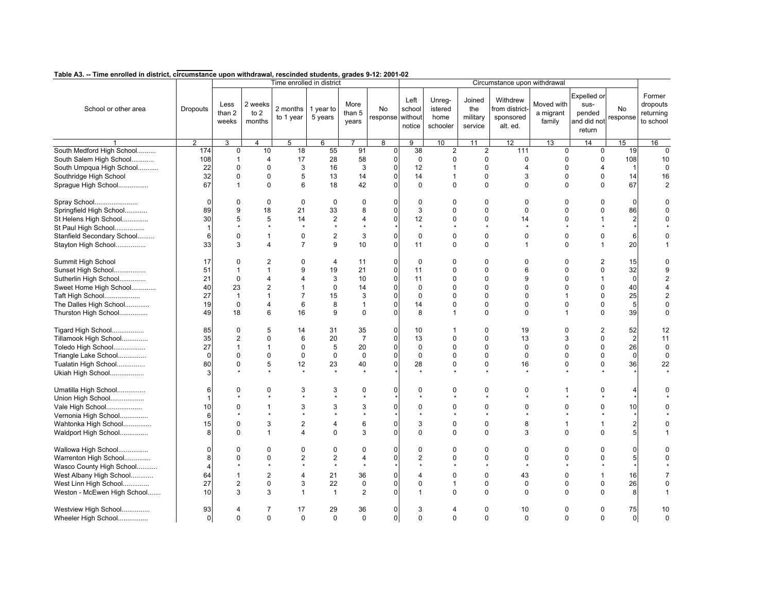|                                              |                 |                         |                             | Time enrolled in district |                            |                         |                        |                          |                                       |                                      | Circumstance upon withdrawal                       |                                   |                                                        |                      |                                              |
|----------------------------------------------|-----------------|-------------------------|-----------------------------|---------------------------|----------------------------|-------------------------|------------------------|--------------------------|---------------------------------------|--------------------------------------|----------------------------------------------------|-----------------------------------|--------------------------------------------------------|----------------------|----------------------------------------------|
| School or other area                         | <b>Dropouts</b> | Less<br>than 2<br>weeks | 2 weeks<br>to $2$<br>months | 2 months<br>to 1 year     | 1 year to<br>5 years       | More<br>than 5<br>years | No<br>response without | Left<br>school<br>notice | Unreg-<br>istered<br>home<br>schooler | Joined<br>the<br>military<br>service | Withdrew<br>from district<br>sponsored<br>alt. ed. | Moved with<br>a migrant<br>family | Expelled or<br>sus-<br>pended<br>and did not<br>return | No<br>response       | Former<br>dropouts<br>returning<br>to school |
|                                              | $\overline{2}$  | 3                       | $\overline{4}$              | 5                         | 6                          |                         | $\overline{8}$         | $\overline{9}$           | 10                                    | 11                                   | 12                                                 | 13                                | 14                                                     | 15                   | 16                                           |
| South Medford High School                    | 174             | $\mathbf 0$             | 10                          | 18                        | 55                         | 91                      | $\mathbf{0}$           | 38                       | $\overline{2}$                        | $\overline{2}$                       | 111                                                | $\mathbf 0$                       | $\mathbf 0$                                            | 19                   | $\Omega$                                     |
| South Salem High School                      | 108             | $\mathbf{1}$            | $\overline{4}$              | 17                        | 28                         | 58                      | $\mathbf 0$            | $\mathbf 0$              | $\mathbf 0$                           | 0                                    | 0                                                  | $\mathbf 0$                       | 0                                                      | 108                  | 10                                           |
| South Umpqua High School                     | 22              | $\mathbf 0$             | $\mathbf 0$                 | 3                         | 16                         | 3                       | $\mathbf 0$            | 12                       | 1                                     | $\mathbf 0$                          | 4                                                  | $\Omega$                          | 4                                                      |                      | $\Omega$                                     |
| Southridge High School                       | 32              | $\Omega$                | $\mathbf 0$                 | 5                         | 13                         | 14                      | 0                      | 14                       | $\mathbf 1$                           | $\mathbf 0$                          | 3                                                  | $\Omega$                          | $\mathbf 0$                                            | 14                   | 16                                           |
| Sprague High School                          | 67              | $\mathbf{1}$            | $\mathbf 0$                 | 6                         | 18                         | 42                      | $\Omega$               | $\mathbf 0$              | $\mathbf 0$                           | $\mathbf 0$                          | $\Omega$                                           | $\Omega$                          | $\mathbf 0$                                            | 67                   | $\overline{2}$                               |
| Spray School                                 | $\Omega$        | 0                       | $\mathbf 0$                 | $\mathbf 0$               | $\mathbf 0$                | $\mathbf 0$             | $\Omega$               | $\mathbf 0$              | $\Omega$                              | $\Omega$                             | 0                                                  | $\Omega$                          | $\Omega$                                               | $\Omega$             |                                              |
| Springfield High School                      | 89              | 9                       | 18                          | 21                        | 33                         | 8                       | 0                      | 3                        | $\Omega$                              | $\Omega$                             | 0                                                  | $\Omega$                          | 0                                                      | 86                   |                                              |
| St Helens High School<br>St Paul High School | 30              | 5<br>$\star$            | 5<br>$\star$                | 14<br>$\star$             | $\overline{2}$<br>$\star$  | $\overline{4}$          | 0                      | 12<br>$\star$            | $\Omega$                              | $\Omega$<br>$\star$                  | 14                                                 | $\Omega$                          | $\mathbf{1}$                                           | $\overline{2}$       |                                              |
| Stanfield Secondary School                   | 6               | 0                       | $\mathbf{1}$                | 0                         | $\overline{2}$             | 3                       | 0                      | $\mathbf 0$              | $\Omega$                              | 0                                    | 0                                                  | $\Omega$                          | 0                                                      | 6                    |                                              |
| Stayton High School                          | 33              | 3                       | $\overline{4}$              | $\overline{7}$            | 9                          | 10                      | $\overline{0}$         | 11                       | $\mathbf 0$                           | $\mathbf 0$                          | $\mathbf{1}$                                       | $\mathbf 0$                       | $\mathbf{1}$                                           | 20                   |                                              |
| Summit High School                           | 17              | $\Omega$                | $\overline{2}$              | $\Omega$                  | $\overline{4}$             | 11                      | $\Omega$               | $\mathbf 0$              | $\Omega$                              | $\Omega$                             | $\Omega$                                           | $\Omega$                          | 2                                                      | 15                   |                                              |
| Sunset High School                           | 51              | $\mathbf{1}$            | $\mathbf{1}$                | 9                         | 19                         | 21                      | $\Omega$               | 11                       | $\Omega$                              | $\Omega$                             | 6                                                  | $\Omega$                          | 0                                                      | 32                   | 9                                            |
| Sutherlin High School                        | 21              | $\Omega$                | $\overline{4}$              | $\overline{4}$            | 3                          | 10                      | 0                      | 11                       | $\Omega$                              | $\Omega$                             | 9                                                  | $\Omega$                          | $\mathbf{1}$                                           | $\Omega$             | 2                                            |
| Sweet Home High School                       | 40              | 23                      | $\overline{2}$              | $\mathbf{1}$              | $\mathbf 0$                | 14                      | 0                      | $\mathbf 0$              | $\mathbf 0$                           | 0                                    | 0                                                  | $\mathbf 0$                       | 0                                                      | 40                   | 4                                            |
| Taft High School                             | 27              | $\mathbf{1}$            | $\mathbf{1}$                | $\overline{7}$            | 15                         | 3                       | U                      | $\mathbf 0$              | $\Omega$                              | 0                                    | $\Omega$                                           | $\mathbf{1}$                      | 0                                                      | 25                   |                                              |
| The Dalles High School                       | 19              | $\mathbf 0$             | $\overline{4}$              | 6                         | 8                          | $\mathbf{1}$            | $\Omega$               | 14                       | $\mathbf 0$                           | $\mathbf 0$                          | $\Omega$                                           | $\Omega$                          | 0                                                      | 5                    | $\Omega$                                     |
| Thurston High School                         | 49              | 18                      | 6                           | 16                        | 9                          | $\mathbf 0$             | 0                      | 8                        | $\mathbf{1}$                          | $\mathbf 0$                          | $\Omega$                                           | $\mathbf{1}$                      | $\mathbf 0$                                            | 39                   | 0                                            |
| Tigard High School                           | 85              | $\pmb{0}$               | 5                           | 14                        | 31                         | 35                      | 0                      | 10                       | 1                                     | $\mathbf 0$                          | 19                                                 | $\mathbf 0$                       | $\overline{2}$                                         | 52                   | 12                                           |
| Tillamook High School                        | 35              | $\mathbf{2}$            | $\Omega$                    | 6                         | 20                         | $\overline{7}$          | $\mathbf 0$            | 13                       | $\Omega$                              | $\Omega$                             | 13                                                 | 3                                 | 0                                                      | $\overline{2}$       | 11                                           |
| Toledo High School                           | 27              | $\mathbf{1}$            | $\mathbf{1}$                | $\Omega$                  | 5                          | 20                      | 0                      | $\mathbf 0$              | $\Omega$                              | $\Omega$                             | $\Omega$                                           | $\Omega$                          | 0                                                      | 26                   | $\mathbf 0$                                  |
| Triangle Lake School                         | $\Omega$        | 0                       | $\mathbf 0$                 | $\mathbf 0$               | $\mathbf 0$                | $\mathbf 0$             | U                      | $\mathbf 0$              | $\pmb{0}$                             | 0                                    | 0                                                  | $\mathbf 0$                       | 0                                                      | $\mathbf 0$          | 0                                            |
| Tualatin High School                         | 80              | $\mathbf 0$             | 5                           | 12                        | 23                         | 40                      | 0                      | 28                       | $\pmb{0}$                             | $\mathbf 0$                          | 16                                                 | $\mathbf 0$                       | 0                                                      | 36                   | 22                                           |
| Ukiah High School                            |                 |                         |                             |                           | $\star$                    |                         |                        |                          |                                       |                                      |                                                    |                                   |                                                        |                      |                                              |
| Umatilla High School                         | 6               | $\mathbf 0$             | $\mathbf 0$                 | 3                         | 3                          | $\mathbf 0$             | U                      | $\mathbf 0$              | $\mathbf 0$                           | $\mathbf 0$                          | 0                                                  | $\mathbf{1}$                      | 0                                                      |                      |                                              |
| Union High School                            |                 |                         |                             |                           |                            |                         |                        |                          | $\Omega$                              |                                      |                                                    |                                   |                                                        |                      |                                              |
| Vale High School                             | 10              | $\Omega$<br>$\Phi$      | $\mathbf{1}$<br>$\star$     | 3                         | 3<br>$\bullet$             | 3<br>$\star$            | n                      | $\Omega$<br>$\bullet$    |                                       | $\Omega$                             | $\Omega$                                           | $\Omega$                          | 0<br>$\bullet$                                         | 10                   |                                              |
| Vernonia High School                         | 6               |                         |                             |                           |                            |                         |                        |                          |                                       |                                      |                                                    |                                   |                                                        |                      |                                              |
| Wahtonka High School<br>Waldport High School | 15<br>8         | $\mathbf 0$<br>$\Omega$ | 3<br>$\mathbf{1}$           | 2<br>4                    | $\overline{4}$<br>$\Omega$ | 6<br>3                  | 0<br>U                 | 3<br>$\Omega$            | $\mathbf 0$<br>$\Omega$               | $\mathbf 0$<br>$\Omega$              | 8<br>3                                             | $\mathbf{1}$<br>$\Omega$          | 1<br>0                                                 |                      |                                              |
|                                              |                 |                         |                             |                           |                            |                         |                        |                          |                                       |                                      |                                                    |                                   |                                                        |                      |                                              |
| Wallowa High School                          |                 | $\Omega$                | $\mathbf 0$                 | $\Omega$                  | $\mathbf 0$                | 0                       | U                      | $\mathbf 0$              | $\mathbf 0$                           | $\Omega$                             | 0                                                  | $\Omega$                          | 0                                                      | $\Omega$             | O                                            |
| Warrenton High School                        | 8               | $\Omega$                | $\mathbf 0$                 | 2                         | $\overline{2}$             | $\overline{4}$          | $\Omega$               | $\overline{2}$           | 0                                     | 0                                    | $\mathbf 0$                                        | $\Omega$                          | 0                                                      | 5 <sup>1</sup>       |                                              |
| Wasco County High School                     |                 |                         | $\star$                     |                           | $\pmb{\ast}$               |                         |                        |                          |                                       |                                      |                                                    |                                   | $\star$                                                |                      |                                              |
| West Albany High School                      | 64              | $\mathbf 1$             | $\overline{2}$              | 4                         | 21                         | 36                      | U                      | $\Delta$                 | $\Omega$                              | $\Omega$                             | 43                                                 | $\Omega$                          | 1                                                      | 16                   |                                              |
| West Linn High School                        | 27              | $\overline{2}$          | $\mathbf 0$                 | 3                         | 22                         | $\mathbf 0$             | 0                      | $\mathbf 0$              | 1                                     | 0                                    | 0                                                  | $\mathbf 0$                       | 0                                                      | 26                   | $\Omega$                                     |
| Weston - McEwen High School                  | 10              | 3                       | 3                           | $\mathbf 1$               | $\mathbf{1}$               | 2                       |                        | $\mathbf 1$              | $\Omega$                              | $\Omega$                             | $\Omega$                                           | $\Omega$                          | 0                                                      | 8                    |                                              |
| Westview High School<br>Wheeler High School  | 93<br>$\Omega$  | 4<br>$\Omega$           | 7<br>$\Omega$               | 17<br>$\Omega$            | 29<br>$\Omega$             | 36<br>$\Omega$          | 0<br>$\mathbf 0$       | 3<br>$\Omega$            | 4<br>$\Omega$                         | 0<br>$\Omega$                        | 10<br>$\Omega$                                     | $\mathbf 0$<br>$\Omega$           | 0<br>$\Omega$                                          | 75<br>$\overline{0}$ | 10<br>$\Omega$                               |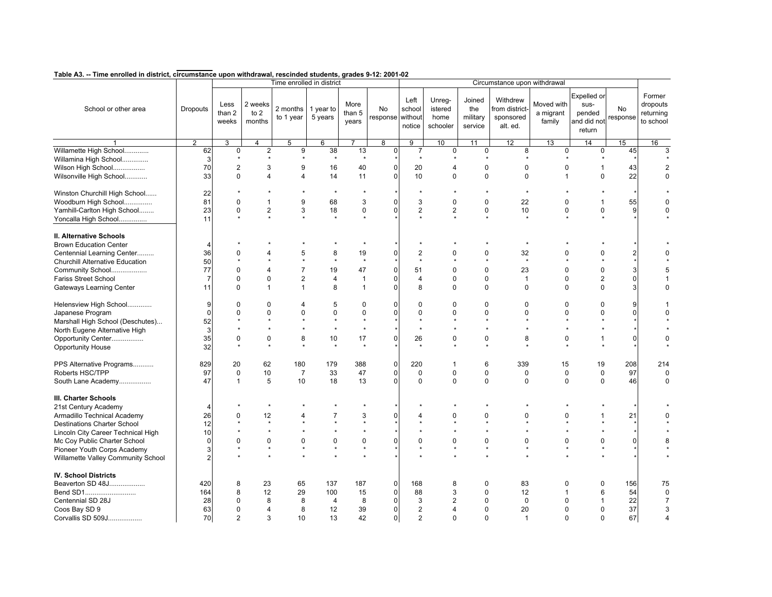|                                    |                 |                         |                             | Time enrolled in district |                      |                           |                               |                          |                                       |                                      | Circumstance upon withdrawal                       |                                   |                                                               |                |                                              |
|------------------------------------|-----------------|-------------------------|-----------------------------|---------------------------|----------------------|---------------------------|-------------------------------|--------------------------|---------------------------------------|--------------------------------------|----------------------------------------------------|-----------------------------------|---------------------------------------------------------------|----------------|----------------------------------------------|
| School or other area               | <b>Dropouts</b> | Less<br>than 2<br>weeks | 2 weeks<br>to $2$<br>months | 2 months<br>to 1 year     | 1 year to<br>5 years | More<br>than $5$<br>years | <b>No</b><br>response without | Left<br>school<br>notice | Unreg-<br>istered<br>home<br>schooler | Joined<br>the<br>military<br>service | Withdrew<br>from district<br>sponsored<br>alt. ed. | Moved with<br>a migrant<br>family | <b>Expelled or</b><br>sus-<br>pended<br>and did not<br>return | No<br>response | Former<br>dropouts<br>returning<br>to school |
|                                    | $\overline{2}$  | 3                       | 4                           | 5                         | 6                    | $\overline{7}$            | $\overline{\mathbf{8}}$       | 9                        | 10                                    | 11                                   | 12                                                 | 13                                | 14                                                            | 15             | 16                                           |
| Willamette High School             | 62              | $\mathbf 0$             | $\overline{2}$              | 9                         | 38                   | 13                        | 0                             | $\overline{7}$           | $\mathbf 0$                           | 0                                    | 8                                                  | $\mathbf 0$                       | $\mathbf 0$                                                   | 45             | 3                                            |
| Willamina High School              | 3               |                         |                             |                           | $\star$              | $\star$                   |                               | $\star$                  |                                       |                                      |                                                    |                                   |                                                               |                |                                              |
| Wilson High School                 | 70              | $\overline{\mathbf{c}}$ | 3                           | 9                         | 16                   | 40                        | O                             | 20                       | 4                                     | 0                                    | $\mathbf 0$                                        | $\mathbf 0$                       | $\mathbf{1}$                                                  | 43             | $\overline{2}$                               |
| Wilsonville High School            | 33              | 0                       | $\overline{4}$              | 4                         | 14                   | 11                        | U                             | 10                       | $\mathbf 0$                           | 0                                    | $\mathbf 0$                                        | $\mathbf{1}$                      | $\mathbf 0$                                                   | 22             | 0                                            |
| Winston Churchill High School      | 22              |                         |                             |                           | $\star$              |                           |                               | $\star$                  |                                       |                                      |                                                    |                                   |                                                               |                |                                              |
| Woodburn High School               | 81              | 0                       | $\mathbf{1}$                | 9                         | 68                   | 3                         |                               | 3                        | $\Omega$                              | 0                                    | 22                                                 | $\mathbf 0$                       | $\overline{1}$                                                | 55             | $\Omega$                                     |
| Yamhill-Carlton High School        | 23              | 0                       | $\overline{2}$              | 3                         | 18                   | $\pmb{0}$                 | ი                             | 2                        | $\overline{2}$                        | 0                                    | 10                                                 | $\mathbf 0$                       | 0                                                             | 9              | $\Omega$                                     |
| Yoncalla High School               | 11              |                         |                             |                           | $\ddot{\phantom{0}}$ |                           |                               |                          |                                       |                                      |                                                    |                                   |                                                               |                |                                              |
| <b>II. Alternative Schools</b>     |                 |                         |                             |                           |                      |                           |                               |                          |                                       |                                      |                                                    |                                   |                                                               |                |                                              |
| <b>Brown Education Center</b>      | 4               |                         |                             |                           |                      |                           |                               |                          |                                       |                                      |                                                    |                                   |                                                               |                |                                              |
| Centennial Learning Center         | 36              | 0                       | $\Delta$                    | 5                         | 8                    | 19                        | ი                             | 2                        | $\Omega$                              |                                      | 0<br>32                                            | $\Omega$                          | 0                                                             |                | O                                            |
| Churchill Alternative Education    | 50              |                         |                             |                           | $\star$              |                           |                               |                          |                                       |                                      |                                                    |                                   |                                                               |                |                                              |
| Community School                   | 77              | 0                       | $\overline{4}$              | $\overline{7}$            | 19                   | 47                        |                               | 51                       | $\Omega$                              | $\Omega$                             | 23                                                 | $\Omega$                          | 0                                                             |                |                                              |
| Fariss Street School               | $\overline{7}$  | 0                       | $\mathbf 0$                 | $\overline{c}$            | $\overline{4}$       | $\mathbf{1}$              | 0                             | $\overline{4}$           | 0                                     | 0                                    | $\mathbf{1}$                                       | $\mathbf 0$                       | $\overline{\mathbf{c}}$                                       |                |                                              |
| Gateways Learning Center           | 11              | $\mathbf 0$             | $\mathbf{1}$                | $\mathbf{1}$              | 8                    | $\mathbf{1}$              | O                             | 8                        | $\Omega$                              | $\mathbf 0$                          | $\Omega$                                           | $\Omega$                          | $\mathbf 0$                                                   |                | $\Omega$                                     |
| Helensview High School             | 9               | 0                       | $\mathbf 0$                 | 4                         | 5                    | 0                         |                               | $\mathbf 0$              | $\mathbf 0$                           | $\mathbf 0$                          | $\mathbf 0$                                        | $\mathbf 0$                       | 0                                                             |                |                                              |
| Japanese Program                   | $\Omega$        | 0                       | $\mathbf 0$                 | $\Omega$                  | $\mathbf 0$          | $\mathbf 0$               | ი                             | $\mathbf 0$              | 0                                     |                                      | 0<br>$\Omega$                                      | $\Omega$                          | 0                                                             | ŋ              | O                                            |
| Marshall High School (Deschutes)   | 52              |                         |                             |                           |                      |                           |                               |                          |                                       |                                      |                                                    |                                   |                                                               |                |                                              |
| North Eugene Alternative High      | 3               |                         |                             |                           | $\star$              |                           |                               |                          |                                       |                                      |                                                    |                                   |                                                               |                |                                              |
| Opportunity Center                 | 35              | 0                       | $\mathbf 0$                 | 8                         | 10                   | 17                        | ი                             | 26                       | 0                                     | 0                                    | 8                                                  | $\mathbf 0$                       | 1                                                             |                | $\Omega$                                     |
| <b>Opportunity House</b>           | 32              | $\star$                 |                             |                           | $\star$              |                           |                               | $\star$                  |                                       | $\star$                              |                                                    |                                   | $\star$                                                       |                |                                              |
| PPS Alternative Programs           | 829             | 20                      | 62                          | 180                       | 179                  | 388                       | 0                             | 220                      | 1                                     | 6                                    | 339                                                | 15                                | 19                                                            | 208            | 214                                          |
| Roberts HSC/TPP                    | 97              | $\mathbf 0$             | 10                          | $\overline{7}$            | 33                   | 47                        | 0                             | $\mathbf 0$              | 0                                     | 0                                    | $\mathbf 0$                                        | $\mathbf 0$                       | $\mathbf 0$                                                   | 97             | $\mathbf 0$                                  |
| South Lane Academy                 | 47              | $\mathbf{1}$            | 5                           | 10                        | 18                   | 13                        | 0                             | $\mathbf 0$              | 0                                     | $\mathbf 0$                          | $\mathbf 0$                                        | $\mathbf 0$                       | $\mathbf 0$                                                   | 46             | $\mathbf 0$                                  |
| III. Charter Schools               |                 |                         |                             |                           |                      |                           |                               |                          |                                       |                                      |                                                    |                                   |                                                               |                |                                              |
| 21st Century Academy               | 4               |                         | $\star$                     |                           |                      |                           |                               |                          |                                       |                                      |                                                    |                                   |                                                               |                |                                              |
| Armadillo Technical Academy        | 26              | 0                       | 12                          | 4                         | 7                    | 3                         |                               |                          | $\Omega$                              | 0                                    | $\Omega$                                           | $\mathbf 0$                       |                                                               | 21             |                                              |
| <b>Destinations Charter School</b> | 12              |                         | $\star$                     |                           |                      |                           |                               |                          |                                       |                                      |                                                    |                                   |                                                               |                |                                              |
| Lincoln City Career Technical High | 10              |                         |                             |                           |                      |                           |                               |                          |                                       |                                      |                                                    |                                   |                                                               |                |                                              |
| Mc Coy Public Charter School       | 0               | $\Omega$                | $\mathbf 0$                 | $\Omega$                  | $\mathbf 0$          | $\pmb{0}$                 |                               | $\Omega$                 | $\Omega$                              | 0                                    | $\mathbf 0$                                        | $\mathbf 0$                       | 0                                                             | 0              |                                              |
| Pioneer Youth Corps Academy        | 3               |                         | $\star$                     | $\star$                   | $\star$              |                           |                               |                          | $\star$                               | $\star$                              |                                                    |                                   | $\star$                                                       |                |                                              |
| Willamette Valley Community School | $\mathfrak{p}$  |                         |                             |                           |                      |                           |                               |                          |                                       |                                      |                                                    |                                   |                                                               |                |                                              |
| <b>IV. School Districts</b>        |                 |                         |                             |                           |                      |                           |                               |                          |                                       |                                      |                                                    |                                   |                                                               |                |                                              |
| Beaverton SD 48J                   | 420             | 8                       | 23                          | 65                        | 137                  | 187                       | 0                             | 168                      | 8                                     | 0                                    | 83                                                 | 0                                 | 0                                                             | 156            | 75                                           |
| Bend SD1                           | 164             | 8                       | 12                          | 29                        | 100                  | 15                        | $\Omega$                      | 88                       | 3                                     | $\Omega$                             | 12                                                 | 1                                 | 6                                                             | 54             | $\mathbf 0$                                  |
| Centennial SD 28J                  | 28              | 0                       | 8                           | 8                         | $\overline{4}$       | 8                         | 0                             | 3                        | 2                                     | 0                                    | $\mathsf 0$                                        | $\Omega$                          | $\mathbf{1}$                                                  | 22             | $\overline{7}$                               |
| Coos Bay SD 9                      | 63              | 0                       | $\overline{4}$              | 8                         | 12                   | 39                        | 0                             | $\overline{2}$           | 4                                     | 0                                    | 20                                                 | $\Omega$                          | 0                                                             | 37             | 3                                            |
| Corvallis SD 509J                  | 70              | $\overline{2}$          | 3                           | 10                        | 13                   | 42                        | $\mathbf 0$                   | $\overline{2}$           | $\Omega$                              |                                      | 0<br>$\mathbf{1}$                                  | $\Omega$                          | $\Omega$                                                      | 67             | $\overline{4}$                               |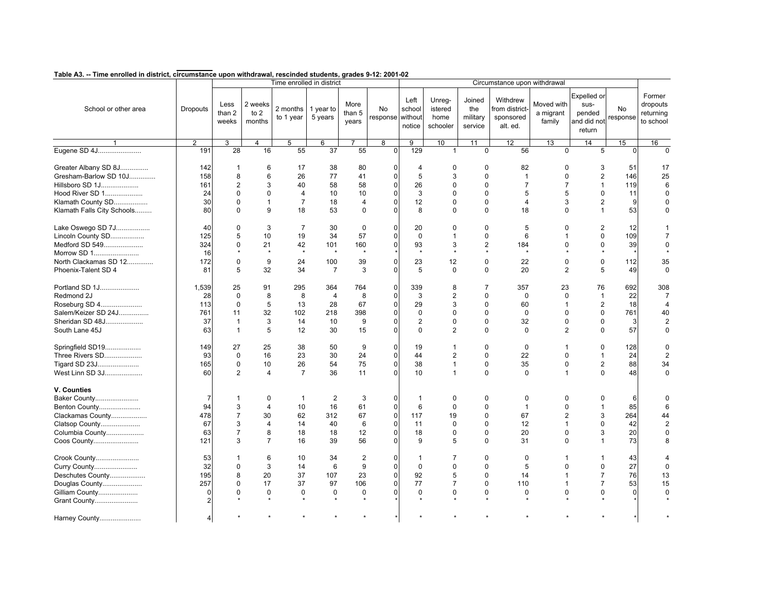|                            |                 |                         |                             | Time enrolled in district |                      |                         |                               |                          |                                       |                                      | Circumstance upon withdrawal                       |                                   |                                                        |                |                                              |
|----------------------------|-----------------|-------------------------|-----------------------------|---------------------------|----------------------|-------------------------|-------------------------------|--------------------------|---------------------------------------|--------------------------------------|----------------------------------------------------|-----------------------------------|--------------------------------------------------------|----------------|----------------------------------------------|
| School or other area       | <b>Dropouts</b> | Less<br>than 2<br>weeks | 2 weeks<br>to $2$<br>months | 2 months<br>to 1 year     | 1 year to<br>5 years | More<br>than 5<br>years | <b>No</b><br>response without | Left<br>school<br>notice | Unreg-<br>istered<br>home<br>schooler | Joined<br>the<br>military<br>service | Withdrew<br>from district<br>sponsored<br>alt. ed. | Moved with<br>a migrant<br>family | Expelled or<br>sus-<br>pended<br>and did not<br>return | No<br>response | Former<br>dropouts<br>returning<br>to school |
|                            | $\overline{2}$  | 3                       | $\overline{4}$              | 5                         | 6                    |                         | 8                             | $\overline{9}$           | 10                                    | 11                                   | 12                                                 | $\overline{13}$                   | 14                                                     | 15             | 16                                           |
| Eugene SD 4J               | 191             | 28                      | 16                          | 55                        | 37                   | 55                      | $\Omega$                      | 129                      | $\mathbf{1}$                          | $\mathbf 0$                          | 56                                                 | $\Omega$                          | 5                                                      | $\Omega$       | $\Omega$                                     |
| Greater Albany SD 8J       | 142             | $\mathbf{1}$            | 6                           | 17                        | 38                   | 80                      | 0                             | 4                        | 0                                     | 0                                    | 82                                                 | $\Omega$                          | 3                                                      | 51             | 17                                           |
| Gresham-Barlow SD 10J      | 158             | 8                       | 6                           | 26                        | 77                   | 41                      | 0                             | 5                        | 3                                     | $\Omega$                             | $\mathbf{1}$                                       | $\Omega$                          | 2                                                      | 146            | 25                                           |
| Hillsboro SD 1J            | 161             | 2                       | 3                           | 40                        | 58                   | 58                      | $\mathbf 0$                   | 26                       | $\mathbf 0$                           | $\mathbf 0$                          | $\overline{7}$                                     | $\overline{7}$                    | $\mathbf{1}$                                           | 119            | 6                                            |
| Hood River SD 1            | 24              | $\mathbf 0$             | $\Omega$                    | 4                         | 10                   | 10                      | 0                             | 3                        | $\Omega$                              | $\Omega$                             | 5                                                  | 5                                 | 0                                                      | 11             | $\Omega$                                     |
| Klamath County SD          | 30              | $\mathbf 0$             | $\mathbf{1}$                | $\overline{7}$            | 18                   | 4                       | 0                             | 12                       | $\mathbf 0$                           | 0                                    | $\overline{4}$                                     | 3                                 | $\overline{c}$                                         | 9              | $\Omega$                                     |
| Klamath Falls City Schools | 80              | $\mathbf 0$             | 9                           | 18                        | 53                   | $\Omega$                | 0                             | 8                        | $\Omega$                              | $\Omega$                             | 18                                                 | $\Omega$                          | $\mathbf{1}$                                           | 53             | $\Omega$                                     |
| Lake Oswego SD 7J          | 40              | 0                       | 3                           | $\overline{7}$            | 30                   | $\mathbf 0$             | $\overline{0}$                | 20                       | $\mathbf 0$                           | 0                                    | 5                                                  | $\mathbf 0$                       | $\mathbf{2}$                                           | 12             |                                              |
| Lincoln County SD          | 125             | 5                       | 10                          | 19                        | 34                   | 57                      | 0                             | $\mathbf 0$              | $\mathbf 1$                           | 0                                    | 6                                                  | $\mathbf{1}$                      | 0                                                      | 109            | $\overline{7}$                               |
| Medford SD 549             | 324             | $\mathbf 0$             | 21                          | 42                        | 101                  | 160                     | $\overline{0}$                | 93                       | 3                                     | $\mathbf{2}$                         | 184                                                | $\mathbf 0$                       | 0                                                      | 39             | 0                                            |
| Morrow SD 1                | 16              | $\star$                 | $\star$                     | $\star$                   | $\pmb{\ast}$         | $\star$                 |                               | $\star$                  | $\star$                               | $\star$                              | $\star$                                            |                                   | $\star$                                                |                |                                              |
| North Clackamas SD 12      | 172             | $\mathbf 0$             | 9                           | 24                        | 100                  | 39                      | 0                             | 23                       | 12                                    | 0                                    | 22                                                 | $\Omega$                          | 0                                                      | 112            | 35                                           |
| Phoenix-Talent SD 4        | 81              | 5                       | 32                          | 34                        | $\overline{7}$       | 3                       | 0                             | 5                        | $\mathbf 0$                           | $\mathbf 0$                          | 20                                                 | $\overline{2}$                    | 5                                                      | 49             | $\mathbf 0$                                  |
| Portland SD 1J             | 1,539           | 25                      | 91                          | 295                       | 364                  | 764                     | $\mathbf 0$                   | 339                      | 8                                     | 7                                    | 357                                                | 23                                | 76                                                     | 692            | 308                                          |
| Redmond 2J                 | 28              | 0                       | 8                           | 8                         | 4                    | 8                       | 0                             | 3                        | $\overline{2}$                        | 0                                    | $\mathbf 0$                                        | $\mathbf 0$                       | $\mathbf{1}$                                           | 22             | 7                                            |
| Roseburg SD 4              | 113             | $\mathbf 0$             | 5                           | 13                        | 28                   | 67                      | $\mathbf 0$                   | 29                       | 3                                     | $\mathbf 0$                          | 60                                                 | $\mathbf{1}$                      | $\mathbf{2}$                                           | 18             | $\overline{4}$                               |
| Salem/Keizer SD 24J        | 761             | 11                      | 32                          | 102                       | 218                  | 398                     | 0                             | $\mathbf 0$              | $\mathbf 0$                           | 0                                    | $\Omega$                                           | $\Omega$                          | 0                                                      | 761            | 40                                           |
| Sheridan SD 48J            | 37              | $\mathbf{1}$            | 3                           | 14                        | 10                   | 9                       | 0                             | $\overline{2}$           | $\mathbf 0$                           | $\mathbf 0$                          | 32                                                 | $\mathbf 0$                       | 0                                                      | 3              | $\overline{2}$                               |
| South Lane 45J             | 63              | $\mathbf{1}$            | 5                           | 12                        | 30                   | 15                      | 0                             | $\mathbf 0$              | $\overline{2}$                        | $\mathbf 0$                          | $\Omega$                                           | $\overline{2}$                    | $\pmb{0}$                                              | 57             | 0                                            |
| Springfield SD19           | 149             | 27                      | 25                          | 38                        | 50                   | 9                       | $\overline{0}$                | 19                       | 1                                     | $\mathbf 0$                          | $\mathbf 0$                                        | $\mathbf{1}$                      | 0                                                      | 128            | $\Omega$                                     |
| Three Rivers SD            | 93              | 0                       | 16                          | 23                        | 30                   | 24                      | $\overline{0}$                | 44                       | $\overline{2}$                        | 0                                    | 22                                                 | $\mathbf 0$                       | $\mathbf{1}$                                           | 24             | $\overline{2}$                               |
| Tigard SD 23J              | 165             | 0                       | 10                          | 26                        | 54                   | 75                      | $\Omega$                      | 38                       | $\mathbf{1}$                          | $\mathbf 0$                          | 35                                                 | $\mathbf 0$                       | $\mathbf{2}$                                           | 88             | 34                                           |
| West Linn SD 3J            | 60              | $\overline{2}$          | $\overline{4}$              | $\overline{7}$            | 36                   | 11                      | 0                             | 10                       | $\mathbf{1}$                          | $\mathbf 0$                          | $\mathbf 0$                                        | $\mathbf{1}$                      | 0                                                      | 48             | $\mathbf 0$                                  |
| V. Counties                |                 |                         |                             |                           |                      |                         |                               |                          |                                       |                                      |                                                    |                                   |                                                        |                |                                              |
| Baker County               | 7               | -1                      | 0                           | $\overline{1}$            | 2                    | 3                       | $\overline{0}$                | $\mathbf{1}$             | 0                                     | 0                                    | 0                                                  | $\Omega$                          | 0                                                      | 6              | O                                            |
| Benton County              | 94              | 3                       | $\overline{4}$              | 10                        | 16                   | 61                      | $\Omega$                      | 6                        | $\Omega$                              | $\Omega$                             | $\mathbf{1}$                                       | $\Omega$                          | $\mathbf{1}$                                           | 85             | 6                                            |
| Clackamas County           | 478             | $\overline{7}$          | 30                          | 62                        | 312                  | 67                      | $\mathbf 0$                   | 117                      | 19                                    | 0                                    | 67                                                 | $\overline{2}$                    | 3                                                      | 264            | 44                                           |
| Clatsop County             | 67              | 3                       | $\overline{4}$              | 14                        | 40                   | 6                       | $\mathbf 0$                   | 11                       | $\mathbf 0$                           | 0                                    | 12                                                 | $\mathbf{1}$                      | 0                                                      | 42             |                                              |
| Columbia County            | 63              | $\overline{7}$          | 8                           | 18                        | 18                   | 12                      | 0                             | 18                       | $\mathbf 0$                           | 0                                    | 20                                                 | $\Omega$                          | 3                                                      | 20             | $\Omega$                                     |
| Coos County                | 121             | 3                       | $\overline{7}$              | 16                        | 39                   | 56                      | $\Omega$                      | 9                        | 5                                     | $\mathbf 0$                          | 31                                                 | $\Omega$                          | $\mathbf{1}$                                           | 73             | 8                                            |
| Crook County               | 53              | $\mathbf{1}$            | 6                           | 10                        | 34                   | 2                       | $\overline{0}$                | $\mathbf{1}$             | $\overline{7}$                        | 0                                    | 0                                                  | $\mathbf{1}$                      | 1                                                      | 43             | 4                                            |
| Curry County               | 32              | $\mathbf 0$             | 3                           | 14                        | 6                    | 9                       | $\Omega$                      | $\Omega$                 | $\Omega$                              | $\Omega$                             | 5                                                  | $\Omega$                          | 0                                                      | 27             | $\Omega$                                     |
| Deschutes County           | 195             | 8                       | 20                          | 37                        | 107                  | 23                      | $\Omega$                      | 92                       | 5                                     | $\mathbf{0}$                         | 14                                                 | $\mathbf{1}$                      | $\overline{7}$                                         | 76             | 13                                           |
| Douglas County             | 257             | $\mathbf 0$             | 17                          | 37                        | 97                   | 106                     | 0                             | 77                       | $\overline{7}$                        | $\mathbf 0$                          | 110                                                | $\mathbf{1}$                      | $\overline{7}$                                         | 53             | 15                                           |
| Gilliam County             | $\Omega$        | 0                       | $\mathbf 0$                 | $\mathbf 0$               | 0                    | $\mathbf 0$             | n                             | $\mathbf 0$              | $\mathbf 0$                           | 0                                    | 0                                                  | $\Omega$                          | 0                                                      | $\Omega$       | $\Omega$                                     |
| Grant County               |                 |                         |                             |                           |                      |                         |                               |                          |                                       |                                      |                                                    |                                   |                                                        |                |                                              |
| Harney County              |                 |                         |                             |                           |                      |                         |                               |                          |                                       |                                      |                                                    |                                   |                                                        |                |                                              |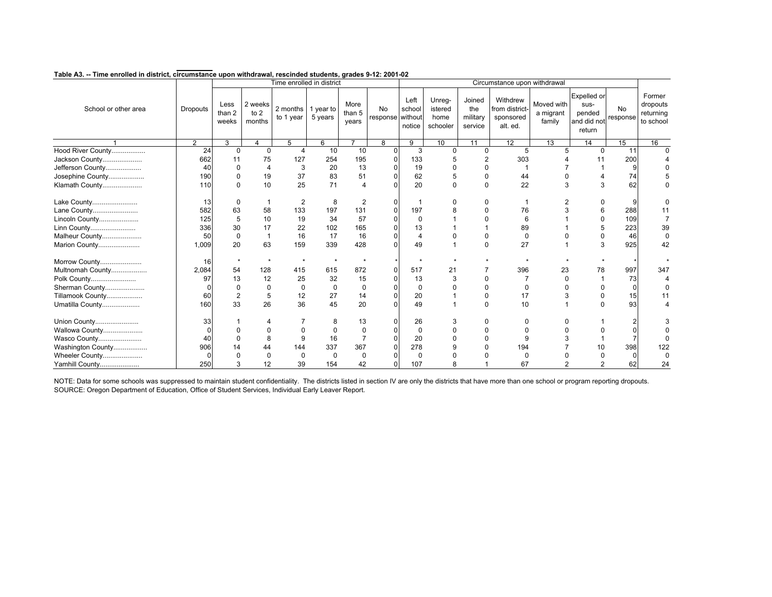|                      |                 |                         |                           | Time enrolled in district       |              |                         |                        |                          |                                       |                                      | Circumstance upon withdrawal                        |                                   |                                                        |                       |                                              |
|----------------------|-----------------|-------------------------|---------------------------|---------------------------------|--------------|-------------------------|------------------------|--------------------------|---------------------------------------|--------------------------------------|-----------------------------------------------------|-----------------------------------|--------------------------------------------------------|-----------------------|----------------------------------------------|
| School or other area | <b>Dropouts</b> | Less<br>than 2<br>weeks | 2 weeks<br>to 2<br>months | 2 months 1 year to<br>to 1 year | 5 years      | More<br>than 5<br>years | No<br>response without | Left<br>school<br>notice | Unreg-<br>istered<br>home<br>schooler | Joined<br>the<br>military<br>service | Withdrew<br>from district-<br>sponsored<br>alt. ed. | Moved with<br>a migrant<br>family | Expelled or<br>sus-<br>pended<br>and did not<br>return | <b>No</b><br>response | Former<br>dropouts<br>returning<br>to school |
|                      | $\overline{2}$  | 3                       | 4                         | 5                               | 6            |                         | 8                      | $\overline{9}$           | 10                                    | 11                                   | 12                                                  | 13                                | 14                                                     | 15                    | 16                                           |
| Hood River County    | $\overline{24}$ | $\mathbf{0}$            | $\mathbf 0$               | 4                               | 10           | 10                      | $\Omega$               | 3                        | $\Omega$                              | $\mathbf 0$                          | 5                                                   |                                   | $\mathbf{0}$                                           | 11                    |                                              |
| Jackson County       | 662             | 11                      | 75                        | 127                             | 254          | 195                     |                        | 133                      |                                       |                                      | 303                                                 |                                   | 11                                                     | 200                   |                                              |
| Jefferson County     | 40              | $\Omega$                | $\overline{4}$            | 3                               | 20           | 13                      |                        | 19                       | $\Omega$                              |                                      |                                                     |                                   |                                                        | 9                     |                                              |
| Josephine County     | 190             | 0                       | 19                        | 37                              | 83           | 51                      |                        | 62                       | 5                                     | $\Omega$                             | 44                                                  |                                   |                                                        | 74                    |                                              |
| Klamath County       | 110             | $\Omega$                | 10                        | 25                              | 71           |                         |                        | 20                       | $\mathbf 0$                           | $\Omega$                             | 22                                                  | 3                                 | 3                                                      | 62                    |                                              |
| Lake County          | 13              | 0                       |                           | $\overline{2}$                  | 8            | 2                       |                        |                          | 0                                     |                                      |                                                     |                                   |                                                        | 9                     |                                              |
| Lane County          | 582             | 63                      | 58                        | 133                             | 197          | 131                     |                        | 197                      | 8                                     |                                      | 76                                                  |                                   | 6                                                      | 288                   |                                              |
| Lincoln County       | 125             | 5                       | 10                        | 19                              | 34           | 57                      |                        | $\Omega$                 |                                       |                                      | 6                                                   |                                   |                                                        | 109                   |                                              |
| Linn County          | 336             | 30                      | 17                        | 22                              | 102          | 165                     |                        | 13                       |                                       |                                      | 89                                                  |                                   |                                                        | 223                   | 39                                           |
| Malheur County       | 50              | 0                       |                           | 16                              | 17           | 16                      |                        |                          | 0                                     | 0                                    | 0                                                   |                                   |                                                        | 46                    |                                              |
| Marion County        | 1,009           | 20                      | 63                        | 159                             | 339          | 428                     |                        | 49                       |                                       | $\Omega$                             | 27                                                  |                                   | 3                                                      | 925                   | 42                                           |
| Morrow County        | 16              |                         | $\star$                   |                                 | $\mathbf{v}$ |                         |                        |                          |                                       |                                      |                                                     |                                   |                                                        |                       |                                              |
| Multnomah County     | 2,084           | 54                      | 128                       | 415                             | 615          | 872                     |                        | 517                      | 21                                    |                                      | 396                                                 | 23                                | 78                                                     | 997                   | 347                                          |
| Polk County          | 97              | 13                      | 12                        | 25                              | 32           | 15                      |                        | 13                       | 3                                     |                                      |                                                     | O                                 |                                                        | 73                    |                                              |
| Sherman County       |                 | 0                       | $\Omega$                  | 0                               | 0            | 0                       |                        | 0                        | 0                                     |                                      | 0                                                   |                                   |                                                        | 0                     |                                              |
| Tillamook County     | 60              | $\overline{2}$          | 5                         | 12                              | 27           | 14                      |                        | 20                       |                                       | $\Omega$                             | 17                                                  | 3                                 | $\mathbf 0$                                            | 15                    | 11                                           |
| Umatilla County      | 160             | 33                      | 26                        | 36                              | 45           | 20                      |                        | 49                       | 1                                     | $\Omega$                             | 10                                                  |                                   | $\Omega$                                               | 93                    |                                              |
| Union County         | 33              |                         |                           |                                 | 8            | 13                      |                        | 26                       | 3                                     | $\Omega$                             |                                                     |                                   |                                                        |                       |                                              |
| Wallowa County       |                 |                         |                           |                                 | $\Omega$     |                         |                        | 0                        |                                       |                                      |                                                     |                                   |                                                        |                       |                                              |
| Wasco County         | 40              | $\Omega$                | 8                         | 9                               | 16           |                         |                        | 20                       |                                       |                                      | 9                                                   |                                   |                                                        |                       |                                              |
| Washington County    | 906             | 14                      | 44                        | 144                             | 337          | 367                     |                        | 278                      |                                       |                                      | 194                                                 |                                   | 10                                                     | 398                   | 122                                          |
| Wheeler County       |                 |                         | $\Omega$                  | 0                               | $\Omega$     |                         |                        | $\Omega$                 |                                       |                                      | ŋ                                                   |                                   |                                                        | $\Omega$              | $\Omega$                                     |
| Yamhill County       | 250             | 3                       | 12                        | 39                              | 154          | 42                      |                        | 107                      |                                       |                                      | 67                                                  |                                   | 2                                                      | 62                    | 24                                           |

SOURCE: Oregon Department of Education, Office of Student Services, Individual Early Leaver Report. NOTE: Data for some schools was suppressed to maintain student confidentiality. The districts listed in section IV are only the districts that have more than one school or program reporting dropouts.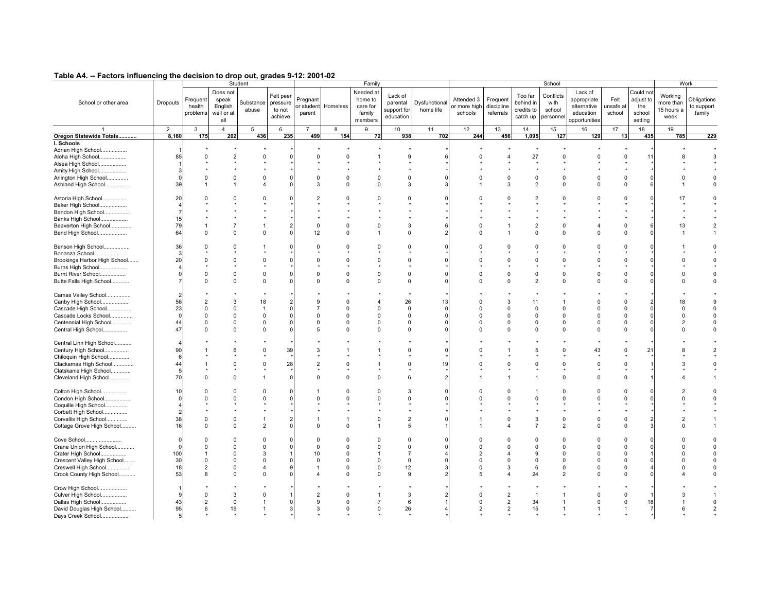| . <del></del> .<br>- Lactors minuchemy are accident to arep out, grades of i.e. Lee Fig. |                |                                |                                                   | Student                    |                                            |                                  |                      | Family                                                |                                                 |                            |                                       |                                     |                                                | School                                  |                                                                     |                             |                                                    | Work                                       |                                     |
|------------------------------------------------------------------------------------------|----------------|--------------------------------|---------------------------------------------------|----------------------------|--------------------------------------------|----------------------------------|----------------------|-------------------------------------------------------|-------------------------------------------------|----------------------------|---------------------------------------|-------------------------------------|------------------------------------------------|-----------------------------------------|---------------------------------------------------------------------|-----------------------------|----------------------------------------------------|--------------------------------------------|-------------------------------------|
| School or other area                                                                     | Dropouts       | Frequent<br>health<br>problems | Does not<br>speak<br>English<br>well or at<br>all | Substance<br>abuse         | Felt peer<br>pressure<br>to not<br>achieve | Pregnant<br>or student<br>parent | Homeless             | Needed at<br>home to<br>care for<br>family<br>members | Lack of<br>parental<br>support for<br>education | Dysfunctional<br>home life | Attended 3<br>or more high<br>schools | Frequent<br>discipline<br>referrals | Too far<br>behind in<br>credits to<br>catch up | Conflicts<br>with<br>school<br>personne | Lack of<br>appropriate<br>alternative<br>education<br>opportunities | Felt<br>unsafe at<br>school | Could not<br>adjust to<br>the<br>school<br>setting | Working<br>more than<br>15 hours a<br>week | Obligations<br>to support<br>family |
|                                                                                          | $\overline{2}$ | 3                              | $\overline{4}$                                    | 5                          | 6                                          | $\overline{7}$                   | 8                    | 9                                                     | 10                                              | 11                         | 12                                    | 13                                  | 14                                             | 15                                      | 16                                                                  | 17                          | 18                                                 | 19                                         |                                     |
| Oregon Statewide Totals                                                                  | 8,160          | 175                            | 202                                               | 436                        | 235                                        | 499                              | 154                  | 72                                                    | 938                                             | 702                        | 244                                   | 456                                 | 1,095                                          | 127                                     | 129                                                                 | 13                          | 435                                                | 785                                        | 229                                 |
| I. Schools                                                                               |                |                                |                                                   |                            |                                            |                                  |                      |                                                       |                                                 |                            |                                       |                                     |                                                |                                         |                                                                     |                             |                                                    |                                            |                                     |
| Adrian High School                                                                       |                |                                |                                                   |                            |                                            |                                  |                      |                                                       |                                                 |                            |                                       |                                     |                                                |                                         |                                                                     |                             |                                                    |                                            |                                     |
| Aloha High School                                                                        | 85             | $\Omega$                       | $\overline{2}$                                    | $\Omega$                   |                                            | $\Omega$                         | $\Omega$             |                                                       | 9                                               |                            | $\Omega$                              |                                     | 27                                             | $\Omega$                                |                                                                     | $\Omega$                    | 11                                                 |                                            | 3                                   |
| Alsea High School                                                                        |                |                                |                                                   |                            |                                            |                                  |                      |                                                       |                                                 |                            |                                       |                                     |                                                |                                         |                                                                     |                             |                                                    |                                            |                                     |
| Amity High School                                                                        |                |                                |                                                   |                            |                                            |                                  |                      |                                                       |                                                 |                            |                                       |                                     |                                                |                                         |                                                                     |                             |                                                    |                                            |                                     |
| Arlington High School                                                                    |                | 0                              | $\Omega$                                          | $\Omega$                   |                                            | $\Omega$                         | $\Omega$             | $\Omega$                                              | $\Omega$                                        | ſ                          | $\Omega$                              | $\Omega$                            | $^{\circ}$                                     | $\Omega$                                | $\Omega$                                                            | $\Omega$                    |                                                    | O                                          | $\Omega$                            |
| Ashland High School                                                                      | 39             |                                | -1                                                | Δ                          |                                            | $\mathbf{a}$                     | $\Omega$             | $\Omega$                                              | 3                                               |                            |                                       | 3                                   | $\overline{2}$                                 | $\Omega$                                | $\Omega$                                                            | $\mathbf 0$                 |                                                    |                                            |                                     |
|                                                                                          |                |                                |                                                   |                            |                                            |                                  |                      |                                                       |                                                 |                            |                                       |                                     |                                                |                                         |                                                                     |                             |                                                    |                                            |                                     |
| Astoria High School                                                                      | 20             |                                |                                                   |                            |                                            |                                  |                      | $\Omega$                                              | $\Omega$                                        |                            |                                       |                                     |                                                | U                                       |                                                                     | $\Omega$                    |                                                    | 17                                         |                                     |
| Baker High School                                                                        |                |                                |                                                   |                            |                                            |                                  |                      |                                                       |                                                 |                            |                                       |                                     |                                                |                                         |                                                                     |                             |                                                    |                                            |                                     |
| Bandon High School                                                                       |                |                                |                                                   |                            |                                            |                                  |                      |                                                       |                                                 |                            |                                       |                                     |                                                |                                         |                                                                     |                             |                                                    |                                            |                                     |
| Banks High School                                                                        | 15             |                                |                                                   |                            |                                            |                                  |                      |                                                       |                                                 |                            |                                       |                                     |                                                |                                         |                                                                     |                             |                                                    |                                            |                                     |
| Beaverton High School                                                                    | 79             |                                |                                                   |                            |                                            | $\Omega$                         | $\Omega$             | $\Omega$                                              | 3                                               | 6                          |                                       |                                     | $\overline{2}$                                 | $\Omega$                                |                                                                     | $\Omega$                    |                                                    | 13                                         |                                     |
| Bend High School                                                                         | 64             | $\Omega$                       | $\Omega$                                          | $\Omega$                   |                                            | 12                               | $\Omega$             | $\overline{1}$                                        | $\Omega$                                        |                            | $\Omega$                              |                                     | $\Omega$                                       | $\Omega$                                | $\Omega$                                                            | $\Omega$                    |                                                    |                                            |                                     |
|                                                                                          |                |                                |                                                   |                            |                                            |                                  |                      |                                                       |                                                 |                            |                                       |                                     |                                                |                                         |                                                                     |                             |                                                    |                                            |                                     |
| Benson High School                                                                       | 36             | $\Omega$                       | $\Omega$                                          |                            |                                            | $\Omega$                         | $\Omega$             | $\Omega$                                              | $\Omega$                                        |                            |                                       | $\Omega$                            | $\Omega$                                       | $\Omega$                                | $\Omega$                                                            | $\Omega$                    |                                                    |                                            |                                     |
| Bonanza School                                                                           |                |                                |                                                   |                            |                                            |                                  |                      |                                                       |                                                 |                            |                                       |                                     |                                                |                                         |                                                                     |                             |                                                    |                                            |                                     |
| Brookings Harbor High School                                                             | 20             |                                | $\Omega$                                          | $\Omega$                   |                                            |                                  | $\Omega$             | $\Omega$                                              | $\Omega$                                        |                            |                                       |                                     | $\Omega$                                       | 0                                       |                                                                     | $\Omega$                    |                                                    |                                            |                                     |
| Burns High School                                                                        |                |                                |                                                   |                            |                                            |                                  |                      |                                                       |                                                 |                            |                                       |                                     |                                                |                                         |                                                                     |                             |                                                    |                                            |                                     |
| Burnt River School                                                                       |                |                                | $\Omega$                                          | $\Omega$                   |                                            | $\Omega$                         | $\Omega$             | $\mathbf 0$                                           | $\Omega$                                        |                            |                                       | $\Omega$                            | $\mathbf 0$                                    | $\Omega$                                | $\Omega$                                                            | $\Omega$                    |                                                    | $\Omega$                                   |                                     |
| Butte Falls High School                                                                  |                |                                | $\Omega$                                          | $\Omega$                   |                                            | $\Omega$                         | $\Omega$             | $\mathbf 0$                                           | $\Omega$                                        |                            |                                       | $\Omega$                            | $\overline{2}$                                 | 0                                       | $\Omega$                                                            | $\Omega$                    |                                                    |                                            |                                     |
|                                                                                          |                |                                |                                                   |                            |                                            |                                  |                      |                                                       |                                                 |                            |                                       |                                     |                                                |                                         |                                                                     |                             |                                                    |                                            |                                     |
| Camas Valley School                                                                      |                |                                |                                                   |                            |                                            |                                  |                      |                                                       |                                                 |                            |                                       |                                     |                                                |                                         |                                                                     |                             |                                                    |                                            |                                     |
| Canby High School                                                                        | 56             |                                | 3                                                 | 18                         |                                            |                                  | $\Omega$             | $\overline{4}$                                        | 26                                              | 13                         |                                       | 3                                   | 11                                             |                                         | n                                                                   | $\mathbf 0$                 |                                                    | 18                                         | 9                                   |
| Cascade High School                                                                      | 23             | $\Omega$                       | $\Omega$                                          | $\overline{1}$             |                                            |                                  | $\Omega$             | $\Omega$                                              | $\Omega$                                        | ſ                          | $\Omega$                              | $\Omega$                            | $\Omega$                                       | <sup>0</sup>                            | $\Omega$                                                            | $\Omega$                    |                                                    | $\Omega$                                   |                                     |
| Cascade Locks School                                                                     | $\sqrt{ }$     |                                | $\Omega$                                          | $\Omega$                   |                                            | $\Omega$                         | $\Omega$             | $\Omega$                                              | $\Omega$                                        | ſ                          | $\Omega$                              |                                     | $\Omega$                                       | $\Omega$                                | $\Omega$                                                            | $\Omega$                    |                                                    | $\Omega$                                   |                                     |
| Centennial High School                                                                   | 44             |                                | 0                                                 | 0                          |                                            | $\Omega$                         | $\Omega$             | $\overline{0}$                                        | $\mathbf 0$                                     |                            | $\Omega$                              | $\Omega$                            | 0                                              | 0                                       | $\Omega$                                                            | $\Omega$                    |                                                    | $\overline{2}$                             |                                     |
| Central High School                                                                      | 47             |                                | $\Omega$                                          | $\Omega$                   |                                            | 5                                | $\Omega$             | $\Omega$                                              | $\Omega$                                        |                            |                                       | n                                   | $\Omega$                                       | $\Omega$                                | $\Omega$                                                            | $\Omega$                    |                                                    |                                            |                                     |
|                                                                                          |                |                                |                                                   |                            |                                            |                                  |                      |                                                       |                                                 |                            |                                       |                                     |                                                |                                         |                                                                     |                             |                                                    |                                            |                                     |
| Central Linn High School                                                                 |                |                                |                                                   |                            |                                            |                                  |                      |                                                       |                                                 |                            |                                       |                                     |                                                |                                         |                                                                     |                             |                                                    |                                            |                                     |
| Century High School                                                                      | 90             |                                | 6                                                 | $\Omega$                   | 39                                         | 3                                |                      |                                                       | $\Omega$                                        | $\mathsf{C}$               |                                       |                                     | 5                                              | O                                       | 43                                                                  | $\Omega$                    | 21                                                 |                                            |                                     |
| Chiloquin High School                                                                    | 6              |                                |                                                   |                            |                                            |                                  |                      |                                                       |                                                 |                            |                                       |                                     |                                                |                                         |                                                                     |                             |                                                    |                                            |                                     |
| Clackamas High School                                                                    | 44             |                                | $\Omega$                                          | $\Omega$                   | 28                                         | $\overline{2}$                   | $\Omega$             |                                                       | $\mathbf 0$                                     | 19                         | $\Omega$                              | $\Omega$                            | $\Omega$                                       | $\Omega$                                | $\Omega$                                                            | $\mathbf 0$                 |                                                    | 3                                          |                                     |
| Clatskanie High School                                                                   | 5              |                                |                                                   |                            |                                            |                                  |                      |                                                       |                                                 |                            |                                       |                                     |                                                |                                         |                                                                     |                             |                                                    |                                            |                                     |
| Cleveland High School                                                                    | 70             |                                | $\Omega$                                          | 1                          |                                            | $\Omega$                         | $\Omega$             | $\mathbf 0$                                           | 6                                               | 2                          |                                       |                                     |                                                | $\Omega$                                | $\Omega$                                                            | $\Omega$                    |                                                    |                                            |                                     |
|                                                                                          |                |                                |                                                   |                            |                                            |                                  |                      |                                                       |                                                 |                            |                                       |                                     |                                                |                                         |                                                                     |                             |                                                    |                                            |                                     |
| Colton High School                                                                       | 10             | n                              | $\Omega$                                          | $\Omega$                   |                                            |                                  | $\Omega$             | $\Omega$                                              | 3                                               | C                          |                                       | $\Omega$                            |                                                | $\Omega$                                | $\Omega$                                                            | $\Omega$                    |                                                    |                                            | $\Omega$                            |
| Condon High School                                                                       |                |                                | $\Omega$                                          | $\Omega$                   |                                            |                                  | $\Omega$             | $\Omega$                                              | $\Omega$                                        |                            |                                       |                                     | $\Omega$                                       | 0                                       |                                                                     | $\Omega$                    |                                                    | $\Omega$                                   |                                     |
| Coquille High School                                                                     |                |                                |                                                   |                            |                                            |                                  |                      |                                                       |                                                 |                            |                                       |                                     |                                                |                                         |                                                                     |                             |                                                    |                                            |                                     |
| Corbett High School                                                                      |                |                                |                                                   |                            |                                            |                                  |                      |                                                       |                                                 |                            |                                       |                                     |                                                |                                         |                                                                     |                             |                                                    |                                            |                                     |
| Corvallis High School                                                                    | 38             | $\Omega$                       | $\Omega$                                          |                            |                                            |                                  |                      | $\mathbf 0$                                           | $\overline{2}$                                  |                            |                                       | $\Omega$                            | 3                                              | $\Omega$                                |                                                                     | $\Omega$                    |                                                    |                                            |                                     |
| Cottage Grove High School                                                                | 16             | $\Omega$                       | 0                                                 | 2                          |                                            | $\Omega$                         | $\Omega$             | $\overline{1}$                                        | 5                                               |                            |                                       |                                     | $\overline{7}$                                 | $\overline{2}$                          | $\Omega$                                                            | 0                           |                                                    | $\Omega$                                   |                                     |
|                                                                                          |                |                                |                                                   |                            |                                            |                                  |                      |                                                       |                                                 |                            |                                       |                                     |                                                |                                         |                                                                     |                             |                                                    |                                            |                                     |
| Cove School                                                                              |                | $\Omega$                       | $\Omega$                                          | $\Omega$                   |                                            | $\Omega$                         | $\Omega$             | $\Omega$                                              | $\Omega$                                        | r                          |                                       | $\Omega$                            | $\Omega$                                       | <sup>0</sup>                            | $\Omega$                                                            | $\mathbf 0$                 |                                                    |                                            |                                     |
| Crane Union High School                                                                  | C              | $\Omega$                       | $\Omega$                                          | $\Omega$                   |                                            | $\Omega$                         | $\Omega$             | $\mathbf 0$                                           | $\mathbf 0$                                     |                            | $\Omega$                              | $\Omega$                            | $\Omega$                                       | $\Omega$                                | $\Omega$                                                            | $\Omega$                    |                                                    | $\Omega$                                   |                                     |
| Crater High School                                                                       | 100            |                                | $\Omega$                                          | 3                          |                                            | 10                               | $\Omega$             | $\overline{1}$                                        | $\overline{7}$                                  |                            | $\overline{2}$                        |                                     | <sub>9</sub>                                   | $\Omega$                                |                                                                     | $\Omega$                    |                                                    | O                                          |                                     |
| Crescent Valley High School                                                              | 30             | $\Omega$<br>$\mathcal{P}$      | $\Omega$                                          | $\Omega$                   |                                            | $\Omega$                         | $\Omega$<br>$\Omega$ | $\mathbf 0$                                           | $\Omega$                                        |                            | $\Omega$                              | $\Omega$<br>3                       | $\mathbf 0$                                    | $\Omega$                                |                                                                     | $\Omega$                    |                                                    | n                                          |                                     |
| Creswell High School                                                                     | 18<br>53       |                                | 0<br>$\Omega$                                     | $\overline{4}$<br>$\Omega$ |                                            |                                  | $\Omega$             | $\mathbf 0$<br>$\mathbf 0$                            | 12<br>9                                         |                            | $\Omega$                              |                                     | 6                                              | $\Omega$                                | $\Omega$                                                            | $\Omega$<br>$\Omega$        |                                                    |                                            |                                     |
| Crook County High School                                                                 |                | 8                              |                                                   |                            |                                            |                                  |                      |                                                       |                                                 |                            |                                       | 4                                   | 24                                             | $\overline{2}$                          | O                                                                   |                             |                                                    |                                            |                                     |
|                                                                                          |                |                                |                                                   |                            |                                            |                                  |                      |                                                       |                                                 |                            |                                       |                                     |                                                |                                         |                                                                     |                             |                                                    |                                            |                                     |
| Crow High School                                                                         |                | O                              | 3                                                 | $\Omega$                   |                                            | $\overline{2}$                   | $\Omega$             |                                                       | 3                                               |                            | $\Omega$                              | $\overline{2}$                      | $\overline{1}$                                 |                                         |                                                                     | $\Omega$                    |                                                    |                                            |                                     |
| Culver High School                                                                       | 43             | $\overline{2}$                 | $\mathbf 0$                                       | $\overline{1}$             |                                            | 9                                | $\mathbf 0$          |                                                       |                                                 |                            | $\Omega$                              |                                     |                                                | 1                                       | $\Omega$                                                            | $\mathbf 0$                 | 18                                                 |                                            | $\mathbf 0$                         |
| Dallas High School                                                                       | 95             | 6                              |                                                   | $\overline{1}$             |                                            | 3                                | $\mathbf 0$          | $\overline{7}$<br>$\mathbf 0$                         | 6<br>26                                         |                            | $\overline{2}$                        | 2                                   | 34                                             | 1                                       | -1                                                                  | -1                          |                                                    | 6                                          |                                     |
| David Douglas High School<br>Days Creek School                                           |                |                                | 19                                                |                            |                                            |                                  |                      |                                                       |                                                 |                            |                                       | 2                                   | 15                                             |                                         |                                                                     |                             |                                                    |                                            |                                     |
|                                                                                          |                |                                |                                                   |                            |                                            |                                  |                      |                                                       |                                                 |                            |                                       |                                     |                                                |                                         |                                                                     |                             |                                                    |                                            |                                     |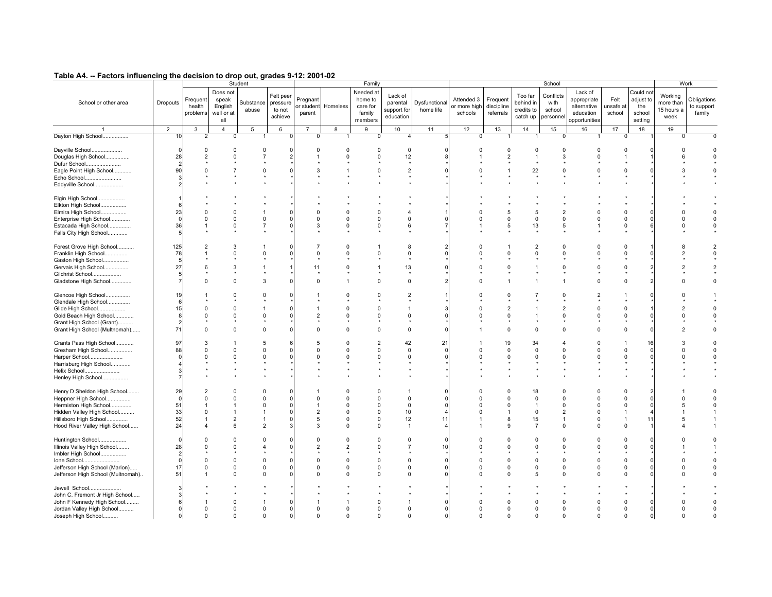| .<br>. actors musculoning and accident to art                                                                                                                      |                                               |                                        |                                                   |                                                                      |                                            | <u>, and Arange and Den Arange</u>           |                                                                      |                                                                                  |                                                                |                            |                                       |                                     |                                                                         |                                                                               |                                                                     |                                                          |                                                    |                                            |                                     |
|--------------------------------------------------------------------------------------------------------------------------------------------------------------------|-----------------------------------------------|----------------------------------------|---------------------------------------------------|----------------------------------------------------------------------|--------------------------------------------|----------------------------------------------|----------------------------------------------------------------------|----------------------------------------------------------------------------------|----------------------------------------------------------------|----------------------------|---------------------------------------|-------------------------------------|-------------------------------------------------------------------------|-------------------------------------------------------------------------------|---------------------------------------------------------------------|----------------------------------------------------------|----------------------------------------------------|--------------------------------------------|-------------------------------------|
|                                                                                                                                                                    |                                               |                                        |                                                   | Student                                                              |                                            |                                              |                                                                      | Family                                                                           |                                                                |                            |                                       |                                     |                                                                         | School                                                                        |                                                                     |                                                          |                                                    |                                            | Work                                |
| School or other area                                                                                                                                               | Dropouts                                      | Frequent<br>health<br>problems         | Does not<br>speak<br>English<br>well or at<br>all | Substance<br>abuse                                                   | Felt peer<br>pressure<br>to not<br>achieve | Pregnant<br>or student<br>parent             | Homeless                                                             | Needed at<br>home to<br>care for<br>family<br>members                            | Lack of<br>parental<br>support for<br>education                | Dysfunctional<br>home life | Attended 3<br>or more high<br>schools | Frequent<br>discipline<br>referrals | Too far<br>behind in<br>credits to<br>catch up                          | Conflicts<br>with<br>school<br>personne                                       | Lack of<br>appropriate<br>alternative<br>education<br>opportunities | Felt<br>unsafe al<br>school                              | Could not<br>adjust to<br>the<br>school<br>setting | Working<br>more than<br>15 hours a<br>week | Obligations<br>to support<br>family |
|                                                                                                                                                                    | $\overline{2}$                                | 3                                      | $\overline{4}$                                    | 5                                                                    | 6                                          | $\overline{7}$                               | 8                                                                    | 9                                                                                | 10                                                             | 11                         | 12                                    | 13                                  | 14                                                                      | 15                                                                            | 16                                                                  | 17                                                       | 18                                                 | 19                                         |                                     |
| Dayton High School                                                                                                                                                 | 10                                            | $\overline{2}$                         | $\mathbf 0$                                       |                                                                      |                                            | $\Omega$                                     |                                                                      | $\mathbf{0}$                                                                     | $\overline{4}$                                                 |                            | 0                                     |                                     |                                                                         | 0                                                                             |                                                                     | 0                                                        |                                                    | $\Omega$                                   |                                     |
|                                                                                                                                                                    |                                               |                                        |                                                   |                                                                      |                                            |                                              |                                                                      |                                                                                  |                                                                |                            |                                       |                                     |                                                                         |                                                                               |                                                                     |                                                          |                                                    |                                            |                                     |
| Dayville School<br>Douglas High School<br>Dufur School<br>Eagle Point High School<br>Echo School                                                                   | - C<br>28<br>90                               | $\Omega$<br>2                          | 0<br>$\Omega$                                     | $\mathbf 0$<br>$\overline{7}$<br>$\mathbf 0$                         | ſ                                          | $\Omega$                                     | $\Omega$<br>$\Omega$                                                 | 0<br>$\Omega$<br>$\Omega$                                                        | 0<br>12<br>$\overline{2}$                                      | ſ                          | $\Omega$                              | $\Omega$<br>$\mathfrak{p}$          | 0<br>$\overline{1}$<br>22<br>$\star$                                    | 0<br>3<br>$\mathbf 0$                                                         | $\Omega$<br>$\Omega$                                                | $\Omega$<br>$\Omega$                                     |                                                    |                                            |                                     |
| Eddyville School                                                                                                                                                   |                                               |                                        |                                                   |                                                                      |                                            |                                              |                                                                      |                                                                                  |                                                                |                            |                                       |                                     |                                                                         |                                                                               |                                                                     |                                                          |                                                    |                                            |                                     |
| Elgin High School<br>Elkton High School<br>Elmira High School<br>Enterprise High School<br>Estacada High School<br>Falls City High School                          | 23<br>$\sqrt{ }$<br>36                        | $\Omega$                               | $\Omega$<br>$\mathbf 0$                           | $\Omega$<br>$\overline{7}$                                           |                                            | $\Omega$<br>3                                | $\Omega$<br>$\Omega$<br>$\Omega$                                     | $\Omega$<br>$\mathbf 0$                                                          | $\overline{\mathbf{4}}$<br>$\Omega$<br>6                       |                            | $\Omega$                              | $\Omega$<br>5                       | 5<br>$\mathbf 0$<br>13                                                  | $\overline{2}$<br>$\mathbf 0$<br>5                                            | $\Omega$                                                            | $\Omega$<br>$\Omega$                                     |                                                    |                                            |                                     |
| Forest Grove High School<br>Franklin High School<br>Gaston High School<br>Gervais High School                                                                      | 125<br>78<br>F<br>27                          |                                        | 3<br>0<br>3                                       | $\Omega$                                                             |                                            | 11                                           | $\Omega$<br>$\Omega$<br>$\Omega$                                     | $\Omega$                                                                         | 8<br>$\Omega$<br>13                                            |                            |                                       |                                     | $\overline{2}$<br>$\Omega$                                              | $\Omega$<br><sup>0</sup><br>$\Omega$                                          | $\Omega$<br><sup>0</sup><br>U                                       | $\Omega$<br>$\Omega$<br>$\Omega$                         |                                                    |                                            |                                     |
| Gilchrist School                                                                                                                                                   |                                               |                                        |                                                   |                                                                      |                                            |                                              |                                                                      |                                                                                  |                                                                |                            |                                       |                                     |                                                                         |                                                                               |                                                                     |                                                          |                                                    |                                            |                                     |
| Gladstone High School                                                                                                                                              |                                               |                                        | $\Omega$                                          | 3                                                                    |                                            | $\Omega$                                     |                                                                      | $\Omega$                                                                         | $\Omega$                                                       |                            |                                       |                                     |                                                                         |                                                                               | $\Omega$                                                            | $\Omega$                                                 |                                                    |                                            |                                     |
| Glencoe High School<br>Glendale High School<br>Glide High School<br>Gold Beach High School<br>Grant High School (Grant)<br>Grant High School (Multnomah)           | 1 <sup>c</sup><br>F<br>15<br>71               | $\Omega$<br>$\Omega$                   | 0<br>$\Omega$<br>$\Omega$<br>$\Omega$             | $\Omega$<br>$\Omega$<br>$\Omega$                                     |                                            | $\mathcal{P}$<br>$\Omega$                    | $\Omega$<br>$\Omega$<br>$\Omega$<br>$\Omega$                         | $\Omega$<br>$\Omega$<br>$\Omega$<br>$\mathbf 0$                                  | $\overline{2}$<br>$\overline{1}$<br>$\Omega$<br>$\mathbf 0$    | ſ                          |                                       | $\Omega$                            | $\Omega$                                                                | 0<br>$\overline{2}$<br>$\Omega$<br>$\Omega$                                   | $\Omega$                                                            | $\Omega$<br>$\Omega$<br>$\Omega$                         |                                                    | O                                          | $\Omega$                            |
| Grants Pass High School<br>Gresham High School<br>Harper School<br>Harrisburg High School<br>Helix School<br>Henley High School                                    | 97<br>88                                      | 3<br>n                                 | $\Omega$                                          | 5<br>$\Omega$<br>$\Omega$                                            |                                            | $\Omega$                                     | $\Omega$<br>$\Omega$                                                 | $\overline{2}$<br>$\mathbf 0$<br>$\Omega$                                        | 42<br>$\Omega$<br>$\Omega$                                     | 21<br>C                    |                                       | 19<br>$\Omega$                      | 34<br>$\mathbf 0$<br><sup>0</sup>                                       | $\mathbf 0$<br><sup>0</sup>                                                   | $\Omega$<br>$\Omega$                                                | $\Omega$<br>O                                            | 16                                                 | n                                          |                                     |
| Henry D Sheldon High School<br>Heppner High School<br>Hermiston High School<br>Hidden Valley High School<br>Hillsboro High School<br>Hood River Valley High School | 29<br>$\Omega$<br>51<br>33<br>52<br>24        | $\overline{c}$<br>$\Omega$<br>$\Omega$ | O<br>$\Omega$<br>$\overline{2}$<br>6              | $\Omega$<br>$\Omega$<br>$\Omega$<br>$\overline{1}$<br>$\overline{2}$ |                                            | $\Omega$<br>$\overline{2}$<br>5<br>3         | $\Omega$<br>$\Omega$<br>$\Omega$<br>$\Omega$<br>$\Omega$<br>$\Omega$ | $\Omega$<br>$\Omega$<br>$\mathbf 0$<br>$\mathbf 0$<br>$\mathbf 0$<br>$\mathbf 0$ | $\Omega$<br>$\Omega$<br>10<br>12<br>$\mathbf{1}$               | ſ<br>11                    | $\Omega$                              | 8                                   | 18<br>$\Omega$<br>$\overline{1}$<br>$\mathbf 0$<br>15<br>$\overline{7}$ | U<br>$\Omega$<br>$\Omega$<br>$\overline{2}$<br>$\overline{1}$<br>$\mathbf{0}$ | $\Omega$<br>$\Omega$<br>$\Omega$<br>$\Omega$                        | O<br>$\Omega$<br>$\Omega$<br>$\Omega$                    | 11                                                 |                                            |                                     |
| Huntington School<br>Illinois Valley High School<br>Imbler High School<br>Ione School<br>Jefferson High School (Marion)<br>Jefferson High School (Multnomah)       | $\mathcal{C}$<br>28<br>$\epsilon$<br>17<br>51 | O<br>$\Omega$<br>$\Omega$              | $\Omega$<br>ŋ<br>$\Omega$<br>0<br>0               | $\Omega$<br>$\Omega$<br>$\Omega$<br>$\Omega$                         |                                            | $\Omega$<br>$\Omega$<br>$\Omega$<br>$\Omega$ | $\Omega$<br>$\mathcal{P}$<br>$\Omega$<br>$\Omega$<br>$\Omega$        | $\Omega$<br>$\Omega$<br>$\Omega$<br>$\mathbf 0$<br>$\Omega$                      | $\Omega$<br>$\overline{7}$<br>$\Omega$<br>$\Omega$<br>$\Omega$ | ſ<br>10<br>C               | $\Omega$<br>$\Omega$                  | n<br>n                              | $\Omega$<br>0<br>$\Omega$<br>$\mathbf 0$<br>5                           | U<br>$\Omega$<br>$\Omega$<br>0<br>0                                           | O<br>$\Omega$<br>$\Omega$<br><sup>0</sup>                           | $\Omega$<br>$\Omega$<br>$\Omega$<br>$\Omega$<br>$\Omega$ |                                                    |                                            |                                     |
| Jewell School<br>John C. Fremont Jr High School<br>John F Kennedy High School<br>Jordan Valley High School<br>Joseph High School                                   |                                               | $\Omega$                               | U<br>$\Omega$                                     | $\Omega$<br>$\Omega$                                                 |                                            | $\Omega$<br>$\Omega$                         | $\Omega$                                                             | $\Omega$<br>$\Omega$                                                             | $\Omega$<br>$\Omega$                                           |                            |                                       | n                                   | $\Omega$<br>O                                                           | O.<br>$\Omega$<br>O.                                                          | $\Omega$<br>$\Omega$                                                | $\Omega$<br>$\Omega$                                     |                                                    |                                            | $\Omega$                            |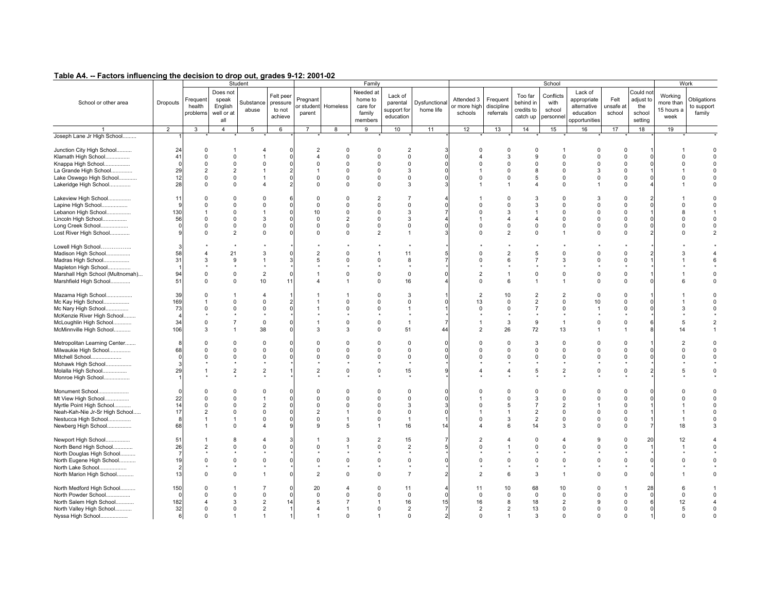| .                                                                                                                                                       |                              | .                                                                         |                                                                   |                                                                            |                                            |                                                                     |                                                                            |                                                                            |                                                                        |                                                         |                                                              |                                                      |                                                                              |                                                                     |                                                                     |                                                                            |                                                    |                                             |                                             |
|---------------------------------------------------------------------------------------------------------------------------------------------------------|------------------------------|---------------------------------------------------------------------------|-------------------------------------------------------------------|----------------------------------------------------------------------------|--------------------------------------------|---------------------------------------------------------------------|----------------------------------------------------------------------------|----------------------------------------------------------------------------|------------------------------------------------------------------------|---------------------------------------------------------|--------------------------------------------------------------|------------------------------------------------------|------------------------------------------------------------------------------|---------------------------------------------------------------------|---------------------------------------------------------------------|----------------------------------------------------------------------------|----------------------------------------------------|---------------------------------------------|---------------------------------------------|
| School or other area                                                                                                                                    | Dropouts                     | Frequent<br>health<br>problems                                            | Does not<br>speak<br>English<br>well or at<br>all                 | Student<br>Substance<br>abuse                                              | Felt peer<br>pressure<br>to not<br>achieve | Pregnant<br>or student<br>parent                                    | Homeless                                                                   | Family<br>Needed at<br>home to<br>care for<br>family<br>members            | Lack of<br>parental<br>support for<br>education                        | Dysfunctional<br>home life                              | Attended 3<br>or more high<br>schools                        | Frequen<br>discipline<br>referrals                   | Too far<br>behind in<br>credits to<br>catch up                               | School<br>Conflicts<br>with<br>school<br>personnel                  | Lack of<br>appropriate<br>alternative<br>education<br>opportunities | Felt<br>unsafe at<br>school                                                | Could not<br>adjust to<br>the<br>school<br>setting | Working<br>more than<br>15 hours a<br>week  | Work<br>Obligations<br>to support<br>family |
|                                                                                                                                                         | $\overline{2}$               | 3                                                                         | $\overline{4}$                                                    | 5 <sub>5</sub>                                                             | 6                                          | $\overline{7}$                                                      | 8                                                                          | 9                                                                          | 10                                                                     | 11                                                      | 12                                                           | 13                                                   | 14                                                                           | 15                                                                  | 16                                                                  | 17                                                                         | 18                                                 | 19                                          |                                             |
| Joseph Lane Jr High School                                                                                                                              |                              |                                                                           |                                                                   |                                                                            |                                            |                                                                     |                                                                            |                                                                            |                                                                        |                                                         |                                                              |                                                      |                                                                              |                                                                     |                                                                     |                                                                            |                                                    |                                             |                                             |
| Junction City High School<br>Klamath High School<br>Knappa High School<br>La Grande High School<br>Lake Oswego High School<br>Lakeridge High School     | 24<br>41<br>29<br>12<br>28   | 0<br>$\mathbf 0$<br>$\Omega$<br>$\overline{2}$<br>$\mathbf 0$<br>$\Omega$ | $\Omega$<br>$\Omega$<br>$\overline{2}$<br>$\mathbf 0$<br>$\Omega$ | $\Omega$<br>$\overline{\mathbf{A}}$                                        |                                            | 2<br>4<br>$\Omega$<br>$\mathbf 0$<br>$\Omega$                       | $\mathbf 0$<br>$\Omega$<br>$\Omega$<br>$\Omega$<br>$\mathbf 0$<br>$\Omega$ | $\Omega$<br>$\Omega$<br>$\Omega$<br>$\Omega$<br>$\Omega$<br>$\Omega$       | $\overline{2}$<br>$\mathbf 0$<br>$\Omega$<br>3<br>$\mathbf 0$<br>3     | -3<br>$\Omega$<br>$\Omega$<br>$\Omega$<br>$\Omega$<br>3 | $\Omega$<br>4<br>$\Omega$<br>$\mathbf 0$                     | $\Omega$<br>3<br>$\Omega$<br>$\Omega$<br>$\mathbf 0$ | $\overline{0}$<br>9<br>$\mathbf 0$<br>8<br>5<br>$\overline{4}$               | $\Omega$<br>$\Omega$<br>$\Omega$<br>0<br>$\Omega$                   | $\Omega$<br>$\Omega$<br>$\Omega$<br>3<br>$\mathbf 0$                | $\mathbf 0$<br>$\Omega$<br>$\Omega$<br>$\Omega$<br>$\mathbf 0$<br>$\Omega$ |                                                    | $\Omega$<br>$\Omega$<br>$\Omega$            |                                             |
| Lakeview High School                                                                                                                                    | 11                           | $\Omega$                                                                  | $\Omega$                                                          | $\Omega$                                                                   |                                            | $\Omega$                                                            | $\Omega$                                                                   | $\overline{2}$                                                             | $\overline{7}$                                                         |                                                         |                                                              | $\Omega$                                             | 3                                                                            | $\Omega$                                                            | 3                                                                   | $\Omega$                                                                   |                                                    |                                             |                                             |
| Lapine High School                                                                                                                                      |                              | $\Omega$                                                                  | $\Omega$                                                          | $\Omega$                                                                   |                                            | $\mathbf 0$                                                         | $\Omega$                                                                   | $\Omega$                                                                   | $\mathbf 0$                                                            | $\Omega$                                                | $\Omega$                                                     | $\Omega$                                             | 3                                                                            | $\Omega$                                                            | $\Omega$                                                            | $\Omega$                                                                   |                                                    | <sup>0</sup>                                |                                             |
| Lebanon High School                                                                                                                                     | 130                          |                                                                           | $\Omega$                                                          |                                                                            |                                            | 10                                                                  | $\Omega$                                                                   | $\Omega$                                                                   | 3                                                                      | $\overline{7}$                                          | $\Omega$                                                     | 3                                                    | $\overline{1}$                                                               | $\Omega$                                                            | $\Omega$                                                            | $\Omega$                                                                   |                                                    | 8                                           |                                             |
|                                                                                                                                                         | 56                           | $\mathbf 0$                                                               | $\Omega$                                                          | 3                                                                          |                                            | $\Omega$                                                            | $\overline{2}$                                                             | $\Omega$                                                                   | 3                                                                      |                                                         | 1                                                            | $\overline{\mathbf{4}}$                              | $\overline{4}$                                                               | $\Omega$                                                            | $\Omega$                                                            | $\Omega$                                                                   |                                                    | $\Omega$                                    |                                             |
| Lincoln High School                                                                                                                                     |                              |                                                                           |                                                                   |                                                                            |                                            |                                                                     |                                                                            |                                                                            |                                                                        | 4                                                       |                                                              |                                                      |                                                                              |                                                                     |                                                                     |                                                                            |                                                    | $\Omega$                                    |                                             |
| Long Creek School                                                                                                                                       |                              | $\Omega$                                                                  | $\Omega$                                                          | $\Omega$                                                                   |                                            | $\mathbf 0$                                                         | $\mathbf 0$                                                                | $\Omega$                                                                   | $\mathbf 0$                                                            | $\Omega$                                                | $\Omega$                                                     | $\Omega$                                             | $\mathbf 0$                                                                  | $\Omega$                                                            | $\Omega$                                                            | $\Omega$                                                                   |                                                    |                                             |                                             |
| Lost River High School                                                                                                                                  |                              | $\Omega$                                                                  | $\overline{2}$                                                    | $\Omega$                                                                   |                                            | $\mathbf 0$                                                         | $\Omega$                                                                   | $\overline{2}$                                                             | $\mathbf{1}$                                                           | 3                                                       | $\Omega$                                                     | $\overline{2}$                                       | $\Omega$                                                                     | $\overline{1}$                                                      | $\Omega$                                                            | $\Omega$                                                                   |                                                    | $\Omega$                                    |                                             |
| Lowell High School<br>Madison High School<br>Madras High School                                                                                         | 58<br>31                     | $\overline{4}$<br>3                                                       | 21<br>9                                                           | 3<br>$\overline{1}$                                                        |                                            | $\overline{2}$<br>5                                                 | $\Omega$<br>$\Omega$                                                       | $\mathbf{1}$<br>$\Omega$                                                   | 11<br>8                                                                | 5<br>$\overline{7}$                                     | $\Omega$<br>$\Omega$                                         | $\overline{2}$<br>6                                  | 5<br>$\overline{7}$                                                          | $\Omega$<br>3                                                       | $\Omega$<br>$\Omega$                                                | $\Omega$<br>$\mathbf 0$                                                    |                                                    | 3                                           |                                             |
| Mapleton High School                                                                                                                                    |                              |                                                                           |                                                                   |                                                                            |                                            |                                                                     |                                                                            |                                                                            |                                                                        |                                                         |                                                              |                                                      |                                                                              |                                                                     |                                                                     |                                                                            |                                                    |                                             |                                             |
| Marshall High School (Multnomah)                                                                                                                        | 94                           | $\mathbf 0$                                                               | $\Omega$                                                          | $\overline{2}$                                                             |                                            |                                                                     | $\Omega$                                                                   | $\Omega$                                                                   | $\mathbf 0$                                                            | $\Omega$                                                | $\overline{2}$                                               |                                                      | $\mathsf 0$                                                                  | $\Omega$                                                            | $\Omega$                                                            | $\mathbf 0$                                                                |                                                    |                                             |                                             |
| Marshfield High School                                                                                                                                  | 51                           | $\Omega$                                                                  | $\Omega$                                                          | 10                                                                         | 11                                         |                                                                     | 1                                                                          | $\Omega$                                                                   | 16                                                                     |                                                         | $\Omega$                                                     | 6                                                    | $\overline{1}$                                                               | $\mathbf{1}$                                                        | $\Omega$                                                            | $\Omega$                                                                   |                                                    | 6                                           |                                             |
|                                                                                                                                                         |                              |                                                                           |                                                                   |                                                                            |                                            |                                                                     |                                                                            |                                                                            |                                                                        |                                                         |                                                              |                                                      |                                                                              |                                                                     |                                                                     |                                                                            |                                                    |                                             |                                             |
| Mazama High School<br>Mc Kay High School<br>Mc Nary High School<br>McKenzie River High School<br>McLoughlin High School<br>McMinnville High School      | 39<br>169<br>73<br>34<br>106 | $\Omega$<br>$\mathbf{1}$<br>$\Omega$<br>$\Omega$<br>3                     | $\Omega$<br>$\Omega$<br>$\overline{7}$                            | $\overline{\mathbf{4}}$<br>$\mathbf 0$<br>$\mathbf 0$<br>$\mathsf 0$<br>38 |                                            | 3                                                                   | -1<br>$\Omega$<br>$\Omega$<br>$\Omega$<br>3                                | $\Omega$<br>$\Omega$<br>$\Omega$<br>$\Omega$<br>$\Omega$                   | 3<br>$\mathbf 0$<br>1<br>$\overline{1}$<br>51                          | $\overline{1}$<br>$\Omega$<br>$\overline{7}$<br>44      | $\overline{2}$<br>13<br>$\mathbf 0$<br>$\overline{2}$        | 10<br>$\Omega$<br>$\Omega$<br>3<br>26                | $\overline{2}$<br>$\overline{2}$<br>$\overline{7}$<br>9<br>72                | $\overline{2}$<br>$\Omega$<br>$\Omega$<br>$\mathbf{1}$<br>13        | $\Omega$<br>10<br>$\Omega$                                          | $\Omega$<br>$\Omega$<br>$\Omega$<br>$\Omega$                               |                                                    | 3<br>5<br>14                                |                                             |
| Metropolitan Learning Center<br>Milwaukie High School<br>Mitchell School<br>Mohawk High School<br>Molalla High School<br>Monroe High School             | 68<br>29                     | $\Omega$<br>$\Omega$<br>$\Omega$                                          | $\Omega$<br>$\Omega$<br>$\Omega$<br>$\overline{2}$                | $\mathbf 0$<br>$\Omega$<br>$\Omega$<br>$\overline{2}$                      |                                            | $\Omega$<br>$\Omega$<br>$\Omega$<br>$\mathfrak{p}$                  | $\Omega$<br>$\Omega$<br>$\Omega$<br>$\Omega$                               | $\Omega$<br>$\Omega$<br>$\Omega$<br>$\Omega$                               | $\Omega$<br>0<br>$\mathbf 0$<br>15                                     | $\Omega$<br>$\Omega$<br>$\Omega$<br>$\mathbf{q}$        | $\Omega$<br>$\Omega$<br><sup>0</sup><br>$\lambda$            | $\Omega$<br>$\Omega$<br>$\Omega$<br>$\overline{4}$   | 3<br>$\mathbf 0$<br>$\Omega$<br>5                                            | $\Omega$<br>$\Omega$<br>$\Omega$<br>$\overline{2}$                  | $\Omega$<br>$\Omega$<br>$\Omega$<br>$\Omega$                        | $\Omega$<br>$\mathbf 0$<br>$\mathbf 0$<br>$\Omega$                         |                                                    | $\mathfrak{p}$<br>$\Omega$<br>$\Omega$<br>5 |                                             |
| Monument School<br>Mt View High School<br>Myrtle Point High School<br>Neah-Kah-Nie Jr-Sr High School<br>Nestucca High School<br>Newberg High School     | 22<br>14<br>17<br>68         | $\Omega$<br>$\Omega$<br>$\Omega$<br>$\overline{2}$                        | $\Omega$<br>$\Omega$<br>$\Omega$<br>$\Omega$<br>$\Omega$          | $\mathbf 0$<br>$\mathbf{1}$<br>$\overline{2}$<br>$\Omega$<br>$\Omega$<br>4 |                                            | $\Omega$<br>$\Omega$<br>$\Omega$<br>$\overline{2}$<br>$\Omega$<br>9 | $\Omega$<br>$\Omega$<br>$\Omega$<br>1<br>5                                 | $\Omega$<br>$\Omega$<br>$\Omega$<br>$\Omega$<br>$\Omega$<br>$\overline{1}$ | $\mathbf 0$<br>$\mathbf 0$<br>3<br>$\mathbf 0$<br>$\overline{1}$<br>16 | $\Omega$<br>$\Omega$<br>3<br>$\Omega$<br>14             | $\Omega$<br>$\Omega$<br>$\Omega$<br>4                        | $\Omega$<br>$\Omega$<br>5<br>3<br>6                  | $\mathbf 0$<br>3<br>$\overline{7}$<br>$\overline{2}$<br>$\overline{2}$<br>14 | $\Omega$<br>$\Omega$<br>$\overline{2}$<br>$\Omega$<br>$\Omega$<br>3 | $\Omega$<br>$\Omega$<br>$\Omega$<br>$\Omega$<br>$\Omega$            | $\Omega$<br>$\mathbf 0$<br>$\Omega$<br>$\Omega$<br>$\Omega$<br>$\mathbf 0$ |                                                    | $\Omega$<br>$\Omega$<br>18                  |                                             |
| Newport High School<br>North Bend High School<br>North Douglas High School<br>North Eugene High School<br>North Lake School<br>North Marion High School | 51<br>26<br>19<br>13         | $\mathcal{P}$<br>$\Omega$<br>$\Omega$                                     | $\mathsf{R}$<br>$\Omega$<br>$\Omega$<br>$\Omega$                  | $\overline{\mathbf{A}}$<br>$\Omega$<br>$\Omega$<br>$\overline{1}$          |                                            | $\Omega$<br>$\Omega$<br>$\overline{2}$                              | 3<br>$\Omega$<br>$\Omega$                                                  | $\mathcal{P}$<br>$\Omega$<br>$\Omega$<br>$\Omega$                          | 15<br>2<br>$\Omega$<br>$\overline{7}$                                  | $\overline{7}$<br>5<br>$\Omega$<br>$\overline{2}$       | $\mathfrak{p}$<br>$\Omega$<br><sup>0</sup><br>$\overline{2}$ | $\Omega$<br>6                                        | $\Omega$<br>$\Omega$<br>$\Omega$<br>3                                        | $\overline{4}$<br>$\Omega$<br>$\Omega$<br>$\overline{1}$            | <sub>9</sub><br>$\Omega$<br>$\Omega$<br>$\Omega$                    | $\Omega$<br>$\mathbf 0$<br>$\Omega$<br>$\Omega$                            | 20                                                 | 12                                          |                                             |
| North Medford High School<br>North Powder School<br>North Salem High School<br>North Valley High School<br>Nyssa High School                            | 150<br>182<br>32<br>6        | $\Omega$<br>$\Omega$<br>$\overline{4}$<br>$\Omega$<br>$\Omega$            | $\Omega$<br>3<br>$\Omega$                                         | $\Omega$<br>$\overline{2}$<br>$\overline{2}$                               | 14                                         | 20<br>$\Omega$<br>5<br>$\overline{\mathbf{A}}$                      | $\Omega$<br>7<br>$\mathbf{1}$<br>$\Omega$                                  | $\Omega$<br>$\Omega$<br>$\overline{1}$<br>$\Omega$                         | 11<br>$\mathbf 0$<br>16<br>$\overline{2}$<br>$\mathbf 0$               | $\Omega$<br>15<br>$\overline{7}$<br>$\overline{2}$      | 11<br>$\mathbf 0$<br>16<br>$\overline{2}$<br>$\mathbf 0$     | 10<br>$\Omega$<br>8<br>$\overline{2}$                | 68<br>$\mathbf 0$<br>18<br>13<br>3                                           | 10<br>$\mathbf 0$<br>2<br>$\mathbf 0$<br>$\Omega$                   | $\Omega$<br>$\Omega$<br>9<br>$\mathbf 0$<br>$\Omega$                | $\mathbf 0$<br>$\mathbf 0$<br>$\Omega$<br>$\Omega$                         | 28                                                 | 6<br>$\Omega$<br>12<br>5<br>$\Omega$        |                                             |
|                                                                                                                                                         |                              |                                                                           |                                                                   |                                                                            |                                            |                                                                     |                                                                            |                                                                            |                                                                        |                                                         |                                                              |                                                      |                                                                              |                                                                     |                                                                     |                                                                            |                                                    |                                             |                                             |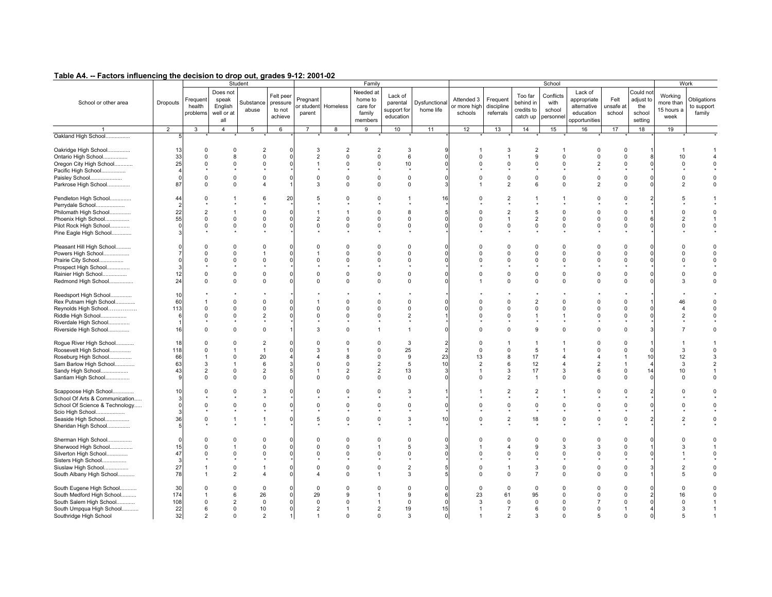| . <b></b>                                                                                     |                |                                  |                                                   | Student                                   |                                            |                                  |                                        | Family                                                |                                                 |                            |                                       |                                     |                                                | School                                  |                                                                     |                             |                                                   | Work                                       |                                     |
|-----------------------------------------------------------------------------------------------|----------------|----------------------------------|---------------------------------------------------|-------------------------------------------|--------------------------------------------|----------------------------------|----------------------------------------|-------------------------------------------------------|-------------------------------------------------|----------------------------|---------------------------------------|-------------------------------------|------------------------------------------------|-----------------------------------------|---------------------------------------------------------------------|-----------------------------|---------------------------------------------------|--------------------------------------------|-------------------------------------|
| School or other area                                                                          | Dropouts       | Frequent<br>health<br>problems   | Does not<br>speak<br>English<br>well or at<br>all | Substance<br>abuse                        | Felt peer<br>pressure<br>to not<br>achieve | Pregnant<br>or student<br>parent | Homeless                               | Needed at<br>home to<br>care for<br>family<br>members | Lack of<br>parental<br>support for<br>education | Dysfunctional<br>home life | Attended 3<br>or more high<br>schools | Frequent<br>discipline<br>referrals | Too far<br>behind in<br>credits to<br>catch up | Conflicts<br>with<br>school<br>personne | Lack of<br>appropriate<br>alternative<br>education<br>opportunities | Felt<br>unsafe at<br>school | Could no<br>adjust to<br>the<br>school<br>setting | Working<br>more than<br>15 hours a<br>week | Obligations<br>to support<br>family |
|                                                                                               | 2              | 3                                | $\overline{4}$                                    | 5                                         | 6                                          | $\overline{7}$                   | 8                                      | 9                                                     | 10                                              | 11                         | 12                                    | 13                                  | 14                                             | 15                                      | 16                                                                  | 17                          | 18                                                | 19                                         |                                     |
| Oakland High School                                                                           |                |                                  |                                                   |                                           |                                            |                                  |                                        |                                                       |                                                 |                            |                                       |                                     |                                                |                                         |                                                                     |                             |                                                   |                                            |                                     |
| Oakridge High School<br>Ontario High School<br>Oregon City High School<br>Pacific High School | 13<br>33<br>25 | $\Omega$<br>$\Omega$<br>$\Omega$ | $\Omega$<br>8<br>$\Omega$                         | $\overline{2}$<br>$\mathbf 0$<br>$\Omega$ |                                            | 3<br>$\overline{2}$              | $\overline{2}$<br>$\Omega$<br>$\Omega$ | $\overline{2}$<br>$\mathbf 0$<br>$\Omega$             | -3<br>6<br>10                                   |                            | $\Omega$<br>$\Omega$                  | 3                                   | $\overline{2}$<br>9<br>$\Omega$                | $\mathbf 0$<br>$\Omega$                 | 0<br>$\Omega$                                                       | $\Omega$<br>O<br>O          |                                                   | 10<br>$\Omega$                             |                                     |
| Paisley School                                                                                | - C            | $\Omega$                         | $\Omega$                                          | $\Omega$                                  |                                            | $\mathbf 0$                      | $\Omega$                               | $\Omega$                                              | $\mathsf 0$                                     |                            | $\Omega$                              | $\Omega$                            | $\Omega$                                       | 0                                       | $\Omega$                                                            | $\Omega$                    |                                                   | $\Omega$                                   | $\Omega$                            |
| Parkrose High School                                                                          | 87             | $\Omega$                         | $\Omega$                                          | $\Delta$                                  |                                            | 3                                | $\Omega$                               | $\Omega$                                              | $\mathbf 0$                                     |                            |                                       | $\mathcal{P}$                       | 6                                              | $\Omega$                                | 2                                                                   | $\Omega$                    |                                                   | $\mathcal{P}$                              |                                     |
| Pendleton High School<br>Perrydale School<br>Philomath High School                            | 44<br>22       | $\Omega$                         |                                                   | 6<br>$\Omega$                             | 20                                         | 5                                | $\Omega$                               | $\Omega$<br>$\Omega$                                  | -1<br>8                                         | 16                         | $\Omega$<br>$\Omega$                  |                                     | 5                                              | $\Omega$                                | $\Omega$                                                            | $\Omega$<br>$\Omega$        |                                                   | $\Omega$                                   | $\Omega$                            |
| Phoenix High School                                                                           | 55             | $\Omega$                         | 0                                                 | $\mathbf 0$                               |                                            | $\overline{2}$                   | $\Omega$                               | $\Omega$                                              | 0                                               |                            | $\Omega$                              |                                     | $\overline{2}$                                 | 0                                       | $\Omega$                                                            | $\Omega$                    |                                                   | $\overline{2}$                             |                                     |
| Pilot Rock High School                                                                        |                | $\Omega$                         | $\Omega$                                          | $\Omega$                                  |                                            | $\Omega$                         | $\Omega$                               | $\Omega$                                              | $\mathbf 0$                                     |                            | $\Omega$                              | $\Omega$                            | $\Omega$                                       | 0                                       | $\Omega$                                                            | $\Omega$                    |                                                   | $\Omega$                                   |                                     |
|                                                                                               |                |                                  |                                                   |                                           |                                            |                                  |                                        |                                                       |                                                 |                            |                                       |                                     |                                                |                                         |                                                                     |                             |                                                   |                                            |                                     |
| Pine Eagle High School<br>Pleasant Hill High School                                           |                | $\Omega$                         | $\Omega$                                          | $\Omega$                                  |                                            | $\Omega$                         | C                                      | $\Omega$                                              | $\Omega$                                        |                            |                                       |                                     | 0                                              | 0                                       | $\Omega$                                                            | $\Omega$                    |                                                   |                                            |                                     |
| Powers High School                                                                            |                |                                  | $\Omega$                                          |                                           |                                            |                                  | $\Omega$                               | $\Omega$                                              | $\Omega$                                        |                            | $\Omega$                              |                                     | $\Omega$                                       | $\Omega$                                | $\Omega$                                                            | $\Omega$                    |                                                   | $\Omega$                                   | $\Omega$                            |
|                                                                                               |                |                                  | $\Omega$                                          | $\Omega$                                  |                                            | $\Omega$                         | <sup>0</sup>                           | $\Omega$                                              | $\mathbf 0$                                     |                            |                                       |                                     | 0                                              | $\Omega$                                | U                                                                   | 0                           |                                                   | $\Omega$                                   |                                     |
| Prairie City School                                                                           |                |                                  |                                                   |                                           |                                            |                                  |                                        |                                                       |                                                 |                            |                                       |                                     |                                                |                                         |                                                                     |                             |                                                   |                                            |                                     |
| Prospect High School                                                                          |                |                                  |                                                   |                                           |                                            |                                  |                                        |                                                       |                                                 |                            |                                       |                                     |                                                |                                         |                                                                     |                             |                                                   |                                            |                                     |
| Rainier High School                                                                           | 12             | $\Omega$                         | $\Omega$                                          | $\Omega$                                  |                                            | $\Omega$                         | $\Omega$                               | $\Omega$                                              | $\Omega$                                        |                            | $\Omega$                              | $\Omega$                            | $\Omega$                                       | $\Omega$                                | $\Omega$                                                            | $\Omega$                    |                                                   | $\Omega$                                   | $\Omega$                            |
| Redmond High School                                                                           | 24             | $\Omega$                         | $\Omega$                                          | $\Omega$                                  |                                            | $\Omega$                         | $\Omega$                               | $\Omega$                                              | 0                                               |                            |                                       |                                     | $\mathbf 0$                                    | 0                                       | $\Omega$                                                            | $\Omega$                    |                                                   | 3                                          |                                     |
| Reedsport High School                                                                         | 10             |                                  |                                                   |                                           |                                            |                                  |                                        |                                                       |                                                 |                            |                                       |                                     |                                                |                                         |                                                                     |                             |                                                   |                                            |                                     |
| Rex Putnam High School                                                                        | 60             |                                  | $\Omega$                                          | $\Omega$                                  |                                            |                                  |                                        | $\Omega$                                              | $\overline{0}$                                  |                            |                                       |                                     | $\overline{2}$                                 | $\Omega$                                |                                                                     | $\Omega$                    |                                                   | 46                                         | $\Omega$                            |
| Reynolds High School                                                                          | 113            | $\Omega$                         | $\Omega$                                          | $\Omega$                                  |                                            | $\Omega$                         | <sup>0</sup>                           | $\Omega$                                              | $\mathbf 0$                                     |                            | $\Omega$                              |                                     | $\Omega$                                       | $\Omega$                                | $\Omega$                                                            | 0                           |                                                   | 4                                          | $\Omega$                            |
| Riddle High School                                                                            |                | $\Omega$                         | $\Omega$                                          | $\overline{2}$                            |                                            | $\Omega$                         | $\Omega$                               | $\Omega$                                              | $\overline{2}$                                  |                            | $\Omega$                              |                                     |                                                | $\mathbf{1}$                            | U                                                                   | $\Omega$                    |                                                   | $\mathfrak{p}$                             |                                     |
| Riverdale High School                                                                         |                |                                  |                                                   |                                           |                                            |                                  |                                        |                                                       |                                                 |                            |                                       |                                     |                                                |                                         |                                                                     |                             |                                                   |                                            |                                     |
| Riverside High School                                                                         | 16             |                                  | $\Omega$                                          | $\Omega$                                  |                                            | 3                                | n                                      |                                                       | $\overline{1}$                                  |                            | $\Omega$                              |                                     | 9                                              | $\mathbf 0$                             | $\Omega$                                                            | $\Omega$                    |                                                   |                                            |                                     |
|                                                                                               |                |                                  |                                                   |                                           |                                            |                                  |                                        |                                                       |                                                 |                            |                                       |                                     |                                                |                                         |                                                                     |                             |                                                   |                                            |                                     |
| Rogue River High School<br>Roosevelt High School                                              | 18<br>118      | $\Omega$                         | $\Omega$                                          | $\overline{2}$<br>-1                      |                                            | 3                                | 0                                      | $\Omega$<br>$\Omega$                                  | 3<br>25                                         |                            | $\Omega$<br>$\Omega$                  | <sup>0</sup>                        | $\mathbf{1}$<br>5                              |                                         | O                                                                   | $\Omega$<br>$\Omega$        |                                                   | 3                                          | $\Omega$                            |
| Roseburg High School                                                                          | 66             |                                  | $\Omega$                                          | 20                                        |                                            |                                  | 8                                      | $\Omega$                                              | 9                                               | 23                         | 13                                    | 8                                   | 17                                             |                                         |                                                                     |                             | 10                                                | 12                                         |                                     |
| Sam Barlow High School                                                                        | 63             | $\mathcal{R}$                    | $\mathbf{1}$                                      | 6                                         |                                            | $\Omega$                         | $\Omega$                               | $\overline{2}$                                        | 5                                               | 10                         | $\overline{2}$                        | ĥ                                   | 12                                             | $\overline{4}$                          | 2                                                                   |                             |                                                   | 3                                          |                                     |
|                                                                                               |                |                                  |                                                   |                                           |                                            |                                  |                                        |                                                       |                                                 |                            |                                       |                                     |                                                |                                         |                                                                     |                             |                                                   |                                            |                                     |
| Sandy High School                                                                             | 43             | 2                                | 0                                                 | $\overline{2}$                            |                                            |                                  | $\overline{2}$                         | $\overline{2}$                                        | 13                                              | 3                          | $\overline{1}$                        | 3                                   | 17                                             | 3                                       | 6                                                                   | 0                           | 14                                                | 10                                         |                                     |
| Santiam High School                                                                           |                |                                  | $\Omega$                                          | $\mathbf 0$                               |                                            | $\Omega$                         | $\Omega$                               | $\Omega$                                              | $\mathbf 0$                                     |                            | $\Omega$                              | 2                                   | $\mathbf{1}$                                   | $\Omega$                                | <sup>0</sup>                                                        | $\Omega$                    |                                                   | $\Omega$                                   |                                     |
| Scappoose High School                                                                         | 10             | $\Omega$                         | <sup>0</sup>                                      | 3                                         |                                            | $\Omega$                         | $\Omega$                               | $\Omega$                                              | 3                                               |                            |                                       |                                     | $\overline{2}$                                 |                                         | $\Omega$                                                            | $\Omega$                    |                                                   |                                            | $\Omega$                            |
| School Of Arts & Communication                                                                |                |                                  |                                                   |                                           |                                            |                                  |                                        |                                                       |                                                 |                            |                                       |                                     |                                                |                                         |                                                                     |                             |                                                   |                                            |                                     |
| School Of Science & Technology                                                                |                |                                  | $\Omega$                                          | $\Omega$                                  |                                            | $\Omega$                         | ŋ                                      | $\Omega$                                              | $\mathbf 0$                                     |                            |                                       |                                     | $\Omega$                                       | $\Omega$                                | $\Omega$                                                            | $\Omega$                    |                                                   |                                            |                                     |
| Scio High School                                                                              |                |                                  |                                                   |                                           |                                            |                                  |                                        |                                                       |                                                 |                            |                                       |                                     |                                                |                                         |                                                                     |                             |                                                   |                                            |                                     |
| Seaside High School                                                                           | 36             |                                  |                                                   |                                           |                                            | 5                                | $\Omega$                               | $\Omega$                                              | 3                                               | 10                         | $\Omega$                              |                                     | 18                                             | $\Omega$                                |                                                                     | $\Omega$                    |                                                   |                                            |                                     |
| Sheridan High School                                                                          |                |                                  |                                                   |                                           |                                            |                                  |                                        |                                                       |                                                 |                            |                                       |                                     |                                                |                                         |                                                                     |                             |                                                   |                                            |                                     |
|                                                                                               |                |                                  |                                                   |                                           |                                            |                                  |                                        |                                                       |                                                 |                            |                                       |                                     |                                                |                                         |                                                                     |                             |                                                   |                                            |                                     |
| Sherman High School                                                                           |                |                                  | $\Omega$                                          | $\Omega$                                  |                                            | $\Omega$                         | $\Omega$                               | $\Omega$                                              | $\Omega$                                        |                            |                                       |                                     | 0                                              | $\Omega$                                | $\Omega$                                                            | $\Omega$                    |                                                   |                                            |                                     |
| Sherwood High School                                                                          | 15             | $\Omega$                         | $\mathbf{1}$                                      | $\Omega$                                  |                                            | $\Omega$                         | $\Omega$                               |                                                       | 5                                               |                            |                                       |                                     | $\mathbf{Q}$                                   | 3                                       | 3                                                                   | $\Omega$                    |                                                   | ٩                                          |                                     |
| Silverton High School                                                                         | 47             |                                  | $\Omega$                                          | $\Omega$                                  |                                            | $\Omega$                         | $\Omega$                               | $\Omega$                                              | $\Omega$                                        |                            | $\Omega$                              |                                     | $\Omega$                                       | $\Omega$                                | $\Omega$                                                            | O                           |                                                   |                                            |                                     |
| Sisters High School                                                                           |                |                                  |                                                   |                                           |                                            |                                  |                                        |                                                       |                                                 |                            |                                       |                                     |                                                |                                         |                                                                     |                             |                                                   |                                            |                                     |
| Siuslaw High School                                                                           | 27             |                                  | $\Omega$                                          |                                           |                                            | $\Omega$                         | $\Omega$                               | $\Omega$                                              | $\overline{2}$                                  |                            | $\Omega$                              |                                     | 3                                              | $\Omega$                                | $\Omega$                                                            | $\Omega$                    |                                                   |                                            | $\Omega$                            |
| South Albany High School                                                                      | 78             |                                  | $\overline{2}$                                    | $\overline{\mathbf{A}}$                   |                                            | Δ                                |                                        |                                                       | 3                                               |                            | $\Omega$                              |                                     | $\overline{7}$                                 | $\Omega$                                | $\Omega$                                                            | $\Omega$                    |                                                   | 5                                          |                                     |
|                                                                                               |                |                                  |                                                   |                                           |                                            |                                  |                                        |                                                       |                                                 |                            |                                       |                                     |                                                |                                         |                                                                     |                             |                                                   |                                            |                                     |
| South Eugene High School<br>South Medford High School                                         | 30<br>174      | $\cap$                           | $\Omega$<br>6                                     | $\Omega$<br>26                            |                                            | $\Omega$<br>29                   | $\Omega$<br>g                          | n                                                     | $\mathbf 0$<br>9                                |                            | $\mathbf 0$<br>23                     | $\Omega$<br>61                      | $\Omega$<br>95                                 | $\Omega$<br>$\Omega$                    | $\Omega$<br>$\Omega$                                                | $\Omega$<br>0               |                                                   | 16                                         |                                     |
|                                                                                               |                |                                  |                                                   |                                           |                                            |                                  |                                        |                                                       |                                                 |                            |                                       |                                     |                                                |                                         |                                                                     |                             |                                                   |                                            |                                     |
| South Salem High School                                                                       | 108            | $\Omega$                         | $\overline{2}$                                    | $\mathsf 0$                               |                                            | $\mathsf 0$                      | $\Omega$                               | $\mathbf{1}$                                          | $\mathsf 0$                                     | $\Omega$                   | 3                                     | $\mathbf 0$                         | $\mathbf 0$                                    | 0                                       | $\overline{7}$                                                      | $\mathsf 0$                 |                                                   | 0                                          |                                     |
| South Umpqua High School                                                                      | 22             | 6                                | $\mathbf 0$                                       | 10                                        |                                            | $\overline{2}$                   | -1                                     | $\overline{2}$                                        | 19                                              | 15                         | $\overline{1}$                        | $\overline{7}$                      | 6                                              | 0                                       | $\Omega$                                                            | -1                          |                                                   | 3                                          |                                     |
| Southridge High School                                                                        | 32             | $\mathcal{P}$                    | $\Omega$                                          | $\overline{2}$                            |                                            |                                  |                                        | $\Omega$                                              | 3                                               | $\Omega$                   |                                       | $\mathcal{P}$                       | 3                                              | $\Omega$                                | 5                                                                   | 0                           |                                                   | 5                                          |                                     |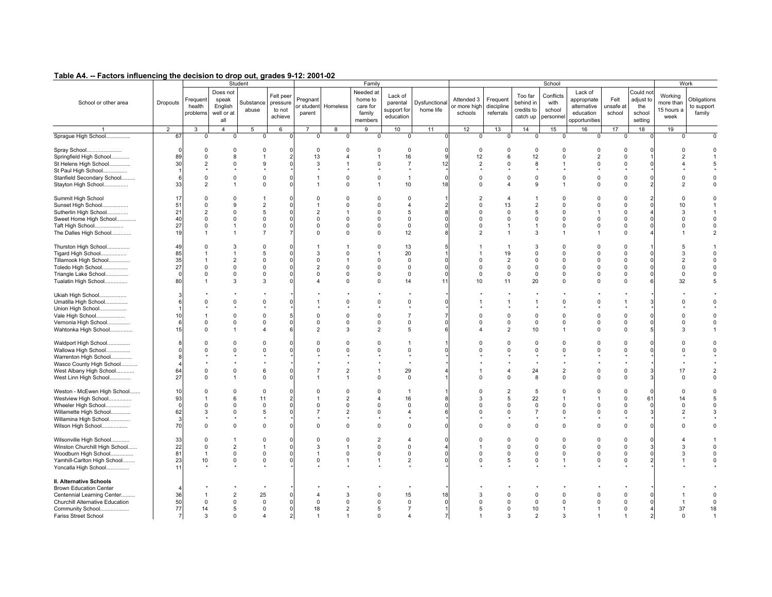| $1$ wwiy $\pi$<br>$\sim$ , actors minucircing the accidion to arch out, grades critic Leo FeL                                                |                                            |                                                                     |                                                   |                                                  |                                            |                                 |                                  |                                                                 |                                                           |                                        |                                                          |                                       |                                                  |                                                   |                                                                     |                                                          |                                                    |                                            |                                             |
|----------------------------------------------------------------------------------------------------------------------------------------------|--------------------------------------------|---------------------------------------------------------------------|---------------------------------------------------|--------------------------------------------------|--------------------------------------------|---------------------------------|----------------------------------|-----------------------------------------------------------------|-----------------------------------------------------------|----------------------------------------|----------------------------------------------------------|---------------------------------------|--------------------------------------------------|---------------------------------------------------|---------------------------------------------------------------------|----------------------------------------------------------|----------------------------------------------------|--------------------------------------------|---------------------------------------------|
| School or other area                                                                                                                         | Dropouts                                   | Frequent<br>health<br>problems                                      | Does not<br>speak<br>English<br>well or at<br>all | Student<br>Substance<br>abuse                    | Felt peer<br>pressure<br>to not<br>achieve | Pregnant<br>or studen<br>parent | Homeless                         | Family<br>Needed at<br>home to<br>care for<br>family<br>members | Lack of<br>parental<br>support for<br>education           | Dysfunctional<br>home life             | Attended 3<br>or more high<br>schools                    | Frequent<br>discipline<br>referrals   | Too far<br>behind in<br>credits to<br>catch up   | School<br>Conflicts<br>with<br>school<br>personne | Lack of<br>appropriate<br>alternative<br>education<br>opportunities | Felt<br>unsafe at<br>school                              | Could not<br>adjust to<br>the<br>school<br>setting | Working<br>more than<br>15 hours a<br>week | Work<br>Obligations<br>to support<br>family |
|                                                                                                                                              | $\overline{2}$                             | 3                                                                   | $\overline{4}$                                    | 5                                                | 6                                          | $\overline{7}$                  | 8                                | 9                                                               | 10                                                        | 11                                     | 12                                                       | 13                                    | 14                                               | 15                                                | 16                                                                  | 17                                                       | 18                                                 | 19                                         |                                             |
| Sprague High School                                                                                                                          | 67                                         | $\mathbf 0$                                                         | $\Omega$                                          | $\Omega$                                         |                                            | $\mathbf 0$                     | $\mathbf 0$                      | $\mathbf 0$                                                     | 0                                                         |                                        | 0                                                        | 0                                     | $^{\circ}$                                       | $\mathbf 0$                                       | $\Omega$                                                            | 0                                                        |                                                    | $\Omega$                                   |                                             |
| Spray School<br>Springfield High School<br>St Helens High School<br>St Paul High School<br>Stanfield Secondary School<br>Stayton High School | $\Omega$<br>89<br>30<br>$\mathbf{1}$<br>33 | $\Omega$<br>$\Omega$<br>$\mathcal{P}$<br>$\Omega$<br>$\overline{2}$ | 0<br>8<br>$\Omega$<br>$\Omega$<br>$\mathbf{1}$    | $\Omega$<br>$\mathbf{Q}$<br>$\Omega$<br>$\Omega$ |                                            | $\mathbf 0$<br>13<br>3          | $\Omega$<br>$\Omega$<br>$\Omega$ | $\mathbf 0$<br>1<br>$\Omega$<br>$\Omega$<br>$\overline{1}$      | $\mathbf 0$<br>16<br>$\overline{7}$<br>$\mathbf{1}$<br>10 | $\Omega$<br>ŗ.<br>12<br>$\Omega$<br>18 | $\Omega$<br>12<br>$\overline{2}$<br>$\Omega$<br>$\Omega$ | $\Omega$<br>6<br>$\Omega$<br>$\Omega$ | $\mathbf 0$<br>12<br>8<br>$^{\circ}$<br><b>q</b> | $\mathbf 0$<br>$\Omega$<br>$\Omega$<br>-1         | $\Omega$<br>$\Omega$                                                | $\Omega$<br>$\Omega$<br>$\Omega$<br>$\Omega$<br>$\Omega$ | $\Omega$                                           | $\Omega$<br>$\Omega$<br>$\mathcal{P}$      | $\Omega$<br>5<br>$\Omega$<br>$\Omega$       |
|                                                                                                                                              | 17                                         | $\Omega$                                                            | $\Omega$                                          |                                                  |                                            | $\Omega$                        | $\Omega$                         | $\Omega$                                                        | $\Omega$                                                  |                                        |                                                          | 4                                     |                                                  | $\Omega$                                          |                                                                     |                                                          |                                                    | $\Omega$                                   | $\Omega$                                    |
| Summit High School<br>Sunset High School                                                                                                     | 51                                         |                                                                     | 9                                                 | $\overline{2}$                                   |                                            |                                 | $\Omega$                         | $\Omega$                                                        | $\overline{4}$                                            |                                        |                                                          | 13                                    | $\overline{2}$                                   | $\Omega$                                          |                                                                     | $\Omega$                                                 |                                                    | 10                                         | -1                                          |
| Sutherlin High School                                                                                                                        | 21                                         | $\mathcal{P}$                                                       | $\Omega$                                          | 5                                                |                                            | $\overline{2}$                  |                                  | $\Omega$                                                        | 5                                                         |                                        | $\Omega$                                                 | $\Omega$                              | 5                                                | $\Omega$                                          |                                                                     | $\Omega$                                                 |                                                    | 3                                          |                                             |
| Sweet Home High School                                                                                                                       | 40                                         | $\Omega$                                                            | $\Omega$                                          | $\Omega$                                         |                                            | $\Omega$                        | $\Omega$                         | $\Omega$                                                        | $\mathbf 0$                                               |                                        | $\Omega$                                                 | $\Omega$                              | $\Omega$                                         | $\Omega$                                          | $\Omega$                                                            | $\Omega$                                                 |                                                    | $\Omega$                                   | $\Omega$                                    |
| Taft High School                                                                                                                             | 27                                         | $\Omega$                                                            | $\mathbf{1}$                                      | $\Omega$                                         |                                            | $\Omega$                        | $\Omega$                         | $\mathsf 0$                                                     | $\mathbf 0$                                               | $\mathsf{C}$                           | $\Omega$                                                 |                                       |                                                  | $\Omega$                                          |                                                                     | $\Omega$                                                 |                                                    | $\Omega$                                   | $\Omega$                                    |
| The Dalles High School                                                                                                                       | 19                                         |                                                                     | $\mathbf{1}$                                      |                                                  |                                            | $\Omega$                        | $\Omega$                         | $\mathbf 0$                                                     | 12                                                        |                                        | $\overline{2}$                                           |                                       | 3                                                |                                                   |                                                                     | $\Omega$                                                 |                                                    |                                            | $\overline{2}$                              |
|                                                                                                                                              |                                            |                                                                     |                                                   |                                                  |                                            |                                 |                                  |                                                                 |                                                           |                                        |                                                          |                                       |                                                  |                                                   |                                                                     |                                                          |                                                    |                                            |                                             |
| Thurston High School                                                                                                                         | 49                                         | $\Omega$                                                            | 3                                                 | $\Omega$                                         |                                            |                                 |                                  | $\Omega$                                                        | 13                                                        |                                        |                                                          | $\overline{1}$                        | $\mathbf{3}$                                     | $\Omega$                                          | $\Omega$                                                            | $\Omega$                                                 |                                                    | 5                                          |                                             |
| Tigard High School                                                                                                                           | 85                                         |                                                                     | $\mathbf{1}$                                      | 5                                                |                                            | 3                               | $\Omega$                         | $\overline{1}$                                                  | 20                                                        |                                        |                                                          | 19                                    | $\Omega$                                         | $\Omega$                                          |                                                                     | $\Omega$                                                 |                                                    | 3                                          | $\Omega$                                    |
| Tillamook High School                                                                                                                        | 35                                         |                                                                     | $\overline{2}$                                    | $\mathbf 0$                                      |                                            | $\mathbf 0$                     |                                  | $\Omega$                                                        | 0                                                         |                                        |                                                          | $\overline{2}$                        | $\Omega$                                         | $\Omega$                                          | $\Omega$                                                            | $\Omega$                                                 |                                                    | $\overline{2}$                             | $\mathbf 0$                                 |
| Toledo High School                                                                                                                           | 27                                         | $\Omega$                                                            | $\Omega$                                          | $\Omega$                                         |                                            | $\overline{2}$                  | $\Omega$                         | $\Omega$                                                        | $\Omega$                                                  | C                                      | $\Omega$                                                 | $\Omega$                              | $\Omega$                                         | $\Omega$                                          |                                                                     | $\Omega$                                                 |                                                    | $\Omega$                                   | $\Omega$                                    |
| Triangle Lake School                                                                                                                         | $\Omega$                                   | $\Omega$                                                            | $\mathbf 0$                                       | $\Omega$                                         |                                            | $\Omega$                        | $\Omega$                         | $\overline{0}$                                                  | $\mathbf 0$                                               | $\epsilon$                             | $\Omega$                                                 | $\Omega$                              | $\mathbf 0$                                      | $\Omega$                                          |                                                                     | $\Omega$                                                 |                                                    | $\Omega$                                   | $\Omega$                                    |
| Tualatin High School                                                                                                                         | 80                                         |                                                                     | 3                                                 | 3                                                |                                            | 4                               | $\Omega$                         | $\Omega$                                                        | 14                                                        | 11                                     | 10                                                       | 11                                    | 20                                               | $\Omega$                                          |                                                                     | $\Omega$                                                 |                                                    | 32                                         |                                             |
|                                                                                                                                              |                                            |                                                                     |                                                   |                                                  |                                            |                                 |                                  |                                                                 |                                                           |                                        |                                                          |                                       |                                                  |                                                   |                                                                     |                                                          |                                                    |                                            |                                             |
| Ukiah High School                                                                                                                            |                                            |                                                                     |                                                   |                                                  |                                            |                                 |                                  |                                                                 |                                                           |                                        |                                                          |                                       |                                                  |                                                   |                                                                     |                                                          |                                                    |                                            |                                             |
| Umatilla High School                                                                                                                         |                                            |                                                                     | $\mathbf 0$                                       | $\mathbf 0$                                      |                                            |                                 | $\Omega$                         | $\mathbf 0$                                                     | $\Omega$                                                  | ſ                                      |                                                          |                                       |                                                  | $\Omega$                                          |                                                                     |                                                          |                                                    | $\Omega$                                   | $\Omega$                                    |
| Union High School                                                                                                                            |                                            |                                                                     |                                                   |                                                  |                                            |                                 |                                  |                                                                 |                                                           |                                        |                                                          |                                       |                                                  |                                                   |                                                                     |                                                          |                                                    |                                            |                                             |
| Vale High School                                                                                                                             | 10                                         |                                                                     | $\Omega$                                          | $\Omega$                                         |                                            | $\Omega$                        | C                                | $\Omega$                                                        | $\overline{7}$                                            |                                        |                                                          | $\Omega$                              | $\Omega$                                         | $\Omega$                                          |                                                                     | $\Omega$                                                 |                                                    | $\Omega$                                   | $\Omega$                                    |
| Vernonia High School                                                                                                                         | 6                                          |                                                                     | $\mathbf 0$                                       | $\mathbf 0$                                      |                                            | $\mathsf 0$                     | $\Omega$                         | $\mathsf 0$                                                     | $\mathsf 0$                                               |                                        | $\Omega$                                                 | $\Omega$                              | 0                                                | $\mathbf 0$                                       |                                                                     | $\Omega$                                                 |                                                    | $\Omega$                                   | $\Omega$                                    |
| Wahtonka High School                                                                                                                         | 15                                         |                                                                     | $\mathbf{1}$                                      | $\overline{\mathbf{A}}$                          |                                            | $\overline{2}$                  | 3                                | $\overline{2}$                                                  | 5                                                         | F                                      |                                                          | $\overline{2}$                        | 10                                               | 1                                                 | $\Omega$                                                            | $\Omega$                                                 |                                                    | 3                                          |                                             |
| Waldport High School<br>Wallowa High School                                                                                                  |                                            |                                                                     | $\Omega$<br>$\Omega$                              | $\Omega$<br>$\Omega$                             |                                            | $\Omega$<br>$\Omega$            | $\Omega$<br>$\Omega$             | $\Omega$<br>$\Omega$                                            | $\mathbf{1}$<br>$\mathbf 0$                               | ſ                                      |                                                          | $\Omega$<br>$\Omega$                  | $\Omega$<br>$\Omega$                             | $\Omega$<br>$\Omega$                              |                                                                     | $\Omega$<br>$\Omega$                                     |                                                    | $\Omega$                                   | $\Omega$<br>$\Omega$                        |
| Warrenton High School                                                                                                                        |                                            |                                                                     |                                                   |                                                  |                                            |                                 |                                  |                                                                 |                                                           |                                        |                                                          |                                       |                                                  |                                                   |                                                                     |                                                          |                                                    |                                            |                                             |
| Wasco County High School                                                                                                                     |                                            |                                                                     |                                                   |                                                  |                                            |                                 |                                  |                                                                 | ٠                                                         |                                        |                                                          |                                       |                                                  |                                                   |                                                                     |                                                          |                                                    |                                            |                                             |
| West Albany High School                                                                                                                      | 64                                         | $\Omega$                                                            | $\Omega$                                          | 6                                                |                                            |                                 | $\overline{2}$                   | $\overline{1}$                                                  | 29                                                        |                                        |                                                          | $\Delta$                              | 24                                               | $\overline{2}$                                    | $\Omega$                                                            | $\Omega$                                                 |                                                    | 17                                         | $\overline{2}$                              |
| West Linn High School                                                                                                                        | 27                                         |                                                                     | $\mathbf{1}$                                      | 0                                                |                                            |                                 | 1                                | $\mathbf 0$                                                     | 0                                                         |                                        |                                                          | $\Omega$                              | 8                                                | $\Omega$                                          |                                                                     | $\Omega$                                                 |                                                    | $\Omega$                                   | $\Omega$                                    |
| Weston - McEwen High School                                                                                                                  | 10                                         | $\Omega$                                                            | $\Omega$                                          | $\Omega$                                         |                                            | $\Omega$                        | $\Omega$                         | $\Omega$                                                        | $\overline{1}$                                            |                                        |                                                          | $\overline{2}$                        | 5                                                | $\Omega$                                          | $\Omega$                                                            | $\Omega$                                                 | $\Omega$                                           | $\Omega$                                   | $\Omega$                                    |
| Westview High School                                                                                                                         | 93                                         |                                                                     | 6                                                 | 11                                               |                                            |                                 | $\overline{2}$                   | $\overline{4}$                                                  | 16                                                        |                                        |                                                          | 5                                     | 22                                               |                                                   |                                                                     | $\Omega$                                                 | 61                                                 | 14                                         | 5                                           |
| Wheeler High School                                                                                                                          | $\Omega$                                   |                                                                     | $\Omega$                                          | $\Omega$                                         |                                            | $\mathbf 0$                     | $\Omega$                         | $\mathbf 0$                                                     | $\Omega$                                                  |                                        |                                                          | O                                     | $\Omega$                                         | $\Omega$                                          |                                                                     | $\Omega$                                                 | $\cap$                                             | $\Omega$                                   | $\Omega$                                    |
| Willamette High School                                                                                                                       | 62                                         | 3                                                                   | $\Omega$                                          | -5                                               |                                            |                                 | $\overline{2}$                   | $\Omega$                                                        | $\overline{4}$                                            |                                        | $\Omega$                                                 | O                                     |                                                  | $\Omega$                                          |                                                                     | $\Omega$                                                 |                                                    | $\overline{2}$                             |                                             |
| Willamina High School                                                                                                                        | -3                                         |                                                                     |                                                   |                                                  |                                            |                                 |                                  |                                                                 |                                                           |                                        |                                                          |                                       |                                                  |                                                   |                                                                     |                                                          |                                                    |                                            |                                             |
| Wilson High School                                                                                                                           | 70                                         | $\Omega$                                                            | $\Omega$                                          | $\Omega$                                         |                                            | $\Omega$                        | $\Omega$                         | $\Omega$                                                        | $\Omega$                                                  |                                        |                                                          | $\Omega$                              | $\Omega$                                         | $\Omega$                                          |                                                                     | $\Omega$                                                 |                                                    |                                            | $\Omega$                                    |
|                                                                                                                                              |                                            |                                                                     |                                                   |                                                  |                                            |                                 |                                  |                                                                 |                                                           |                                        |                                                          |                                       |                                                  |                                                   |                                                                     |                                                          |                                                    |                                            |                                             |
| Wilsonville High School                                                                                                                      | 33                                         | $\Omega$<br>$\Omega$                                                | $\mathbf{1}$                                      | $\Omega$                                         |                                            | $\Omega$                        | $\Omega$                         | $\overline{2}$                                                  | $\overline{4}$<br>$\Omega$                                |                                        |                                                          | $\Omega$<br>$\Omega$                  | $\Omega$                                         | $\Omega$                                          | $\Omega$                                                            | $\Omega$                                                 |                                                    | $\mathcal{R}$                              | $\Omega$                                    |
| Winston Churchill High School                                                                                                                | 22<br>81                                   |                                                                     | $\overline{2}$<br>$\Omega$                        | $\mathbf 0$                                      |                                            | 3                               | $\Omega$                         | $\overline{0}$<br>$\overline{0}$                                | $\Omega$                                                  | ſ                                      | $\Omega$                                                 | $\Omega$                              | $\mathbf 0$<br>$\Omega$                          | $\mathbf 0$<br>$\Omega$                           | $\Omega$<br>$\Omega$                                                | $\mathbf 0$<br>$\Omega$                                  |                                                    | 3                                          | $\Omega$                                    |
| Woodburn High School<br>Yamhill-Carlton High School                                                                                          | 23                                         | 10                                                                  | $\mathbf 0$                                       | $\Omega$                                         |                                            | $\Omega$                        |                                  | $\overline{1}$                                                  | $\overline{2}$                                            |                                        | $\Omega$                                                 | 5                                     | $\Omega$                                         | 1                                                 | $\Omega$                                                            | $\Omega$                                                 |                                                    |                                            | $\Omega$                                    |
| Yoncalla High School                                                                                                                         | 11                                         |                                                                     |                                                   |                                                  |                                            |                                 |                                  |                                                                 |                                                           |                                        |                                                          |                                       |                                                  |                                                   |                                                                     |                                                          |                                                    |                                            |                                             |
| II. Alternative Schools                                                                                                                      |                                            |                                                                     |                                                   |                                                  |                                            |                                 |                                  |                                                                 |                                                           |                                        |                                                          |                                       |                                                  |                                                   |                                                                     |                                                          |                                                    |                                            |                                             |
| <b>Brown Education Center</b>                                                                                                                |                                            |                                                                     |                                                   |                                                  |                                            |                                 |                                  |                                                                 |                                                           |                                        |                                                          |                                       |                                                  |                                                   |                                                                     |                                                          |                                                    |                                            |                                             |
| Centennial Learning Center                                                                                                                   | 36                                         |                                                                     | $\overline{2}$                                    | 25                                               |                                            | $\Delta$                        | 3                                | $\Omega$                                                        | 15                                                        | 18                                     | 3                                                        | $\Omega$                              | $\Omega$                                         | $\Omega$                                          |                                                                     |                                                          |                                                    |                                            | $\mathsf 0$                                 |
| Churchill Alternative Education                                                                                                              | 50                                         | $\Omega$                                                            | $\mathsf 0$                                       | $\Omega$                                         |                                            | $\mathbf 0$                     | $\mathbf 0$                      | $\mathbf 0$                                                     | $\mathbf 0$                                               | ſ                                      | $\Omega$                                                 | $\Omega$                              | $\mathbf 0$                                      | $\Omega$                                          | $\Omega$                                                            | $\Omega$                                                 |                                                    | -1                                         | $\mathsf 0$                                 |
| Community School                                                                                                                             | 77                                         | 14                                                                  | 5                                                 | $\mathbf 0$                                      |                                            | 18                              | $\overline{2}$                   | 5                                                               | $\overline{7}$                                            | 1                                      | 5                                                        | $\Omega$                              | 10                                               | $\mathbf{1}$                                      |                                                                     | $\Omega$                                                 |                                                    | 37                                         | 18                                          |
| Fariss Street School                                                                                                                         | $\overline{7}$                             | 3                                                                   | $\Omega$                                          | $\overline{\mathbf{4}}$                          |                                            |                                 |                                  | $\Omega$                                                        | $\overline{\mathbf{A}}$                                   | 7                                      |                                                          | 3                                     | $\overline{2}$                                   | 3                                                 |                                                                     |                                                          |                                                    | $\Omega$                                   |                                             |
|                                                                                                                                              |                                            |                                                                     |                                                   |                                                  |                                            |                                 |                                  |                                                                 |                                                           |                                        |                                                          |                                       |                                                  |                                                   |                                                                     |                                                          |                                                    |                                            |                                             |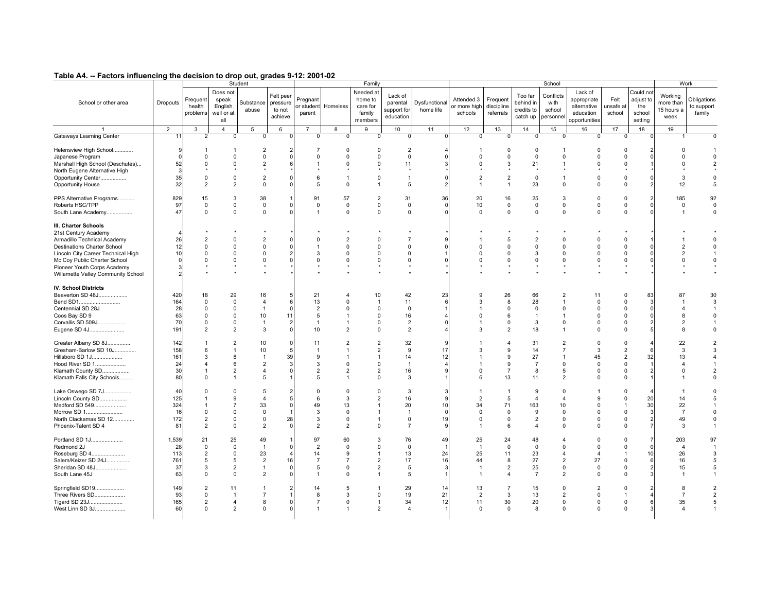| $1$ wwiy $\pi$ $\tau$<br>$\sim$ , actors minucholity are accision to arep out, grades $\sigma$ i.e. 2001-02                                                                                                                                                  |                                       |                                                               |                                                                               | Student                                                                          |                                            |                                                                     |                                                                                                     | Family                                                                                              |                                                                               |                                            |                                                                                     |                                                                  |                                                                     | School                                                                                   |                                                                               |                                                                                        |                                                    | Work                                                               |                                                                         |
|--------------------------------------------------------------------------------------------------------------------------------------------------------------------------------------------------------------------------------------------------------------|---------------------------------------|---------------------------------------------------------------|-------------------------------------------------------------------------------|----------------------------------------------------------------------------------|--------------------------------------------|---------------------------------------------------------------------|-----------------------------------------------------------------------------------------------------|-----------------------------------------------------------------------------------------------------|-------------------------------------------------------------------------------|--------------------------------------------|-------------------------------------------------------------------------------------|------------------------------------------------------------------|---------------------------------------------------------------------|------------------------------------------------------------------------------------------|-------------------------------------------------------------------------------|----------------------------------------------------------------------------------------|----------------------------------------------------|--------------------------------------------------------------------|-------------------------------------------------------------------------|
| School or other area                                                                                                                                                                                                                                         | Dropouts                              | Frequent<br>health<br>problems                                | Does not<br>speak<br>English<br>well or at<br>all                             | Substance<br>abuse                                                               | Felt peer<br>pressure<br>to not<br>achieve | Pregnant<br>or studen<br>parent                                     | Homeless                                                                                            | Needed at<br>home to<br>care for<br>family<br>members                                               | Lack of<br>parental<br>support for<br>education                               | Dysfunctional<br>home life                 | Attended 3<br>or more high<br>schools                                               | Frequent<br>discipline<br>referrals                              | Too far<br>behind in<br>credits to<br>catch up                      | Conflicts<br>with<br>school<br>personnel                                                 | Lack of<br>appropriate<br>alternative<br>education<br>opportunities           | Felt<br>unsafe at<br>school                                                            | Could not<br>adjust to<br>the<br>school<br>setting | Working<br>more than<br>15 hours a<br>week                         | Obligations<br>to support<br>family                                     |
|                                                                                                                                                                                                                                                              | $\overline{2}$                        | 3                                                             | $\overline{4}$                                                                | 5                                                                                | 6                                          | $\overline{7}$                                                      | 8                                                                                                   | 9                                                                                                   | 10                                                                            | 11                                         | 12                                                                                  | 13                                                               | 14                                                                  | 15                                                                                       | 16                                                                            | 17                                                                                     | 18                                                 | 19                                                                 |                                                                         |
| Gateways Learning Center                                                                                                                                                                                                                                     | 11                                    | $\overline{2}$                                                | $\mathbf 0$                                                                   | 0                                                                                |                                            | $\Omega$                                                            | $\mathbf 0$                                                                                         | $^{\circ}$                                                                                          | 0                                                                             |                                            | 0                                                                                   | $^{\circ}$                                                       | $^{\circ}$                                                          | $\mathbf 0$                                                                              | 0                                                                             | $\mathbf{0}$                                                                           | O                                                  |                                                                    |                                                                         |
| Helensview High School<br>Japanese Program<br>Marshall High School (Deschutes)<br>North Eugene Alternative High<br>Opportunity Center<br>Opportunity House                                                                                                   | 9<br>52<br>$\mathcal{R}$<br>35<br>32  | $\Omega$<br>$\Omega$<br>0<br>$\mathcal{P}$                    | $\mathbf{1}$<br>$\mathsf 0$<br>$\Omega$<br>$\mathsf 0$<br>$\overline{2}$      | $\overline{2}$<br>$\mathbf 0$<br>$\overline{2}$<br>$\overline{2}$<br>$\mathbf 0$ |                                            | $\mathbf 0$<br>-1<br>6<br>5                                         | $\Omega$<br>$\Omega$<br>$\Omega$<br>$\mathbf{1}$<br>$\Omega$                                        | $\Omega$<br>$\mathsf 0$<br>$\overline{0}$<br>$\mathbf 0$<br>$\overline{1}$                          | $\overline{2}$<br>$\mathsf 0$<br>11<br>$\star$<br>$\mathbf{1}$<br>5           | $\mathsf{C}$<br>э<br>$\Omega$<br>2         | -1<br>$\Omega$<br>$\Omega$<br>$\overline{2}$<br>$\overline{1}$                      | $\Omega$<br>$\Omega$<br>3<br>$\overline{2}$<br>$\overline{1}$    | $\mathbf 0$<br>$\mathsf 0$<br>21<br>- *<br>$\mathbf 0$<br>23        | -1<br>$\mathsf 0$<br>-1<br>1<br>$\Omega$                                                 | $\Omega$<br>$\Omega$<br>$\Omega$<br>$\Omega$<br>$\Omega$                      | $\Omega$<br>$\Omega$<br>$\Omega$<br>$\mathbf 0$<br>$\mathbf 0$                         | n                                                  | $\Omega$<br>$\Omega$<br>$\Omega$<br>3<br>12                        | $\mathbf 0$<br>$\overline{2}$<br>$\Omega$<br>5                          |
| PPS Alternative Programs<br>Roberts HSC/TPP<br>South Lane Academy                                                                                                                                                                                            | 829<br>97<br>47                       | 15<br>$\mathbf 0$<br>$\Omega$                                 | 3<br>$\mathsf 0$<br>$\mathbf 0$                                               | 38<br>0<br>$\Omega$                                                              |                                            | 91<br>$\mathbf 0$<br>$\overline{1}$                                 | 57<br>$\mathbf 0$<br>$\Omega$                                                                       | $\overline{2}$<br>$\mathbf 0$<br>$\mathbf{0}$                                                       | 31<br>$\mathsf 0$<br>$\Omega$                                                 | 36<br>$\Omega$<br>C                        | 20<br>10<br>$\Omega$                                                                | 16<br>$\mathbf 0$<br>$\mathbf 0$                                 | 25<br>0<br>$\Omega$                                                 | 3<br>0<br>$\mathbf 0$                                                                    | $\Omega$<br>$\Omega$<br>$\Omega$                                              | $\Omega$<br>$\mathbf 0$<br>$\mathbf 0$                                                 |                                                    | 185<br>$\mathbf 0$<br>-1                                           | 92<br>$\mathbf 0$<br>$\Omega$                                           |
| III. Charter Schools<br>21st Century Academy<br>Armadillo Technical Academy<br><b>Destinations Charter School</b><br>Lincoln City Career Technical High<br>Mc Coy Public Charter School<br>Pioneer Youth Corps Academy<br>Willamette Valley Community School | $\Delta$<br>26<br>12<br>10            | $\overline{2}$<br>$\Omega$<br>$\Omega$<br>$\Omega$            | $\Omega$<br>$\Omega$<br>$\Omega$<br>$\Omega$                                  | $\overline{2}$<br>$\mathbf 0$<br>$\Omega$<br>$\Omega$                            |                                            | $\mathbf 0$<br>-1<br>3<br>$\mathbf 0$                               | $\overline{2}$<br>$\Omega$<br>$\Omega$<br>$\Omega$                                                  | $\Omega$<br>$\Omega$<br>$\mathbf 0$<br>$\mathbf 0$                                                  | $\overline{7}$<br>$\Omega$<br>$\Omega$<br>$\mathbf 0$<br>$\bullet$<br>$\star$ | ć<br>ſ                                     | $\Omega$<br>$\Omega$<br>$\Omega$                                                    | 5<br>$\Omega$<br>$\Omega$<br>$\Omega$                            | $\overline{2}$<br>$\Omega$<br>3<br>$\mathbf 0$                      | $\Omega$<br>$\Omega$<br>$\Omega$<br>0                                                    | $\Omega$<br>$\Omega$<br>$\Omega$<br>$\Omega$                                  | $\Omega$<br>$\Omega$<br>$\Omega$<br>$\Omega$                                           |                                                    | $\overline{2}$<br>$\overline{2}$<br>$\Omega$                       | $\Omega$<br>$\Omega$<br>$\Omega$                                        |
| <b>IV. School Districts</b><br>Beaverton SD 48J<br>Bend SD1<br>Centennial SD 28J<br>Coos Bay SD 9<br>Corvallis SD 509J<br>Eugene SD 4J                                                                                                                       | 420<br>164<br>28<br>63<br>70<br>191   | 18<br>$\Omega$<br>$\Omega$<br>0<br>$\Omega$<br>$\overline{2}$ | 29<br>$\mathbf 0$<br>$\Omega$<br>$\mathsf 0$<br>$\mathbf 0$<br>$\overline{2}$ | 16<br>$\overline{4}$<br>$\overline{1}$<br>10<br>$\overline{1}$<br>3              | 11                                         | 21<br>13<br>$\overline{2}$<br>5<br>$\overline{1}$<br>10             | $\overline{4}$<br>$\Omega$<br>$\Omega$<br>$\mathbf{1}$<br>$\mathcal{P}$                             | 10<br>$\overline{1}$<br>$\mathbf 0$<br>$\mathbf 0$<br>$\mathbf{0}$<br>$\mathbf{0}$                  | 42<br>11<br>$\Omega$<br>16<br>$\overline{2}$<br>$\overline{2}$                | 23<br>6<br>4<br>$\mathsf{C}$               | 9<br>3<br>$\mathbf 0$<br>$\overline{1}$<br>3                                        | 26<br>8<br>$\Omega$<br>6<br>$\Omega$<br>$\overline{2}$           | 66<br>28<br>$\mathbf 0$<br>$\mathbf{1}$<br>3<br>18                  | $\overline{2}$<br>$\overline{1}$<br>$\Omega$<br>1<br>$\mathbf 0$<br>$\mathbf{1}$         | 11<br>$\Omega$<br>$\Omega$<br>$\Omega$<br>$\Omega$<br>$\Omega$                | $\Omega$<br>$\Omega$<br>$\Omega$<br>0<br>$\Omega$<br>$\Omega$                          | 83<br>3                                            | 87<br>$\overline{1}$<br>$\overline{4}$<br>8<br>$\overline{2}$<br>8 | 30<br>3<br>$\mathbf{1}$<br>$\mathbf 0$<br>-1<br>$\Omega$                |
| Greater Albany SD 8J<br>Gresham-Barlow SD 10J<br>Hillsboro SD 1J<br>Hood River SD 1<br>Klamath County SD<br>Klamath Falls City Schools                                                                                                                       | 142<br>158<br>161<br>24<br>30<br>80   | 6<br>3<br>$\overline{4}$<br>$\Omega$                          | $\overline{2}$<br>$\mathbf{1}$<br>8<br>6<br>$\overline{2}$<br>$\mathbf{1}$    | 10<br>10<br>$\overline{1}$<br>$\overline{2}$<br>$\overline{\mathbf{4}}$<br>5     | $\Omega$<br>39                             | 11<br>$\overline{1}$<br>9<br>3<br>$\overline{2}$<br>5               | $\overline{2}$<br>$\mathbf{1}$<br>$\overline{1}$<br>$\mathbf 0$<br>$\overline{2}$<br>$\overline{1}$ | $\overline{2}$<br>$\overline{2}$<br>$\overline{1}$<br>$\mathsf 0$<br>$\overline{2}$<br>$\mathbf{0}$ | 32<br>9<br>14<br>$\overline{1}$<br>16<br>3                                    | <b>c</b><br>17<br>12<br>4<br>g             | 3<br>-1<br>$\mathbf{1}$<br>$\Omega$<br>$\epsilon$                                   | $\boldsymbol{\Delta}$<br>9<br>9<br>9<br>$\overline{7}$<br>13     | 31<br>14<br>27<br>$\overline{7}$<br>8<br>11                         | $\overline{2}$<br>$\overline{7}$<br>-1<br>0<br>5<br>$\overline{2}$                       | $\Omega$<br>3<br>45<br>$\Omega$<br>$\Omega$<br>$\Omega$                       | $\Omega$<br>$\overline{2}$<br>$\overline{2}$<br>$\mathbf 0$<br>$\mathbf 0$<br>$\Omega$ | 32<br>2                                            | 22<br>3<br>13<br>$\overline{4}$<br>$\Omega$                        | $\overline{2}$<br>3<br>4<br>$\overline{2}$<br>$\Omega$                  |
| Lake Oswego SD 7J<br>Lincoln County SD<br>Medford SD 549<br>Morrow SD 1<br>North Clackamas SD 12<br>Phoenix-Talent SD 4                                                                                                                                      | 40<br>125<br>324<br>16<br>172<br>81   | $\Omega$<br>$\Omega$<br>$\overline{2}$<br>$\mathcal{P}$       | $\Omega$<br>9<br>$\overline{7}$<br>$\mathbf 0$<br>$\mathsf 0$<br>$\mathbf 0$  | 5<br>$\overline{4}$<br>33<br>$\mathbf 0$<br>$\mathbf 0$<br>$\overline{2}$        | 28                                         | $\Omega$<br>6<br>49<br>3<br>3<br>$\overline{2}$                     | $\Omega$<br>3<br>13<br>$\mathbf 0$<br>$\mathbf 0$<br>$\mathcal{P}$                                  | $\Omega$<br>$\overline{2}$<br>$\overline{1}$<br>$\overline{1}$<br>$\overline{1}$<br>$\mathbf{0}$    | 3<br>16<br>20<br>$\overline{1}$<br>$\mathbf 0$<br>$\overline{7}$              | 3<br>ç<br>10<br>$\Omega$<br>19<br><b>c</b> | $\overline{1}$<br>$\overline{2}$<br>34<br>$\mathbf 0$<br>$\Omega$<br>$\overline{1}$ | $\overline{1}$<br>5<br>71<br>$\mathbf 0$<br>$^{\circ}$<br>6      | 9<br>$\overline{4}$<br>163<br>9<br>$\overline{2}$<br>$\overline{4}$ | $\Omega$<br>$\overline{\mathbf{A}}$<br>10<br>$\mathbf 0$<br>$\mathbf 0$<br>$\Omega$      | <sub>9</sub><br>$\Omega$<br>$\Omega$<br>$\Omega$<br>$\Omega$                  | $\Omega$<br>$\mathbf 0$<br>$\mathbf{1}$<br>$\mathbf 0$<br>$\mathbf 0$<br>$\Omega$      | ۷<br>20<br>30<br>3<br>2                            | -1<br>14<br>22<br>$\overline{7}$<br>49<br>3                        | $\Omega$<br>5<br>$\overline{1}$<br>$\Omega$<br>$\Omega$<br>$\mathbf{1}$ |
| Portland SD 1J<br>Redmond 2J<br>Roseburg SD 4<br>Salem/Keizer SD 24J<br>Sheridan SD 48J<br>South Lane 45J                                                                                                                                                    | 1,539<br>28<br>113<br>761<br>37<br>63 | 21<br>$\mathsf 0$<br>$\overline{2}$<br>5<br>3<br>$\Omega$     | 25<br>$\mathsf 0$<br>$\mathbf 0$<br>5<br>$\overline{2}$<br>$\mathbf 0$        | 49<br>$\overline{1}$<br>23<br>$\overline{2}$<br>$\mathbf{1}$<br>$\overline{2}$   | 16                                         | 97<br>$\overline{2}$<br>14<br>$\overline{7}$<br>5<br>$\overline{1}$ | 60<br>$\mathbf 0$<br>9<br>$\overline{7}$<br>$\Omega$<br>$\Omega$                                    | 3<br>$\mathbf 0$<br>$\overline{1}$<br>$\overline{2}$<br>$\overline{2}$<br>$\overline{1}$            | 76<br>$\mathbf 0$<br>13<br>17<br>5<br>5                                       | 49<br>24<br>16<br>з<br>-1                  | 25<br>$\overline{1}$<br>25<br>44<br>$\mathbf{1}$<br>$\overline{1}$                  | 24<br>$\mathbf 0$<br>11<br>8<br>$\overline{2}$<br>$\overline{4}$ | 48<br>$\mathbf 0$<br>23<br>27<br>25<br>$\overline{7}$               | $\overline{\mathbf{A}}$<br>$\Omega$<br>4<br>$\overline{2}$<br>$\Omega$<br>$\overline{2}$ | $\Omega$<br>$\Omega$<br>$\overline{\mathbf{4}}$<br>27<br>$\Omega$<br>$\Omega$ | $\mathbf 0$<br>$\mathbf 0$<br>$\mathbf 0$<br>0<br>$\Omega$                             | 7<br>ſ<br>10<br>6                                  | 203<br>$\overline{\mathbf{4}}$<br>26<br>16<br>15                   | 97<br>$\overline{1}$<br>3<br>5<br>5                                     |
| Springfield SD19<br>Three Rivers SD<br>Tigard SD 23J<br>West Linn SD 3J                                                                                                                                                                                      | 149<br>93<br>165<br>60                | $\overline{2}$<br>0<br>$\overline{2}$<br>$\mathbf 0$          | 11<br>$\mathbf{1}$<br>$\overline{4}$<br>$\overline{2}$                        | $\overline{1}$<br>$\overline{7}$<br>8<br>$\mathbf 0$                             |                                            | 14<br>8<br>$\overline{7}$<br>$\overline{1}$                         | 5<br>3<br>$\mathbf 0$<br>$\mathbf{1}$                                                               | $\overline{1}$<br>$\mathsf 0$<br>$\overline{1}$<br>$\overline{2}$                                   | 29<br>19<br>34<br>$\overline{4}$                                              | 14<br>21<br>12<br>$\overline{1}$           | 13<br>$\overline{2}$<br>11<br>$\Omega$                                              | $\overline{7}$<br>3<br>30<br>$\mathbf 0$                         | 15<br>13<br>20<br>8                                                 | $\mathbf 0$<br>$\overline{2}$<br>0<br>$\mathbf 0$                                        | $\overline{2}$<br>$\Omega$<br>$\Omega$<br>$\Omega$                            | $\Omega$<br>$\mathbf{1}$<br>$\Omega$<br>$\Omega$                                       |                                                    | 8<br>$\overline{7}$<br>35<br>$\overline{4}$                        | $\overline{2}$<br>$\overline{2}$<br>5                                   |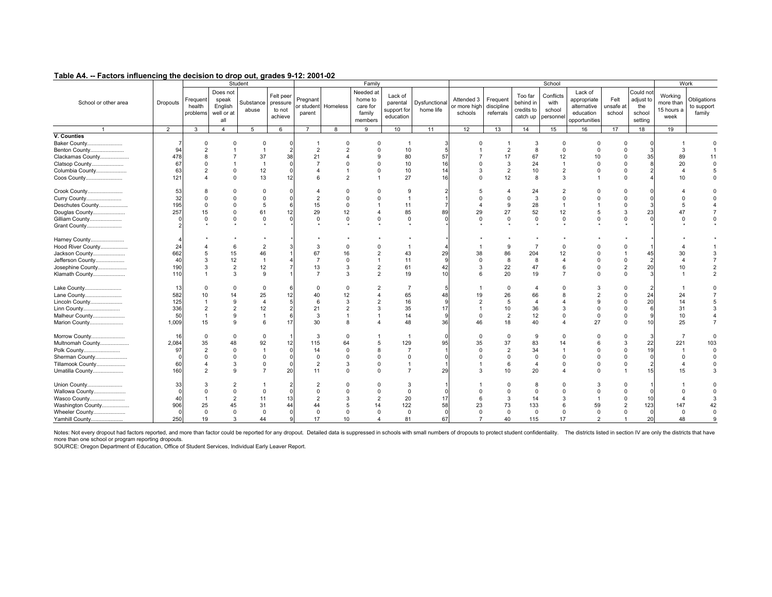|                      |                |                                |                                                   | Student            |                                            |                    |                     | Family                                                |                                                 |                            |                                       |                                     |                                                | School                                   |                                                                     |                             |                                                    |                                            | Work                                |
|----------------------|----------------|--------------------------------|---------------------------------------------------|--------------------|--------------------------------------------|--------------------|---------------------|-------------------------------------------------------|-------------------------------------------------|----------------------------|---------------------------------------|-------------------------------------|------------------------------------------------|------------------------------------------|---------------------------------------------------------------------|-----------------------------|----------------------------------------------------|--------------------------------------------|-------------------------------------|
| School or other area | Dropouts       | Frequent<br>health<br>problems | Does not<br>speak<br>English<br>well or at<br>all | Substance<br>abuse | Felt peer<br>pressure<br>to not<br>achieve | Pregnant<br>parent | or student Homeless | Needed at<br>home to<br>care for<br>family<br>members | Lack of<br>parental<br>support for<br>education | Dysfunctional<br>home life | Attended 3<br>or more high<br>schools | Frequent<br>discipline<br>referrals | Too far<br>behind in<br>credits to<br>catch up | Conflicts<br>with<br>school<br>personnel | Lack of<br>appropriate<br>alternative<br>education<br>opportunities | Felt<br>unsafe at<br>school | Could not<br>adjust to<br>the<br>school<br>setting | Working<br>more than<br>15 hours a<br>week | Obligations<br>to support<br>family |
|                      | $\overline{2}$ | 3                              | $\overline{4}$                                    | 5                  | 6                                          | $\overline{7}$     | 8                   | 9                                                     | 10                                              | 11                         | 12                                    | 13                                  | 14                                             | 15                                       | 16                                                                  | 17                          | 18                                                 | 19                                         |                                     |
| V. Counties          |                |                                |                                                   |                    |                                            |                    |                     |                                                       |                                                 |                            |                                       |                                     |                                                |                                          |                                                                     |                             |                                                    |                                            |                                     |
| Baker County         |                |                                |                                                   | $\Omega$           |                                            |                    |                     |                                                       |                                                 |                            |                                       |                                     |                                                | $\Omega$                                 |                                                                     |                             |                                                    |                                            |                                     |
| Benton County        | 94             |                                |                                                   |                    |                                            | $\mathfrak{p}$     |                     |                                                       | 10                                              |                            |                                       | $\overline{2}$                      | 8                                              | $\Omega$                                 |                                                                     |                             |                                                    |                                            |                                     |
| Clackamas County     | 478            |                                |                                                   | 37                 | 38                                         | 21                 |                     |                                                       | 80                                              | 57                         |                                       | 17                                  | 67                                             | 12                                       | 10                                                                  |                             | 35                                                 | 89                                         | 11                                  |
| Clatsop County       | 67             |                                |                                                   |                    |                                            |                    |                     |                                                       | 10                                              | 16                         |                                       | 3                                   | 24                                             |                                          |                                                                     | $\Omega$                    |                                                    | 20                                         | $\Omega$                            |
| Columbia County      | 63             |                                | ŋ                                                 | 12                 |                                            |                    |                     | $\Omega$                                              | 10                                              | 14                         | 3                                     | $\overline{2}$                      | 10                                             | $\overline{2}$                           |                                                                     | $\Omega$                    |                                                    |                                            | 5                                   |
| Coos County          | 121            |                                | $\Omega$                                          | 13                 | 12                                         |                    | $\mathcal{P}$       |                                                       | 27                                              | 16                         | $\Omega$                              | 12                                  | 8                                              | 3                                        |                                                                     | $\Omega$                    |                                                    | 10                                         | $\Omega$                            |
|                      |                |                                |                                                   |                    |                                            |                    |                     |                                                       |                                                 |                            |                                       |                                     |                                                |                                          |                                                                     |                             |                                                    |                                            |                                     |
| Crook County         | 53             |                                |                                                   |                    |                                            |                    |                     |                                                       | 9                                               |                            |                                       |                                     | 24                                             |                                          |                                                                     |                             |                                                    |                                            |                                     |
| Curry County         | 32             |                                |                                                   | $\Omega$           |                                            |                    |                     |                                                       | $\mathbf{1}$                                    |                            |                                       |                                     | 3                                              |                                          |                                                                     |                             |                                                    |                                            | $\Omega$                            |
| Deschutes County     | 195            |                                |                                                   | 5                  |                                            | 15                 | $\Omega$            |                                                       | 11                                              |                            |                                       | $\mathbf{q}$                        | 28                                             |                                          |                                                                     |                             |                                                    | 5                                          |                                     |
| Douglas County       | 257            | 15                             |                                                   | 61                 | 12                                         | 29                 | 12                  |                                                       | 85                                              | 89                         | 29                                    | 27                                  | 52                                             | 12                                       |                                                                     |                             | 23                                                 | 47                                         |                                     |
| Gilliam County       |                | $\Omega$                       | $\Omega$                                          | $\Omega$           |                                            | $\Omega$           | $\Omega$            | $\Omega$                                              | $\mathbf 0$                                     |                            | $\Omega$                              | $\Omega$                            | $\mathsf 0$                                    | $\mathbf 0$                              |                                                                     | $\Omega$                    |                                                    |                                            | $\Omega$                            |
| Grant County         |                |                                |                                                   |                    |                                            |                    |                     |                                                       |                                                 |                            |                                       |                                     |                                                |                                          |                                                                     |                             |                                                    |                                            |                                     |
|                      |                |                                |                                                   |                    |                                            |                    |                     |                                                       |                                                 |                            |                                       |                                     |                                                |                                          |                                                                     |                             |                                                    |                                            |                                     |
| Harney County        |                |                                |                                                   |                    |                                            |                    |                     |                                                       |                                                 |                            |                                       |                                     |                                                |                                          |                                                                     |                             |                                                    |                                            |                                     |
| Hood River County    | 24             |                                | 6                                                 |                    |                                            |                    |                     |                                                       |                                                 |                            |                                       | 9                                   | $\overline{7}$                                 | $\Omega$                                 |                                                                     |                             |                                                    |                                            |                                     |
| Jackson County       | 662            |                                | 15                                                | 46                 |                                            | 67                 | 16                  |                                                       | 43                                              | 29                         | 38                                    | 86                                  | 204                                            |                                          |                                                                     |                             | 45                                                 | 30                                         |                                     |
| Jefferson County     | 40             |                                | 12                                                | $\overline{1}$     |                                            |                    | $\Omega$            | $\overline{1}$                                        | 11                                              |                            | $\Omega$                              | 8                                   | 8                                              |                                          |                                                                     |                             |                                                    |                                            |                                     |
| Josephine County     | 190            |                                | $\overline{2}$                                    | 12                 |                                            | 13                 | $\mathcal{R}$       | $\overline{2}$                                        | 61                                              | 42                         | 3                                     | 22                                  | 47                                             |                                          |                                                                     |                             | 20                                                 | 10                                         |                                     |
| Klamath County       | 110            |                                | 3                                                 | 9                  |                                            |                    | $\mathcal{R}$       | $\overline{2}$                                        | 19                                              | 10                         | 6                                     | 20                                  | 19                                             |                                          |                                                                     | $\Omega$                    |                                                    |                                            | $\overline{2}$                      |
|                      |                |                                |                                                   |                    |                                            |                    |                     |                                                       |                                                 |                            |                                       |                                     |                                                |                                          |                                                                     |                             |                                                    |                                            |                                     |
| Lake County          | 13             |                                | $\Omega$                                          | $\Omega$           |                                            |                    |                     |                                                       | 7                                               |                            |                                       | $\Omega$                            | 4                                              |                                          |                                                                     |                             |                                                    |                                            |                                     |
| Lane County          | 582            |                                |                                                   | 25                 | 12                                         | 40                 | 12                  | $\overline{4}$                                        | 65                                              | 48                         | 19                                    | 26                                  | 66                                             |                                          |                                                                     |                             | 24                                                 | 24                                         |                                     |
| Lincoln County       | 125            |                                | 9                                                 | $\overline{4}$     |                                            |                    | 3                   | $\overline{2}$                                        | 16                                              | <b>q</b>                   | $\overline{2}$                        | 5                                   | 4                                              |                                          |                                                                     |                             | 20                                                 | 14                                         |                                     |
| Linn County          | 336            |                                |                                                   | 12                 |                                            | 21                 |                     | 3                                                     | 35                                              | 17                         |                                       | 10                                  | 36                                             |                                          |                                                                     |                             |                                                    | 31                                         |                                     |
| Malheur County       | 50             |                                | 9                                                 | $\overline{1}$     |                                            | 3                  |                     |                                                       | 14                                              | -9                         | $\Omega$                              | $\overline{2}$                      | 12                                             |                                          |                                                                     |                             |                                                    | 10                                         |                                     |
| Marion County        | 1,009          | 15                             | 9                                                 | 6                  | 17                                         | 30                 |                     |                                                       | 48                                              | 36                         | 46                                    | 18                                  | 40                                             |                                          | 27                                                                  |                             | 10                                                 | 25                                         | $\overline{7}$                      |
|                      |                |                                |                                                   |                    |                                            |                    |                     |                                                       |                                                 |                            |                                       |                                     |                                                |                                          |                                                                     |                             |                                                    |                                            |                                     |
| Morrow County        | 16             | $\Omega$                       | $\Omega$                                          |                    |                                            | 3                  |                     |                                                       | -1                                              |                            | $\Omega$                              | $\Omega$                            | 9                                              |                                          |                                                                     |                             |                                                    |                                            |                                     |
| Multnomah County     | 2,084          | 35                             | 48                                                | 92                 | 12                                         | 115                | 64                  | 5                                                     | 129                                             | 95                         | 35                                    | 37                                  | 83                                             |                                          |                                                                     |                             | 22                                                 | 221                                        | 103                                 |
| Polk County          | 97             |                                | $\Omega$                                          |                    |                                            | 14                 |                     |                                                       | $\overline{7}$                                  |                            | $\Omega$                              | $\mathcal{P}$                       | 34                                             |                                          |                                                                     |                             | 19                                                 |                                            | $\Omega$                            |
| Sherman County       |                |                                | $\Omega$                                          | $\Omega$           |                                            | $\Omega$           |                     | $\Omega$                                              | $\Omega$                                        |                            |                                       |                                     | $\Omega$                                       |                                          |                                                                     |                             |                                                    | $\Omega$                                   | $\Omega$                            |
| Tillamook County     | 60             |                                | 3                                                 | $\Omega$           |                                            | $\overline{2}$     | 3                   | $\Omega$                                              | $\mathbf{1}$                                    |                            |                                       | 6                                   | 4                                              | 0                                        |                                                                     |                             |                                                    |                                            | $\Omega$                            |
| Umatilla County      | 160            |                                | 9                                                 | $\overline{7}$     | 20                                         | 11                 |                     | $\Omega$                                              | $\overline{7}$                                  | 29                         | 3                                     | 10                                  | 20                                             |                                          |                                                                     |                             | 15                                                 | 15                                         | 3                                   |
|                      |                |                                |                                                   |                    |                                            |                    |                     |                                                       |                                                 |                            |                                       |                                     |                                                |                                          |                                                                     |                             |                                                    |                                            |                                     |
| Union County         | 33             |                                |                                                   |                    |                                            |                    |                     |                                                       | 3                                               |                            |                                       |                                     |                                                |                                          |                                                                     |                             |                                                    |                                            |                                     |
| Wallowa County       |                |                                |                                                   |                    |                                            |                    |                     |                                                       | $\Omega$                                        |                            |                                       |                                     | $\Omega$                                       |                                          |                                                                     |                             |                                                    |                                            |                                     |
| Wasco County         | 40             |                                | $\overline{2}$                                    | 11                 | 13                                         |                    |                     | $\overline{2}$                                        | 20                                              | 17                         |                                       | 3                                   | 14                                             |                                          |                                                                     |                             | 10                                                 |                                            |                                     |
| Washington County    | 906            | 25                             | 45                                                | 31                 | 44                                         | 44                 |                     | 14                                                    | 122                                             | 58                         | 23                                    | 73                                  | 133                                            |                                          | 59                                                                  |                             | 123                                                | 147                                        | 42                                  |
| Wheeler County       | $\Omega$       | $\Omega$                       | $\mathbf 0$                                       | $\Omega$           |                                            | $\Omega$           |                     | $\Omega$                                              | $\mathbf 0$                                     | $\Omega$                   | $\Omega$                              | $\Omega$                            | $\mathbf 0$                                    | $\Omega$                                 | $\Omega$                                                            |                             | $\Omega$                                           | $\Omega$                                   | $\Omega$                            |
| Yamhill County       | 250            | 19                             | 3                                                 | 44                 |                                            | 17                 | 10                  |                                                       | 81                                              | 67                         |                                       | 40                                  | 115                                            | 17                                       |                                                                     |                             | 20                                                 | 48                                         |                                     |
|                      |                |                                |                                                   |                    |                                            |                    |                     |                                                       |                                                 |                            |                                       |                                     |                                                |                                          |                                                                     |                             |                                                    |                                            |                                     |

Notes: Not every dropout had factors reported, and more than factor could be reported for any dropout. Detailed data is suppressed in schools with small numbers of dropouts to protect student confidentiality. The districts

more than one school or program reporting dropouts.<br>SOURCE: Oregon Department of Education, Office of Student Services, Individual Early Leaver Report.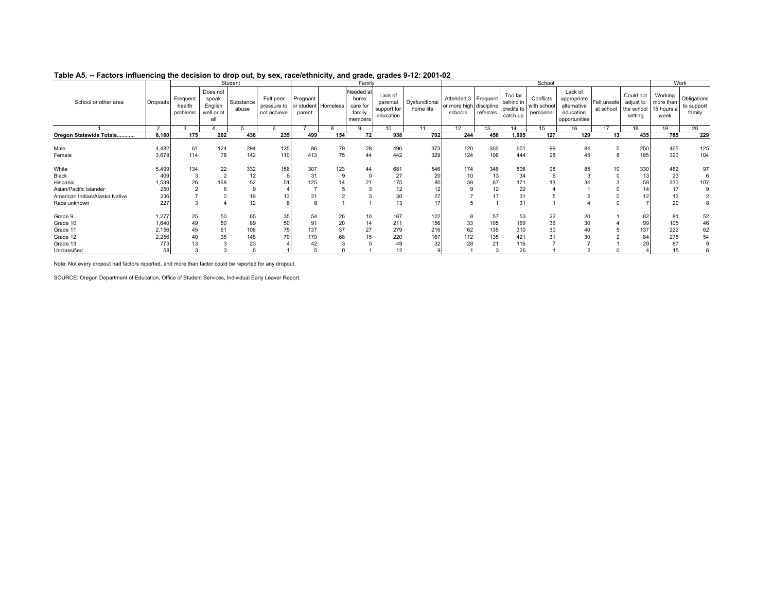| Table AJ. -- Lactors importantly the decision to drop out, by sex, race/ethnicity, and grade, grades 3-12. 2001-02 |                 |                                |                                                   |                    |                                                             |                    |          |                                                    |                                                 |                            |                                                           |            |                                                |                                       |                                                                     |                          |                                                 |                                            |                                     |
|--------------------------------------------------------------------------------------------------------------------|-----------------|--------------------------------|---------------------------------------------------|--------------------|-------------------------------------------------------------|--------------------|----------|----------------------------------------------------|-------------------------------------------------|----------------------------|-----------------------------------------------------------|------------|------------------------------------------------|---------------------------------------|---------------------------------------------------------------------|--------------------------|-------------------------------------------------|--------------------------------------------|-------------------------------------|
|                                                                                                                    |                 |                                |                                                   | Student            |                                                             |                    |          | Family                                             |                                                 |                            |                                                           |            |                                                | School                                |                                                                     |                          |                                                 | Work                                       |                                     |
| School or other area                                                                                               | <b>Dropouts</b> | Frequent<br>health<br>problems | Does not<br>speak<br>English<br>well or at<br>all | Substance<br>abuse | Felt peer<br>pressure to or student Homeless<br>not achieve | Pregnant<br>parent |          | Needed at<br>home<br>care for<br>family<br>members | Lack of<br>parental<br>support for<br>education | Dysfunctional<br>home life | Attended 3 Frequent<br>or more high discipline<br>schools | referrals  | Too far<br>behind in<br>credits to<br>catch up | Conflicts<br>with school<br>personnel | Lack of<br>appropriate<br>alternative<br>education<br>opportunities | Felt unsafe<br>at school | Could not<br>adjust to<br>the school<br>setting | Working<br>more than<br>15 hours a<br>week | Obligations<br>to support<br>family |
|                                                                                                                    | $\overline{2}$  |                                |                                                   |                    |                                                             |                    |          |                                                    | 10 <sup>10</sup>                                | 11                         | 12                                                        | 13         | 14                                             | 15                                    | 16                                                                  | 17                       | 18                                              | 19                                         | 20                                  |
| Oregon Statewide Totals                                                                                            | 8,160           | 175                            | 202                                               | 436                | 235                                                         | 499                | 154      | 72                                                 | 938                                             | 702                        | 244                                                       | 456        | 1,095                                          | 127                                   | 129                                                                 | 13                       | 435                                             | 785                                        | 229                                 |
| Male<br>Female                                                                                                     | 4,482<br>3,678  | 61<br>114                      | 124<br>78                                         | 294<br>142         | 125<br>110                                                  | 86<br>413          | 79<br>75 | 28<br>44                                           | 496<br>442                                      | 373<br>329                 | 120<br>124                                                | 350<br>106 | 651<br>444                                     | 99<br>28                              | 84<br>45                                                            |                          | 250<br>185                                      | 465<br>320                                 | 125<br>104                          |
| White<br>Black                                                                                                     | 5,499<br>409    | 134                            | 22                                                | 332<br>12          | 156                                                         | 307<br>31          | 123      | 44                                                 | 681<br>27                                       | 546<br>20                  | 174<br>10                                                 | 346<br>13  | 806<br>34                                      | 98                                    | 85                                                                  | 10                       | 330<br>13                                       | 482<br>23                                  | 97<br>6                             |
| Hispanic                                                                                                           | 1,539           | 26                             | 168                                               | 52                 | 51                                                          | 125                | 14       |                                                    | 175                                             |                            |                                                           | 67         | 171                                            | 13                                    | 34                                                                  |                          | 59                                              | 230                                        | 107                                 |
| Asian/Pacific islander                                                                                             | 250             |                                |                                                   |                    |                                                             |                    |          |                                                    | 12                                              |                            |                                                           |            | 22                                             |                                       |                                                                     |                          |                                                 | 17                                         | 9                                   |
| American Indian/Alaska Native                                                                                      | 236             |                                |                                                   | 19                 | 13                                                          | 21                 |          |                                                    | 30                                              |                            |                                                           |            | 31                                             |                                       |                                                                     |                          |                                                 | 13                                         |                                     |
| Race unknown                                                                                                       | 227             |                                |                                                   | 12                 |                                                             |                    |          |                                                    | 13                                              |                            |                                                           |            | 31                                             |                                       |                                                                     |                          |                                                 | 20                                         | 8                                   |
| Grade 9<br>Grade 10                                                                                                | 1,277<br>1,640  | 25<br>49                       | 50<br>50                                          | 65<br>89           | 35<br>50                                                    | 54<br>91           | 26<br>20 | 10<br>14                                           | 167<br>211                                      | 122<br>156                 | 33                                                        | 57<br>105  | 53<br>169                                      | 22<br>36                              | 20<br>30                                                            |                          | 82<br>99                                        | 81<br>105                                  | 52<br>46                            |
| Grade 11                                                                                                           | 2,156           | 45                             | 61                                                | 106                | 75                                                          | 137                | 37       | 27                                                 | 279                                             | 216                        | 62                                                        | 135        | 310                                            | 30                                    | 40                                                                  |                          | 137                                             | 222                                        | 62                                  |
| Grade 12                                                                                                           | 2,256           | 40                             | 35                                                | 148                | 701                                                         | 170                | 68       |                                                    | 220                                             | 167                        | 112                                                       | 135        | 421                                            | 31                                    | 30                                                                  |                          | 84                                              | 275                                        | 54                                  |
| Grade 13                                                                                                           | 773             |                                |                                                   | 23                 |                                                             |                    |          |                                                    | 49                                              |                            | 28                                                        | 21         | 116                                            |                                       |                                                                     |                          |                                                 | 87                                         |                                     |
| Unclassified                                                                                                       | 58              |                                |                                                   |                    |                                                             |                    |          |                                                    | 12                                              |                            |                                                           |            | 26                                             |                                       |                                                                     |                          |                                                 | 15                                         |                                     |

#### **Table A5. -- Factors influencing the decision to drop out, by sex, race/ethnicity, and grade, grades 9-12: 2001-02**

Note: Not every dropout had factors reported, and more than factor could be reported for any dropout.

SOURCE: Oregon Department of Education, Office of Student Services, Individual Early Leaver Report.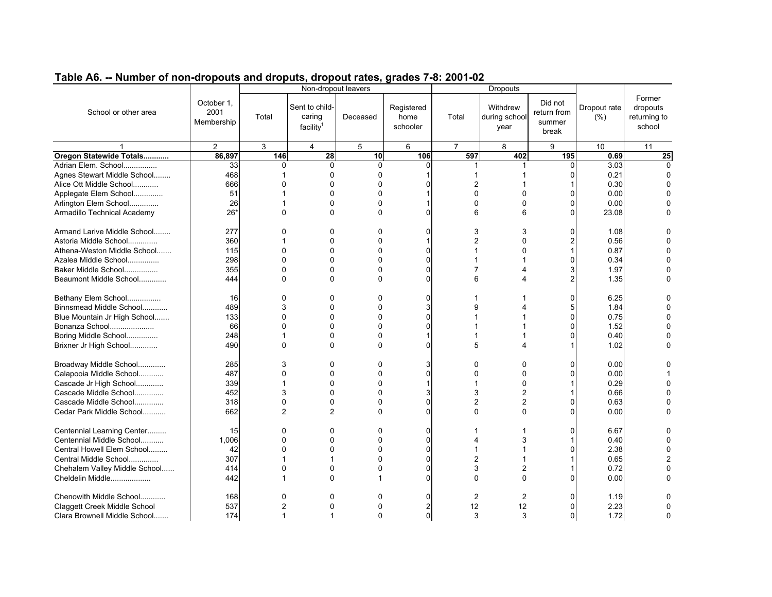| Former<br>October 1,<br>Did not<br>Sent to child-<br>Registered<br>Withdrew<br>Dropout rate<br>dropouts<br>School or other area<br>2001<br>return from<br>caring<br>Total<br>Deceased<br>home<br>Total<br>during school<br>(% )<br>returning to<br>Membership<br>summer<br>facility<br>school<br>schooler<br>year<br>break<br>$\overline{2}$<br>3<br>$\overline{4}$<br>5<br>$\overline{7}$<br>8<br>9<br>10<br>6<br>11<br>Oregon Statewide Totals<br>86,897<br>597<br>146<br>28<br>10<br>106<br>402<br>195<br>$\overline{25}$<br>0.69<br>33<br>$\Omega$<br>3.03<br>Adrian Elem. School<br>0<br>$\mathbf{0}$<br>0<br>$\Omega$<br>1<br>468<br>0.21<br>Agnes Stewart Middle School<br>$\Omega$<br>0<br>$\Omega$<br>1<br>666<br>$\overline{2}$<br>0.30<br>Alice Ott Middle School<br>$\Omega$<br>$\mathbf{0}$<br>0<br>51<br>Applegate Elem School<br>$\Omega$<br>0<br>0<br>0.00<br>ŋ<br>0<br>Arlington Elem School<br>26<br>$\Omega$<br>0<br>0<br>0.00<br>$\Omega$<br>0<br>$26*$<br>$\Omega$<br>0<br>6<br>Armadillo Technical Academy<br>$\Omega$<br>6<br>0<br>23.08<br>ŋ<br>Armand Larive Middle School<br>277<br>$\Omega$<br>0<br>3<br>1.08<br>0<br>0<br>3<br>O<br>$\Omega$<br>0<br>2<br>0.56<br>Astoria Middle School<br>360<br>O<br>2<br>$\Omega$<br>0.87<br>Athena-Weston Middle School<br>115<br>$\Omega$<br>0<br>$\Omega$<br>1<br>0<br>1<br>298<br>$\Omega$<br>0<br>Azalea Middle School<br>0<br>$\Omega$<br>0.34<br>ŋ<br>1<br>7<br>Baker Middle School<br>355<br>$\Omega$<br>$\Omega$<br>0<br>3<br>1.97<br>ŋ<br>Δ<br>Beaumont Middle School<br>444<br>$\Omega$<br>0<br>6<br>2<br>1.35<br>$\Omega$<br>$\Omega$<br>$\boldsymbol{\Lambda}$<br>Bethany Elem School<br>16<br>$\Omega$<br>$\Omega$<br>0<br>$\Omega$<br>6.25<br>0<br>489<br>3<br>$\Omega$<br>0<br>9<br>Binnsmead Middle School<br>5<br>1.84<br>Blue Mountain Jr High School<br>133<br>$\Omega$<br>$\Omega$<br>0<br>0<br>0.75<br>ŋ<br>1<br>66<br>$\Omega$<br>0<br>1.52<br>Bonanza School<br>$\Omega$<br>$\Omega$<br>n<br>248<br>0.40<br>Boring Middle School<br>$\Omega$<br>0<br>$\Omega$<br>1<br>5<br>1.02<br>Brixner Jr High School<br>490<br>$\Omega$<br>$\Omega$<br>0<br>$\Omega$<br>1<br>Broadway Middle School<br>285<br>3<br>0<br>0<br>3<br>0<br>0.00<br>0<br>0<br>Calapooia Middle School<br>487<br>$\Omega$<br>$\Omega$<br>0.00<br>$\Omega$<br>0<br>O<br>$\Omega$<br>0<br>0.29<br>Cascade Jr High School<br>339<br>$\Omega$<br>0<br>$\Omega$<br>452<br>3<br>3<br>Cascade Middle School<br>$\Omega$<br>0<br>2<br>0.66<br>Cascade Middle School<br>318<br>0<br>$\mathbf 0$<br>0<br>$\overline{2}$<br>$\overline{2}$<br>0.63<br>O<br>$\Omega$<br>$\overline{2}$<br>$\overline{2}$<br>$\Omega$<br>Cedar Park Middle School<br>662<br>0<br>$\Omega$<br>0.00<br>ŋ<br>0<br>Centennial Learning Center<br>$\Omega$<br>$\Omega$<br>0<br>6.67<br>0<br>$\Omega$<br>15<br>1<br>Centennial Middle School<br>1,006<br>0<br>$\Omega$<br>0<br>3<br>0.40<br>0<br>4<br>1<br>Central Howell Elem School<br>0<br>2.38<br>42<br>$\Omega$<br>$\Omega$<br>$\Omega$<br>1<br>$\Omega$<br>307<br>$\overline{2}$<br>Central Middle School<br>1<br>0<br>0.65<br>0<br>3<br>Chehalem Valley Middle School<br>414<br>$\Omega$<br>0<br>0<br>2<br>0.72<br>ŋ<br>Cheldelin Middle<br>442<br>$\Omega$<br>$\Omega$<br>$\Omega$<br>0.00<br>O<br>$\Omega$<br>Chenowith Middle School<br>168<br>$\mathbf{0}$<br>$\Omega$<br>$\mathbf{0}$<br>$\Omega$<br>2<br>2<br>$\Omega$<br>1.19<br>537<br>$\overline{c}$<br>12<br>12<br>2.23<br>Claggett Creek Middle School<br>0<br>0<br>2<br>0<br>0<br>3<br>1.72<br>Clara Brownell Middle School<br>174<br>1<br>$\Omega$<br>3<br>0<br>1 |  |  | Non-dropout leavers |  | <b>Dropouts</b> |  |  |
|----------------------------------------------------------------------------------------------------------------------------------------------------------------------------------------------------------------------------------------------------------------------------------------------------------------------------------------------------------------------------------------------------------------------------------------------------------------------------------------------------------------------------------------------------------------------------------------------------------------------------------------------------------------------------------------------------------------------------------------------------------------------------------------------------------------------------------------------------------------------------------------------------------------------------------------------------------------------------------------------------------------------------------------------------------------------------------------------------------------------------------------------------------------------------------------------------------------------------------------------------------------------------------------------------------------------------------------------------------------------------------------------------------------------------------------------------------------------------------------------------------------------------------------------------------------------------------------------------------------------------------------------------------------------------------------------------------------------------------------------------------------------------------------------------------------------------------------------------------------------------------------------------------------------------------------------------------------------------------------------------------------------------------------------------------------------------------------------------------------------------------------------------------------------------------------------------------------------------------------------------------------------------------------------------------------------------------------------------------------------------------------------------------------------------------------------------------------------------------------------------------------------------------------------------------------------------------------------------------------------------------------------------------------------------------------------------------------------------------------------------------------------------------------------------------------------------------------------------------------------------------------------------------------------------------------------------------------------------------------------------------------------------------------------------------------------------------------------------------------------------------------------------------------------------------------------------------------------------------------------------------------------------------------------------------------------------------------------------------------------------------------------------------------------------------------------------------------------------------------------------------------------------------------------------------------------------------------------------------|--|--|---------------------|--|-----------------|--|--|
|                                                                                                                                                                                                                                                                                                                                                                                                                                                                                                                                                                                                                                                                                                                                                                                                                                                                                                                                                                                                                                                                                                                                                                                                                                                                                                                                                                                                                                                                                                                                                                                                                                                                                                                                                                                                                                                                                                                                                                                                                                                                                                                                                                                                                                                                                                                                                                                                                                                                                                                                                                                                                                                                                                                                                                                                                                                                                                                                                                                                                                                                                                                                                                                                                                                                                                                                                                                                                                                                                                                                                                                                          |  |  |                     |  |                 |  |  |
|                                                                                                                                                                                                                                                                                                                                                                                                                                                                                                                                                                                                                                                                                                                                                                                                                                                                                                                                                                                                                                                                                                                                                                                                                                                                                                                                                                                                                                                                                                                                                                                                                                                                                                                                                                                                                                                                                                                                                                                                                                                                                                                                                                                                                                                                                                                                                                                                                                                                                                                                                                                                                                                                                                                                                                                                                                                                                                                                                                                                                                                                                                                                                                                                                                                                                                                                                                                                                                                                                                                                                                                                          |  |  |                     |  |                 |  |  |
|                                                                                                                                                                                                                                                                                                                                                                                                                                                                                                                                                                                                                                                                                                                                                                                                                                                                                                                                                                                                                                                                                                                                                                                                                                                                                                                                                                                                                                                                                                                                                                                                                                                                                                                                                                                                                                                                                                                                                                                                                                                                                                                                                                                                                                                                                                                                                                                                                                                                                                                                                                                                                                                                                                                                                                                                                                                                                                                                                                                                                                                                                                                                                                                                                                                                                                                                                                                                                                                                                                                                                                                                          |  |  |                     |  |                 |  |  |
|                                                                                                                                                                                                                                                                                                                                                                                                                                                                                                                                                                                                                                                                                                                                                                                                                                                                                                                                                                                                                                                                                                                                                                                                                                                                                                                                                                                                                                                                                                                                                                                                                                                                                                                                                                                                                                                                                                                                                                                                                                                                                                                                                                                                                                                                                                                                                                                                                                                                                                                                                                                                                                                                                                                                                                                                                                                                                                                                                                                                                                                                                                                                                                                                                                                                                                                                                                                                                                                                                                                                                                                                          |  |  |                     |  |                 |  |  |
|                                                                                                                                                                                                                                                                                                                                                                                                                                                                                                                                                                                                                                                                                                                                                                                                                                                                                                                                                                                                                                                                                                                                                                                                                                                                                                                                                                                                                                                                                                                                                                                                                                                                                                                                                                                                                                                                                                                                                                                                                                                                                                                                                                                                                                                                                                                                                                                                                                                                                                                                                                                                                                                                                                                                                                                                                                                                                                                                                                                                                                                                                                                                                                                                                                                                                                                                                                                                                                                                                                                                                                                                          |  |  |                     |  |                 |  |  |
|                                                                                                                                                                                                                                                                                                                                                                                                                                                                                                                                                                                                                                                                                                                                                                                                                                                                                                                                                                                                                                                                                                                                                                                                                                                                                                                                                                                                                                                                                                                                                                                                                                                                                                                                                                                                                                                                                                                                                                                                                                                                                                                                                                                                                                                                                                                                                                                                                                                                                                                                                                                                                                                                                                                                                                                                                                                                                                                                                                                                                                                                                                                                                                                                                                                                                                                                                                                                                                                                                                                                                                                                          |  |  |                     |  |                 |  |  |
|                                                                                                                                                                                                                                                                                                                                                                                                                                                                                                                                                                                                                                                                                                                                                                                                                                                                                                                                                                                                                                                                                                                                                                                                                                                                                                                                                                                                                                                                                                                                                                                                                                                                                                                                                                                                                                                                                                                                                                                                                                                                                                                                                                                                                                                                                                                                                                                                                                                                                                                                                                                                                                                                                                                                                                                                                                                                                                                                                                                                                                                                                                                                                                                                                                                                                                                                                                                                                                                                                                                                                                                                          |  |  |                     |  |                 |  |  |
|                                                                                                                                                                                                                                                                                                                                                                                                                                                                                                                                                                                                                                                                                                                                                                                                                                                                                                                                                                                                                                                                                                                                                                                                                                                                                                                                                                                                                                                                                                                                                                                                                                                                                                                                                                                                                                                                                                                                                                                                                                                                                                                                                                                                                                                                                                                                                                                                                                                                                                                                                                                                                                                                                                                                                                                                                                                                                                                                                                                                                                                                                                                                                                                                                                                                                                                                                                                                                                                                                                                                                                                                          |  |  |                     |  |                 |  |  |
|                                                                                                                                                                                                                                                                                                                                                                                                                                                                                                                                                                                                                                                                                                                                                                                                                                                                                                                                                                                                                                                                                                                                                                                                                                                                                                                                                                                                                                                                                                                                                                                                                                                                                                                                                                                                                                                                                                                                                                                                                                                                                                                                                                                                                                                                                                                                                                                                                                                                                                                                                                                                                                                                                                                                                                                                                                                                                                                                                                                                                                                                                                                                                                                                                                                                                                                                                                                                                                                                                                                                                                                                          |  |  |                     |  |                 |  |  |
|                                                                                                                                                                                                                                                                                                                                                                                                                                                                                                                                                                                                                                                                                                                                                                                                                                                                                                                                                                                                                                                                                                                                                                                                                                                                                                                                                                                                                                                                                                                                                                                                                                                                                                                                                                                                                                                                                                                                                                                                                                                                                                                                                                                                                                                                                                                                                                                                                                                                                                                                                                                                                                                                                                                                                                                                                                                                                                                                                                                                                                                                                                                                                                                                                                                                                                                                                                                                                                                                                                                                                                                                          |  |  |                     |  |                 |  |  |
|                                                                                                                                                                                                                                                                                                                                                                                                                                                                                                                                                                                                                                                                                                                                                                                                                                                                                                                                                                                                                                                                                                                                                                                                                                                                                                                                                                                                                                                                                                                                                                                                                                                                                                                                                                                                                                                                                                                                                                                                                                                                                                                                                                                                                                                                                                                                                                                                                                                                                                                                                                                                                                                                                                                                                                                                                                                                                                                                                                                                                                                                                                                                                                                                                                                                                                                                                                                                                                                                                                                                                                                                          |  |  |                     |  |                 |  |  |
|                                                                                                                                                                                                                                                                                                                                                                                                                                                                                                                                                                                                                                                                                                                                                                                                                                                                                                                                                                                                                                                                                                                                                                                                                                                                                                                                                                                                                                                                                                                                                                                                                                                                                                                                                                                                                                                                                                                                                                                                                                                                                                                                                                                                                                                                                                                                                                                                                                                                                                                                                                                                                                                                                                                                                                                                                                                                                                                                                                                                                                                                                                                                                                                                                                                                                                                                                                                                                                                                                                                                                                                                          |  |  |                     |  |                 |  |  |
|                                                                                                                                                                                                                                                                                                                                                                                                                                                                                                                                                                                                                                                                                                                                                                                                                                                                                                                                                                                                                                                                                                                                                                                                                                                                                                                                                                                                                                                                                                                                                                                                                                                                                                                                                                                                                                                                                                                                                                                                                                                                                                                                                                                                                                                                                                                                                                                                                                                                                                                                                                                                                                                                                                                                                                                                                                                                                                                                                                                                                                                                                                                                                                                                                                                                                                                                                                                                                                                                                                                                                                                                          |  |  |                     |  |                 |  |  |
|                                                                                                                                                                                                                                                                                                                                                                                                                                                                                                                                                                                                                                                                                                                                                                                                                                                                                                                                                                                                                                                                                                                                                                                                                                                                                                                                                                                                                                                                                                                                                                                                                                                                                                                                                                                                                                                                                                                                                                                                                                                                                                                                                                                                                                                                                                                                                                                                                                                                                                                                                                                                                                                                                                                                                                                                                                                                                                                                                                                                                                                                                                                                                                                                                                                                                                                                                                                                                                                                                                                                                                                                          |  |  |                     |  |                 |  |  |
|                                                                                                                                                                                                                                                                                                                                                                                                                                                                                                                                                                                                                                                                                                                                                                                                                                                                                                                                                                                                                                                                                                                                                                                                                                                                                                                                                                                                                                                                                                                                                                                                                                                                                                                                                                                                                                                                                                                                                                                                                                                                                                                                                                                                                                                                                                                                                                                                                                                                                                                                                                                                                                                                                                                                                                                                                                                                                                                                                                                                                                                                                                                                                                                                                                                                                                                                                                                                                                                                                                                                                                                                          |  |  |                     |  |                 |  |  |
|                                                                                                                                                                                                                                                                                                                                                                                                                                                                                                                                                                                                                                                                                                                                                                                                                                                                                                                                                                                                                                                                                                                                                                                                                                                                                                                                                                                                                                                                                                                                                                                                                                                                                                                                                                                                                                                                                                                                                                                                                                                                                                                                                                                                                                                                                                                                                                                                                                                                                                                                                                                                                                                                                                                                                                                                                                                                                                                                                                                                                                                                                                                                                                                                                                                                                                                                                                                                                                                                                                                                                                                                          |  |  |                     |  |                 |  |  |
|                                                                                                                                                                                                                                                                                                                                                                                                                                                                                                                                                                                                                                                                                                                                                                                                                                                                                                                                                                                                                                                                                                                                                                                                                                                                                                                                                                                                                                                                                                                                                                                                                                                                                                                                                                                                                                                                                                                                                                                                                                                                                                                                                                                                                                                                                                                                                                                                                                                                                                                                                                                                                                                                                                                                                                                                                                                                                                                                                                                                                                                                                                                                                                                                                                                                                                                                                                                                                                                                                                                                                                                                          |  |  |                     |  |                 |  |  |
|                                                                                                                                                                                                                                                                                                                                                                                                                                                                                                                                                                                                                                                                                                                                                                                                                                                                                                                                                                                                                                                                                                                                                                                                                                                                                                                                                                                                                                                                                                                                                                                                                                                                                                                                                                                                                                                                                                                                                                                                                                                                                                                                                                                                                                                                                                                                                                                                                                                                                                                                                                                                                                                                                                                                                                                                                                                                                                                                                                                                                                                                                                                                                                                                                                                                                                                                                                                                                                                                                                                                                                                                          |  |  |                     |  |                 |  |  |
|                                                                                                                                                                                                                                                                                                                                                                                                                                                                                                                                                                                                                                                                                                                                                                                                                                                                                                                                                                                                                                                                                                                                                                                                                                                                                                                                                                                                                                                                                                                                                                                                                                                                                                                                                                                                                                                                                                                                                                                                                                                                                                                                                                                                                                                                                                                                                                                                                                                                                                                                                                                                                                                                                                                                                                                                                                                                                                                                                                                                                                                                                                                                                                                                                                                                                                                                                                                                                                                                                                                                                                                                          |  |  |                     |  |                 |  |  |
|                                                                                                                                                                                                                                                                                                                                                                                                                                                                                                                                                                                                                                                                                                                                                                                                                                                                                                                                                                                                                                                                                                                                                                                                                                                                                                                                                                                                                                                                                                                                                                                                                                                                                                                                                                                                                                                                                                                                                                                                                                                                                                                                                                                                                                                                                                                                                                                                                                                                                                                                                                                                                                                                                                                                                                                                                                                                                                                                                                                                                                                                                                                                                                                                                                                                                                                                                                                                                                                                                                                                                                                                          |  |  |                     |  |                 |  |  |
|                                                                                                                                                                                                                                                                                                                                                                                                                                                                                                                                                                                                                                                                                                                                                                                                                                                                                                                                                                                                                                                                                                                                                                                                                                                                                                                                                                                                                                                                                                                                                                                                                                                                                                                                                                                                                                                                                                                                                                                                                                                                                                                                                                                                                                                                                                                                                                                                                                                                                                                                                                                                                                                                                                                                                                                                                                                                                                                                                                                                                                                                                                                                                                                                                                                                                                                                                                                                                                                                                                                                                                                                          |  |  |                     |  |                 |  |  |
|                                                                                                                                                                                                                                                                                                                                                                                                                                                                                                                                                                                                                                                                                                                                                                                                                                                                                                                                                                                                                                                                                                                                                                                                                                                                                                                                                                                                                                                                                                                                                                                                                                                                                                                                                                                                                                                                                                                                                                                                                                                                                                                                                                                                                                                                                                                                                                                                                                                                                                                                                                                                                                                                                                                                                                                                                                                                                                                                                                                                                                                                                                                                                                                                                                                                                                                                                                                                                                                                                                                                                                                                          |  |  |                     |  |                 |  |  |
|                                                                                                                                                                                                                                                                                                                                                                                                                                                                                                                                                                                                                                                                                                                                                                                                                                                                                                                                                                                                                                                                                                                                                                                                                                                                                                                                                                                                                                                                                                                                                                                                                                                                                                                                                                                                                                                                                                                                                                                                                                                                                                                                                                                                                                                                                                                                                                                                                                                                                                                                                                                                                                                                                                                                                                                                                                                                                                                                                                                                                                                                                                                                                                                                                                                                                                                                                                                                                                                                                                                                                                                                          |  |  |                     |  |                 |  |  |
|                                                                                                                                                                                                                                                                                                                                                                                                                                                                                                                                                                                                                                                                                                                                                                                                                                                                                                                                                                                                                                                                                                                                                                                                                                                                                                                                                                                                                                                                                                                                                                                                                                                                                                                                                                                                                                                                                                                                                                                                                                                                                                                                                                                                                                                                                                                                                                                                                                                                                                                                                                                                                                                                                                                                                                                                                                                                                                                                                                                                                                                                                                                                                                                                                                                                                                                                                                                                                                                                                                                                                                                                          |  |  |                     |  |                 |  |  |
|                                                                                                                                                                                                                                                                                                                                                                                                                                                                                                                                                                                                                                                                                                                                                                                                                                                                                                                                                                                                                                                                                                                                                                                                                                                                                                                                                                                                                                                                                                                                                                                                                                                                                                                                                                                                                                                                                                                                                                                                                                                                                                                                                                                                                                                                                                                                                                                                                                                                                                                                                                                                                                                                                                                                                                                                                                                                                                                                                                                                                                                                                                                                                                                                                                                                                                                                                                                                                                                                                                                                                                                                          |  |  |                     |  |                 |  |  |
|                                                                                                                                                                                                                                                                                                                                                                                                                                                                                                                                                                                                                                                                                                                                                                                                                                                                                                                                                                                                                                                                                                                                                                                                                                                                                                                                                                                                                                                                                                                                                                                                                                                                                                                                                                                                                                                                                                                                                                                                                                                                                                                                                                                                                                                                                                                                                                                                                                                                                                                                                                                                                                                                                                                                                                                                                                                                                                                                                                                                                                                                                                                                                                                                                                                                                                                                                                                                                                                                                                                                                                                                          |  |  |                     |  |                 |  |  |
|                                                                                                                                                                                                                                                                                                                                                                                                                                                                                                                                                                                                                                                                                                                                                                                                                                                                                                                                                                                                                                                                                                                                                                                                                                                                                                                                                                                                                                                                                                                                                                                                                                                                                                                                                                                                                                                                                                                                                                                                                                                                                                                                                                                                                                                                                                                                                                                                                                                                                                                                                                                                                                                                                                                                                                                                                                                                                                                                                                                                                                                                                                                                                                                                                                                                                                                                                                                                                                                                                                                                                                                                          |  |  |                     |  |                 |  |  |
|                                                                                                                                                                                                                                                                                                                                                                                                                                                                                                                                                                                                                                                                                                                                                                                                                                                                                                                                                                                                                                                                                                                                                                                                                                                                                                                                                                                                                                                                                                                                                                                                                                                                                                                                                                                                                                                                                                                                                                                                                                                                                                                                                                                                                                                                                                                                                                                                                                                                                                                                                                                                                                                                                                                                                                                                                                                                                                                                                                                                                                                                                                                                                                                                                                                                                                                                                                                                                                                                                                                                                                                                          |  |  |                     |  |                 |  |  |
|                                                                                                                                                                                                                                                                                                                                                                                                                                                                                                                                                                                                                                                                                                                                                                                                                                                                                                                                                                                                                                                                                                                                                                                                                                                                                                                                                                                                                                                                                                                                                                                                                                                                                                                                                                                                                                                                                                                                                                                                                                                                                                                                                                                                                                                                                                                                                                                                                                                                                                                                                                                                                                                                                                                                                                                                                                                                                                                                                                                                                                                                                                                                                                                                                                                                                                                                                                                                                                                                                                                                                                                                          |  |  |                     |  |                 |  |  |
|                                                                                                                                                                                                                                                                                                                                                                                                                                                                                                                                                                                                                                                                                                                                                                                                                                                                                                                                                                                                                                                                                                                                                                                                                                                                                                                                                                                                                                                                                                                                                                                                                                                                                                                                                                                                                                                                                                                                                                                                                                                                                                                                                                                                                                                                                                                                                                                                                                                                                                                                                                                                                                                                                                                                                                                                                                                                                                                                                                                                                                                                                                                                                                                                                                                                                                                                                                                                                                                                                                                                                                                                          |  |  |                     |  |                 |  |  |
|                                                                                                                                                                                                                                                                                                                                                                                                                                                                                                                                                                                                                                                                                                                                                                                                                                                                                                                                                                                                                                                                                                                                                                                                                                                                                                                                                                                                                                                                                                                                                                                                                                                                                                                                                                                                                                                                                                                                                                                                                                                                                                                                                                                                                                                                                                                                                                                                                                                                                                                                                                                                                                                                                                                                                                                                                                                                                                                                                                                                                                                                                                                                                                                                                                                                                                                                                                                                                                                                                                                                                                                                          |  |  |                     |  |                 |  |  |
|                                                                                                                                                                                                                                                                                                                                                                                                                                                                                                                                                                                                                                                                                                                                                                                                                                                                                                                                                                                                                                                                                                                                                                                                                                                                                                                                                                                                                                                                                                                                                                                                                                                                                                                                                                                                                                                                                                                                                                                                                                                                                                                                                                                                                                                                                                                                                                                                                                                                                                                                                                                                                                                                                                                                                                                                                                                                                                                                                                                                                                                                                                                                                                                                                                                                                                                                                                                                                                                                                                                                                                                                          |  |  |                     |  |                 |  |  |
|                                                                                                                                                                                                                                                                                                                                                                                                                                                                                                                                                                                                                                                                                                                                                                                                                                                                                                                                                                                                                                                                                                                                                                                                                                                                                                                                                                                                                                                                                                                                                                                                                                                                                                                                                                                                                                                                                                                                                                                                                                                                                                                                                                                                                                                                                                                                                                                                                                                                                                                                                                                                                                                                                                                                                                                                                                                                                                                                                                                                                                                                                                                                                                                                                                                                                                                                                                                                                                                                                                                                                                                                          |  |  |                     |  |                 |  |  |
|                                                                                                                                                                                                                                                                                                                                                                                                                                                                                                                                                                                                                                                                                                                                                                                                                                                                                                                                                                                                                                                                                                                                                                                                                                                                                                                                                                                                                                                                                                                                                                                                                                                                                                                                                                                                                                                                                                                                                                                                                                                                                                                                                                                                                                                                                                                                                                                                                                                                                                                                                                                                                                                                                                                                                                                                                                                                                                                                                                                                                                                                                                                                                                                                                                                                                                                                                                                                                                                                                                                                                                                                          |  |  |                     |  |                 |  |  |
|                                                                                                                                                                                                                                                                                                                                                                                                                                                                                                                                                                                                                                                                                                                                                                                                                                                                                                                                                                                                                                                                                                                                                                                                                                                                                                                                                                                                                                                                                                                                                                                                                                                                                                                                                                                                                                                                                                                                                                                                                                                                                                                                                                                                                                                                                                                                                                                                                                                                                                                                                                                                                                                                                                                                                                                                                                                                                                                                                                                                                                                                                                                                                                                                                                                                                                                                                                                                                                                                                                                                                                                                          |  |  |                     |  |                 |  |  |
|                                                                                                                                                                                                                                                                                                                                                                                                                                                                                                                                                                                                                                                                                                                                                                                                                                                                                                                                                                                                                                                                                                                                                                                                                                                                                                                                                                                                                                                                                                                                                                                                                                                                                                                                                                                                                                                                                                                                                                                                                                                                                                                                                                                                                                                                                                                                                                                                                                                                                                                                                                                                                                                                                                                                                                                                                                                                                                                                                                                                                                                                                                                                                                                                                                                                                                                                                                                                                                                                                                                                                                                                          |  |  |                     |  |                 |  |  |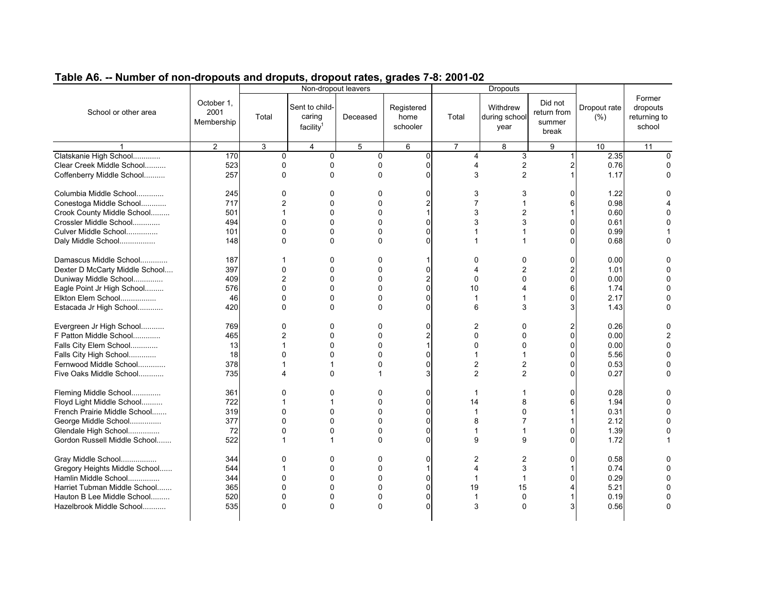|                                |                                  |                        |                                      | Non-dropout leavers |                                |                | Dropouts                          |                                           |                      |                                              |
|--------------------------------|----------------------------------|------------------------|--------------------------------------|---------------------|--------------------------------|----------------|-----------------------------------|-------------------------------------------|----------------------|----------------------------------------------|
| School or other area           | October 1,<br>2001<br>Membership | Total                  | Sent to child-<br>caring<br>facility | Deceased            | Registered<br>home<br>schooler | Total          | Withdrew<br>during school<br>year | Did not<br>return from<br>summer<br>break | Dropout rate<br>(% ) | Former<br>dropouts<br>returning to<br>school |
|                                | $\overline{2}$                   | 3                      | $\overline{4}$                       | 5                   | 6                              | 7              | 8                                 | 9                                         | 10                   | 11                                           |
| Clatskanie High School         | 170                              | $\Omega$               | $\mathbf{0}$                         | $\mathbf 0$         | $\Omega$                       | 4              | 3                                 | 1                                         | 2.35                 | $\Omega$                                     |
| Clear Creek Middle School      | 523                              | 0                      | $\Omega$                             | 0                   |                                | 4              | 2                                 | 2                                         | 0.76                 |                                              |
| Coffenberry Middle School      | 257                              | $\Omega$               | $\Omega$                             | $\Omega$            | <sup>0</sup>                   | 3              | $\overline{2}$                    | 1                                         | 1.17                 | n                                            |
| Columbia Middle School         | 245                              | 0                      | 0                                    | 0                   | ŋ                              | 3              | 3                                 | ŋ                                         | 1.22                 |                                              |
| Conestoga Middle School        | 717                              | $\overline{2}$         | $\Omega$                             | 0                   |                                | 7              |                                   | 6                                         | 0.98                 |                                              |
| Crook County Middle School     | 501                              |                        | $\Omega$                             | 0                   |                                | 3              | 2                                 |                                           | 0.60                 |                                              |
| Crossler Middle School         | 494                              | $\Omega$               | $\Omega$                             | 0                   | $\Omega$                       | 3              | 3                                 | $\Omega$                                  | 0.61                 |                                              |
| Culver Middle School           | 101                              | 0                      | $\mathbf 0$                          | 0                   | $\Omega$                       | 1              |                                   | 0                                         | 0.99                 |                                              |
| Daly Middle School             | 148                              | 0                      | $\Omega$                             | 0                   | <sup>0</sup>                   | 1              |                                   | 0                                         | 0.68                 |                                              |
| Damascus Middle School         | 187                              |                        | $\mathbf{0}$                         | 0                   | 1                              | 0              | 0                                 | 0                                         | 0.00                 |                                              |
| Dexter D McCarty Middle School | 397                              | $\Omega$               | $\Omega$                             | 0                   | $\Omega$                       | 4              | 2                                 | 2                                         | 1.01                 |                                              |
| Duniway Middle School          | 409                              | 2                      | $\mathbf 0$                          | 0                   | $\overline{2}$                 | 0              | $\Omega$                          | 0                                         | 0.00                 |                                              |
| Eagle Point Jr High School     | 576                              | 0                      | $\mathbf 0$                          | 0                   | 0                              | 10             | 4                                 | 6                                         | 1.74                 |                                              |
| Elkton Elem School             | 46                               | $\Omega$               | $\Omega$                             | 0                   | $\Omega$                       | 1              |                                   | $\Omega$                                  | 2.17                 |                                              |
| Estacada Jr High School        | 420                              | $\Omega$               | $\Omega$                             | 0                   | $\Omega$                       | 6              | 3                                 | 3                                         | 1.43                 |                                              |
| Evergreen Jr High School       | 769                              | 0                      | $\mathbf 0$                          | 0                   | 0                              | 2              | 0                                 | 2                                         | 0.26                 |                                              |
| F Patton Middle School         | 465                              | 2                      | 0                                    | 0                   |                                | 0              | 0                                 | 0                                         | 0.00                 |                                              |
| Falls City Elem School         | 13                               |                        | $\Omega$                             | 0                   |                                | $\Omega$       | O                                 | $\Omega$                                  | 0.00                 |                                              |
| Falls City High School         | 18                               | $\Omega$               | $\Omega$                             | 0                   | 0                              | 1              |                                   | 0                                         | 5.56                 |                                              |
| Fernwood Middle School         | 378                              |                        | 1                                    | 0                   | $\Omega$                       | $\overline{2}$ | $\overline{2}$                    | $\Omega$                                  | 0.53                 |                                              |
| Five Oaks Middle School        | 735                              | $\boldsymbol{\Lambda}$ | $\Omega$                             |                     | 3                              | $\overline{2}$ | $\overline{2}$                    | $\Omega$                                  | 0.27                 |                                              |
| Fleming Middle School          | 361                              | 0                      | $\Omega$                             | 0                   | 0                              | 1              |                                   | 0                                         | 0.28                 |                                              |
| Floyd Light Middle School      | 722                              |                        | 1                                    | 0                   | 0                              | 14             | 8                                 | 6                                         | 1.94                 |                                              |
| French Prairie Middle School   | 319                              | 0                      | $\Omega$                             | 0                   | O                              | 1              | $\Omega$                          | 1                                         | 0.31                 |                                              |
| George Middle School           | 377                              | $\Omega$               | $\Omega$                             | 0                   | $\Omega$                       | 8              | 7                                 |                                           | 2.12                 |                                              |
| Glendale High School           | 72                               | 0                      | 0                                    | 0                   | 0                              | 1              |                                   | 0                                         | 1.39                 |                                              |
| Gordon Russell Middle School   | 522                              |                        | 1                                    | 0                   | 0                              | 9              | 9                                 | $\Omega$                                  | 1.72                 |                                              |
|                                |                                  |                        |                                      |                     |                                |                |                                   |                                           |                      |                                              |
| Gray Middle School             | 344                              | 0                      | $\Omega$                             | 0                   | $\Omega$                       | $\overline{2}$ | 2                                 | O                                         | 0.58                 |                                              |
| Gregory Heights Middle School  | 544                              |                        | $\Omega$                             | 0                   |                                | 4              | 3                                 |                                           | 0.74                 |                                              |
| Hamlin Middle School           | 344                              | 0                      | $\mathbf 0$                          | 0                   | 0                              | 1              |                                   | $\Omega$                                  | 0.29                 |                                              |
| Harriet Tubman Middle School   | 365                              | 0                      | $\Omega$                             | 0                   | 0                              | 19             | 15                                |                                           | 5.21                 |                                              |
| Hauton B Lee Middle School     | 520                              | $\Omega$               | $\mathbf 0$                          | 0                   | 0                              | 1              | $\Omega$                          |                                           | 0.19                 |                                              |
| Hazelbrook Middle School       | 535                              | 0                      | $\Omega$                             | 0                   | ŋ                              | 3              | 0                                 | 3                                         | 0.56                 | $\sqrt{ }$                                   |
|                                |                                  |                        |                                      |                     |                                |                |                                   |                                           |                      |                                              |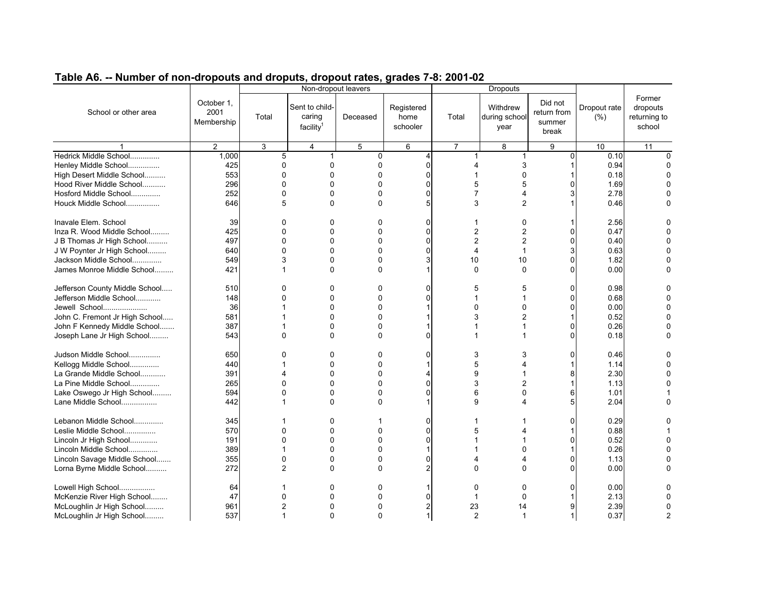| Table A6. -- Number of non-dropouts and droputs, dropout rates, grades 7-8: 2001-02 |  |  |
|-------------------------------------------------------------------------------------|--|--|
|                                                                                     |  |  |

|                                |                                  |          | Non-dropout leavers                               |                |                                |                | <b>Dropouts</b>                   |                                           |                      |                                              |
|--------------------------------|----------------------------------|----------|---------------------------------------------------|----------------|--------------------------------|----------------|-----------------------------------|-------------------------------------------|----------------------|----------------------------------------------|
| School or other area           | October 1.<br>2001<br>Membership | Total    | Sent to child-<br>caring<br>facility <sup>1</sup> | Deceased       | Registered<br>home<br>schooler | Total          | Withdrew<br>during school<br>year | Did not<br>return from<br>summer<br>break | Dropout rate<br>(% ) | Former<br>dropouts<br>returning to<br>school |
|                                | $\overline{2}$                   | 3        | $\overline{4}$                                    | $\overline{5}$ | 6                              | $\overline{7}$ | 8                                 | 9                                         | 10                   | $\overline{11}$                              |
| Hedrick Middle School          | 1,000                            | 5        | $\overline{1}$                                    | $\Omega$       | 4                              | 1              | 1                                 | 0                                         | 0.10                 | $\Omega$                                     |
| Henley Middle School           | 425                              | 0        | $\Omega$                                          | 0              | 0                              | 4              | 3                                 |                                           | 0.94                 |                                              |
| High Desert Middle School      | 553                              | $\Omega$ | $\Omega$                                          | 0              | <sup>0</sup>                   | 1              | $\Omega$                          |                                           | 0.18                 | $\Omega$                                     |
| Hood River Middle School       | 296                              | $\Omega$ | $\Omega$                                          | 0              |                                | 5              | 5                                 | 0                                         | 1.69                 |                                              |
| Hosford Middle School          | 252                              | 0        | $\Omega$                                          | 0              | O                              | $\overline{7}$ | 4                                 | 3                                         | 2.78                 |                                              |
|                                |                                  |          |                                                   |                |                                |                |                                   |                                           |                      |                                              |
| Houck Middle School            | 646                              | 5        | $\Omega$                                          | $\Omega$       |                                | 3              | $\overline{2}$                    |                                           | 0.46                 | 0                                            |
| Inavale Elem. School           | 39                               | 0        | 0                                                 | 0              | $\Omega$                       | 1              | 0                                 |                                           | 2.56                 |                                              |
| Inza R. Wood Middle School     | 425                              | 0        | $\Omega$                                          | 0              | $\Omega$                       | $\overline{c}$ | $\overline{2}$                    | O                                         | 0.47                 |                                              |
| J B Thomas Jr High School      | 497                              | 0        | $\mathbf{0}$                                      | 0              | $\Omega$                       | $\overline{2}$ | $\overline{2}$                    | 0                                         | 0.40                 |                                              |
| J W Poynter Jr High School     | 640                              | 0        | $\Omega$                                          | 0              | O                              | 4              | 1                                 | 3                                         | 0.63                 |                                              |
| Jackson Middle School          | 549                              | 3        | $\Omega$                                          | $\Omega$       | 3                              | 10             | 10                                | 0                                         | 1.82                 |                                              |
| James Monroe Middle School     | 421                              |          | $\Omega$                                          | 0              |                                | 0              | 0                                 | O                                         | 0.00                 |                                              |
|                                |                                  |          |                                                   |                |                                |                |                                   |                                           |                      |                                              |
| Jefferson County Middle School | 510                              | 0        | 0                                                 | 0              | 0                              | 5              | 5                                 | 0                                         | 0.98                 |                                              |
| Jefferson Middle School        | 148                              | 0        | $\Omega$                                          | 0              |                                | 1              | 1                                 | 0                                         | 0.68                 |                                              |
| Jewell School                  | 36                               |          | $\Omega$                                          | 0              |                                | 0              | $\Omega$                          | O                                         | 0.00                 |                                              |
| John C. Fremont Jr High School | 581                              |          | $\Omega$                                          | 0              |                                | 3              | $\overline{2}$                    |                                           | 0.52                 |                                              |
| John F Kennedy Middle School   | 387                              |          | $\Omega$                                          | 0              |                                | 1              |                                   | 0                                         | 0.26                 |                                              |
| Joseph Lane Jr High School     | 543                              | $\Omega$ | $\Omega$                                          | $\Omega$       | ŋ                              | 1              | 1                                 | 0                                         | 0.18                 |                                              |
|                                |                                  |          |                                                   |                |                                |                |                                   |                                           |                      |                                              |
| Judson Middle School           | 650                              | 0        | $\Omega$                                          | 0              | 0                              | 3              | 3                                 | 0                                         | 0.46                 |                                              |
| Kellogg Middle School          | 440                              |          | 0                                                 | 0              |                                | 5              | 4                                 |                                           | 1.14                 |                                              |
| La Grande Middle School        | 391                              | 4        | $\Omega$                                          | 0              |                                | 9              | 1                                 | 8                                         | 2.30                 |                                              |
| La Pine Middle School          | 265                              | 0        | $\Omega$                                          | 0              | O                              | 3              | $\overline{2}$                    |                                           | 1.13                 |                                              |
| Lake Oswego Jr High School     | 594                              | 0        | 0                                                 | 0              |                                | 6              | $\mathbf{0}$                      | 6                                         | 1.01                 |                                              |
| Lane Middle School             | 442                              |          | $\Omega$                                          | 0              |                                | 9              | Δ                                 | 5                                         | 2.04                 | 0                                            |
|                                |                                  |          |                                                   |                |                                |                |                                   |                                           |                      |                                              |
| Lebanon Middle School          | 345                              |          | 0                                                 |                | 0                              | 1              |                                   | 0                                         | 0.29                 |                                              |
| Leslie Middle School           | 570                              | 0        | $\Omega$                                          | 0              | O                              | 5              |                                   |                                           | 0.88                 |                                              |
| Lincoln Jr High School         | 191                              | 0        | 0                                                 | 0              | 0                              | 1              |                                   | 0                                         | 0.52                 |                                              |
| Lincoln Middle School          | 389                              |          | $\Omega$                                          | 0              |                                |                | $\Omega$                          |                                           | 0.26                 |                                              |
| Lincoln Savage Middle School   | 355                              | 0        | $\Omega$                                          | 0              | 0                              | 4              | 4                                 | 0                                         | 1.13                 |                                              |
| Lorna Byrne Middle School      | 272                              | 2        | $\Omega$                                          | 0              |                                | 0              | $\Omega$                          | U                                         | 0.00                 |                                              |
|                                |                                  |          |                                                   |                |                                |                |                                   |                                           |                      |                                              |
| Lowell High School             | 64                               |          | 0                                                 | 0              |                                | 0              | 0                                 | 0                                         | 0.00                 |                                              |
| McKenzie River High School     | 47                               | 0        | $\Omega$                                          | 0              |                                | 1              | 0                                 |                                           | 2.13                 |                                              |
| McLoughlin Jr High School      | 961                              | 2        | 0                                                 | 0              |                                | 23             | 14                                | 9                                         | 2.39                 |                                              |
| McLoughlin Jr High School      | 537                              | 1        | $\Omega$                                          | 0              |                                | $\overline{2}$ | -1                                | 1                                         | 0.37                 |                                              |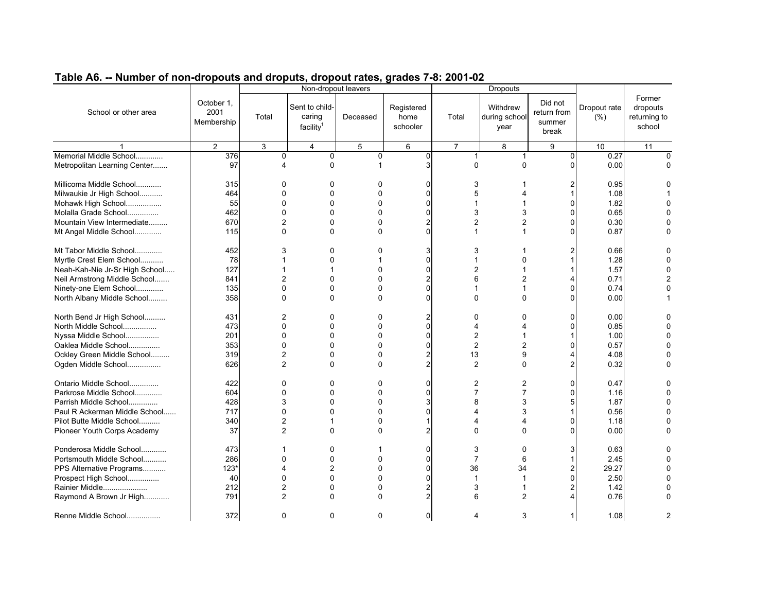|                                |                                  |                |                                      | Non-dropout leavers |                                |                          | <b>Dropouts</b>                   |                                           |                      |                                              |
|--------------------------------|----------------------------------|----------------|--------------------------------------|---------------------|--------------------------------|--------------------------|-----------------------------------|-------------------------------------------|----------------------|----------------------------------------------|
| School or other area           | October 1,<br>2001<br>Membership | Total          | Sent to child-<br>caring<br>facility | Deceased            | Registered<br>home<br>schooler | Total                    | Withdrew<br>during school<br>year | Did not<br>return from<br>summer<br>break | Dropout rate<br>(% ) | Former<br>dropouts<br>returning to<br>school |
|                                | $\overline{2}$                   | 3              | $\overline{4}$                       | 5                   | 6                              | $\overline{7}$           | 8                                 | 9                                         | $\overline{10}$      | 11                                           |
| Memorial Middle School         | 376                              | 0              | 0                                    | 0                   | $\mathbf 0$                    | 1                        |                                   | 0                                         | 0.27                 | $\Omega$                                     |
| Metropolitan Learning Center   | 97                               | 4              | $\Omega$                             |                     | 3                              | 0                        | $\Omega$                          | 0                                         | 0.00                 | O                                            |
| Millicoma Middle School        | 315                              | 0              | $\mathbf 0$                          | 0                   | $\Omega$                       | 3                        |                                   |                                           | 0.95                 |                                              |
| Milwaukie Jr High School       | 464                              | $\Omega$       | $\Omega$                             | 0                   | $\Omega$                       | 5                        |                                   |                                           | 1.08                 |                                              |
| Mohawk High School             | 55                               | $\Omega$       | $\mathbf{0}$                         | $\Omega$            | $\Omega$                       | 1                        |                                   | $\Omega$                                  | 1.82                 |                                              |
| Molalla Grade School           | 462                              | 0              | $\Omega$                             | 0                   | $\Omega$                       | 3                        | 3                                 | $\Omega$                                  | 0.65                 |                                              |
| Mountain View Intermediate     | 670                              | $\overline{2}$ | $\Omega$                             | 0                   | 2                              | $\overline{2}$           | 2                                 | $\Omega$                                  | 0.30                 |                                              |
| Mt Angel Middle School         | 115                              | 0              | $\mathbf{0}$                         | $\Omega$            | $\Omega$                       | $\mathbf{1}$             |                                   | $\Omega$                                  | 0.87                 |                                              |
| Mt Tabor Middle School         | 452                              | 3              | $\Omega$                             | 0                   | 3                              | 3                        |                                   | 2                                         | 0.66                 |                                              |
| Myrtle Crest Elem School       | 78                               |                | 0                                    |                     | $\Omega$                       | 1                        | $\Omega$                          |                                           | 1.28                 |                                              |
| Neah-Kah-Nie Jr-Sr High School | 127                              |                | 1                                    | 0                   | $\Omega$                       | $\overline{2}$           |                                   |                                           | 1.57                 |                                              |
| Neil Armstrong Middle School   | 841                              | $\overline{2}$ | $\mathbf 0$                          | 0                   |                                | 6                        | 2                                 |                                           | 0.71                 |                                              |
| Ninety-one Elem School         | 135                              | $\Omega$       | $\Omega$                             | $\Omega$            | $\Omega$                       | 1                        |                                   | $\Omega$                                  | 0.74                 |                                              |
| North Albany Middle School     | 358                              | $\Omega$       | $\Omega$                             | $\Omega$            | $\Omega$                       | $\Omega$                 | $\Omega$                          | $\Omega$                                  | 0.00                 |                                              |
| North Bend Jr High School      | 431                              | 2              | $\Omega$                             | 0                   |                                | 0                        | ŋ                                 | 0                                         | 0.00                 |                                              |
| North Middle School            | 473                              | $\Omega$       | $\Omega$                             | 0                   | $\Omega$                       | 4                        | Δ                                 | $\Omega$                                  | 0.85                 |                                              |
| Nyssa Middle School            | 201                              | $\Omega$       | $\Omega$                             | 0                   | $\Omega$                       | $\overline{c}$           |                                   |                                           | 1.00                 |                                              |
| Oaklea Middle School           | 353                              | 0              | $\Omega$                             | 0                   | $\Omega$                       | $\overline{2}$           | 2                                 | 0                                         | 0.57                 |                                              |
| Ockley Green Middle School     | 319                              | 2              | $\mathbf 0$                          | 0                   | $\overline{c}$                 | 13                       | 9                                 | 4                                         | 4.08                 |                                              |
| Ogden Middle School            | 626                              | $\overline{2}$ | $\Omega$                             | $\Omega$            | 2                              | $\overline{2}$           | $\Omega$                          | 2                                         | 0.32                 |                                              |
| Ontario Middle School          | 422                              | 0              | $\mathbf 0$                          | 0                   | $\Omega$                       | 2                        | 2                                 | $\Omega$                                  | 0.47                 |                                              |
| Parkrose Middle School         | 604                              | 0              | $\Omega$                             | 0                   | $\Omega$                       | $\overline{7}$           | $\overline{7}$                    | $\Omega$                                  | 1.16                 |                                              |
| Parrish Middle School          | 428                              | 3              | $\mathbf 0$                          | 0                   |                                | 8                        | 3                                 | 5                                         | 1.87                 |                                              |
| Paul R Ackerman Middle School  | 717                              | 0              | $\mathbf{0}$                         | 0                   | n                              | 4                        | 3                                 |                                           | 0.56                 |                                              |
| Pilot Butte Middle School      | 340                              | 2              | 1                                    | 0                   |                                | $\overline{\mathcal{A}}$ | 4                                 | O                                         | 1.18                 |                                              |
| Pioneer Youth Corps Academy    | 37                               | $\overline{2}$ | $\Omega$                             | $\Omega$            |                                | $\Omega$                 | $\Omega$                          | $\Omega$                                  | 0.00                 |                                              |
| Ponderosa Middle School        | 473                              |                | $\Omega$                             |                     | $\Omega$                       | 3                        | $\Omega$                          | 3                                         | 0.63                 |                                              |
| Portsmouth Middle School       | 286                              | 0              | $\mathbf 0$                          | 0                   | $\Omega$                       | $\overline{7}$           | 6                                 |                                           | 2.45                 |                                              |
| PPS Alternative Programs       | $123*$                           | 4              | $\overline{2}$                       | 0                   | O                              | 36                       | 34                                | 2                                         | 29.27                |                                              |
| Prospect High School           | 40                               | 0              | $\Omega$                             | $\Omega$            | $\Omega$                       | 1                        |                                   | $\Omega$                                  | 2.50                 |                                              |
| Rainier Middle                 | 212                              | $\overline{2}$ | 0                                    | 0                   | 2                              | 3                        |                                   | 2                                         | 1.42                 |                                              |
| Raymond A Brown Jr High        | 791                              | 2              | $\Omega$                             | $\Omega$            |                                | 6                        | $\overline{2}$                    | $\overline{\mathcal{A}}$                  | 0.76                 |                                              |
| Renne Middle School            | 372                              | 0              | $\Omega$                             | $\mathbf{0}$        | $\overline{0}$                 | 4                        | 3                                 | 1                                         | 1.08                 | 2                                            |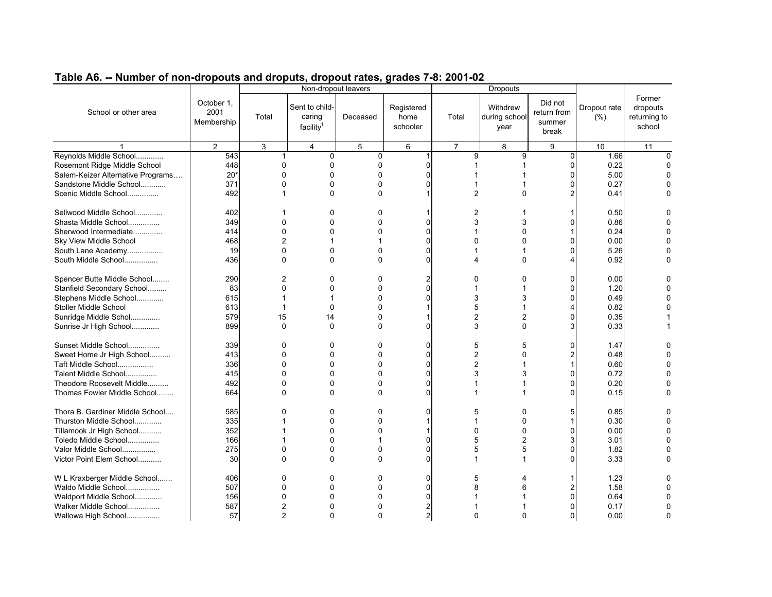| Former<br>October 1,<br>Did not<br>Sent to child-<br>Withdrew<br>Registered<br>Dropout rate<br>dropouts<br>School or other area<br>2001<br>return from<br>caring<br>Total<br>Total<br>(% )<br>Deceased<br>home<br>during school<br>returning to<br>Membership<br>summer<br>school<br>facility<br>schooler<br>year<br>break<br>2<br>10<br>3<br>$\overline{4}$<br>5<br>6<br>$\overline{7}$<br>8<br>9<br>11<br>Reynolds Middle School<br>543<br>9<br>1.66<br>0<br>0<br>9<br>0<br>$\Omega$<br>1<br>448<br>0.22<br>Rosemont Ridge Middle School<br>$\mathbf 0$<br>0<br>0<br>∩<br>0<br>$20*$<br>5.00<br>Salem-Keizer Alternative Programs<br>$\Omega$<br>0<br>0<br>O<br>U<br>O<br>$\mathbf 0$<br>Sandstone Middle School<br>371<br>0<br>0.27<br>O<br>0<br>Scenic Middle School<br>492<br>$\Omega$<br>0<br>2<br>0<br>0.41<br>Sellwood Middle School<br>402<br>2<br>0.50<br>0<br>0<br>$\mathbf 0$<br>0<br>3<br>3<br>0.86<br>Shasta Middle School<br>349<br>$\Omega$<br>C<br>0<br>Sherwood Intermediate<br>414<br>0<br>$\Omega$<br>0<br>0.24<br>C<br>0<br>468<br>$\overline{2}$<br>0.00<br>Sky View Middle School<br>0<br>0<br>O<br>0<br>South Lane Academy<br>19<br>0<br>0<br>5.26<br>0<br>C<br>0<br>0<br>436<br>$\mathbf 0$<br>South Middle School<br>$\mathbf{0}$<br>$\Omega$<br>0<br>0.92<br>n<br>Δ.<br>Spencer Butte Middle School<br>290<br>0<br>0.00<br>2<br>0<br>0<br>0<br>0<br>Stanfield Secondary School<br>83<br>0<br>0<br>0<br>$\Omega$<br>1.20<br>1<br>0<br>615<br>3<br>0.49<br>Stephens Middle School<br>0<br>3<br>1<br>U<br>5<br>Stoller Middle School<br>613<br>$\Omega$<br>0<br>0.82<br>4<br>579<br>15<br>2<br>0.35<br>Sunridge Middle Schol<br>0<br>2<br>14<br>0<br>3<br>Sunrise Jr High School<br>899<br>$\Omega$<br>$\Omega$<br>0<br>0<br>3<br>0.33<br>Sunset Middle School<br>5<br>339<br>0<br>0<br>0<br>O<br>5<br>1.47<br>O<br>0<br>2<br>Sweet Home Jr High School<br>413<br>0<br>0<br>0<br>0.48<br>O<br>0<br>2<br>336<br>0<br>0.60<br>Taft Middle School<br>0<br>0<br>0<br>1<br>3<br>0.72<br>Talent Middle School<br>415<br>0<br>0<br>0<br>3<br>O<br>0<br>O<br>$\mathbf 0$<br>Theodore Roosevelt Middle<br>492<br>0<br>0<br>0.20<br>O<br>0<br>Thomas Fowler Middle School<br>664<br>$\Omega$<br>$\Omega$<br>0<br>0.15<br>O<br>U<br>Thora B. Gardiner Middle School<br>585<br>0<br>0<br>0.85<br>0<br>0<br>5<br>0<br>5<br>335<br>$\mathbf 0$<br>0.30<br>Thurston Middle School<br>0<br>0<br>O<br>1<br>352<br>0.00<br>Tillamook Jr High School<br>$\Omega$<br>0<br>0<br>0<br>0<br>5<br>$\overline{2}$<br>Toledo Middle School<br>166<br>0<br>3.01<br>3<br>n<br>275<br>Valor Middle School<br>0<br>0<br>5<br>5<br>1.82<br>0<br>C<br>0<br>0<br>3.33<br>Victor Point Elem School<br>30<br>$\Omega$<br>$\Omega$<br>$\mathbf{0}$<br>n<br>0<br>W L Kraxberger Middle School<br>0<br>1.23<br>406<br>0<br>0<br>O<br>5<br>507<br>1.58<br>Waldo Middle School<br>0<br>0<br>0<br>8<br>O<br>6<br>Waldport Middle School<br>156<br>0<br>0<br>0<br>O<br>0.64<br>Walker Middle School<br>587<br>2<br>$\Omega$<br>0<br>0.17<br>0<br>$\overline{2}$<br>$\Omega$<br>$\overline{2}$<br>$\Omega$<br>0<br>0<br>0<br>O |                     |    | Non-dropout leavers |  | <b>Dropouts</b> |      |  |
|-------------------------------------------------------------------------------------------------------------------------------------------------------------------------------------------------------------------------------------------------------------------------------------------------------------------------------------------------------------------------------------------------------------------------------------------------------------------------------------------------------------------------------------------------------------------------------------------------------------------------------------------------------------------------------------------------------------------------------------------------------------------------------------------------------------------------------------------------------------------------------------------------------------------------------------------------------------------------------------------------------------------------------------------------------------------------------------------------------------------------------------------------------------------------------------------------------------------------------------------------------------------------------------------------------------------------------------------------------------------------------------------------------------------------------------------------------------------------------------------------------------------------------------------------------------------------------------------------------------------------------------------------------------------------------------------------------------------------------------------------------------------------------------------------------------------------------------------------------------------------------------------------------------------------------------------------------------------------------------------------------------------------------------------------------------------------------------------------------------------------------------------------------------------------------------------------------------------------------------------------------------------------------------------------------------------------------------------------------------------------------------------------------------------------------------------------------------------------------------------------------------------------------------------------------------------------------------------------------------------------------------------------------------------------------------------------------------------------------------------------------------------------------------------------------------------------------------------------------------------------------------------------------------------------------------------------------------------------------------------------------------------------------------------------------------------------------------------------------------|---------------------|----|---------------------|--|-----------------|------|--|
|                                                                                                                                                                                                                                                                                                                                                                                                                                                                                                                                                                                                                                                                                                                                                                                                                                                                                                                                                                                                                                                                                                                                                                                                                                                                                                                                                                                                                                                                                                                                                                                                                                                                                                                                                                                                                                                                                                                                                                                                                                                                                                                                                                                                                                                                                                                                                                                                                                                                                                                                                                                                                                                                                                                                                                                                                                                                                                                                                                                                                                                                                                             |                     |    |                     |  |                 |      |  |
|                                                                                                                                                                                                                                                                                                                                                                                                                                                                                                                                                                                                                                                                                                                                                                                                                                                                                                                                                                                                                                                                                                                                                                                                                                                                                                                                                                                                                                                                                                                                                                                                                                                                                                                                                                                                                                                                                                                                                                                                                                                                                                                                                                                                                                                                                                                                                                                                                                                                                                                                                                                                                                                                                                                                                                                                                                                                                                                                                                                                                                                                                                             |                     |    |                     |  |                 |      |  |
|                                                                                                                                                                                                                                                                                                                                                                                                                                                                                                                                                                                                                                                                                                                                                                                                                                                                                                                                                                                                                                                                                                                                                                                                                                                                                                                                                                                                                                                                                                                                                                                                                                                                                                                                                                                                                                                                                                                                                                                                                                                                                                                                                                                                                                                                                                                                                                                                                                                                                                                                                                                                                                                                                                                                                                                                                                                                                                                                                                                                                                                                                                             |                     |    |                     |  |                 |      |  |
|                                                                                                                                                                                                                                                                                                                                                                                                                                                                                                                                                                                                                                                                                                                                                                                                                                                                                                                                                                                                                                                                                                                                                                                                                                                                                                                                                                                                                                                                                                                                                                                                                                                                                                                                                                                                                                                                                                                                                                                                                                                                                                                                                                                                                                                                                                                                                                                                                                                                                                                                                                                                                                                                                                                                                                                                                                                                                                                                                                                                                                                                                                             |                     |    |                     |  |                 |      |  |
|                                                                                                                                                                                                                                                                                                                                                                                                                                                                                                                                                                                                                                                                                                                                                                                                                                                                                                                                                                                                                                                                                                                                                                                                                                                                                                                                                                                                                                                                                                                                                                                                                                                                                                                                                                                                                                                                                                                                                                                                                                                                                                                                                                                                                                                                                                                                                                                                                                                                                                                                                                                                                                                                                                                                                                                                                                                                                                                                                                                                                                                                                                             |                     |    |                     |  |                 |      |  |
|                                                                                                                                                                                                                                                                                                                                                                                                                                                                                                                                                                                                                                                                                                                                                                                                                                                                                                                                                                                                                                                                                                                                                                                                                                                                                                                                                                                                                                                                                                                                                                                                                                                                                                                                                                                                                                                                                                                                                                                                                                                                                                                                                                                                                                                                                                                                                                                                                                                                                                                                                                                                                                                                                                                                                                                                                                                                                                                                                                                                                                                                                                             |                     |    |                     |  |                 |      |  |
|                                                                                                                                                                                                                                                                                                                                                                                                                                                                                                                                                                                                                                                                                                                                                                                                                                                                                                                                                                                                                                                                                                                                                                                                                                                                                                                                                                                                                                                                                                                                                                                                                                                                                                                                                                                                                                                                                                                                                                                                                                                                                                                                                                                                                                                                                                                                                                                                                                                                                                                                                                                                                                                                                                                                                                                                                                                                                                                                                                                                                                                                                                             |                     |    |                     |  |                 |      |  |
|                                                                                                                                                                                                                                                                                                                                                                                                                                                                                                                                                                                                                                                                                                                                                                                                                                                                                                                                                                                                                                                                                                                                                                                                                                                                                                                                                                                                                                                                                                                                                                                                                                                                                                                                                                                                                                                                                                                                                                                                                                                                                                                                                                                                                                                                                                                                                                                                                                                                                                                                                                                                                                                                                                                                                                                                                                                                                                                                                                                                                                                                                                             |                     |    |                     |  |                 |      |  |
|                                                                                                                                                                                                                                                                                                                                                                                                                                                                                                                                                                                                                                                                                                                                                                                                                                                                                                                                                                                                                                                                                                                                                                                                                                                                                                                                                                                                                                                                                                                                                                                                                                                                                                                                                                                                                                                                                                                                                                                                                                                                                                                                                                                                                                                                                                                                                                                                                                                                                                                                                                                                                                                                                                                                                                                                                                                                                                                                                                                                                                                                                                             |                     |    |                     |  |                 |      |  |
|                                                                                                                                                                                                                                                                                                                                                                                                                                                                                                                                                                                                                                                                                                                                                                                                                                                                                                                                                                                                                                                                                                                                                                                                                                                                                                                                                                                                                                                                                                                                                                                                                                                                                                                                                                                                                                                                                                                                                                                                                                                                                                                                                                                                                                                                                                                                                                                                                                                                                                                                                                                                                                                                                                                                                                                                                                                                                                                                                                                                                                                                                                             |                     |    |                     |  |                 |      |  |
|                                                                                                                                                                                                                                                                                                                                                                                                                                                                                                                                                                                                                                                                                                                                                                                                                                                                                                                                                                                                                                                                                                                                                                                                                                                                                                                                                                                                                                                                                                                                                                                                                                                                                                                                                                                                                                                                                                                                                                                                                                                                                                                                                                                                                                                                                                                                                                                                                                                                                                                                                                                                                                                                                                                                                                                                                                                                                                                                                                                                                                                                                                             |                     |    |                     |  |                 |      |  |
|                                                                                                                                                                                                                                                                                                                                                                                                                                                                                                                                                                                                                                                                                                                                                                                                                                                                                                                                                                                                                                                                                                                                                                                                                                                                                                                                                                                                                                                                                                                                                                                                                                                                                                                                                                                                                                                                                                                                                                                                                                                                                                                                                                                                                                                                                                                                                                                                                                                                                                                                                                                                                                                                                                                                                                                                                                                                                                                                                                                                                                                                                                             |                     |    |                     |  |                 |      |  |
|                                                                                                                                                                                                                                                                                                                                                                                                                                                                                                                                                                                                                                                                                                                                                                                                                                                                                                                                                                                                                                                                                                                                                                                                                                                                                                                                                                                                                                                                                                                                                                                                                                                                                                                                                                                                                                                                                                                                                                                                                                                                                                                                                                                                                                                                                                                                                                                                                                                                                                                                                                                                                                                                                                                                                                                                                                                                                                                                                                                                                                                                                                             |                     |    |                     |  |                 |      |  |
|                                                                                                                                                                                                                                                                                                                                                                                                                                                                                                                                                                                                                                                                                                                                                                                                                                                                                                                                                                                                                                                                                                                                                                                                                                                                                                                                                                                                                                                                                                                                                                                                                                                                                                                                                                                                                                                                                                                                                                                                                                                                                                                                                                                                                                                                                                                                                                                                                                                                                                                                                                                                                                                                                                                                                                                                                                                                                                                                                                                                                                                                                                             |                     |    |                     |  |                 |      |  |
|                                                                                                                                                                                                                                                                                                                                                                                                                                                                                                                                                                                                                                                                                                                                                                                                                                                                                                                                                                                                                                                                                                                                                                                                                                                                                                                                                                                                                                                                                                                                                                                                                                                                                                                                                                                                                                                                                                                                                                                                                                                                                                                                                                                                                                                                                                                                                                                                                                                                                                                                                                                                                                                                                                                                                                                                                                                                                                                                                                                                                                                                                                             |                     |    |                     |  |                 |      |  |
|                                                                                                                                                                                                                                                                                                                                                                                                                                                                                                                                                                                                                                                                                                                                                                                                                                                                                                                                                                                                                                                                                                                                                                                                                                                                                                                                                                                                                                                                                                                                                                                                                                                                                                                                                                                                                                                                                                                                                                                                                                                                                                                                                                                                                                                                                                                                                                                                                                                                                                                                                                                                                                                                                                                                                                                                                                                                                                                                                                                                                                                                                                             |                     |    |                     |  |                 |      |  |
|                                                                                                                                                                                                                                                                                                                                                                                                                                                                                                                                                                                                                                                                                                                                                                                                                                                                                                                                                                                                                                                                                                                                                                                                                                                                                                                                                                                                                                                                                                                                                                                                                                                                                                                                                                                                                                                                                                                                                                                                                                                                                                                                                                                                                                                                                                                                                                                                                                                                                                                                                                                                                                                                                                                                                                                                                                                                                                                                                                                                                                                                                                             |                     |    |                     |  |                 |      |  |
|                                                                                                                                                                                                                                                                                                                                                                                                                                                                                                                                                                                                                                                                                                                                                                                                                                                                                                                                                                                                                                                                                                                                                                                                                                                                                                                                                                                                                                                                                                                                                                                                                                                                                                                                                                                                                                                                                                                                                                                                                                                                                                                                                                                                                                                                                                                                                                                                                                                                                                                                                                                                                                                                                                                                                                                                                                                                                                                                                                                                                                                                                                             |                     |    |                     |  |                 |      |  |
|                                                                                                                                                                                                                                                                                                                                                                                                                                                                                                                                                                                                                                                                                                                                                                                                                                                                                                                                                                                                                                                                                                                                                                                                                                                                                                                                                                                                                                                                                                                                                                                                                                                                                                                                                                                                                                                                                                                                                                                                                                                                                                                                                                                                                                                                                                                                                                                                                                                                                                                                                                                                                                                                                                                                                                                                                                                                                                                                                                                                                                                                                                             |                     |    |                     |  |                 |      |  |
|                                                                                                                                                                                                                                                                                                                                                                                                                                                                                                                                                                                                                                                                                                                                                                                                                                                                                                                                                                                                                                                                                                                                                                                                                                                                                                                                                                                                                                                                                                                                                                                                                                                                                                                                                                                                                                                                                                                                                                                                                                                                                                                                                                                                                                                                                                                                                                                                                                                                                                                                                                                                                                                                                                                                                                                                                                                                                                                                                                                                                                                                                                             |                     |    |                     |  |                 |      |  |
|                                                                                                                                                                                                                                                                                                                                                                                                                                                                                                                                                                                                                                                                                                                                                                                                                                                                                                                                                                                                                                                                                                                                                                                                                                                                                                                                                                                                                                                                                                                                                                                                                                                                                                                                                                                                                                                                                                                                                                                                                                                                                                                                                                                                                                                                                                                                                                                                                                                                                                                                                                                                                                                                                                                                                                                                                                                                                                                                                                                                                                                                                                             |                     |    |                     |  |                 |      |  |
|                                                                                                                                                                                                                                                                                                                                                                                                                                                                                                                                                                                                                                                                                                                                                                                                                                                                                                                                                                                                                                                                                                                                                                                                                                                                                                                                                                                                                                                                                                                                                                                                                                                                                                                                                                                                                                                                                                                                                                                                                                                                                                                                                                                                                                                                                                                                                                                                                                                                                                                                                                                                                                                                                                                                                                                                                                                                                                                                                                                                                                                                                                             |                     |    |                     |  |                 |      |  |
|                                                                                                                                                                                                                                                                                                                                                                                                                                                                                                                                                                                                                                                                                                                                                                                                                                                                                                                                                                                                                                                                                                                                                                                                                                                                                                                                                                                                                                                                                                                                                                                                                                                                                                                                                                                                                                                                                                                                                                                                                                                                                                                                                                                                                                                                                                                                                                                                                                                                                                                                                                                                                                                                                                                                                                                                                                                                                                                                                                                                                                                                                                             |                     |    |                     |  |                 |      |  |
|                                                                                                                                                                                                                                                                                                                                                                                                                                                                                                                                                                                                                                                                                                                                                                                                                                                                                                                                                                                                                                                                                                                                                                                                                                                                                                                                                                                                                                                                                                                                                                                                                                                                                                                                                                                                                                                                                                                                                                                                                                                                                                                                                                                                                                                                                                                                                                                                                                                                                                                                                                                                                                                                                                                                                                                                                                                                                                                                                                                                                                                                                                             |                     |    |                     |  |                 |      |  |
|                                                                                                                                                                                                                                                                                                                                                                                                                                                                                                                                                                                                                                                                                                                                                                                                                                                                                                                                                                                                                                                                                                                                                                                                                                                                                                                                                                                                                                                                                                                                                                                                                                                                                                                                                                                                                                                                                                                                                                                                                                                                                                                                                                                                                                                                                                                                                                                                                                                                                                                                                                                                                                                                                                                                                                                                                                                                                                                                                                                                                                                                                                             |                     |    |                     |  |                 |      |  |
|                                                                                                                                                                                                                                                                                                                                                                                                                                                                                                                                                                                                                                                                                                                                                                                                                                                                                                                                                                                                                                                                                                                                                                                                                                                                                                                                                                                                                                                                                                                                                                                                                                                                                                                                                                                                                                                                                                                                                                                                                                                                                                                                                                                                                                                                                                                                                                                                                                                                                                                                                                                                                                                                                                                                                                                                                                                                                                                                                                                                                                                                                                             |                     |    |                     |  |                 |      |  |
|                                                                                                                                                                                                                                                                                                                                                                                                                                                                                                                                                                                                                                                                                                                                                                                                                                                                                                                                                                                                                                                                                                                                                                                                                                                                                                                                                                                                                                                                                                                                                                                                                                                                                                                                                                                                                                                                                                                                                                                                                                                                                                                                                                                                                                                                                                                                                                                                                                                                                                                                                                                                                                                                                                                                                                                                                                                                                                                                                                                                                                                                                                             |                     |    |                     |  |                 |      |  |
|                                                                                                                                                                                                                                                                                                                                                                                                                                                                                                                                                                                                                                                                                                                                                                                                                                                                                                                                                                                                                                                                                                                                                                                                                                                                                                                                                                                                                                                                                                                                                                                                                                                                                                                                                                                                                                                                                                                                                                                                                                                                                                                                                                                                                                                                                                                                                                                                                                                                                                                                                                                                                                                                                                                                                                                                                                                                                                                                                                                                                                                                                                             |                     |    |                     |  |                 |      |  |
|                                                                                                                                                                                                                                                                                                                                                                                                                                                                                                                                                                                                                                                                                                                                                                                                                                                                                                                                                                                                                                                                                                                                                                                                                                                                                                                                                                                                                                                                                                                                                                                                                                                                                                                                                                                                                                                                                                                                                                                                                                                                                                                                                                                                                                                                                                                                                                                                                                                                                                                                                                                                                                                                                                                                                                                                                                                                                                                                                                                                                                                                                                             |                     |    |                     |  |                 |      |  |
|                                                                                                                                                                                                                                                                                                                                                                                                                                                                                                                                                                                                                                                                                                                                                                                                                                                                                                                                                                                                                                                                                                                                                                                                                                                                                                                                                                                                                                                                                                                                                                                                                                                                                                                                                                                                                                                                                                                                                                                                                                                                                                                                                                                                                                                                                                                                                                                                                                                                                                                                                                                                                                                                                                                                                                                                                                                                                                                                                                                                                                                                                                             |                     |    |                     |  |                 |      |  |
|                                                                                                                                                                                                                                                                                                                                                                                                                                                                                                                                                                                                                                                                                                                                                                                                                                                                                                                                                                                                                                                                                                                                                                                                                                                                                                                                                                                                                                                                                                                                                                                                                                                                                                                                                                                                                                                                                                                                                                                                                                                                                                                                                                                                                                                                                                                                                                                                                                                                                                                                                                                                                                                                                                                                                                                                                                                                                                                                                                                                                                                                                                             |                     |    |                     |  |                 |      |  |
|                                                                                                                                                                                                                                                                                                                                                                                                                                                                                                                                                                                                                                                                                                                                                                                                                                                                                                                                                                                                                                                                                                                                                                                                                                                                                                                                                                                                                                                                                                                                                                                                                                                                                                                                                                                                                                                                                                                                                                                                                                                                                                                                                                                                                                                                                                                                                                                                                                                                                                                                                                                                                                                                                                                                                                                                                                                                                                                                                                                                                                                                                                             |                     |    |                     |  |                 |      |  |
|                                                                                                                                                                                                                                                                                                                                                                                                                                                                                                                                                                                                                                                                                                                                                                                                                                                                                                                                                                                                                                                                                                                                                                                                                                                                                                                                                                                                                                                                                                                                                                                                                                                                                                                                                                                                                                                                                                                                                                                                                                                                                                                                                                                                                                                                                                                                                                                                                                                                                                                                                                                                                                                                                                                                                                                                                                                                                                                                                                                                                                                                                                             |                     |    |                     |  |                 |      |  |
|                                                                                                                                                                                                                                                                                                                                                                                                                                                                                                                                                                                                                                                                                                                                                                                                                                                                                                                                                                                                                                                                                                                                                                                                                                                                                                                                                                                                                                                                                                                                                                                                                                                                                                                                                                                                                                                                                                                                                                                                                                                                                                                                                                                                                                                                                                                                                                                                                                                                                                                                                                                                                                                                                                                                                                                                                                                                                                                                                                                                                                                                                                             |                     |    |                     |  |                 |      |  |
|                                                                                                                                                                                                                                                                                                                                                                                                                                                                                                                                                                                                                                                                                                                                                                                                                                                                                                                                                                                                                                                                                                                                                                                                                                                                                                                                                                                                                                                                                                                                                                                                                                                                                                                                                                                                                                                                                                                                                                                                                                                                                                                                                                                                                                                                                                                                                                                                                                                                                                                                                                                                                                                                                                                                                                                                                                                                                                                                                                                                                                                                                                             |                     |    |                     |  |                 |      |  |
|                                                                                                                                                                                                                                                                                                                                                                                                                                                                                                                                                                                                                                                                                                                                                                                                                                                                                                                                                                                                                                                                                                                                                                                                                                                                                                                                                                                                                                                                                                                                                                                                                                                                                                                                                                                                                                                                                                                                                                                                                                                                                                                                                                                                                                                                                                                                                                                                                                                                                                                                                                                                                                                                                                                                                                                                                                                                                                                                                                                                                                                                                                             |                     |    |                     |  |                 |      |  |
|                                                                                                                                                                                                                                                                                                                                                                                                                                                                                                                                                                                                                                                                                                                                                                                                                                                                                                                                                                                                                                                                                                                                                                                                                                                                                                                                                                                                                                                                                                                                                                                                                                                                                                                                                                                                                                                                                                                                                                                                                                                                                                                                                                                                                                                                                                                                                                                                                                                                                                                                                                                                                                                                                                                                                                                                                                                                                                                                                                                                                                                                                                             |                     |    |                     |  |                 |      |  |
|                                                                                                                                                                                                                                                                                                                                                                                                                                                                                                                                                                                                                                                                                                                                                                                                                                                                                                                                                                                                                                                                                                                                                                                                                                                                                                                                                                                                                                                                                                                                                                                                                                                                                                                                                                                                                                                                                                                                                                                                                                                                                                                                                                                                                                                                                                                                                                                                                                                                                                                                                                                                                                                                                                                                                                                                                                                                                                                                                                                                                                                                                                             |                     |    |                     |  |                 |      |  |
|                                                                                                                                                                                                                                                                                                                                                                                                                                                                                                                                                                                                                                                                                                                                                                                                                                                                                                                                                                                                                                                                                                                                                                                                                                                                                                                                                                                                                                                                                                                                                                                                                                                                                                                                                                                                                                                                                                                                                                                                                                                                                                                                                                                                                                                                                                                                                                                                                                                                                                                                                                                                                                                                                                                                                                                                                                                                                                                                                                                                                                                                                                             |                     |    |                     |  |                 |      |  |
|                                                                                                                                                                                                                                                                                                                                                                                                                                                                                                                                                                                                                                                                                                                                                                                                                                                                                                                                                                                                                                                                                                                                                                                                                                                                                                                                                                                                                                                                                                                                                                                                                                                                                                                                                                                                                                                                                                                                                                                                                                                                                                                                                                                                                                                                                                                                                                                                                                                                                                                                                                                                                                                                                                                                                                                                                                                                                                                                                                                                                                                                                                             |                     |    |                     |  |                 |      |  |
|                                                                                                                                                                                                                                                                                                                                                                                                                                                                                                                                                                                                                                                                                                                                                                                                                                                                                                                                                                                                                                                                                                                                                                                                                                                                                                                                                                                                                                                                                                                                                                                                                                                                                                                                                                                                                                                                                                                                                                                                                                                                                                                                                                                                                                                                                                                                                                                                                                                                                                                                                                                                                                                                                                                                                                                                                                                                                                                                                                                                                                                                                                             | Wallowa High School | 57 |                     |  |                 | 0.00 |  |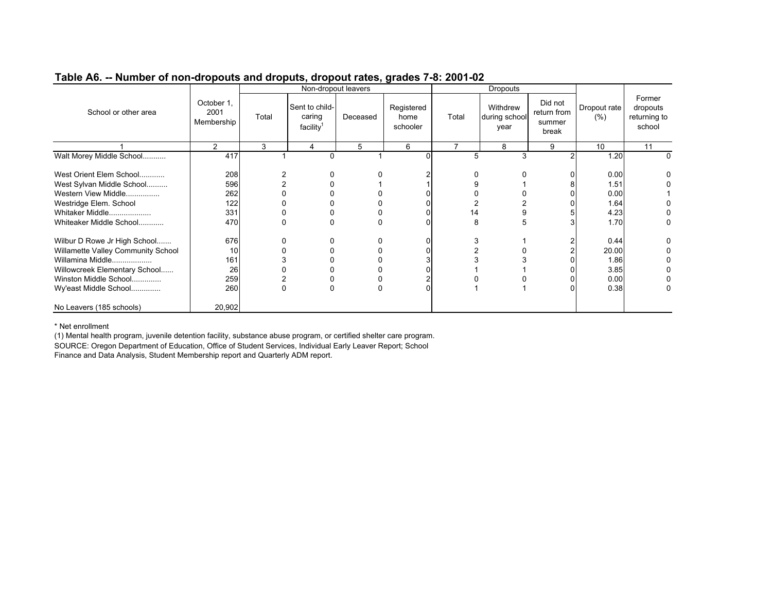|                                    |                                  |       |                                                   | Non-dropout leavers |                                |                | <b>Dropouts</b>                   |                                           |                      |                                              |
|------------------------------------|----------------------------------|-------|---------------------------------------------------|---------------------|--------------------------------|----------------|-----------------------------------|-------------------------------------------|----------------------|----------------------------------------------|
| School or other area               | October 1,<br>2001<br>Membership | Total | Sent to child-<br>caring<br>facility <sup>1</sup> | Deceased            | Registered<br>home<br>schooler | Total          | Withdrew<br>during school<br>year | Did not<br>return from<br>summer<br>break | Dropout rate<br>(% ) | Former<br>dropouts<br>returning to<br>school |
|                                    | 2                                | 3     | 4                                                 | 5                   | 6                              | $\overline{7}$ | 8                                 | 9                                         | 10                   | 11                                           |
| Walt Morey Middle School           | 417                              |       | 0                                                 |                     |                                | 5              | 3                                 |                                           | 1.20                 |                                              |
|                                    |                                  |       |                                                   |                     |                                |                |                                   |                                           |                      |                                              |
| West Orient Elem School            | 208                              |       |                                                   |                     |                                | 0              |                                   |                                           | 0.00                 |                                              |
| West Sylvan Middle School          | 596                              |       |                                                   |                     |                                |                |                                   |                                           | 1.51                 |                                              |
| Western View Middle                | 262                              |       |                                                   |                     |                                |                |                                   |                                           | 0.00                 |                                              |
| Westridge Elem. School             | 122                              |       |                                                   |                     |                                |                |                                   |                                           | 1.64                 |                                              |
| Whitaker Middle                    | 331                              |       |                                                   |                     |                                | 14             |                                   |                                           | 4.23                 |                                              |
| Whiteaker Middle School            | 470                              |       |                                                   |                     |                                | 8              | 5                                 |                                           | 1.70                 |                                              |
| Wilbur D Rowe Jr High School       | 676                              |       |                                                   |                     |                                | 3              |                                   |                                           | 0.44                 |                                              |
| Willamette Valley Community School | 10                               |       |                                                   |                     |                                |                |                                   |                                           | 20.00                |                                              |
| Willamina Middle                   | 161                              |       |                                                   |                     |                                |                |                                   |                                           | 1.86                 |                                              |
| Willowcreek Elementary School      | 26                               |       |                                                   |                     |                                |                |                                   |                                           | 3.85                 |                                              |
| Winston Middle School              | 259                              |       |                                                   |                     |                                |                |                                   |                                           | 0.00                 |                                              |
| Wy'east Middle School              | 260                              | 0     | $\Omega$                                          | $\Omega$            |                                |                |                                   |                                           | 0.38                 |                                              |
| No Leavers (185 schools)           | 20,902                           |       |                                                   |                     |                                |                |                                   |                                           |                      |                                              |

\* Net enrollment

 (1) Mental health program, juvenile detention facility, substance abuse program, or certified shelter care program. SOURCE: Oregon Department of Education, Office of Student Services, Individual Early Leaver Report; School Finance and Data Analysis, Student Membership report and Quarterly ADM report.